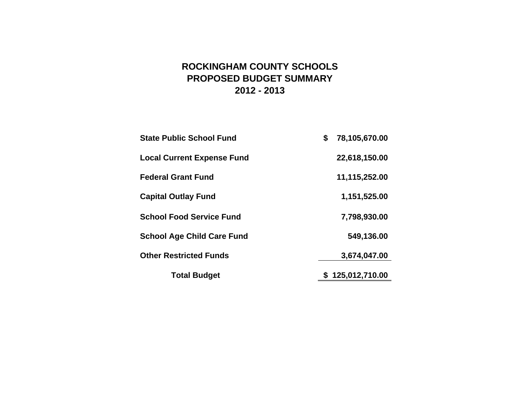# **ROCKINGHAM COUNTY SCHOOLS PROPOSED BUDGET SUMMARY 2012 - 2013**

| <b>State Public School Fund</b>   | \$<br>78,105,670.00 |
|-----------------------------------|---------------------|
| <b>Local Current Expense Fund</b> | 22,618,150.00       |
| <b>Federal Grant Fund</b>         | 11,115,252.00       |
| <b>Capital Outlay Fund</b>        | 1,151,525.00        |
| <b>School Food Service Fund</b>   | 7,798,930.00        |
| <b>School Age Child Care Fund</b> | 549,136.00          |
| <b>Other Restricted Funds</b>     | 3,674,047.00        |
| <b>Total Budget</b>               | \$125,012,710.00    |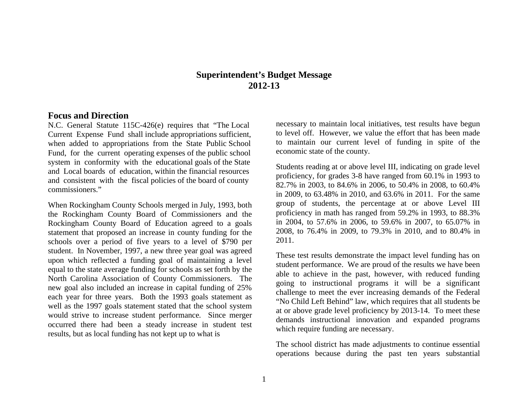# **Superintendent's Budget Message 2012-13**

#### **Focus and Direction**

N.C. General Statute 115C-426(e) requires that "The Local Current Expense Fund shall include appropriations sufficient, when added to appropriations from the State Public School Fund, for the current operating expenses of the public school system in conformity with the educational goals of the State and Local boards of education, within the financial resources and consistent with the fiscal policies of the board of county commissioners."

When Rockingham County Schools merged in July, 1993, both the Rockingham County Board of Commissioners and the Rockingham County Board of Education agreed to a goals statement that proposed an increase in county funding for the schools over a period of five years to a level of \$790 per student. In November, 1997, a new three year goal was agreed upon which reflected a funding goal of maintaining a level equal to the state average funding for schools as set forth by the North Carolina Association of County Commissioners. The new goal also included an increase in capital funding of 25% each year for three years. Both the 1993 goals statement as well as the 1997 goals statement stated that the school system would strive to increase student performance. Since merger occurred there had been a steady increase in student test results, but as local funding has not kept up to what is

necessary to maintain local initiatives, test results have begun to level off. However, we value the effort that has been made to maintain our current level of funding in spite of the economic state of the county.

Students reading at or above level III, indicating on grade level proficiency, for grades 3-8 have ranged from 60.1% in 1993 to 82.7% in 2003, to 84.6% in 2006, to 50.4% in 2008, to 60.4% in 2009, to 63.48% in 2010, and 63.6% in 2011. For the same group of students, the percentage at or above Level III proficiency in math has ranged from 59.2% in 1993, to 88.3% in 2004, to 57.6% in 2006, to 59.6% in 2007, to 65.07% in 2008, to 76.4% in 2009, to 79.3% in 2010, and to 80.4% in 2011.

These test results demonstrate the impact level funding has on student performance. We are proud of the results we have been able to achieve in the past, however, with reduced funding going to instructional programs it will be a significant challenge to meet the ever increasing demands of the Federal "No Child Left Behind" law, which requires that all students be at or above grade level proficiency by 2013-14. To meet these demands instructional innovation and expanded programs which require funding are necessary.

The school district has made adjustments to continue essential operations because during the past ten years substantial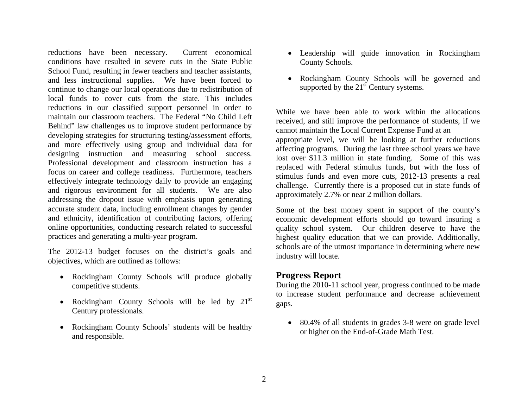reductions have been necessary. Current economical conditions have resulted in severe cuts in the State Public School Fund, resulting in fewer teachers and teacher assistants, and less instructional supplies. We have been forced to continue to change our local operations due to redistribution of local funds to cover cuts from the state. This includes reductions in our classified support personnel in order to maintain our classroom teachers. The Federal "No Child Left Behind" law challenges us to improve student performance by developing strategies for structuring testing/assessment efforts, and more effectively using group and individual data for designing instruction and measuring school success. Professional development and classroom instruction has a focus on career and college readiness. Furthermore, teachers effectively integrate technology daily to provide an engaging and rigorous environment for all students. We are also addressing the dropout issue with emphasis upon generating accurate student data, including enrollment changes by gender and ethnicity, identification of contributing factors, offering online opportunities, conducting research related to successful practices and generating a multi-year program.

The 2012-13 budget focuses on the district's goals and objectives, which are outlined as follows:

- Rockingham County Schools will produce globally competitive students.
- Rockingham County Schools will be led by  $21<sup>st</sup>$ Century professionals.
- Rockingham County Schools' students will be healthy and responsible.
- Leadership will guide innovation in Rockingham County Schools.
- Rockingham County Schools will be governed and supported by the  $21<sup>st</sup>$  Century systems.

While we have been able to work within the allocations received, and still improve the performance of students, if we cannot maintain the Local Current Expense Fund at an appropriate level, we will be looking at further reductions affecting programs. During the last three school years we have lost over \$11.3 million in state funding. Some of this was replaced with Federal stimulus funds, but with the loss of stimulus funds and even more cuts, 2012-13 presents a real challenge. Currently there is a proposed cut in state funds of approximately 2.7% or near 2 million dollars.

Some of the best money spent in support of the county's economic development efforts should go toward insuring a quality school system. Our children deserve to have the highest quality education that we can provide. Additionally, schools are of the utmost importance in determining where new industry will locate.

# **Progress Report**

During the 2010-11 school year, progress continued to be made to increase student performance and decrease achievement gaps.

• 80.4% of all students in grades 3-8 were on grade level or higher on the End-of-Grade Math Test.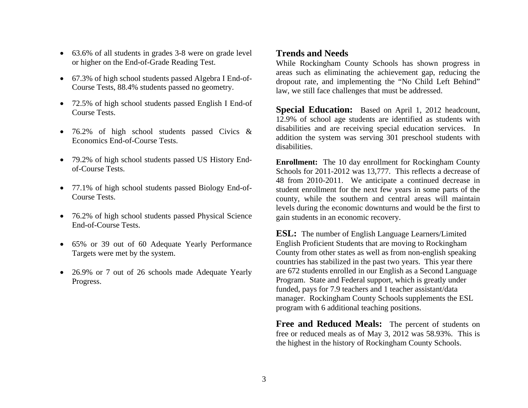- 63.6% of all students in grades 3-8 were on grade level or higher on the End-of-Grade Reading Test.
- 67.3% of high school students passed Algebra I End-of-Course Tests, 88.4% students passed no geometry.
- 72.5% of high school students passed English I End-of Course Tests.
- 76.2% of high school students passed Civics & Economics End-of-Course Tests.
- 79.2% of high school students passed US History Endof-Course Tests.
- 77.1% of high school students passed Biology End-of-Course Tests.
- 76.2% of high school students passed Physical Science End-of-Course Tests.
- 65% or 39 out of 60 Adequate Yearly Performance Targets were met by the system.
- 26.9% or 7 out of 26 schools made Adequate Yearly Progress.

# **Trends and Needs**

While Rockingham County Schools has shown progress in areas such as eliminating the achievement gap, reducing the dropout rate, and implementing the "No Child Left Behind" law, we still face challenges that must be addressed.

**Special Education:** Based on April 1, 2012 headcount, 12.9% of school age students are identified as students with disabilities and are receiving special education services. In addition the system was serving 301 preschool students with disabilities.

**Enrollment:** The 10 day enrollment for Rockingham County Schools for 2011-2012 was 13,777. This reflects a decrease of 48 from 2010-2011. We anticipate a continued decrease in student enrollment for the next few years in some parts of the county, while the southern and central areas will maintain levels during the economic downturns and would be the first to gain students in an economic recovery.

**ESL:** The number of English Language Learners/Limited English Proficient Students that are moving to Rockingham County from other states as well as from non-english speaking countries has stabilized in the past two years. This year there are 672 students enrolled in our English as a Second Language Program. State and Federal support, which is greatly under funded, pays for 7.9 teachers and 1 teacher assistant/data manager. Rockingham County Schools supplements the ESL program with 6 additional teaching positions.

**Free and Reduced Meals:** The percent of students on free or reduced meals as of May 3, 2012 was 58.93%. This is the highest in the history of Rockingham County Schools.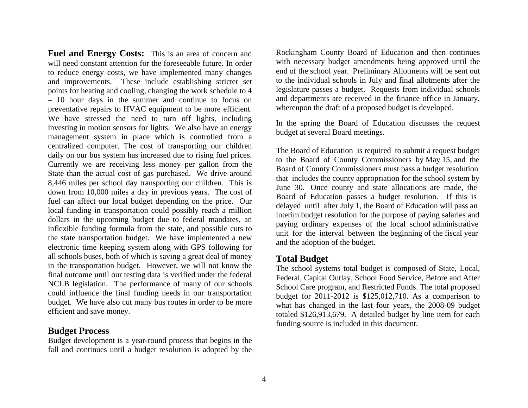**Fuel and Energy Costs:** This is an area of concern and will need constant attention for the foreseeable future. In order to reduce energy costs, we have implemented many changes and improvements. These include establishing stricter set points for heating and cooling, changing the work schedule to 4 – 10 hour days in the summer and continue to focus on preventative repairs to HVAC equipment to be more efficient. We have stressed the need to turn off lights, including investing in motion sensors for lights. We also have an energy management system in place which is controlled from a centralized computer. The cost of transporting our children daily on our bus system has increased due to rising fuel prices. Currently we are receiving less money per gallon from the State than the actual cost of gas purchased. We drive around 8,446 miles per school day transporting our children. This is down from 10,000 miles a day in previous years. The cost of fuel can affect our local budget depending on the price. Our local funding in transportation could possibly reach a million dollars in the upcoming budget due to federal mandates, an inflexible funding formula from the state, and possible cuts to the state transportation budget. We have implemented a new electronic time keeping system along with GPS following for all schools buses, both of which is saving a great deal of money in the transportation budget. However, we will not know the final outcome until our testing data is verified under the federal NCLB legislation. The performance of many of our schools could influence the final funding needs in our transportation budget. We have also cut many bus routes in order to be more efficient and save money.

#### **Budget Process**

Budget development is a year-round process that begins in the fall and continues until a budget resolution is adopted by the

Rockingham County Board of Education and then continues with necessary budget amendments being approved until the end of the school year. Preliminary Allotments will be sent out to the individual schools in July and final allotments after the legislature passes a budget. Requests from individual schools and departments are received in the finance office in January, whereupon the draft of a proposed budget is developed.

In the spring the Board of Education discusses the request budget at several Board meetings.

The Board of Education is required to submit a request budget to the Board of County Commissioners by May 15, and the Board of County Commissioners must pass a budget resolution that includes the county appropriation for the school system by June 30. Once county and state allocations are made, the Board of Education passes a budget resolution. If this is delayed until after July 1, the Board of Education will pass an interim budget resolution for the purpose of paying salaries and paying ordinary expenses of the local school administrative unit for the interval between the beginning of the fiscal year and the adoption of the budget.

## **Total Budget**

The school systems total budget is composed of State, Local, Federal, Capital Outlay, School Food Service, Before and After School Care program, and Restricted Funds. The total proposed budget for 2011-2012 is \$125,012,710. As a comparison to what has changed in the last four years, the 2008-09 budget totaled \$126,913,679. A detailed budget by line item for each funding source is included in this document.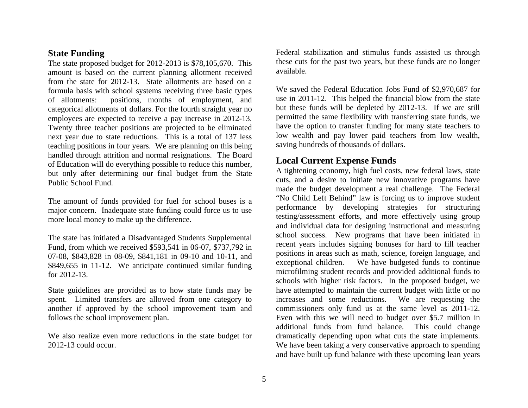# **State Funding**

The state proposed budget for 2012-2013 is \$78,105,670. This amount is based on the current planning allotment received from the state for 2012-13. State allotments are based on a formula basis with school systems receiving three basic types of allotments: positions, months of employment, and categorical allotments of dollars. For the fourth straight year no employees are expected to receive a pay increase in 2012-13. Twenty three teacher positions are projected to be eliminated next year due to state reductions. This is a total of 137 less teaching positions in four years. We are planning on this being handled through attrition and normal resignations. The Board of Education will do everything possible to reduce this number, but only after determining our final budget from the State Public School Fund.

The amount of funds provided for fuel for school buses is a major concern. Inadequate state funding could force us to use more local money to make up the difference.

The state has initiated a Disadvantaged Students Supplemental Fund, from which we received \$593,541 in 06-07, \$737,792 in 07-08, \$843,828 in 08-09, \$841,181 in 09-10 and 10-11, and \$849,655 in 11-12. We anticipate continued similar funding for 2012-13.

State guidelines are provided as to how state funds may be spent. Limited transfers are allowed from one category to another if approved by the school improvement team and follows the school improvement plan.

We also realize even more reductions in the state budget for 2012-13 could occur.

Federal stabilization and stimulus funds assisted us through these cuts for the past two years, but these funds are no longer available.

We saved the Federal Education Jobs Fund of \$2,970,687 for use in 2011-12. This helped the financial blow from the state but these funds will be depleted by 2012-13. If we are still permitted the same flexibility with transferring state funds, we have the option to transfer funding for many state teachers to low wealth and pay lower paid teachers from low wealth, saving hundreds of thousands of dollars.

# **Local Current Expense Funds**

A tightening economy, high fuel costs, new federal laws, state cuts, and a desire to initiate new innovative programs have made the budget development a real challenge. The Federal "No Child Left Behind" law is forcing us to improve student performance by developing strategies for structuring testing/assessment efforts, and more effectively using group and individual data for designing instructional and measuring school success. New programs that have been initiated in recent years includes signing bonuses for hard to fill teacher positions in areas such as math, science, foreign language, and exceptional children. We have budgeted funds to continue microfilming student records and provided additional funds to schools with higher risk factors. In the proposed budget, we have attempted to maintain the current budget with little or no increases and some reductions. We are requesting the commissioners only fund us at the same level as 2011-12. Even with this we will need to budget over \$5.7 million in additional funds from fund balance. This could change dramatically depending upon what cuts the state implements. We have been taking a very conservative approach to spending and have built up fund balance with these upcoming lean years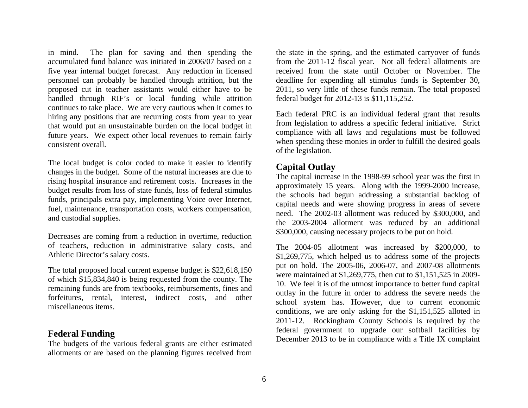in mind. The plan for saving and then spending the accumulated fund balance was initiated in 2006/07 based on a five year internal budget forecast. Any reduction in licensed personnel can probably be handled through attrition, but the proposed cut in teacher assistants would either have to be handled through RIF's or local funding while attrition continues to take place. We are very cautious when it comes to hiring any positions that are recurring costs from year to year that would put an unsustainable burden on the local budget in future years. We expect other local revenues to remain fairly consistent overall.

The local budget is color coded to make it easier to identify changes in the budget. Some of the natural increases are due to rising hospital insurance and retirement costs. Increases in the budget results from loss of state funds, loss of federal stimulus funds, principals extra pay, implementing Voice over Internet, fuel, maintenance, transportation costs, workers compensation, and custodial supplies.

Decreases are coming from a reduction in overtime, reduction of teachers, reduction in administrative salary costs, and Athletic Director's salary costs.

The total proposed local current expense budget is \$22,618,150 of which \$15,834,840 is being requested from the county. The remaining funds are from textbooks, reimbursements, fines and forfeitures, rental, interest, indirect costs, and other miscellaneous items.

# **Federal Funding**

The budgets of the various federal grants are either estimated allotments or are based on the planning figures received from

the state in the spring, and the estimated carryover of funds from the 2011-12 fiscal year. Not all federal allotments are received from the state until October or November. The deadline for expending all stimulus funds is September 30, 2011, so very little of these funds remain. The total proposed federal budget for 2012-13 is \$11,115,252.

Each federal PRC is an individual federal grant that results from legislation to address a specific federal initiative. Strict compliance with all laws and regulations must be followed when spending these monies in order to fulfill the desired goals of the legislation.

# **Capital Outlay**

The capital increase in the 1998-99 school year was the first in approximately 15 years. Along with the 1999-2000 increase, the schools had begun addressing a substantial backlog of capital needs and were showing progress in areas of severe need. The 2002-03 allotment was reduced by \$300,000, and the 2003-2004 allotment was reduced by an additional \$300,000, causing necessary projects to be put on hold.

The 2004-05 allotment was increased by \$200,000, to \$1,269,775, which helped us to address some of the projects put on hold. The 2005-06, 2006-07, and 2007-08 allotments were maintained at \$1,269,775, then cut to \$1,151,525 in 2009- 10. We feel it is of the utmost importance to better fund capital outlay in the future in order to address the severe needs the school system has. However, due to current economic conditions, we are only asking for the \$1,151,525 alloted in 2011-12. Rockingham County Schools is required by the federal government to upgrade our softball facilities by December 2013 to be in compliance with a Title IX complaint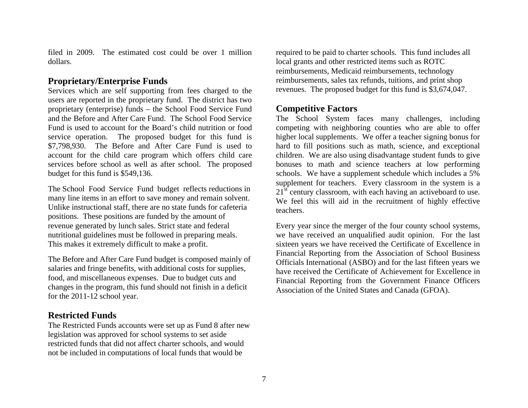filed in 2009. The estimated cost could be over 1 million dollars.

# **Proprietary/Enterprise Funds**

Services which are self supporting from fees charged to the users are reported in the proprietary fund. The district has two proprietary (enterprise) funds – the School Food Service Fund and the Before and After Care Fund. The School Food Service Fund is used to account for the Board's child nutrition or food service operation. The proposed budget for this fund is \$7,798,930. The Before and After Care Fund is used to account for the child care program which offers child care services before school as well as after school. The proposed budget for this fund is \$549,136.

The School Food Service Fund budget reflects reductions in many line items in an effort to save money and remain solvent. Unlike instructional staff, there are no state funds for cafeteria positions. These positions are funded by the amount of revenue generated by lunch sales. Strict state and federal nutritional guidelines must be followed in preparing meals. This makes it extremely difficult to make a profit.

The Before and After Care Fund budget is composed mainly of salaries and fringe benefits, with additional costs for supplies, food, and miscellaneous expenses. Due to budget cuts and changes in the program, this fund should not finish in a deficit for the 2011-12 school year.

# **Restricted Funds**

The Restricted Funds accounts were set up as Fund 8 after new legislation was approved for school systems to set aside restricted funds that did not affect charter schools, and would not be included in computations of local funds that would be

required to be paid to charter schools. This fund includes all local grants and other restricted items such as ROTC reimbursements, Medicaid reimbursements, technology reimbursements, sales tax refunds, tuitions, and print shop revenues. The proposed budget for this fund is \$3,674,047.

## **Competitive Factors**

The School System faces many challenges, including competing with neighboring counties who are able to offer higher local supplements. We offer a teacher signing bonus for hard to fill positions such as math, science, and exceptional children. We are also using disadvantage student funds to give bonuses to math and science teachers at low performing schools. We have a supplement schedule which includes a 5% supplement for teachers. Every classroom in the system is a  $21<sup>st</sup>$  century classroom, with each having an active board to use. We feel this will aid in the recruitment of highly effective teachers.

Every year since the merger of the four county school systems, we have received an unqualified audit opinion. For the last sixteen years we have received the Certificate of Excellence in Financial Reporting from the Association of School Business Officials International (ASBO) and for the last fifteen years we have received the Certificate of Achievement for Excellence in Financial Reporting from the Government Finance Officers Association of the United States and Canada (GFOA).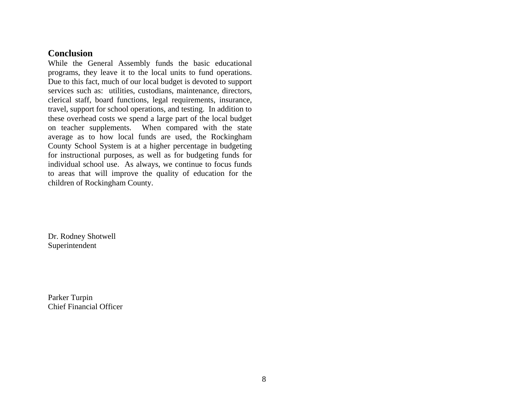# **Conclusion**

While the General Assembly funds the basic educational programs, they leave it to the local units to fund operations. Due to this fact, much of our local budget is devoted to support services such as: utilities, custodians, maintenance, directors, clerical staff, board functions, legal requirements, insurance, travel, support for school operations, and testing. In addition to these overhead costs we spend a large part of the local budget on teacher supplements. When compared with the state average as to how local funds are used, the Rockingham County School System is at a higher percentage in budgeting for instructional purposes, as well as for budgeting funds for individual school use. As always, we continue to focus funds to areas that will improve the quality of education for the children of Rockingham County.

Dr. Rodney Shotwell Superintendent

Parker Turpin Chief Financial Officer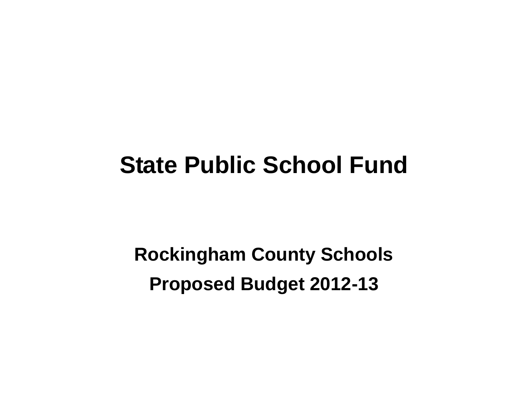# **State Public School Fund**

**Rockingham County Schools Proposed Budget 2012-13**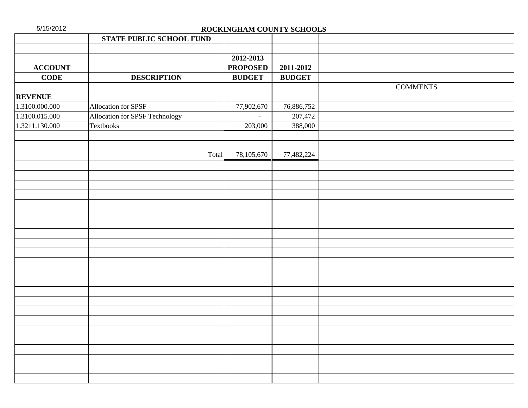| <b>STATE PUBLIC SCHOOL FUND</b><br>2012-2013<br><b>ACCOUNT</b><br><b>PROPOSED</b><br><b>CODE</b><br><b>DESCRIPTION</b><br><b>BUDGET</b><br><b>REVENUE</b><br>1.3100.000.000<br>Allocation for SPSF<br>77,902,670<br>1.3100.015.000<br>Allocation for SPSF Technology<br>1.3211.130.000<br>Textbooks | 2011-2012<br><b>BUDGET</b><br>76,886,752<br>207,472<br>203,000<br>388,000<br>77,482,224 | <b>COMMENTS</b> |
|-----------------------------------------------------------------------------------------------------------------------------------------------------------------------------------------------------------------------------------------------------------------------------------------------------|-----------------------------------------------------------------------------------------|-----------------|
|                                                                                                                                                                                                                                                                                                     |                                                                                         |                 |
|                                                                                                                                                                                                                                                                                                     |                                                                                         |                 |
|                                                                                                                                                                                                                                                                                                     |                                                                                         |                 |
|                                                                                                                                                                                                                                                                                                     |                                                                                         |                 |
|                                                                                                                                                                                                                                                                                                     |                                                                                         |                 |
|                                                                                                                                                                                                                                                                                                     |                                                                                         |                 |
|                                                                                                                                                                                                                                                                                                     |                                                                                         |                 |
|                                                                                                                                                                                                                                                                                                     |                                                                                         |                 |
|                                                                                                                                                                                                                                                                                                     |                                                                                         |                 |
|                                                                                                                                                                                                                                                                                                     |                                                                                         |                 |
|                                                                                                                                                                                                                                                                                                     |                                                                                         |                 |
|                                                                                                                                                                                                                                                                                                     |                                                                                         |                 |
| Total<br>78,105,670                                                                                                                                                                                                                                                                                 |                                                                                         |                 |
|                                                                                                                                                                                                                                                                                                     |                                                                                         |                 |
|                                                                                                                                                                                                                                                                                                     |                                                                                         |                 |
|                                                                                                                                                                                                                                                                                                     |                                                                                         |                 |
|                                                                                                                                                                                                                                                                                                     |                                                                                         |                 |
|                                                                                                                                                                                                                                                                                                     |                                                                                         |                 |
|                                                                                                                                                                                                                                                                                                     |                                                                                         |                 |
|                                                                                                                                                                                                                                                                                                     |                                                                                         |                 |
|                                                                                                                                                                                                                                                                                                     |                                                                                         |                 |
|                                                                                                                                                                                                                                                                                                     |                                                                                         |                 |
|                                                                                                                                                                                                                                                                                                     |                                                                                         |                 |
|                                                                                                                                                                                                                                                                                                     |                                                                                         |                 |
|                                                                                                                                                                                                                                                                                                     |                                                                                         |                 |
|                                                                                                                                                                                                                                                                                                     |                                                                                         |                 |
|                                                                                                                                                                                                                                                                                                     |                                                                                         |                 |
|                                                                                                                                                                                                                                                                                                     |                                                                                         |                 |
|                                                                                                                                                                                                                                                                                                     |                                                                                         |                 |
|                                                                                                                                                                                                                                                                                                     |                                                                                         |                 |
|                                                                                                                                                                                                                                                                                                     |                                                                                         |                 |
|                                                                                                                                                                                                                                                                                                     |                                                                                         |                 |
|                                                                                                                                                                                                                                                                                                     |                                                                                         |                 |
|                                                                                                                                                                                                                                                                                                     |                                                                                         |                 |
|                                                                                                                                                                                                                                                                                                     |                                                                                         |                 |
|                                                                                                                                                                                                                                                                                                     |                                                                                         |                 |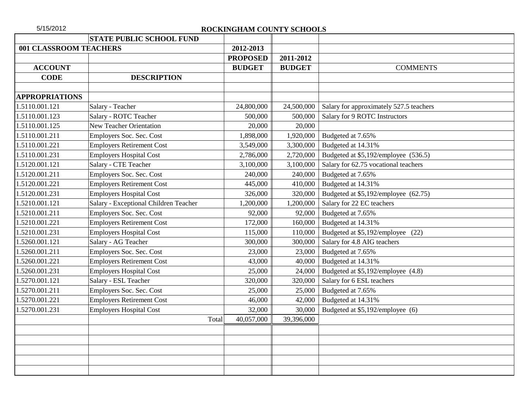|                        | <b>STATE PUBLIC SCHOOL FUND</b>       |                     |               |                                         |  |
|------------------------|---------------------------------------|---------------------|---------------|-----------------------------------------|--|
| 001 CLASSROOM TEACHERS |                                       | 2012-2013           |               |                                         |  |
|                        |                                       | <b>PROPOSED</b>     | 2011-2012     |                                         |  |
| <b>ACCOUNT</b>         |                                       | <b>BUDGET</b>       | <b>BUDGET</b> | <b>COMMENTS</b>                         |  |
| <b>CODE</b>            | <b>DESCRIPTION</b>                    |                     |               |                                         |  |
|                        |                                       |                     |               |                                         |  |
| <b>APPROPRIATIONS</b>  |                                       |                     |               |                                         |  |
| 1.5110.001.121         | Salary - Teacher                      | 24,800,000          | 24,500,000    | Salary for approximately 527.5 teachers |  |
| 1.5110.001.123         | Salary - ROTC Teacher                 | 500,000             | 500,000       | Salary for 9 ROTC Instructors           |  |
| 1.5110.001.125         | <b>New Teacher Orientation</b>        | 20,000              | 20,000        |                                         |  |
| 1.5110.001.211         | Employers Soc. Sec. Cost              | 1,898,000           | 1,920,000     | Budgeted at 7.65%                       |  |
| 1.5110.001.221         | <b>Employers Retirement Cost</b>      | 3,549,000           | 3,300,000     | Budgeted at 14.31%                      |  |
| 1.5110.001.231         | <b>Employers Hospital Cost</b>        | 2,786,000           | 2,720,000     | Budgeted at \$5,192/employee (536.5)    |  |
| 1.5120.001.121         | Salary - CTE Teacher                  | 3,100,000           | 3,100,000     | Salary for 62.75 vocational teachers    |  |
| 1.5120.001.211         | Employers Soc. Sec. Cost              | 240,000             | 240,000       | Budgeted at 7.65%                       |  |
| 1.5120.001.221         | <b>Employers Retirement Cost</b>      | 445,000             | 410,000       | Budgeted at 14.31%                      |  |
| 1.5120.001.231         | <b>Employers Hospital Cost</b>        | 326,000             | 320,000       | Budgeted at \$5,192/employee (62.75)    |  |
| 1.5210.001.121         | Salary - Exceptional Children Teacher | 1,200,000           | 1,200,000     | Salary for 22 EC teachers               |  |
| 1.5210.001.211         | Employers Soc. Sec. Cost              | 92,000              | 92,000        | Budgeted at 7.65%                       |  |
| 1.5210.001.221         | <b>Employers Retirement Cost</b>      | 172,000             | 160,000       | Budgeted at 14.31%                      |  |
| 1.5210.001.231         | <b>Employers Hospital Cost</b>        | 115,000             | 110,000       | Budgeted at \$5,192/employee (22)       |  |
| 1.5260.001.121         | Salary - AG Teacher                   | 300,000             | 300,000       | Salary for 4.8 AIG teachers             |  |
| 1.5260.001.211         | Employers Soc. Sec. Cost              | 23,000              | 23,000        | Budgeted at 7.65%                       |  |
| 1.5260.001.221         | <b>Employers Retirement Cost</b>      | 43,000              | 40,000        | Budgeted at 14.31%                      |  |
| 1.5260.001.231         | <b>Employers Hospital Cost</b>        | 25,000              | 24,000        | Budgeted at \$5,192/employee (4.8)      |  |
| 1.5270.001.121         | Salary - ESL Teacher                  | 320,000             | 320,000       | Salary for 6 ESL teachers               |  |
| 1.5270.001.211         | Employers Soc. Sec. Cost              | 25,000              | 25,000        | Budgeted at 7.65%                       |  |
| 1.5270.001.221         | <b>Employers Retirement Cost</b>      | 46,000              | 42,000        | Budgeted at 14.31%                      |  |
| 1.5270.001.231         | <b>Employers Hospital Cost</b>        | 32,000              | 30,000        | Budgeted at \$5,192/employee (6)        |  |
|                        |                                       | 40,057,000<br>Total | 39,396,000    |                                         |  |
|                        |                                       |                     |               |                                         |  |
|                        |                                       |                     |               |                                         |  |
|                        |                                       |                     |               |                                         |  |
|                        |                                       |                     |               |                                         |  |
|                        |                                       |                     |               |                                         |  |
|                        |                                       |                     |               |                                         |  |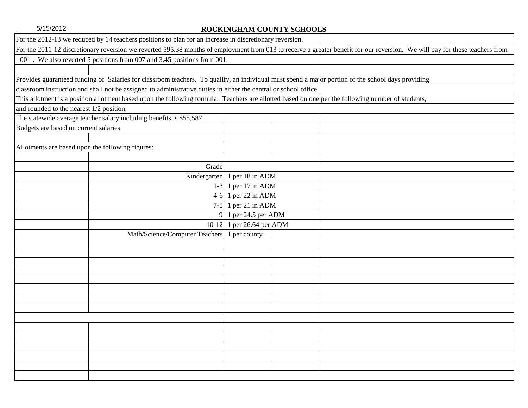| For the 2012-13 we reduced by 14 teachers positions to plan for an increase in discretionary reversion.                                           |                                                |                                                                                                                                                                              |
|---------------------------------------------------------------------------------------------------------------------------------------------------|------------------------------------------------|------------------------------------------------------------------------------------------------------------------------------------------------------------------------------|
|                                                                                                                                                   |                                                | For the 2011-12 discretionary reversion we reverted 595.38 months of employment from 013 to receive a greater benefit for our reversion. We will pay for these teachers from |
| -001-. We also reverted 5 positions from 007 and 3.45 positions from 001.                                                                         |                                                |                                                                                                                                                                              |
|                                                                                                                                                   |                                                |                                                                                                                                                                              |
| Provides guaranteed funding of Salaries for classroom teachers. To qualify, an individual must spend a major portion of the school days providing |                                                |                                                                                                                                                                              |
| classroom instruction and shall not be assigned to administrative duties in either the central or school office                                   |                                                |                                                                                                                                                                              |
| This allotment is a position allotment based upon the following formula. Teachers are allotted based on one per the following number of students, |                                                |                                                                                                                                                                              |
| and rounded to the nearest 1/2 position.                                                                                                          |                                                |                                                                                                                                                                              |
| The statewide average teacher salary including benefits is \$55,587                                                                               |                                                |                                                                                                                                                                              |
| Budgets are based on current salaries                                                                                                             |                                                |                                                                                                                                                                              |
|                                                                                                                                                   |                                                |                                                                                                                                                                              |
| Allotments are based upon the following figures:                                                                                                  |                                                |                                                                                                                                                                              |
|                                                                                                                                                   |                                                |                                                                                                                                                                              |
|                                                                                                                                                   | Grade                                          |                                                                                                                                                                              |
|                                                                                                                                                   | Kindergarten 1 per 18 in ADM                   |                                                                                                                                                                              |
|                                                                                                                                                   | 1 per 17 in ADM<br>$1-3$                       |                                                                                                                                                                              |
|                                                                                                                                                   | 1 per 22 in ADM<br>$4-6$                       |                                                                                                                                                                              |
|                                                                                                                                                   | 7-8 1 per 21 in ADM                            |                                                                                                                                                                              |
|                                                                                                                                                   | 1 per 24.5 per ADM<br>9 <sup>1</sup>           |                                                                                                                                                                              |
|                                                                                                                                                   | 1 per 26.64 per ADM<br>$10-12$                 |                                                                                                                                                                              |
|                                                                                                                                                   | Math/Science/Computer Teachers<br>1 per county |                                                                                                                                                                              |
|                                                                                                                                                   |                                                |                                                                                                                                                                              |
|                                                                                                                                                   |                                                |                                                                                                                                                                              |
|                                                                                                                                                   |                                                |                                                                                                                                                                              |
|                                                                                                                                                   |                                                |                                                                                                                                                                              |
|                                                                                                                                                   |                                                |                                                                                                                                                                              |
|                                                                                                                                                   |                                                |                                                                                                                                                                              |
|                                                                                                                                                   |                                                |                                                                                                                                                                              |
|                                                                                                                                                   |                                                |                                                                                                                                                                              |
|                                                                                                                                                   |                                                |                                                                                                                                                                              |
|                                                                                                                                                   |                                                |                                                                                                                                                                              |
|                                                                                                                                                   |                                                |                                                                                                                                                                              |
|                                                                                                                                                   |                                                |                                                                                                                                                                              |
|                                                                                                                                                   |                                                |                                                                                                                                                                              |
|                                                                                                                                                   |                                                |                                                                                                                                                                              |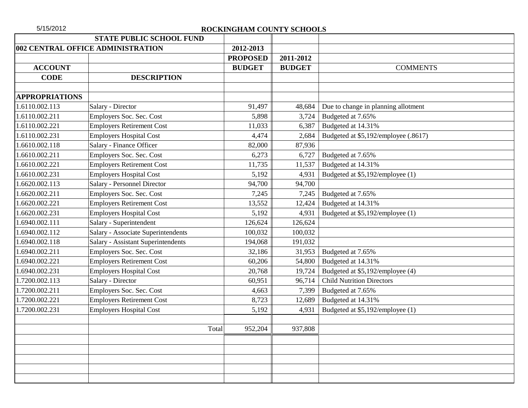|                       | <b>STATE PUBLIC SCHOOL FUND</b>    |                 |               |                                      |
|-----------------------|------------------------------------|-----------------|---------------|--------------------------------------|
|                       | 002 CENTRAL OFFICE ADMINISTRATION  | 2012-2013       |               |                                      |
|                       |                                    | <b>PROPOSED</b> | 2011-2012     |                                      |
| <b>ACCOUNT</b>        |                                    | <b>BUDGET</b>   | <b>BUDGET</b> | <b>COMMENTS</b>                      |
| <b>CODE</b>           | <b>DESCRIPTION</b>                 |                 |               |                                      |
| <b>APPROPRIATIONS</b> |                                    |                 |               |                                      |
| 1.6110.002.113        | Salary - Director                  | 91,497          | 48,684        | Due to change in planning allotment  |
| 1.6110.002.211        | Employers Soc. Sec. Cost           | 5,898           | 3,724         | Budgeted at 7.65%                    |
| 1.6110.002.221        | <b>Employers Retirement Cost</b>   | 11,033          | 6,387         | Budgeted at 14.31%                   |
| 1.6110.002.231        | <b>Employers Hospital Cost</b>     | 4,474           | 2,684         | Budgeted at \$5,192/employee (.8617) |
| 1.6610.002.118        | Salary - Finance Officer           | 82,000          | 87,936        |                                      |
| 1.6610.002.211        | Employers Soc. Sec. Cost           | 6,273           | 6,727         | Budgeted at 7.65%                    |
| 1.6610.002.221        | <b>Employers Retirement Cost</b>   | 11,735          | 11,537        | Budgeted at 14.31%                   |
| 1.6610.002.231        | <b>Employers Hospital Cost</b>     | 5,192           | 4,931         | Budgeted at \$5,192/employee (1)     |
| 1.6620.002.113        | Salary - Personnel Director        | 94,700          | 94,700        |                                      |
| 1.6620.002.211        | Employers Soc. Sec. Cost           | 7,245           | 7,245         | Budgeted at 7.65%                    |
| 1.6620.002.221        | <b>Employers Retirement Cost</b>   | 13,552          | 12,424        | Budgeted at 14.31%                   |
| 1.6620.002.231        | <b>Employers Hospital Cost</b>     | 5,192           | 4,931         | Budgeted at \$5,192/employee (1)     |
| 1.6940.002.111        | Salary - Superintendent            | 126,624         | 126,624       |                                      |
| 1.6940.002.112        | Salary - Associate Superintendents | 100,032         | 100,032       |                                      |
| 1.6940.002.118        | Salary - Assistant Superintendents | 194,068         | 191,032       |                                      |
| 1.6940.002.211        | Employers Soc. Sec. Cost           | 32,186          | 31,953        | Budgeted at 7.65%                    |
| 1.6940.002.221        | <b>Employers Retirement Cost</b>   | 60,206          | 54,800        | Budgeted at 14.31%                   |
| 1.6940.002.231        | <b>Employers Hospital Cost</b>     | 20,768          | 19,724        | Budgeted at \$5,192/employee (4)     |
| 1.7200.002.113        | Salary - Director                  | 60,951          | 96,714        | <b>Child Nutrition Directors</b>     |
| 1.7200.002.211        | Employers Soc. Sec. Cost           | 4,663           | 7,399         | Budgeted at 7.65%                    |
| 1.7200.002.221        | <b>Employers Retirement Cost</b>   | 8,723           | 12,689        | Budgeted at 14.31%                   |
| 1.7200.002.231        | <b>Employers Hospital Cost</b>     | 5,192           | 4,931         | Budgeted at \$5,192/employee (1)     |
|                       |                                    |                 |               |                                      |
|                       | Total                              | 952,204         | 937,808       |                                      |
|                       |                                    |                 |               |                                      |
|                       |                                    |                 |               |                                      |
|                       |                                    |                 |               |                                      |
|                       |                                    |                 |               |                                      |
|                       |                                    |                 |               |                                      |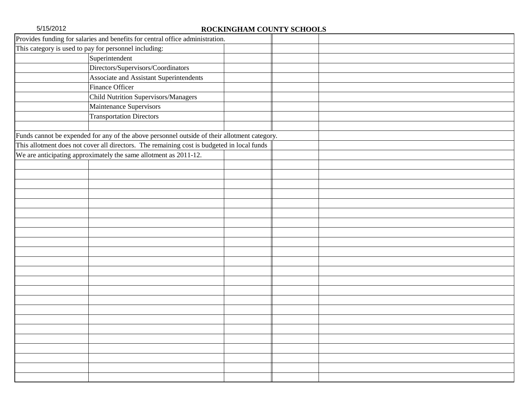| Provides funding for salaries and benefits for central office administration.                |  |
|----------------------------------------------------------------------------------------------|--|
| This category is used to pay for personnel including:                                        |  |
| Superintendent                                                                               |  |
| Directors/Supervisors/Coordinators                                                           |  |
| Associate and Assistant Superintendents                                                      |  |
| Finance Officer                                                                              |  |
| <b>Child Nutrition Supervisors/Managers</b>                                                  |  |
| Maintenance Supervisors                                                                      |  |
| <b>Transportation Directors</b>                                                              |  |
|                                                                                              |  |
| Funds cannot be expended for any of the above personnel outside of their allotment category. |  |
| This allotment does not cover all directors. The remaining cost is budgeted in local funds   |  |
| We are anticipating approximately the same allotment as 2011-12.                             |  |
|                                                                                              |  |
|                                                                                              |  |
|                                                                                              |  |
|                                                                                              |  |
|                                                                                              |  |
|                                                                                              |  |
|                                                                                              |  |
|                                                                                              |  |
|                                                                                              |  |
|                                                                                              |  |
|                                                                                              |  |
|                                                                                              |  |
|                                                                                              |  |
|                                                                                              |  |
|                                                                                              |  |
|                                                                                              |  |
|                                                                                              |  |
|                                                                                              |  |
|                                                                                              |  |
|                                                                                              |  |
|                                                                                              |  |
|                                                                                              |  |
|                                                                                              |  |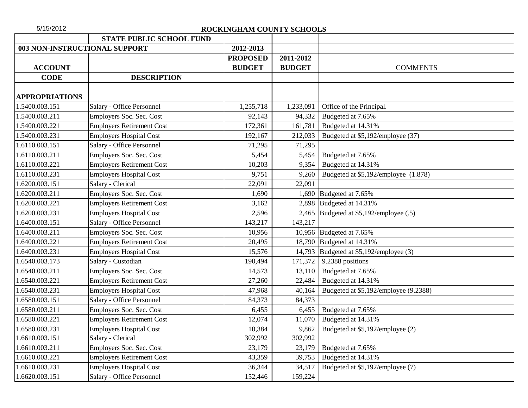| 5/15/2012             |                                  | ROCKINGHAM COUNTY SCHOOLS |               |                                           |
|-----------------------|----------------------------------|---------------------------|---------------|-------------------------------------------|
|                       | <b>STATE PUBLIC SCHOOL FUND</b>  |                           |               |                                           |
|                       | 003 NON-INSTRUCTIONAL SUPPORT    | 2012-2013                 |               |                                           |
|                       |                                  | <b>PROPOSED</b>           | 2011-2012     |                                           |
| <b>ACCOUNT</b>        |                                  | <b>BUDGET</b>             | <b>BUDGET</b> | <b>COMMENTS</b>                           |
| <b>CODE</b>           | <b>DESCRIPTION</b>               |                           |               |                                           |
| <b>APPROPRIATIONS</b> |                                  |                           |               |                                           |
| 1.5400.003.151        | Salary - Office Personnel        | 1,255,718                 | 1,233,091     | Office of the Principal.                  |
| 1.5400.003.211        | Employers Soc. Sec. Cost         | 92,143                    | 94,332        | Budgeted at 7.65%                         |
| 1.5400.003.221        | <b>Employers Retirement Cost</b> | 172,361                   | 161,781       | Budgeted at 14.31%                        |
| 1.5400.003.231        | <b>Employers Hospital Cost</b>   | 192,167                   | 212,033       | Budgeted at \$5,192/employee (37)         |
| 1.6110.003.151        | Salary - Office Personnel        | 71,295                    | 71,295        |                                           |
| 1.6110.003.211        | Employers Soc. Sec. Cost         | 5,454                     | 5,454         | Budgeted at 7.65%                         |
| 1.6110.003.221        | <b>Employers Retirement Cost</b> | 10,203                    | 9,354         | Budgeted at 14.31%                        |
| 1.6110.003.231        | <b>Employers Hospital Cost</b>   | 9,751                     | 9,260         | Budgeted at \$5,192/employee (1.878)      |
| 1.6200.003.151        | Salary - Clerical                | 22,091                    | 22,091        |                                           |
| 1.6200.003.211        | Employers Soc. Sec. Cost         | 1,690                     |               | 1,690 Budgeted at $7.65\%$                |
| 1.6200.003.221        | <b>Employers Retirement Cost</b> | 3,162                     |               | 2,898 Budgeted at $14.31\%$               |
| 1.6200.003.231        | <b>Employers Hospital Cost</b>   | 2,596                     |               | 2,465 Budgeted at $$5,192$ /employee (.5) |
| 1.6400.003.151        | Salary - Office Personnel        | 143,217                   | 143,217       |                                           |
| 1.6400.003.211        | Employers Soc. Sec. Cost         | 10,956                    |               | 10,956 Budgeted at 7.65%                  |
| 1.6400.003.221        | <b>Employers Retirement Cost</b> | 20,495                    |               | 18,790 Budgeted at 14.31%                 |
| 1.6400.003.231        | <b>Employers Hospital Cost</b>   | 15,576                    |               | 14,793 Budgeted at \$5,192/employee (3)   |
| 1.6540.003.173        | Salary - Custodian               | 190,494                   | 171,372       | 9.2388 positions                          |
| 1.6540.003.211        | Employers Soc. Sec. Cost         | 14,573                    | 13,110        | Budgeted at 7.65%                         |
| 1.6540.003.221        | <b>Employers Retirement Cost</b> | 27,260                    | 22,484        | Budgeted at 14.31%                        |
| 1.6540.003.231        | <b>Employers Hospital Cost</b>   | 47,968                    | 40,164        | Budgeted at \$5,192/employee (9.2388)     |
| 1.6580.003.151        | Salary - Office Personnel        | 84,373                    | 84,373        |                                           |
| 1.6580.003.211        | Employers Soc. Sec. Cost         | 6,455                     | 6,455         | Budgeted at 7.65%                         |
| .6580.003.221         | <b>Employers Retirement Cost</b> | 12,074                    | 11,070        | Budgeted at 14.31%                        |
| 1.6580.003.231        | <b>Employers Hospital Cost</b>   | 10,384                    | 9,862         | Budgeted at \$5,192/employee (2)          |
| .6610.003.151         | Salary - Clerical                | 302,992                   | 302,992       |                                           |
| 1.6610.003.211        | Employers Soc. Sec. Cost         | 23,179                    | 23,179        | Budgeted at 7.65%                         |
| 1.6610.003.221        | <b>Employers Retirement Cost</b> | 43,359                    | 39,753        | Budgeted at 14.31%                        |
| 1.6610.003.231        | <b>Employers Hospital Cost</b>   | 36,344                    | 34,517        | Budgeted at \$5,192/employee (7)          |
| 1.6620.003.151        | Salary - Office Personnel        | 152,446                   | 159,224       |                                           |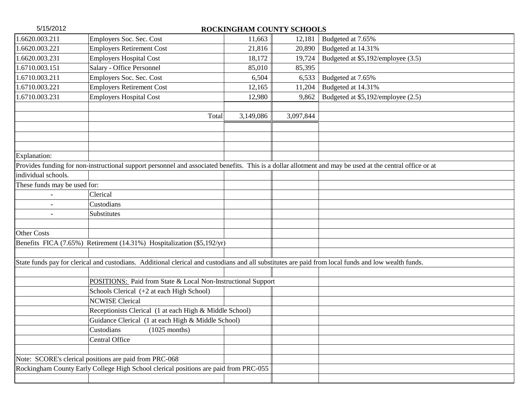| 5/15/2012                    |                                                                                                                                                          |           | ROCKINGHAM COUNTY SCHOOLS |                                    |
|------------------------------|----------------------------------------------------------------------------------------------------------------------------------------------------------|-----------|---------------------------|------------------------------------|
| 1.6620.003.211               | Employers Soc. Sec. Cost                                                                                                                                 | 11,663    | 12,181                    | Budgeted at 7.65%                  |
| 1.6620.003.221               | <b>Employers Retirement Cost</b>                                                                                                                         | 21,816    | 20,890                    | Budgeted at 14.31%                 |
| 1.6620.003.231               | <b>Employers Hospital Cost</b>                                                                                                                           | 18,172    | 19,724                    | Budgeted at \$5,192/employee (3.5) |
| 1.6710.003.151               | Salary - Office Personnel                                                                                                                                | 85,010    | 85,395                    |                                    |
| 1.6710.003.211               | Employers Soc. Sec. Cost                                                                                                                                 | 6,504     | 6,533                     | Budgeted at 7.65%                  |
| 1.6710.003.221               | <b>Employers Retirement Cost</b>                                                                                                                         | 12,165    | 11,204                    | Budgeted at 14.31%                 |
| 1.6710.003.231               | <b>Employers Hospital Cost</b>                                                                                                                           | 12,980    | 9,862                     | Budgeted at \$5,192/employee (2.5) |
|                              |                                                                                                                                                          |           |                           |                                    |
|                              | Total                                                                                                                                                    | 3,149,086 | 3,097,844                 |                                    |
|                              |                                                                                                                                                          |           |                           |                                    |
|                              |                                                                                                                                                          |           |                           |                                    |
|                              |                                                                                                                                                          |           |                           |                                    |
| Explanation:                 |                                                                                                                                                          |           |                           |                                    |
|                              | Provides funding for non-instructional support personnel and associated benefits. This is a dollar allotment and may be used at the central office or at |           |                           |                                    |
| individual schools.          |                                                                                                                                                          |           |                           |                                    |
| These funds may be used for: |                                                                                                                                                          |           |                           |                                    |
|                              | Clerical                                                                                                                                                 |           |                           |                                    |
|                              | Custodians                                                                                                                                               |           |                           |                                    |
|                              | Substitutes                                                                                                                                              |           |                           |                                    |
|                              |                                                                                                                                                          |           |                           |                                    |
| <b>Other Costs</b>           |                                                                                                                                                          |           |                           |                                    |
|                              | Benefits FICA (7.65%) Retirement (14.31%) Hospitalization (\$5,192/yr)                                                                                   |           |                           |                                    |
|                              |                                                                                                                                                          |           |                           |                                    |
|                              | State funds pay for clerical and custodians. Additional clerical and custodians and all substitutes are paid from local funds and low wealth funds.      |           |                           |                                    |
|                              |                                                                                                                                                          |           |                           |                                    |
|                              | POSITIONS: Paid from State & Local Non-Instructional Support                                                                                             |           |                           |                                    |
|                              | Schools Clerical (+2 at each High School)                                                                                                                |           |                           |                                    |
|                              | <b>NCWISE Clerical</b>                                                                                                                                   |           |                           |                                    |
|                              | Receptionists Clerical (1 at each High & Middle School)                                                                                                  |           |                           |                                    |
|                              | Guidance Clerical (1 at each High & Middle School)                                                                                                       |           |                           |                                    |
|                              | $(1025$ months)<br>Custodians                                                                                                                            |           |                           |                                    |
|                              | Central Office                                                                                                                                           |           |                           |                                    |
|                              |                                                                                                                                                          |           |                           |                                    |
|                              | Note: SCORE's clerical positions are paid from PRC-068                                                                                                   |           |                           |                                    |
|                              | Rockingham County Early College High School clerical positions are paid from PRC-055                                                                     |           |                           |                                    |
|                              |                                                                                                                                                          |           |                           |                                    |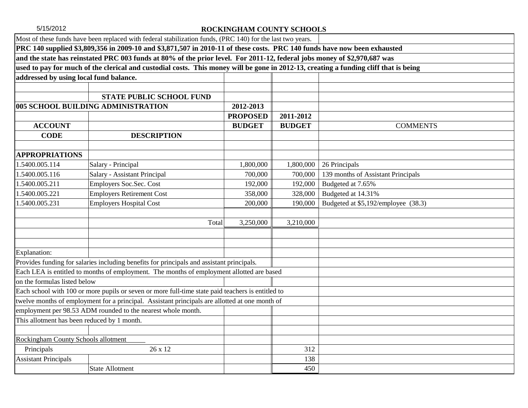|                                             | Most of these funds have been replaced with federal stabilization funds, (PRC 140) for the last two years.                           |                 |               |                                     |  |  |  |
|---------------------------------------------|--------------------------------------------------------------------------------------------------------------------------------------|-----------------|---------------|-------------------------------------|--|--|--|
|                                             | PRC 140 supplied \$3,809,356 in 2009-10 and \$3,871,507 in 2010-11 of these costs. PRC 140 funds have now been exhausted             |                 |               |                                     |  |  |  |
|                                             | and the state has reinstated PRC 003 funds at 80% of the prior level. For 2011-12, federal jobs money of \$2,970,687 was             |                 |               |                                     |  |  |  |
|                                             | used to pay for much of the clerical and custodial costs. This money will be gone in 2012-13, creating a funding cliff that is being |                 |               |                                     |  |  |  |
|                                             | addressed by using local fund balance.                                                                                               |                 |               |                                     |  |  |  |
|                                             |                                                                                                                                      |                 |               |                                     |  |  |  |
|                                             | <b>STATE PUBLIC SCHOOL FUND</b>                                                                                                      |                 |               |                                     |  |  |  |
|                                             | 005 SCHOOL BUILDING ADMINISTRATION                                                                                                   | 2012-2013       |               |                                     |  |  |  |
|                                             |                                                                                                                                      | <b>PROPOSED</b> | 2011-2012     |                                     |  |  |  |
| <b>ACCOUNT</b>                              |                                                                                                                                      | <b>BUDGET</b>   | <b>BUDGET</b> | <b>COMMENTS</b>                     |  |  |  |
| <b>CODE</b>                                 | <b>DESCRIPTION</b>                                                                                                                   |                 |               |                                     |  |  |  |
|                                             |                                                                                                                                      |                 |               |                                     |  |  |  |
| <b>APPROPRIATIONS</b>                       |                                                                                                                                      |                 |               |                                     |  |  |  |
| 1.5400.005.114                              | Salary - Principal                                                                                                                   | 1,800,000       | 1,800,000     | 26 Principals                       |  |  |  |
| 1.5400.005.116                              | Salary - Assistant Principal                                                                                                         | 700,000         | 700,000       | 139 months of Assistant Principals  |  |  |  |
| 1.5400.005.211                              | Employers Soc.Sec. Cost                                                                                                              | 192,000         | 192,000       | Budgeted at 7.65%                   |  |  |  |
| 1.5400.005.221                              | <b>Employers Retirement Cost</b>                                                                                                     | 358,000         | 328,000       | Budgeted at 14.31%                  |  |  |  |
| 1.5400.005.231                              | <b>Employers Hospital Cost</b>                                                                                                       | 200,000         | 190,000       | Budgeted at \$5,192/employee (38.3) |  |  |  |
|                                             |                                                                                                                                      |                 |               |                                     |  |  |  |
|                                             | Total                                                                                                                                | 3,250,000       | 3,210,000     |                                     |  |  |  |
|                                             |                                                                                                                                      |                 |               |                                     |  |  |  |
|                                             |                                                                                                                                      |                 |               |                                     |  |  |  |
| Explanation:                                |                                                                                                                                      |                 |               |                                     |  |  |  |
|                                             | Provides funding for salaries including benefits for principals and assistant principals.                                            |                 |               |                                     |  |  |  |
|                                             | Each LEA is entitled to months of employment. The months of employment allotted are based                                            |                 |               |                                     |  |  |  |
| on the formulas listed below                |                                                                                                                                      |                 |               |                                     |  |  |  |
|                                             | Each school with 100 or more pupils or seven or more full-time state paid teachers is entitled to                                    |                 |               |                                     |  |  |  |
|                                             | twelve months of employment for a principal. Assistant principals are allotted at one month of                                       |                 |               |                                     |  |  |  |
|                                             | employment per 98.53 ADM rounded to the nearest whole month.                                                                         |                 |               |                                     |  |  |  |
| This allotment has been reduced by 1 month. |                                                                                                                                      |                 |               |                                     |  |  |  |
|                                             |                                                                                                                                      |                 |               |                                     |  |  |  |
| <b>Rockingham County Schools allotment</b>  |                                                                                                                                      |                 |               |                                     |  |  |  |
| Principals                                  | 26 x 12                                                                                                                              |                 | 312           |                                     |  |  |  |
| <b>Assistant Principals</b>                 |                                                                                                                                      |                 | 138           |                                     |  |  |  |
|                                             | <b>State Allotment</b>                                                                                                               |                 | 450           |                                     |  |  |  |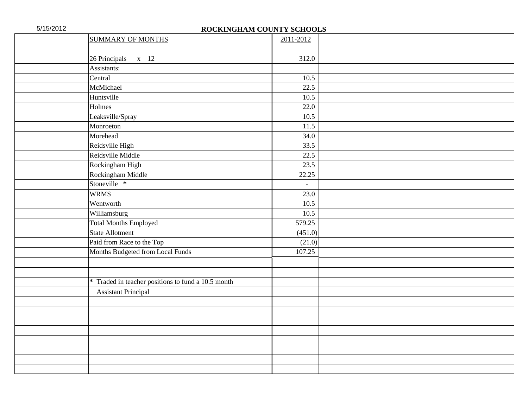| <b>SUMMARY OF MONTHS</b>                           | 2011-2012 |  |
|----------------------------------------------------|-----------|--|
|                                                    |           |  |
| 26 Principals x 12                                 | 312.0     |  |
| Assistants:                                        |           |  |
| Central                                            | 10.5      |  |
| McMichael                                          | 22.5      |  |
| Huntsville                                         | 10.5      |  |
| Holmes                                             | 22.0      |  |
| Leaksville/Spray                                   | 10.5      |  |
| Monroeton                                          | 11.5      |  |
| Morehead                                           | 34.0      |  |
| Reidsville High                                    | 33.5      |  |
| Reidsville Middle                                  | 22.5      |  |
| Rockingham High                                    | 23.5      |  |
| Rockingham Middle                                  | 22.25     |  |
| Stoneville *                                       | $\equiv$  |  |
| <b>WRMS</b>                                        | 23.0      |  |
| Wentworth                                          | 10.5      |  |
| Williamsburg                                       | 10.5      |  |
| <b>Total Months Employed</b>                       | 579.25    |  |
| <b>State Allotment</b>                             | (451.0)   |  |
| Paid from Race to the Top                          | (21.0)    |  |
| Months Budgeted from Local Funds                   | 107.25    |  |
|                                                    |           |  |
|                                                    |           |  |
| * Traded in teacher positions to fund a 10.5 month |           |  |
| <b>Assistant Principal</b>                         |           |  |
|                                                    |           |  |
|                                                    |           |  |
|                                                    |           |  |
|                                                    |           |  |
|                                                    |           |  |
|                                                    |           |  |
|                                                    |           |  |
|                                                    |           |  |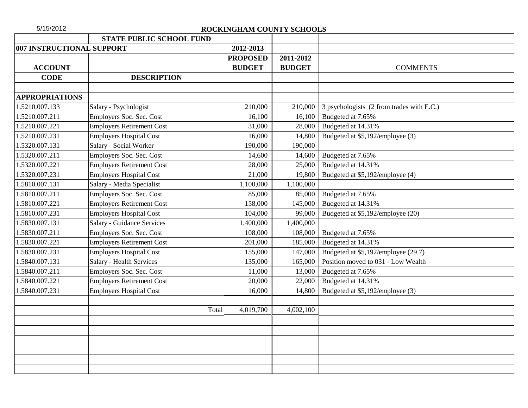| 5/15/2012                 |                                   | ROCKINGHAM COUNTY SCHOOLS |               |                                           |
|---------------------------|-----------------------------------|---------------------------|---------------|-------------------------------------------|
|                           | <b>STATE PUBLIC SCHOOL FUND</b>   |                           |               |                                           |
| 007 INSTRUCTIONAL SUPPORT |                                   | 2012-2013                 |               |                                           |
|                           |                                   | <b>PROPOSED</b>           | 2011-2012     |                                           |
| <b>ACCOUNT</b>            |                                   | <b>BUDGET</b>             | <b>BUDGET</b> | <b>COMMENTS</b>                           |
| <b>CODE</b>               | <b>DESCRIPTION</b>                |                           |               |                                           |
| <b>APPROPRIATIONS</b>     |                                   |                           |               |                                           |
| 1.5210.007.133            | Salary - Psychologist             | 210,000                   | 210,000       | 3 psychologists (2 from trades with E.C.) |
| 1.5210.007.211            | Employers Soc. Sec. Cost          | 16,100                    | 16,100        | Budgeted at 7.65%                         |
| 1.5210.007.221            | <b>Employers Retirement Cost</b>  | 31,000                    | 28,000        | Budgeted at 14.31%                        |
| 1.5210.007.231            | <b>Employers Hospital Cost</b>    | 16,000                    | 14,800        | Budgeted at \$5,192/employee (3)          |
| 1.5320.007.131            | Salary - Social Worker            | 190,000                   | 190,000       |                                           |
| 1.5320.007.211            | Employers Soc. Sec. Cost          | 14,600                    | 14,600        | Budgeted at 7.65%                         |
| 1.5320.007.221            | <b>Employers Retirement Cost</b>  | 28,000                    | 25,000        | Budgeted at 14.31%                        |
| 1.5320.007.231            | <b>Employers Hospital Cost</b>    | 21,000                    | 19,800        | Budgeted at \$5,192/employee (4)          |
| 1.5810.007.131            | Salary - Media Specialist         | 1,100,000                 | 1,100,000     |                                           |
| 1.5810.007.211            | Employers Soc. Sec. Cost          | 85,000                    | 85,000        | Budgeted at 7.65%                         |
| 1.5810.007.221            | <b>Employers Retirement Cost</b>  | 158,000                   | 145,000       | Budgeted at 14.31%                        |
| 1.5810.007.231            | <b>Employers Hospital Cost</b>    | 104,000                   | 99,000        | Budgeted at \$5,192/employee (20)         |
| 1.5830.007.131            | <b>Salary - Guidance Services</b> | 1,400,000                 | 1,400,000     |                                           |
| 1.5830.007.211            | Employers Soc. Sec. Cost          | 108,000                   | 108,000       | Budgeted at 7.65%                         |
| 1.5830.007.221            | <b>Employers Retirement Cost</b>  | 201,000                   | 185,000       | Budgeted at 14.31%                        |
| 1.5830.007.231            | <b>Employers Hospital Cost</b>    | 155,000                   | 147,000       | Budgeted at \$5,192/employee (29.7)       |
| 1.5840.007.131            | <b>Salary - Health Services</b>   | 135,000                   | 165,000       | Position moved to 031 - Low Wealth        |
| 1.5840.007.211            | Employers Soc. Sec. Cost          | 11,000                    | 13,000        | Budgeted at 7.65%                         |
| 1.5840.007.221            | <b>Employers Retirement Cost</b>  | 20,000                    | 22,000        | Budgeted at 14.31%                        |
| 1.5840.007.231            | <b>Employers Hospital Cost</b>    | 16,000                    | 14,800        | Budgeted at \$5,192/employee (3)          |
|                           |                                   |                           |               |                                           |
|                           | Total                             | 4,019,700                 | 4,002,100     |                                           |
|                           |                                   |                           |               |                                           |
|                           |                                   |                           |               |                                           |
|                           |                                   |                           |               |                                           |
|                           |                                   |                           |               |                                           |
|                           |                                   |                           |               |                                           |
|                           |                                   |                           |               |                                           |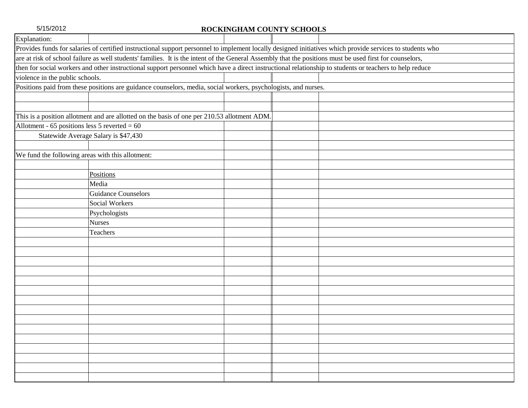| Explanation:                                     |                                                                                                                                                           |  |
|--------------------------------------------------|-----------------------------------------------------------------------------------------------------------------------------------------------------------|--|
|                                                  | Provides funds for salaries of certified instructional support personnel to implement locally designed initiatives which provide services to students who |  |
|                                                  | are at risk of school failure as well students' families. It is the intent of the General Assembly that the positions must be used first for counselors,  |  |
|                                                  | then for social workers and other instructional support personnel which have a direct instructional relationship to students or teachers to help reduce   |  |
| violence in the public schools.                  |                                                                                                                                                           |  |
|                                                  | Positions paid from these positions are guidance counselors, media, social workers, psychologists, and nurses.                                            |  |
|                                                  |                                                                                                                                                           |  |
|                                                  |                                                                                                                                                           |  |
|                                                  | This is a position allotment and are allotted on the basis of one per 210.53 allotment ADM.                                                               |  |
| Allotment - 65 positions less 5 reverted = $60$  |                                                                                                                                                           |  |
|                                                  | Statewide Average Salary is \$47,430                                                                                                                      |  |
|                                                  |                                                                                                                                                           |  |
| We fund the following areas with this allotment: |                                                                                                                                                           |  |
|                                                  |                                                                                                                                                           |  |
|                                                  | Positions                                                                                                                                                 |  |
|                                                  | Media                                                                                                                                                     |  |
|                                                  | <b>Guidance Counselors</b>                                                                                                                                |  |
|                                                  | <b>Social Workers</b>                                                                                                                                     |  |
|                                                  | Psychologists                                                                                                                                             |  |
|                                                  | <b>Nurses</b>                                                                                                                                             |  |
|                                                  | Teachers                                                                                                                                                  |  |
|                                                  |                                                                                                                                                           |  |
|                                                  |                                                                                                                                                           |  |
|                                                  |                                                                                                                                                           |  |
|                                                  |                                                                                                                                                           |  |
|                                                  |                                                                                                                                                           |  |
|                                                  |                                                                                                                                                           |  |
|                                                  |                                                                                                                                                           |  |
|                                                  |                                                                                                                                                           |  |
|                                                  |                                                                                                                                                           |  |
|                                                  |                                                                                                                                                           |  |
|                                                  |                                                                                                                                                           |  |
|                                                  |                                                                                                                                                           |  |
|                                                  |                                                                                                                                                           |  |
|                                                  |                                                                                                                                                           |  |
|                                                  |                                                                                                                                                           |  |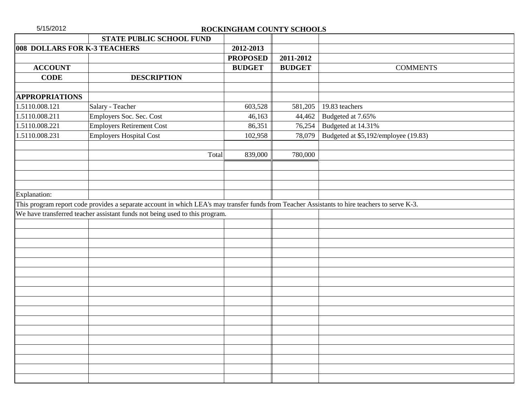| 5/15/2012                    |                                                                                                                                               | ROCKINGHAM COUNTY SCHOOLS |               |                                      |
|------------------------------|-----------------------------------------------------------------------------------------------------------------------------------------------|---------------------------|---------------|--------------------------------------|
|                              | STATE PUBLIC SCHOOL FUND                                                                                                                      |                           |               |                                      |
| 008 DOLLARS FOR K-3 TEACHERS |                                                                                                                                               | 2012-2013                 |               |                                      |
|                              |                                                                                                                                               | <b>PROPOSED</b>           | 2011-2012     |                                      |
| <b>ACCOUNT</b>               |                                                                                                                                               | <b>BUDGET</b>             | <b>BUDGET</b> | <b>COMMENTS</b>                      |
| <b>CODE</b>                  | <b>DESCRIPTION</b>                                                                                                                            |                           |               |                                      |
|                              |                                                                                                                                               |                           |               |                                      |
| <b>APPROPRIATIONS</b>        |                                                                                                                                               |                           |               |                                      |
| 1.5110.008.121               | Salary - Teacher                                                                                                                              | 603,528                   | 581,205       | 19.83 teachers                       |
| 1.5110.008.211               | Employers Soc. Sec. Cost                                                                                                                      | 46,163                    | 44,462        | Budgeted at 7.65%                    |
| 1.5110.008.221               | <b>Employers Retirement Cost</b>                                                                                                              | 86,351                    | 76,254        | Budgeted at 14.31%                   |
| 1.5110.008.231               | <b>Employers Hospital Cost</b>                                                                                                                | 102,958                   | 78,079        | Budgeted at \$5,192/employee (19.83) |
|                              |                                                                                                                                               |                           |               |                                      |
|                              | Total                                                                                                                                         | 839,000                   | 780,000       |                                      |
|                              |                                                                                                                                               |                           |               |                                      |
|                              |                                                                                                                                               |                           |               |                                      |
|                              |                                                                                                                                               |                           |               |                                      |
| Explanation:                 |                                                                                                                                               |                           |               |                                      |
|                              | This program report code provides a separate account in which LEA's may transfer funds from Teacher Assistants to hire teachers to serve K-3. |                           |               |                                      |
|                              | We have transferred teacher assistant funds not being used to this program.                                                                   |                           |               |                                      |
|                              |                                                                                                                                               |                           |               |                                      |
|                              |                                                                                                                                               |                           |               |                                      |
|                              |                                                                                                                                               |                           |               |                                      |
|                              |                                                                                                                                               |                           |               |                                      |
|                              |                                                                                                                                               |                           |               |                                      |
|                              |                                                                                                                                               |                           |               |                                      |
|                              |                                                                                                                                               |                           |               |                                      |
|                              |                                                                                                                                               |                           |               |                                      |
|                              |                                                                                                                                               |                           |               |                                      |
|                              |                                                                                                                                               |                           |               |                                      |
|                              |                                                                                                                                               |                           |               |                                      |
|                              |                                                                                                                                               |                           |               |                                      |
|                              |                                                                                                                                               |                           |               |                                      |
|                              |                                                                                                                                               |                           |               |                                      |
|                              |                                                                                                                                               |                           |               |                                      |
|                              |                                                                                                                                               |                           |               |                                      |
|                              |                                                                                                                                               |                           |               |                                      |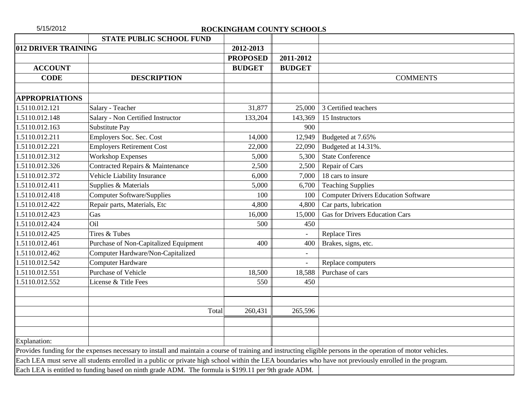| 5/15/2012             |                                                                                                      | ROCKINGHAM COUNTY SCHOOLS |                |                                                                                                                                                               |
|-----------------------|------------------------------------------------------------------------------------------------------|---------------------------|----------------|---------------------------------------------------------------------------------------------------------------------------------------------------------------|
|                       | <b>STATE PUBLIC SCHOOL FUND</b>                                                                      |                           |                |                                                                                                                                                               |
| 012 DRIVER TRAINING   |                                                                                                      | 2012-2013                 |                |                                                                                                                                                               |
|                       |                                                                                                      | <b>PROPOSED</b>           | 2011-2012      |                                                                                                                                                               |
| <b>ACCOUNT</b>        |                                                                                                      | <b>BUDGET</b>             | <b>BUDGET</b>  |                                                                                                                                                               |
| <b>CODE</b>           | <b>DESCRIPTION</b>                                                                                   |                           |                | <b>COMMENTS</b>                                                                                                                                               |
|                       |                                                                                                      |                           |                |                                                                                                                                                               |
| <b>APPROPRIATIONS</b> |                                                                                                      |                           |                |                                                                                                                                                               |
| 1.5110.012.121        | Salary - Teacher                                                                                     | 31,877                    | 25,000         | 3 Certified teachers                                                                                                                                          |
| 1.5110.012.148        | Salary - Non Certified Instructor                                                                    | 133,204                   | 143,369        | 15 Instructors                                                                                                                                                |
| 1.5110.012.163        | Substitute Pay                                                                                       |                           | 900            |                                                                                                                                                               |
| 1.5110.012.211        | Employers Soc. Sec. Cost                                                                             | 14,000                    | 12,949         | Budgeted at 7.65%                                                                                                                                             |
| 1.5110.012.221        | <b>Employers Retirement Cost</b>                                                                     | 22,000                    | 22,090         | Budgeted at 14.31%.                                                                                                                                           |
| 1.5110.012.312        | <b>Workshop Expenses</b>                                                                             | 5,000                     | 5,300          | <b>State Conference</b>                                                                                                                                       |
| 1.5110.012.326        | Contracted Repairs & Maintenance                                                                     | 2,500                     | 2,500          | Repair of Cars                                                                                                                                                |
| 1.5110.012.372        | Vehicle Liability Insurance                                                                          | 6,000                     | 7,000          | 18 cars to insure                                                                                                                                             |
| 1.5110.012.411        | Supplies & Materials                                                                                 | 5,000                     | 6,700          | <b>Teaching Supplies</b>                                                                                                                                      |
| 1.5110.012.418        | <b>Computer Software/Supplies</b>                                                                    | 100                       | 100            | <b>Computer Drivers Education Software</b>                                                                                                                    |
| 1.5110.012.422        | Repair parts, Materials, Etc                                                                         | 4,800                     | 4,800          | Car parts, lubrication                                                                                                                                        |
| 1.5110.012.423        | Gas                                                                                                  | 16,000                    | 15,000         | <b>Gas for Drivers Education Cars</b>                                                                                                                         |
| 1.5110.012.424        | Oil                                                                                                  | 500                       | 450            |                                                                                                                                                               |
| 1.5110.012.425        | Tires & Tubes                                                                                        |                           | $\overline{a}$ | <b>Replace Tires</b>                                                                                                                                          |
| 1.5110.012.461        | Purchase of Non-Capitalized Equipment                                                                | 400                       | 400            | Brakes, signs, etc.                                                                                                                                           |
| 1.5110.012.462        | Computer Hardware/Non-Capitalized                                                                    |                           |                |                                                                                                                                                               |
| 1.5110.012.542        | <b>Computer Hardware</b>                                                                             |                           | $\overline{a}$ | Replace computers                                                                                                                                             |
| 1.5110.012.551        | Purchase of Vehicle                                                                                  | 18,500                    | 18,588         | Purchase of cars                                                                                                                                              |
| 1.5110.012.552        | License & Title Fees                                                                                 | 550                       | 450            |                                                                                                                                                               |
|                       |                                                                                                      |                           |                |                                                                                                                                                               |
|                       |                                                                                                      |                           |                |                                                                                                                                                               |
|                       |                                                                                                      | Total<br>260,431          | 265,596        |                                                                                                                                                               |
|                       |                                                                                                      |                           |                |                                                                                                                                                               |
| Explanation:          |                                                                                                      |                           |                |                                                                                                                                                               |
|                       |                                                                                                      |                           |                | Provides funding for the expenses necessary to install and maintain a course of training and instructing eligible persons in the operation of motor vehicles. |
|                       |                                                                                                      |                           |                | Each LEA must serve all students enrolled in a public or private high school within the LEA boundaries who have not previously enrolled in the program.       |
|                       | Each LEA is entitled to funding based on ninth grade ADM. The formula is \$199.11 per 9th grade ADM. |                           |                |                                                                                                                                                               |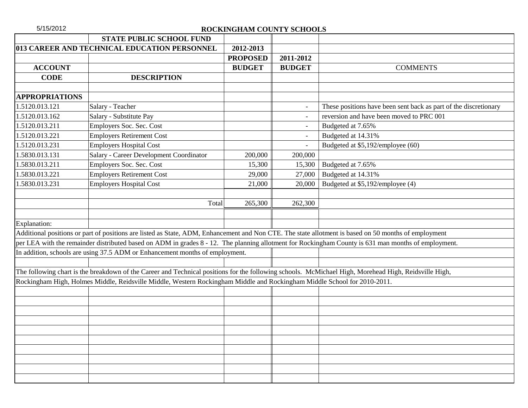| 5/15/2012             |                                                                                                                                                       | ROCKINGHAM COUNTY SCHOOLS |                          |                                                                                                                                                     |
|-----------------------|-------------------------------------------------------------------------------------------------------------------------------------------------------|---------------------------|--------------------------|-----------------------------------------------------------------------------------------------------------------------------------------------------|
|                       | <b>STATE PUBLIC SCHOOL FUND</b>                                                                                                                       |                           |                          |                                                                                                                                                     |
|                       | 013 CAREER AND TECHNICAL EDUCATION PERSONNEL                                                                                                          | 2012-2013                 |                          |                                                                                                                                                     |
|                       |                                                                                                                                                       | <b>PROPOSED</b>           | 2011-2012                |                                                                                                                                                     |
| <b>ACCOUNT</b>        |                                                                                                                                                       | <b>BUDGET</b>             | <b>BUDGET</b>            | <b>COMMENTS</b>                                                                                                                                     |
| <b>CODE</b>           | <b>DESCRIPTION</b>                                                                                                                                    |                           |                          |                                                                                                                                                     |
|                       |                                                                                                                                                       |                           |                          |                                                                                                                                                     |
| <b>APPROPRIATIONS</b> |                                                                                                                                                       |                           |                          |                                                                                                                                                     |
| 1.5120.013.121        | Salary - Teacher                                                                                                                                      |                           | $\blacksquare$           | These positions have been sent back as part of the discretionary                                                                                    |
| 1.5120.013.162        | Salary - Substitute Pay                                                                                                                               |                           | $\overline{\phantom{0}}$ | reversion and have been moved to PRC 001                                                                                                            |
| 1.5120.013.211        | Employers Soc. Sec. Cost                                                                                                                              |                           |                          | Budgeted at 7.65%                                                                                                                                   |
| 1.5120.013.221        | <b>Employers Retirement Cost</b>                                                                                                                      |                           | $\overline{\phantom{a}}$ | Budgeted at 14.31%                                                                                                                                  |
| 1.5120.013.231        | <b>Employers Hospital Cost</b>                                                                                                                        |                           |                          | Budgeted at \$5,192/employee (60)                                                                                                                   |
| 1.5830.013.131        | Salary - Career Development Coordinator                                                                                                               | 200,000                   | 200,000                  |                                                                                                                                                     |
| 1.5830.013.211        | Employers Soc. Sec. Cost                                                                                                                              | 15,300                    | 15,300                   | Budgeted at 7.65%                                                                                                                                   |
| 1.5830.013.221        | <b>Employers Retirement Cost</b>                                                                                                                      | 29,000                    | 27,000                   | Budgeted at 14.31%                                                                                                                                  |
| 1.5830.013.231        | <b>Employers Hospital Cost</b>                                                                                                                        | 21,000                    | 20,000                   | Budgeted at \$5,192/employee (4)                                                                                                                    |
|                       |                                                                                                                                                       |                           |                          |                                                                                                                                                     |
|                       | Total                                                                                                                                                 | 265,300                   | 262,300                  |                                                                                                                                                     |
|                       |                                                                                                                                                       |                           |                          |                                                                                                                                                     |
| Explanation:          |                                                                                                                                                       |                           |                          |                                                                                                                                                     |
|                       | Additional positions or part of positions are listed as State, ADM, Enhancement and Non CTE. The state allotment is based on 50 months of employment  |                           |                          |                                                                                                                                                     |
|                       |                                                                                                                                                       |                           |                          | per LEA with the remainder distributed based on ADM in grades 8 - 12. The planning allotment for Rockingham County is 631 man months of employment. |
|                       | In addition, schools are using 37.5 ADM or Enhancement months of employment.                                                                          |                           |                          |                                                                                                                                                     |
|                       |                                                                                                                                                       |                           |                          |                                                                                                                                                     |
|                       | The following chart is the breakdown of the Career and Technical positions for the following schools. McMichael High, Morehead High, Reidsville High, |                           |                          |                                                                                                                                                     |
|                       | Rockingham High, Holmes Middle, Reidsville Middle, Western Rockingham Middle and Rockingham Middle School for 2010-2011.                              |                           |                          |                                                                                                                                                     |
|                       |                                                                                                                                                       |                           |                          |                                                                                                                                                     |
|                       |                                                                                                                                                       |                           |                          |                                                                                                                                                     |
|                       |                                                                                                                                                       |                           |                          |                                                                                                                                                     |
|                       |                                                                                                                                                       |                           |                          |                                                                                                                                                     |
|                       |                                                                                                                                                       |                           |                          |                                                                                                                                                     |
|                       |                                                                                                                                                       |                           |                          |                                                                                                                                                     |
|                       |                                                                                                                                                       |                           |                          |                                                                                                                                                     |
|                       |                                                                                                                                                       |                           |                          |                                                                                                                                                     |
|                       |                                                                                                                                                       |                           |                          |                                                                                                                                                     |
|                       |                                                                                                                                                       |                           |                          |                                                                                                                                                     |
|                       |                                                                                                                                                       |                           |                          |                                                                                                                                                     |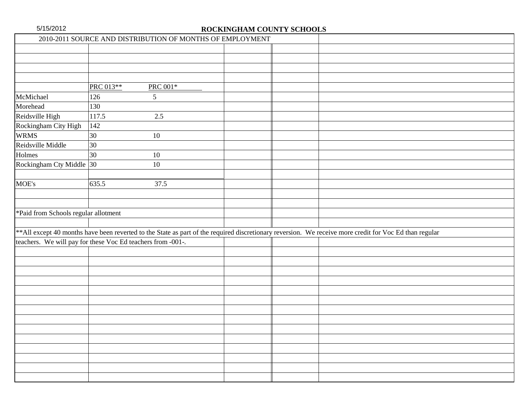|                                                             |              | 2010-2011 SOURCE AND DISTRIBUTION OF MONTHS OF EMPLOYMENT |  |                                                                                                                                                         |
|-------------------------------------------------------------|--------------|-----------------------------------------------------------|--|---------------------------------------------------------------------------------------------------------------------------------------------------------|
|                                                             |              |                                                           |  |                                                                                                                                                         |
|                                                             |              |                                                           |  |                                                                                                                                                         |
|                                                             |              |                                                           |  |                                                                                                                                                         |
|                                                             |              |                                                           |  |                                                                                                                                                         |
|                                                             | PRC 013**    | PRC 001*                                                  |  |                                                                                                                                                         |
| McMichael                                                   | 126          | 5                                                         |  |                                                                                                                                                         |
| Morehead                                                    | 130          |                                                           |  |                                                                                                                                                         |
| Reidsville High                                             | 117.5        | $2.5\,$                                                   |  |                                                                                                                                                         |
| Rockingham City High                                        | 142          |                                                           |  |                                                                                                                                                         |
| <b>WRMS</b>                                                 | 30           | $10\,$                                                    |  |                                                                                                                                                         |
| Reidsville Middle                                           | 30           |                                                           |  |                                                                                                                                                         |
| Holmes                                                      | $ 30\rangle$ | $10\,$                                                    |  |                                                                                                                                                         |
| Rockingham Cty Middle 30                                    |              | $10\,$                                                    |  |                                                                                                                                                         |
|                                                             |              |                                                           |  |                                                                                                                                                         |
| MOE's                                                       | 635.5        | 37.5                                                      |  |                                                                                                                                                         |
|                                                             |              |                                                           |  |                                                                                                                                                         |
|                                                             |              |                                                           |  |                                                                                                                                                         |
| *Paid from Schools regular allotment                        |              |                                                           |  |                                                                                                                                                         |
|                                                             |              |                                                           |  |                                                                                                                                                         |
|                                                             |              |                                                           |  | ** All except 40 months have been reverted to the State as part of the required discretionary reversion. We receive more credit for Voc Ed than regular |
| teachers. We will pay for these Voc Ed teachers from -001-. |              |                                                           |  |                                                                                                                                                         |
|                                                             |              |                                                           |  |                                                                                                                                                         |
|                                                             |              |                                                           |  |                                                                                                                                                         |
|                                                             |              |                                                           |  |                                                                                                                                                         |
|                                                             |              |                                                           |  |                                                                                                                                                         |
|                                                             |              |                                                           |  |                                                                                                                                                         |
|                                                             |              |                                                           |  |                                                                                                                                                         |
|                                                             |              |                                                           |  |                                                                                                                                                         |
|                                                             |              |                                                           |  |                                                                                                                                                         |
|                                                             |              |                                                           |  |                                                                                                                                                         |
|                                                             |              |                                                           |  |                                                                                                                                                         |
|                                                             |              |                                                           |  |                                                                                                                                                         |
|                                                             |              |                                                           |  |                                                                                                                                                         |
|                                                             |              |                                                           |  |                                                                                                                                                         |
|                                                             |              |                                                           |  |                                                                                                                                                         |
|                                                             |              |                                                           |  |                                                                                                                                                         |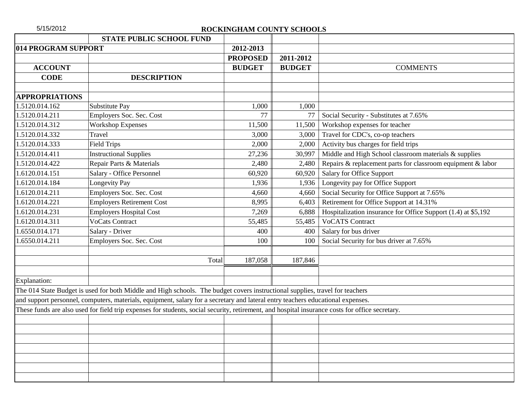| 5/15/2012             |                                                                                                                                                 | ROCKINGHAM COUNTY SCHOOLS |               |                                                               |
|-----------------------|-------------------------------------------------------------------------------------------------------------------------------------------------|---------------------------|---------------|---------------------------------------------------------------|
|                       | <b>STATE PUBLIC SCHOOL FUND</b>                                                                                                                 |                           |               |                                                               |
| 014 PROGRAM SUPPORT   |                                                                                                                                                 | 2012-2013                 |               |                                                               |
|                       |                                                                                                                                                 | <b>PROPOSED</b>           | 2011-2012     |                                                               |
| <b>ACCOUNT</b>        |                                                                                                                                                 | <b>BUDGET</b>             | <b>BUDGET</b> | <b>COMMENTS</b>                                               |
| <b>CODE</b>           | <b>DESCRIPTION</b>                                                                                                                              |                           |               |                                                               |
|                       |                                                                                                                                                 |                           |               |                                                               |
| <b>APPROPRIATIONS</b> |                                                                                                                                                 |                           |               |                                                               |
| 1.5120.014.162        | Substitute Pay                                                                                                                                  | 1,000                     | 1,000         |                                                               |
| 1.5120.014.211        | Employers Soc. Sec. Cost                                                                                                                        | 77                        | 77            | Social Security - Substitutes at 7.65%                        |
| 1.5120.014.312        | <b>Workshop Expenses</b>                                                                                                                        | 11,500                    | 11,500        | Workshop expenses for teacher                                 |
| 1.5120.014.332        | Travel                                                                                                                                          | 3,000                     | 3,000         | Travel for CDC's, co-op teachers                              |
| 1.5120.014.333        | <b>Field Trips</b>                                                                                                                              | 2,000                     | 2,000         | Activity bus charges for field trips                          |
| 1.5120.014.411        | <b>Instructional Supplies</b>                                                                                                                   | 27,236                    | 30,997        | Middle and High School classroom materials & supplies         |
| 1.5120.014.422        | Repair Parts & Materials                                                                                                                        | 2,480                     | 2,480         | Repairs & replacement parts for classroom equipment & labor   |
| 1.6120.014.151        | Salary - Office Personnel                                                                                                                       | 60,920                    | 60,920        | Salary for Office Support                                     |
| 1.6120.014.184        | <b>Longevity Pay</b>                                                                                                                            | 1,936                     | 1,936         | Longevity pay for Office Support                              |
| 1.6120.014.211        | Employers Soc. Sec. Cost                                                                                                                        | 4,660                     | 4,660         | Social Security for Office Support at 7.65%                   |
| 1.6120.014.221        | <b>Employers Retirement Cost</b>                                                                                                                | 8,995                     | 6,403         | Retirement for Office Support at 14.31%                       |
| 1.6120.014.231        | <b>Employers Hospital Cost</b>                                                                                                                  | 7,269                     | 6,888         | Hospitalization insurance for Office Support (1.4) at \$5,192 |
| 1.6120.014.311        | <b>VoCats Contract</b>                                                                                                                          | 55,485                    | 55,485        | <b>VoCATS Contract</b>                                        |
| 1.6550.014.171        | Salary - Driver                                                                                                                                 | 400                       | 400           | Salary for bus driver                                         |
| 1.6550.014.211        | Employers Soc. Sec. Cost                                                                                                                        | 100                       | 100           | Social Security for bus driver at 7.65%                       |
|                       |                                                                                                                                                 |                           |               |                                                               |
|                       | Total                                                                                                                                           | 187,058                   | 187,846       |                                                               |
|                       |                                                                                                                                                 |                           |               |                                                               |
| Explanation:          |                                                                                                                                                 |                           |               |                                                               |
|                       | The 014 State Budget is used for both Middle and High schools. The budget covers instructional supplies, travel for teachers                    |                           |               |                                                               |
|                       | and support personnel, computers, materials, equipment, salary for a secretary and lateral entry teachers educational expenses.                 |                           |               |                                                               |
|                       | These funds are also used for field trip expenses for students, social security, retirement, and hospital insurance costs for office secretary. |                           |               |                                                               |
|                       |                                                                                                                                                 |                           |               |                                                               |
|                       |                                                                                                                                                 |                           |               |                                                               |
|                       |                                                                                                                                                 |                           |               |                                                               |
|                       |                                                                                                                                                 |                           |               |                                                               |
|                       |                                                                                                                                                 |                           |               |                                                               |
|                       |                                                                                                                                                 |                           |               |                                                               |
|                       |                                                                                                                                                 |                           |               |                                                               |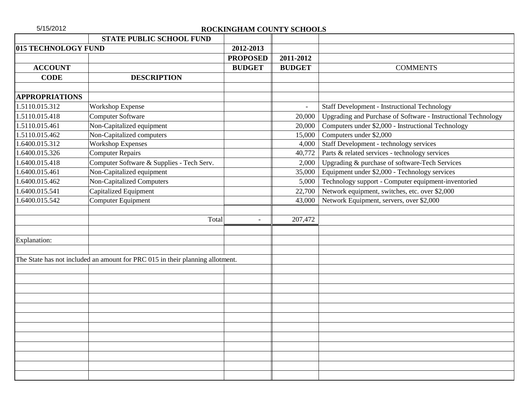| 5/15/2012             | ROCKINGHAM COUNTY SCHOOLS                                                     |                |                                                               |
|-----------------------|-------------------------------------------------------------------------------|----------------|---------------------------------------------------------------|
|                       | <b>STATE PUBLIC SCHOOL FUND</b>                                               |                |                                                               |
| 015 TECHNOLOGY FUND   | 2012-2013                                                                     |                |                                                               |
|                       | <b>PROPOSED</b>                                                               | 2011-2012      |                                                               |
| <b>ACCOUNT</b>        | <b>BUDGET</b>                                                                 | <b>BUDGET</b>  | <b>COMMENTS</b>                                               |
| <b>CODE</b>           | <b>DESCRIPTION</b>                                                            |                |                                                               |
|                       |                                                                               |                |                                                               |
| <b>APPROPRIATIONS</b> |                                                                               |                |                                                               |
| 1.5110.015.312        | <b>Workshop Expense</b>                                                       | $\overline{a}$ | <b>Staff Development - Instructional Technology</b>           |
| 1.5110.015.418        | <b>Computer Software</b>                                                      | 20,000         | Upgrading and Purchase of Software - Instructional Technology |
| 1.5110.015.461        | Non-Capitalized equipment                                                     | 20,000         | Computers under \$2,000 - Instructional Technology            |
| 1.5110.015.462        | Non-Capitalized computers                                                     | 15,000         | Computers under \$2,000                                       |
| 1.6400.015.312        | <b>Workshop Expenses</b>                                                      | 4,000          | Staff Development - technology services                       |
| .6400.015.326         | <b>Computer Repairs</b>                                                       | 40,772         | Parts & related services - technology services                |
| 1.6400.015.418        | Computer Software & Supplies - Tech Serv.                                     | 2,000          | Upgrading & purchase of software-Tech Services                |
| 1.6400.015.461        | Non-Capitalized equipment                                                     | 35,000         | Equipment under \$2,000 - Technology services                 |
| 1.6400.015.462        | <b>Non-Capitalized Computers</b>                                              | 5,000          | Technology support - Computer equipment-inventoried           |
| 1.6400.015.541        | <b>Capitalized Equipment</b>                                                  | 22,700         | Network equipment, switches, etc. over \$2,000                |
| 1.6400.015.542        | Computer Equipment                                                            | 43,000         | Network Equipment, servers, over \$2,000                      |
|                       |                                                                               |                |                                                               |
|                       | Total<br>$\overline{\phantom{a}}$                                             | 207,472        |                                                               |
|                       |                                                                               |                |                                                               |
| Explanation:          |                                                                               |                |                                                               |
|                       |                                                                               |                |                                                               |
|                       | The State has not included an amount for PRC 015 in their planning allotment. |                |                                                               |
|                       |                                                                               |                |                                                               |
|                       |                                                                               |                |                                                               |
|                       |                                                                               |                |                                                               |
|                       |                                                                               |                |                                                               |
|                       |                                                                               |                |                                                               |
|                       |                                                                               |                |                                                               |
|                       |                                                                               |                |                                                               |
|                       |                                                                               |                |                                                               |
|                       |                                                                               |                |                                                               |
|                       |                                                                               |                |                                                               |
|                       |                                                                               |                |                                                               |
|                       |                                                                               |                |                                                               |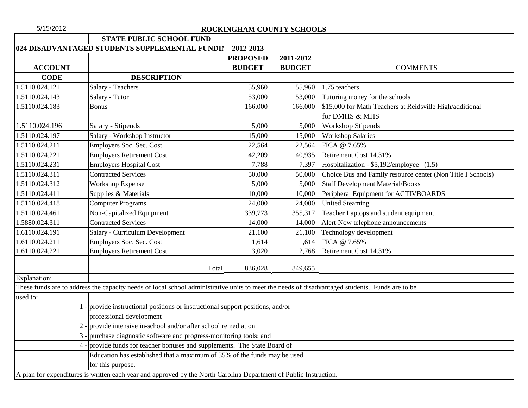| 5/15/2012      |                                                                                                                                                 | ROCKINGHAM COUNTY SCHOOLS |               |                                                             |
|----------------|-------------------------------------------------------------------------------------------------------------------------------------------------|---------------------------|---------------|-------------------------------------------------------------|
|                | <b>STATE PUBLIC SCHOOL FUND</b>                                                                                                                 |                           |               |                                                             |
|                | 024 DISADVANTAGED STUDENTS SUPPLEMENTAL FUNDIN                                                                                                  | 2012-2013                 |               |                                                             |
|                |                                                                                                                                                 | <b>PROPOSED</b>           | 2011-2012     |                                                             |
| <b>ACCOUNT</b> |                                                                                                                                                 | <b>BUDGET</b>             | <b>BUDGET</b> | <b>COMMENTS</b>                                             |
| <b>CODE</b>    | <b>DESCRIPTION</b>                                                                                                                              |                           |               |                                                             |
| 1.5110.024.121 | Salary - Teachers                                                                                                                               | 55,960                    | 55,960        | 1.75 teachers                                               |
| 1.5110.024.143 | Salary - Tutor                                                                                                                                  | 53,000                    | 53,000        | Tutoring money for the schools                              |
| 1.5110.024.183 | <b>Bonus</b>                                                                                                                                    | 166,000                   | 166,000       | \$15,000 for Math Teachers at Reidsville High/additional    |
|                |                                                                                                                                                 |                           |               | for DMHS & MHS                                              |
| 1.5110.024.196 | Salary - Stipends                                                                                                                               | 5,000                     | 5,000         | <b>Workshop Stipends</b>                                    |
| 1.5110.024.197 | Salary - Workshop Instructor                                                                                                                    | 15,000                    | 15,000        | <b>Workshop Salaries</b>                                    |
| 1.5110.024.211 | Employers Soc. Sec. Cost                                                                                                                        | 22,564                    | 22,564        | FICA @ 7.65%                                                |
| 1.5110.024.221 | <b>Employers Retirement Cost</b>                                                                                                                | 42,209                    | 40,935        | Retirement Cost 14.31%                                      |
| 1.5110.024.231 | <b>Employers Hospital Cost</b>                                                                                                                  | 7,788                     | 7,397         | Hospitalization - \$5,192/employee (1.5)                    |
| 1.5110.024.311 | <b>Contracted Services</b>                                                                                                                      | 50,000                    | 50,000        | Choice Bus and Family resource center (Non Title I Schools) |
| 1.5110.024.312 | Workshop Expense                                                                                                                                | 5,000                     | 5,000         | <b>Staff Development Material/Books</b>                     |
| 1.5110.024.411 | Supplies & Materials                                                                                                                            | 10,000                    | 10,000        | Peripheral Equipment for ACTIVBOARDS                        |
| 1.5110.024.418 | Computer Programs                                                                                                                               | 24,000                    | 24,000        | <b>United Steaming</b>                                      |
| 1.5110.024.461 | Non-Capitalized Equipment                                                                                                                       | 339,773                   | 355,317       | Teacher Laptops and student equipment                       |
| 1.5880.024.311 | <b>Contracted Services</b>                                                                                                                      | 14,000                    | 14,000        | Alert-Now telephone announcements                           |
| 1.6110.024.191 | Salary - Curriculum Development                                                                                                                 | 21,100                    | 21,100        | Technology development                                      |
| 1.6110.024.211 | Employers Soc. Sec. Cost                                                                                                                        | 1,614                     | 1,614         | FICA @ 7.65%                                                |
| 1.6110.024.221 | <b>Employers Retirement Cost</b>                                                                                                                | 3,020                     | 2,768         | Retirement Cost 14.31%                                      |
|                |                                                                                                                                                 |                           |               |                                                             |
|                | Total                                                                                                                                           | 836,028                   | 849,655       |                                                             |
| Explanation:   |                                                                                                                                                 |                           |               |                                                             |
|                | These funds are to address the capacity needs of local school administrative units to meet the needs of disadvantaged students. Funds are to be |                           |               |                                                             |
| used to:       |                                                                                                                                                 |                           |               |                                                             |
|                | provide instructional positions or instructional support positions, and/or                                                                      |                           |               |                                                             |
|                | professional development                                                                                                                        |                           |               |                                                             |
|                | 2 - provide intensive in-school and/or after school remediation                                                                                 |                           |               |                                                             |
|                | 3 - purchase diagnostic software and progress-monitoring tools; and                                                                             |                           |               |                                                             |
| $4 -$          | provide funds for teacher bonuses and supplements. The State Board of                                                                           |                           |               |                                                             |
|                | Education has established that a maximum of 35% of the funds may be used                                                                        |                           |               |                                                             |
|                | for this purpose.                                                                                                                               |                           |               |                                                             |
|                | A plan for expenditures is written each year and approved by the North Carolina Department of Public Instruction.                               |                           |               |                                                             |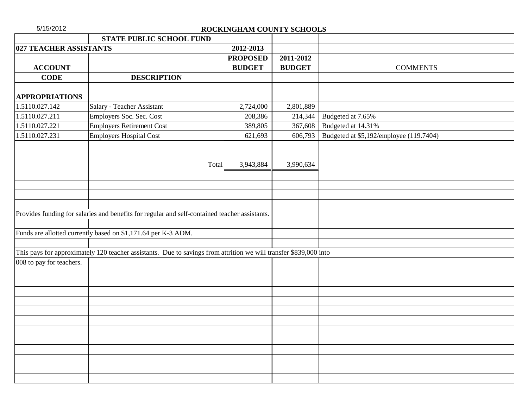| STATE PUBLIC SCHOOL FUND<br>027 TEACHER ASSISTANTS<br>2012-2013<br><b>PROPOSED</b><br>2011-2012<br><b>ACCOUNT</b><br><b>BUDGET</b><br><b>BUDGET</b><br><b>COMMENTS</b><br><b>DESCRIPTION</b><br><b>CODE</b><br><b>APPROPRIATIONS</b><br>Salary - Teacher Assistant<br>1.5110.027.142<br>2,724,000<br>2,801,889<br>1.5110.027.211<br>Employers Soc. Sec. Cost<br>208,386<br>214,344<br>Budgeted at 7.65%<br><b>Employers Retirement Cost</b><br>Budgeted at 14.31%<br>1.5110.027.221<br>389,805<br>367,608<br><b>Employers Hospital Cost</b><br>Budgeted at \$5,192/employee (119.7404)<br>1.5110.027.231<br>621,693<br>606,793<br>3,943,884<br>Total<br>3,990,634<br>Provides funding for salaries and benefits for regular and self-contained teacher assistants.<br>Funds are allotted currently based on \$1,171.64 per K-3 ADM.<br>This pays for approximately 120 teacher assistants. Due to savings from attrition we will transfer \$839,000 into<br>008 to pay for teachers. | 5/15/2012 | ROCKINGHAM COUNTY SCHOOLS |  |
|--------------------------------------------------------------------------------------------------------------------------------------------------------------------------------------------------------------------------------------------------------------------------------------------------------------------------------------------------------------------------------------------------------------------------------------------------------------------------------------------------------------------------------------------------------------------------------------------------------------------------------------------------------------------------------------------------------------------------------------------------------------------------------------------------------------------------------------------------------------------------------------------------------------------------------------------------------------------------------------|-----------|---------------------------|--|
|                                                                                                                                                                                                                                                                                                                                                                                                                                                                                                                                                                                                                                                                                                                                                                                                                                                                                                                                                                                      |           |                           |  |
|                                                                                                                                                                                                                                                                                                                                                                                                                                                                                                                                                                                                                                                                                                                                                                                                                                                                                                                                                                                      |           |                           |  |
|                                                                                                                                                                                                                                                                                                                                                                                                                                                                                                                                                                                                                                                                                                                                                                                                                                                                                                                                                                                      |           |                           |  |
|                                                                                                                                                                                                                                                                                                                                                                                                                                                                                                                                                                                                                                                                                                                                                                                                                                                                                                                                                                                      |           |                           |  |
|                                                                                                                                                                                                                                                                                                                                                                                                                                                                                                                                                                                                                                                                                                                                                                                                                                                                                                                                                                                      |           |                           |  |
|                                                                                                                                                                                                                                                                                                                                                                                                                                                                                                                                                                                                                                                                                                                                                                                                                                                                                                                                                                                      |           |                           |  |
|                                                                                                                                                                                                                                                                                                                                                                                                                                                                                                                                                                                                                                                                                                                                                                                                                                                                                                                                                                                      |           |                           |  |
|                                                                                                                                                                                                                                                                                                                                                                                                                                                                                                                                                                                                                                                                                                                                                                                                                                                                                                                                                                                      |           |                           |  |
|                                                                                                                                                                                                                                                                                                                                                                                                                                                                                                                                                                                                                                                                                                                                                                                                                                                                                                                                                                                      |           |                           |  |
|                                                                                                                                                                                                                                                                                                                                                                                                                                                                                                                                                                                                                                                                                                                                                                                                                                                                                                                                                                                      |           |                           |  |
|                                                                                                                                                                                                                                                                                                                                                                                                                                                                                                                                                                                                                                                                                                                                                                                                                                                                                                                                                                                      |           |                           |  |
|                                                                                                                                                                                                                                                                                                                                                                                                                                                                                                                                                                                                                                                                                                                                                                                                                                                                                                                                                                                      |           |                           |  |
|                                                                                                                                                                                                                                                                                                                                                                                                                                                                                                                                                                                                                                                                                                                                                                                                                                                                                                                                                                                      |           |                           |  |
|                                                                                                                                                                                                                                                                                                                                                                                                                                                                                                                                                                                                                                                                                                                                                                                                                                                                                                                                                                                      |           |                           |  |
|                                                                                                                                                                                                                                                                                                                                                                                                                                                                                                                                                                                                                                                                                                                                                                                                                                                                                                                                                                                      |           |                           |  |
|                                                                                                                                                                                                                                                                                                                                                                                                                                                                                                                                                                                                                                                                                                                                                                                                                                                                                                                                                                                      |           |                           |  |
|                                                                                                                                                                                                                                                                                                                                                                                                                                                                                                                                                                                                                                                                                                                                                                                                                                                                                                                                                                                      |           |                           |  |
|                                                                                                                                                                                                                                                                                                                                                                                                                                                                                                                                                                                                                                                                                                                                                                                                                                                                                                                                                                                      |           |                           |  |
|                                                                                                                                                                                                                                                                                                                                                                                                                                                                                                                                                                                                                                                                                                                                                                                                                                                                                                                                                                                      |           |                           |  |
|                                                                                                                                                                                                                                                                                                                                                                                                                                                                                                                                                                                                                                                                                                                                                                                                                                                                                                                                                                                      |           |                           |  |
|                                                                                                                                                                                                                                                                                                                                                                                                                                                                                                                                                                                                                                                                                                                                                                                                                                                                                                                                                                                      |           |                           |  |
|                                                                                                                                                                                                                                                                                                                                                                                                                                                                                                                                                                                                                                                                                                                                                                                                                                                                                                                                                                                      |           |                           |  |
|                                                                                                                                                                                                                                                                                                                                                                                                                                                                                                                                                                                                                                                                                                                                                                                                                                                                                                                                                                                      |           |                           |  |
|                                                                                                                                                                                                                                                                                                                                                                                                                                                                                                                                                                                                                                                                                                                                                                                                                                                                                                                                                                                      |           |                           |  |
|                                                                                                                                                                                                                                                                                                                                                                                                                                                                                                                                                                                                                                                                                                                                                                                                                                                                                                                                                                                      |           |                           |  |
|                                                                                                                                                                                                                                                                                                                                                                                                                                                                                                                                                                                                                                                                                                                                                                                                                                                                                                                                                                                      |           |                           |  |
|                                                                                                                                                                                                                                                                                                                                                                                                                                                                                                                                                                                                                                                                                                                                                                                                                                                                                                                                                                                      |           |                           |  |
|                                                                                                                                                                                                                                                                                                                                                                                                                                                                                                                                                                                                                                                                                                                                                                                                                                                                                                                                                                                      |           |                           |  |
|                                                                                                                                                                                                                                                                                                                                                                                                                                                                                                                                                                                                                                                                                                                                                                                                                                                                                                                                                                                      |           |                           |  |
|                                                                                                                                                                                                                                                                                                                                                                                                                                                                                                                                                                                                                                                                                                                                                                                                                                                                                                                                                                                      |           |                           |  |
|                                                                                                                                                                                                                                                                                                                                                                                                                                                                                                                                                                                                                                                                                                                                                                                                                                                                                                                                                                                      |           |                           |  |
|                                                                                                                                                                                                                                                                                                                                                                                                                                                                                                                                                                                                                                                                                                                                                                                                                                                                                                                                                                                      |           |                           |  |
|                                                                                                                                                                                                                                                                                                                                                                                                                                                                                                                                                                                                                                                                                                                                                                                                                                                                                                                                                                                      |           |                           |  |
|                                                                                                                                                                                                                                                                                                                                                                                                                                                                                                                                                                                                                                                                                                                                                                                                                                                                                                                                                                                      |           |                           |  |
|                                                                                                                                                                                                                                                                                                                                                                                                                                                                                                                                                                                                                                                                                                                                                                                                                                                                                                                                                                                      |           |                           |  |
|                                                                                                                                                                                                                                                                                                                                                                                                                                                                                                                                                                                                                                                                                                                                                                                                                                                                                                                                                                                      |           |                           |  |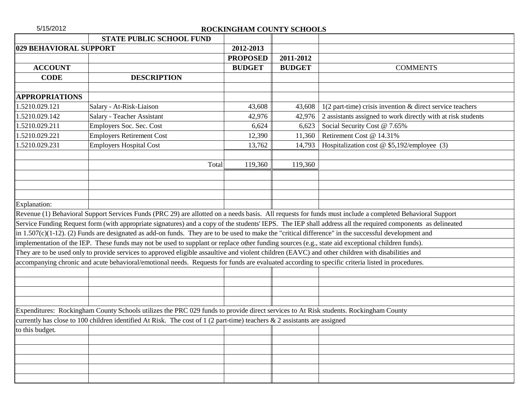| 5/15/2012              |                                                                                                                                                          | ROCKINGHAM COUNTY SCHOOLS |               |                                                                                                                                                              |
|------------------------|----------------------------------------------------------------------------------------------------------------------------------------------------------|---------------------------|---------------|--------------------------------------------------------------------------------------------------------------------------------------------------------------|
|                        | <b>STATE PUBLIC SCHOOL FUND</b>                                                                                                                          |                           |               |                                                                                                                                                              |
| 029 BEHAVIORAL SUPPORT |                                                                                                                                                          | 2012-2013                 |               |                                                                                                                                                              |
|                        |                                                                                                                                                          | <b>PROPOSED</b>           | 2011-2012     |                                                                                                                                                              |
| <b>ACCOUNT</b>         |                                                                                                                                                          | <b>BUDGET</b>             | <b>BUDGET</b> | <b>COMMENTS</b>                                                                                                                                              |
| <b>CODE</b>            | <b>DESCRIPTION</b>                                                                                                                                       |                           |               |                                                                                                                                                              |
|                        |                                                                                                                                                          |                           |               |                                                                                                                                                              |
| <b>APPROPRIATIONS</b>  |                                                                                                                                                          |                           |               |                                                                                                                                                              |
| 1.5210.029.121         | Salary - At-Risk-Liaison                                                                                                                                 | 43,608                    | 43,608        | $1(2 part-time)$ crisis invention & direct service teachers                                                                                                  |
| 1.5210.029.142         | Salary - Teacher Assistant                                                                                                                               | 42,976                    | 42,976        | 2 assistants assigned to work directly with at risk students                                                                                                 |
| 1.5210.029.211         | Employers Soc. Sec. Cost                                                                                                                                 | 6,624                     | 6,623         | Social Security Cost @ 7.65%                                                                                                                                 |
| 1.5210.029.221         | <b>Employers Retirement Cost</b>                                                                                                                         | 12,390                    | 11,360        | Retirement Cost @ 14.31%                                                                                                                                     |
| 1.5210.029.231         | <b>Employers Hospital Cost</b>                                                                                                                           | 13,762                    | 14,793        | Hospitalization cost @ \$5,192/employee (3)                                                                                                                  |
|                        | Total                                                                                                                                                    | 119,360                   | 119,360       |                                                                                                                                                              |
|                        |                                                                                                                                                          |                           |               |                                                                                                                                                              |
|                        |                                                                                                                                                          |                           |               |                                                                                                                                                              |
| Explanation:           |                                                                                                                                                          |                           |               |                                                                                                                                                              |
|                        | Revenue (1) Behavioral Support Services Funds (PRC 29) are allotted on a needs basis. All requests for funds must include a completed Behavioral Support |                           |               |                                                                                                                                                              |
|                        |                                                                                                                                                          |                           |               | Service Funding Request form (with appropriate signatures) and a copy of the students' IEPS. The IEP shall address all the required components as delineated |
|                        | in $1.507(c)(1-12)$ . (2) Funds are designated as add-on funds. They are to be used to make the "critical difference" in the successful development and  |                           |               |                                                                                                                                                              |
|                        | implementation of the IEP. These funds may not be used to supplant or replace other funding sources (e.g., state aid exceptional children funds).        |                           |               |                                                                                                                                                              |
|                        | They are to be used only to provide services to approved eligible assaultive and violent children (EAVC) and other children with disabilities and        |                           |               |                                                                                                                                                              |
|                        | accompanying chronic and acute behavioral/emotional needs. Requests for funds are evaluated according to specific criteria listed in procedures.         |                           |               |                                                                                                                                                              |
|                        |                                                                                                                                                          |                           |               |                                                                                                                                                              |
|                        |                                                                                                                                                          |                           |               |                                                                                                                                                              |
|                        |                                                                                                                                                          |                           |               |                                                                                                                                                              |
|                        |                                                                                                                                                          |                           |               |                                                                                                                                                              |
|                        | Expenditures: Rockingham County Schools utilizes the PRC 029 funds to provide direct services to At Risk students. Rockingham County                     |                           |               |                                                                                                                                                              |
|                        | currently has close to 100 children identified At Risk. The cost of 1 (2 part-time) teachers & 2 assistants are assigned                                 |                           |               |                                                                                                                                                              |
| to this budget.        |                                                                                                                                                          |                           |               |                                                                                                                                                              |
|                        |                                                                                                                                                          |                           |               |                                                                                                                                                              |
|                        |                                                                                                                                                          |                           |               |                                                                                                                                                              |
|                        |                                                                                                                                                          |                           |               |                                                                                                                                                              |
|                        |                                                                                                                                                          |                           |               |                                                                                                                                                              |
|                        |                                                                                                                                                          |                           |               |                                                                                                                                                              |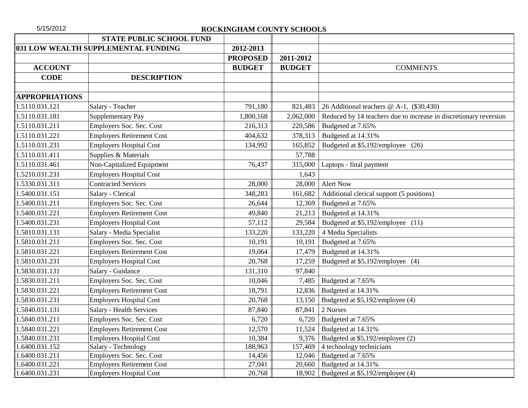|                       | STATE PUBLIC SCHOOL FUND            |                 |               |                                                                   |
|-----------------------|-------------------------------------|-----------------|---------------|-------------------------------------------------------------------|
|                       | 031 LOW WEALTH SUPPLEMENTAL FUNDING | 2012-2013       |               |                                                                   |
|                       |                                     | <b>PROPOSED</b> | 2011-2012     |                                                                   |
| <b>ACCOUNT</b>        |                                     | <b>BUDGET</b>   | <b>BUDGET</b> | <b>COMMENTS</b>                                                   |
| <b>CODE</b>           | <b>DESCRIPTION</b>                  |                 |               |                                                                   |
|                       |                                     |                 |               |                                                                   |
| <b>APPROPRIATIONS</b> |                                     |                 |               |                                                                   |
| 1.5110.031.121        | Salary - Teacher                    | 791,180         | 821,483       | 26 Additional teachers @ A-1, (\$30,430)                          |
| 1.5110.031.181        | <b>Supplementary Pay</b>            | 1,800,168       | 2,062,000     | Reduced by 14 teachers due to increase in discretionary reversion |
| 1.5110.031.211        | Employers Soc. Sec. Cost            | 216,313         | 220,586       | Budgeted at 7.65%                                                 |
| 1.5110.031.221        | <b>Employers Retirement Cost</b>    | 404,632         | 378,313       | Budgeted at 14.31%                                                |
| 1.5110.031.231        | <b>Employers Hospital Cost</b>      | 134,992         | 165,852       | Budgeted at \$5,192/employee (26)                                 |
| 1.5110.031.411        | Supplies & Materials                |                 | 57,788        |                                                                   |
| 1.5110.031.461        | Non-Capitalized Equipment           | 76,437          | 315,000       | Laptops - final payment                                           |
| 1.5210.031.231        | <b>Employers Hospital Cost</b>      |                 | 1,643         |                                                                   |
| 1.5330.031.311        | <b>Contracted Services</b>          | 28,000          | 28,000        | <b>Alert Now</b>                                                  |
| 1.5400.031.151        | Salary - Clerical                   | 348,283         | 161,682       | Additional clerical support (5 positions)                         |
| 1.5400.031.211        | Employers Soc. Sec. Cost            | 26,644          | 12,369        | Budgeted at 7.65%                                                 |
| 1.5400.031.221        | <b>Employers Retirement Cost</b>    | 49,840          | 21,213        | Budgeted at 14.31%                                                |
| 1.5400.031.231        | <b>Employers Hospital Cost</b>      | 57,112          | 29,584        | Budgeted at \$5,192/employee (11)                                 |
| 1.5810.031.131        | Salary - Media Specialist           | 133,220         | 133,220       | 4 Media Specialists                                               |
| 1.5810.031.211        | Employers Soc. Sec. Cost            | 10,191          | 10,191        | Budgeted at 7.65%                                                 |
| 1.5810.031.221        | <b>Employers Retirement Cost</b>    | 19,064          | 17,479        | Budgeted at 14.31%                                                |
| 1.5810.031.231        | <b>Employers Hospital Cost</b>      | 20,768          | 17,259        | Budgeted at \$5,192/employee (4)                                  |
| 1.5830.031.131        | Salary - Guidance                   | 131,310         | 97,840        |                                                                   |
| 1.5830.031.211        | Employers Soc. Sec. Cost            | 10,046          | 7,485         | Budgeted at 7.65%                                                 |
| 1.5830.031.221        | <b>Employers Retirement Cost</b>    | 18,791          | 12,836        | Budgeted at 14.31%                                                |
| 1.5830.031.231        | <b>Employers Hospital Cost</b>      | 20,768          | 13,150        | Budgeted at \$5,192/employee (4)                                  |
| 1.5840.031.131        | <b>Salary - Health Services</b>     | 87,840          | 87,841        | 2 Nurses                                                          |
| 1.5840.031.211        | Employers Soc. Sec. Cost            | 6,720           | 6,720         | Budgeted at 7.65%                                                 |
| 1.5840.031.221        | <b>Employers Retirement Cost</b>    | 12,570          | 11,524        | Budgeted at 14.31%                                                |
| 1.5840.031.231        | <b>Employers Hospital Cost</b>      | 10,384          | 9,376         | Budgeted at \$5,192/employee (2)                                  |
| 1.6400.031.152        | Salary - Technology                 | 188,963         | 157,469       | 4 technology technicians                                          |
| 1.6400.031.211        | Employers Soc. Sec. Cost            | 14,456          | 12,046        | Budgeted at 7.65%                                                 |
| 1.6400.031.221        | <b>Employers Retirement Cost</b>    | 27,041          | 20,660        | Budgeted at 14.31%                                                |
| 1.6400.031.231        | <b>Employers Hospital Cost</b>      | 20,768          | 18,902        | Budgeted at \$5,192/employee (4)                                  |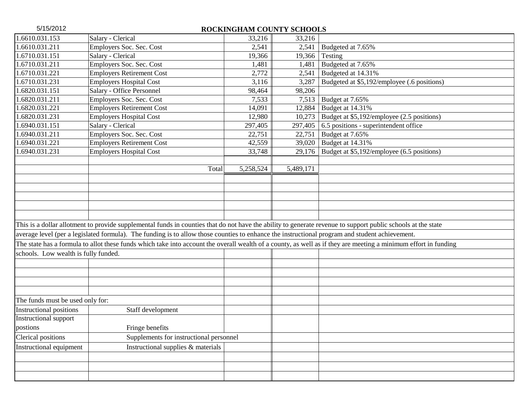| 5/15/2012                            |                                                                                                                                                                 | ROCKINGHAM COUNTY SCHOOLS |           |                                             |
|--------------------------------------|-----------------------------------------------------------------------------------------------------------------------------------------------------------------|---------------------------|-----------|---------------------------------------------|
| 1.6610.031.153                       | Salary - Clerical                                                                                                                                               | 33,216                    | 33,216    |                                             |
| 1.6610.031.211                       | Employers Soc. Sec. Cost                                                                                                                                        | 2,541                     | 2,541     | Budgeted at 7.65%                           |
| 1.6710.031.151                       | Salary - Clerical                                                                                                                                               | 19,366                    | 19,366    | Testing                                     |
| 1.6710.031.211                       | Employers Soc. Sec. Cost                                                                                                                                        | 1,481                     | 1,481     | Budgeted at 7.65%                           |
| 1.6710.031.221                       | <b>Employers Retirement Cost</b>                                                                                                                                | 2,772                     | 2,541     | Budgeted at 14.31%                          |
| 1.6710.031.231                       | Employers Hospital Cost                                                                                                                                         | 3,116                     | 3,287     | Budgeted at \$5,192/employee (.6 positions) |
| 1.6820.031.151                       | Salary - Office Personnel                                                                                                                                       | 98,464                    | 98,206    |                                             |
| 1.6820.031.211                       | Employers Soc. Sec. Cost                                                                                                                                        | 7,533                     | 7,513     | Budget at 7.65%                             |
| 1.6820.031.221                       | <b>Employers Retirement Cost</b>                                                                                                                                | 14,091                    | 12,884    | Budget at 14.31%                            |
| 1.6820.031.231                       | <b>Employers Hospital Cost</b>                                                                                                                                  | 12,980                    | 10,273    | Budget at \$5,192/employee (2.5 positions)  |
| 1.6940.031.151                       | Salary - Clerical                                                                                                                                               | 297,405                   | 297,405   | 6.5 positions - superintendent office       |
| 1.6940.031.211                       | Employers Soc. Sec. Cost                                                                                                                                        | 22,751                    | 22,751    | Budget at 7.65%                             |
| 1.6940.031.221                       | <b>Employers Retirement Cost</b>                                                                                                                                | 42,559                    | 39,020    | Budget at 14.31%                            |
| 1.6940.031.231                       | <b>Employers Hospital Cost</b>                                                                                                                                  | 33,748                    | 29,176    | Budget at \$5,192/employee (6.5 positions)  |
|                                      | Total                                                                                                                                                           | 5,258,524                 | 5,489,171 |                                             |
|                                      |                                                                                                                                                                 |                           |           |                                             |
|                                      |                                                                                                                                                                 |                           |           |                                             |
|                                      |                                                                                                                                                                 |                           |           |                                             |
|                                      |                                                                                                                                                                 |                           |           |                                             |
|                                      | This is a dollar allotment to provide supplemental funds in counties that do not have the ability to generate revenue to support public schools at the state    |                           |           |                                             |
|                                      | average level (per a legislated formula). The funding is to allow those counties to enhance the instructional program and student achievement.                  |                           |           |                                             |
|                                      | The state has a formula to allot these funds which take into account the overall wealth of a county, as well as if they are meeting a minimum effort in funding |                           |           |                                             |
| schools. Low wealth is fully funded. |                                                                                                                                                                 |                           |           |                                             |
|                                      |                                                                                                                                                                 |                           |           |                                             |
|                                      |                                                                                                                                                                 |                           |           |                                             |
|                                      |                                                                                                                                                                 |                           |           |                                             |
|                                      |                                                                                                                                                                 |                           |           |                                             |
| The funds must be used only for:     |                                                                                                                                                                 |                           |           |                                             |
| <b>Instructional positions</b>       | Staff development                                                                                                                                               |                           |           |                                             |
| Instructional support                |                                                                                                                                                                 |                           |           |                                             |
| postions                             | Fringe benefits                                                                                                                                                 |                           |           |                                             |
| Clerical positions                   | Supplements for instructional personnel                                                                                                                         |                           |           |                                             |
| Instructional equipment              | Instructional supplies & materials                                                                                                                              |                           |           |                                             |
|                                      |                                                                                                                                                                 |                           |           |                                             |
|                                      |                                                                                                                                                                 |                           |           |                                             |
|                                      |                                                                                                                                                                 |                           |           |                                             |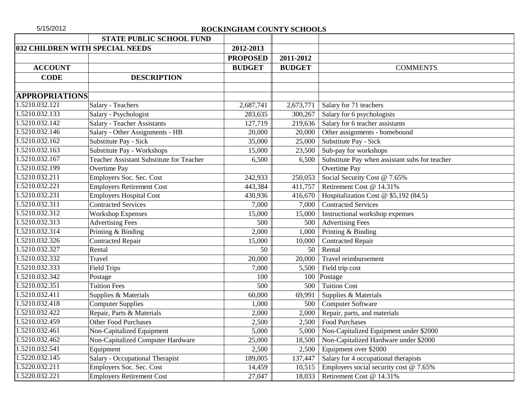| 5/15/2012             |                                                 | ROCKINGHAM COUNTY SCHOOLS |               |                                                |
|-----------------------|-------------------------------------------------|---------------------------|---------------|------------------------------------------------|
|                       | <b>STATE PUBLIC SCHOOL FUND</b>                 |                           |               |                                                |
|                       | 032 CHILDREN WITH SPECIAL NEEDS                 | 2012-2013                 |               |                                                |
|                       |                                                 | <b>PROPOSED</b>           | 2011-2012     |                                                |
| <b>ACCOUNT</b>        |                                                 | <b>BUDGET</b>             | <b>BUDGET</b> | <b>COMMENTS</b>                                |
| <b>CODE</b>           | <b>DESCRIPTION</b>                              |                           |               |                                                |
|                       |                                                 |                           |               |                                                |
| <b>APPROPRIATIONS</b> |                                                 |                           |               |                                                |
| 1.5210.032.121        | Salary - Teachers                               | 2,687,741                 | 2,673,771     | Salary for 71 teachers                         |
| 1.5210.032.133        | Salary - Psychologist                           | 283,635                   | 300,267       | Salary for 6 psychologists                     |
| 1.5210.032.142        | <b>Salary - Teacher Assistants</b>              | 127,719                   | 219,636       | Salary for 6 teacher assistants                |
| 1.5210.032.146        | Salary - Other Assignments - HB                 | 20,000                    | 20,000        | Other assignments - homebound                  |
| 1.5210.032.162        | Substitute Pay - Sick                           | 35,000                    | 25,000        | Substitute Pay - Sick                          |
| 1.5210.032.163        | Substitute Pay - Workshops                      | 15,000                    | 23,500        | Sub-pay for workshops                          |
| 1.5210.032.167        | <b>Teacher Assistant Substitute for Teacher</b> | 6,500                     | 6,500         | Substitute Pay when assistant subs for teacher |
| 1.5210.032.199        | Overtime Pay                                    |                           |               | Overtime Pay                                   |
| 1.5210.032.211        | Employers Soc. Sec. Cost                        | 242,933                   | 250,053       | Social Security Cost @ 7.65%                   |
| 1.5210.032.221        | <b>Employers Retirement Cost</b>                | 443,384                   | 411,757       | Retirement Cost @ 14.31%                       |
| 1.5210.032.231        | <b>Employers Hospital Cost</b>                  | 430,936                   | 416,670       | Hospitalization Cost @ \$5,192 (84.5)          |
| 1.5210.032.311        | <b>Contracted Services</b>                      | 7,000                     | 7,000         | <b>Contracted Services</b>                     |
| 1.5210.032.312        | <b>Workshop Expenses</b>                        | 15,000                    | 15,000        | Instructional workshop expenses                |
| 1.5210.032.313        | <b>Advertising Fees</b>                         | 500                       | 500           | <b>Advertising Fees</b>                        |
| 1.5210.032.314        | Printing & Binding                              | 2,000                     | 1,000         | Printing & Binding                             |
| 1.5210.032.326        | <b>Contracted Repair</b>                        | 15,000                    | 10,000        | Contracted Repair                              |
| 1.5210.032.327        | Rental                                          | 50                        | 50            | Rental                                         |
| 1.5210.032.332        | Travel                                          | 20,000                    | 20,000        | Travel reimbursement                           |
| 1.5210.032.333        | <b>Field Trips</b>                              | 7,000                     | 5,500         | Field trip cost                                |
| 1.5210.032.342        | Postage                                         | 100                       | 100           | Postage                                        |
| 1.5210.032.351        | <b>Tuition Fees</b>                             | 500                       | 500           | <b>Tuition Cost</b>                            |
| 1.5210.032.411        | Supplies & Materials                            | 60,000                    | 69,991        | Supplies & Materials                           |
| 1.5210.032.418        | <b>Computer Supplies</b>                        | 1,000                     | 500           | Computer Software                              |
| 1.5210.032.422        | Repair, Parts & Materials                       | 2,000                     | 2,000         | Repair, parts, and materials                   |
| 1.5210.032.459        | <b>Other Food Purchases</b>                     | 2,500                     | 2,500         | <b>Food Purchases</b>                          |
| 1.5210.032.461        | <b>Non-Capitalized Equipment</b>                | 5,000                     | 5,000         | Non-Capitalized Equipment under \$2000         |
| 1.5210.032.462        | Non-Capitalized Computer Hardware               | 25,000                    | 18,500        | Non-Capitalized Hardware under \$2000          |
| 1.5210.032.541        | Equipment                                       | 2,500                     | 2,500         | Equipment over \$2000                          |
| 1.5220.032.145        | Salary - Occupational Therapist                 | 189,005                   | 137,447       | Salary for 4 occupational therapists           |
| 1.5220.032.211        | Employers Soc. Sec. Cost                        | 14,459                    | 10,515        | Employers social security cost $@ 7.65\%$      |
| 1.5220.032.221        | <b>Employers Retirement Cost</b>                | 27,047                    | 18,033        | Retirement Cost @ 14.31%                       |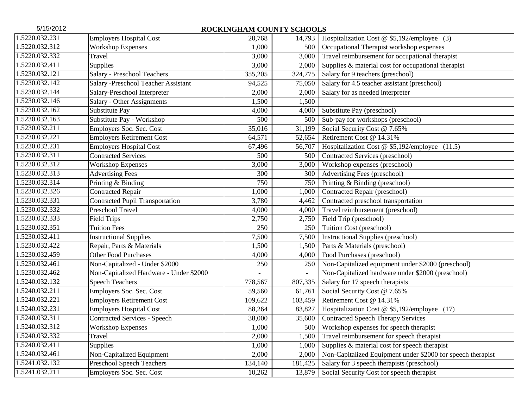| 5/15/2012<br>ROCKINGHAM COUNTY SCHOOLS |                                         |         |                          |                                                             |  |  |  |
|----------------------------------------|-----------------------------------------|---------|--------------------------|-------------------------------------------------------------|--|--|--|
| 1.5220.032.231                         | <b>Employers Hospital Cost</b>          | 20,768  | 14,793                   | Hospitalization Cost @ $$5,192$ /employee (3)               |  |  |  |
| 1.5220.032.312                         | <b>Workshop Expenses</b>                | 1,000   | 500                      | Occupational Therapist workshop expenses                    |  |  |  |
| 1.5220.032.332                         | Travel                                  | 3,000   | 3,000                    | Travel reimbursement for occupational therapist             |  |  |  |
| 1.5220.032.411                         | Supplies                                | 3,000   | 2,000                    | Supplies & material cost for occupational therapist         |  |  |  |
| 1.5230.032.121                         | Salary - Preschool Teachers             | 355,205 | 324,775                  | Salary for 9 teachers (preschool)                           |  |  |  |
| 1.5230.032.142                         | Salary -Preschool Teacher Assistant     | 94,525  | 75,050                   | Salary for 4.5 teacher assistant (preschool)                |  |  |  |
| 1.5230.032.144                         | Salary-Preschool Interpreter            | 2,000   | 2,000                    | Salary for as needed interpreter                            |  |  |  |
| 1.5230.032.146                         | Salary - Other Assignments              | 1,500   | 1,500                    |                                                             |  |  |  |
| 1.5230.032.162                         | Substitute Pay                          | 4,000   | 4,000                    | Substitute Pay (preschool)                                  |  |  |  |
| 1.5230.032.163                         | Substitute Pay - Workshop               | 500     | 500                      | Sub-pay for workshops (preschool)                           |  |  |  |
| 1.5230.032.211                         | Employers Soc. Sec. Cost                | 35,016  | 31,199                   | Social Security Cost @ 7.65%                                |  |  |  |
| 1.5230.032.221                         | <b>Employers Retirement Cost</b>        | 64,571  | 52,654                   | Retirement Cost @ 14.31%                                    |  |  |  |
| 1.5230.032.231                         | <b>Employers Hospital Cost</b>          | 67,496  | 56,707                   | Hospitalization Cost @ \$5,192/employee (11.5)              |  |  |  |
| 1.5230.032.311                         | <b>Contracted Services</b>              | 500     | 500                      | Contracted Services (preschool)                             |  |  |  |
| 1.5230.032.312                         | <b>Workshop Expenses</b>                | 3,000   | 3,000                    | Workshop expenses (preschool)                               |  |  |  |
| 1.5230.032.313                         | <b>Advertising Fees</b>                 | 300     | 300                      | Advertising Fees (preschool)                                |  |  |  |
| 1.5230.032.314                         | Printing & Binding                      | 750     | 750                      | Printing & Binding (preschool)                              |  |  |  |
| 1.5230.032.326                         | <b>Contracted Repair</b>                | 1,000   | 1,000                    | Contracted Repair (preschool)                               |  |  |  |
| 1.5230.032.331                         | <b>Contracted Pupil Transportation</b>  | 3,780   | 4,462                    | Contracted preschool transportation                         |  |  |  |
| 1.5230.032.332                         | Preschool Travel                        | 4,000   | 4,000                    | Travel reimbursement (preschool)                            |  |  |  |
| 1.5230.032.333                         | <b>Field Trips</b>                      | 2,750   | 2,750                    | Field Trip (preschool)                                      |  |  |  |
| 1.5230.032.351                         | <b>Tuition Fees</b>                     | 250     | 250                      | Tuition Cost (preschool)                                    |  |  |  |
| 1.5230.032.411                         | <b>Instructional Supplies</b>           | 7,500   | 7,500                    | <b>Instructional Supplies (preschool)</b>                   |  |  |  |
| 1.5230.032.422                         | Repair, Parts & Materials               | 1,500   | 1,500                    | Parts & Materials (preschool)                               |  |  |  |
| 1.5230.032.459                         | <b>Other Food Purchases</b>             | 4,000   | 4,000                    | Food Purchases (preschool)                                  |  |  |  |
| 1.5230.032.461                         | Non-Capitalized - Under \$2000          | 250     | 250                      | Non-Capitalized equipment under \$2000 (preschool)          |  |  |  |
| 1.5230.032.462                         | Non-Capitalized Hardware - Under \$2000 |         | $\overline{\phantom{0}}$ | Non-Capitalized hardware under \$2000 (preschool)           |  |  |  |
| 1.5240.032.132                         | <b>Speech Teachers</b>                  | 778,567 | 807,335                  | Salary for 17 speech therapists                             |  |  |  |
| 1.5240.032.211                         | Employers Soc. Sec. Cost                | 59,560  | 61,761                   | Social Security Cost @ 7.65%                                |  |  |  |
| 1.5240.032.221                         | <b>Employers Retirement Cost</b>        | 109,622 | 103,459                  | Retirement Cost @ 14.31%                                    |  |  |  |
| 1.5240.032.231                         | <b>Employers Hospital Cost</b>          | 88,264  | 83,827                   | Hospitalization Cost @ \$5,192/employee (17)                |  |  |  |
| 1.5240.032.311                         | <b>Contracted Services - Speech</b>     | 38,000  | 35,600                   | <b>Contracted Speech Therapy Services</b>                   |  |  |  |
| 1.5240.032.312                         | <b>Workshop Expenses</b>                | 1,000   | 500                      | Workshop expenses for speech therapist                      |  |  |  |
| 1.5240.032.332                         | Travel                                  | 2,000   | 1,500                    | Travel reimbursement for speech therapist                   |  |  |  |
| 1.5240.032.411                         | Supplies                                | 1,000   | 1,000                    | Supplies & material cost for speech therapist               |  |  |  |
| 1.5240.032.461                         | Non-Capitalized Equipment               | 2,000   | 2,000                    | Non-Capitalized Equipment under \$2000 for speech therapist |  |  |  |
| 1.5241.032.132                         | <b>Preschool Speech Teachers</b>        | 134,140 | 181,425                  | Salary for 3 speech therapists (preschool)                  |  |  |  |
| 1.5241.032.211                         | Employers Soc. Sec. Cost                | 10,262  | 13,879                   | Social Security Cost for speech therapist                   |  |  |  |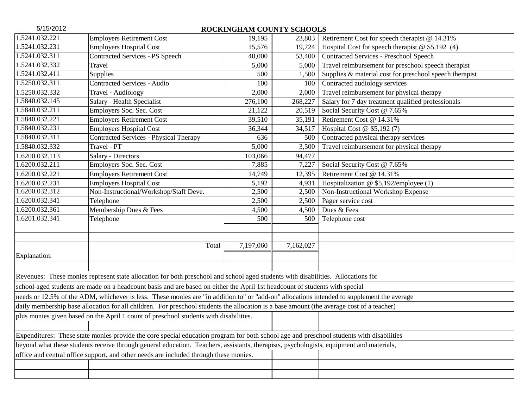| 5/15/2012                                                                                                                                  | ROCKINGHAM COUNTY SCHOOLS                                                                                                                |           |           |                                                         |  |  |  |  |
|--------------------------------------------------------------------------------------------------------------------------------------------|------------------------------------------------------------------------------------------------------------------------------------------|-----------|-----------|---------------------------------------------------------|--|--|--|--|
| 1.5241.032.221                                                                                                                             | <b>Employers Retirement Cost</b>                                                                                                         | 19,195    | 23,803    | Retirement Cost for speech therapist @ 14.31%           |  |  |  |  |
| 1.5241.032.231                                                                                                                             | <b>Employers Hospital Cost</b>                                                                                                           | 15,576    | 19,724    | Hospital Cost for speech therapist $@$ \$5,192 (4)      |  |  |  |  |
| 1.5241.032.311                                                                                                                             | <b>Contracted Services - PS Speech</b>                                                                                                   | 40,000    | 53,400    | <b>Contracted Services - Preschool Speech</b>           |  |  |  |  |
| 1.5241.032.332                                                                                                                             | Travel                                                                                                                                   | 5,000     | 5,000     | Travel reimbursement for preschool speech therapist     |  |  |  |  |
| 1.5241.032.411                                                                                                                             | Supplies                                                                                                                                 | 500       | 1,500     | Supplies & material cost for preschool speech therapist |  |  |  |  |
| 1.5250.032.311                                                                                                                             | <b>Contracted Services - Audio</b>                                                                                                       | 100       | 100       | Contracted audiology services                           |  |  |  |  |
| 1.5250.032.332                                                                                                                             | Travel - Audiology                                                                                                                       | 2,000     | 2,000     | Travel reimbursement for physical therapy               |  |  |  |  |
| 1.5840.032.145                                                                                                                             | Salary - Health Specialist                                                                                                               | 276,100   | 268,227   | Salary for 7 day treatment qualified professionals      |  |  |  |  |
| 1.5840.032.211                                                                                                                             | Employers Soc. Sec. Cost                                                                                                                 | 21,122    | 20,519    | Social Security Cost @ 7.65%                            |  |  |  |  |
| 1.5840.032.221                                                                                                                             | <b>Employers Retirement Cost</b>                                                                                                         | 39,510    | 35,191    | Retirement Cost @ 14.31%                                |  |  |  |  |
| 1.5840.032.231                                                                                                                             | <b>Employers Hospital Cost</b>                                                                                                           | 36,344    | 34,517    | Hospital Cost @ \$5,192 (7)                             |  |  |  |  |
| 1.5840.032.311                                                                                                                             | <b>Contracted Services - Physical Therapy</b>                                                                                            | 636       | 500       | Contracted physical therapy services                    |  |  |  |  |
| 1.5840.032.332                                                                                                                             | Travel - PT                                                                                                                              | 5,000     | 3,500     | Travel reimbursement for physical therapy               |  |  |  |  |
| 1.6200.032.113                                                                                                                             | Salary - Directors                                                                                                                       | 103,066   | 94,477    |                                                         |  |  |  |  |
| 1.6200.032.211                                                                                                                             | Employers Soc. Sec. Cost                                                                                                                 | 7,885     | 7,227     | Social Security Cost @ 7.65%                            |  |  |  |  |
| 1.6200.032.221                                                                                                                             | <b>Employers Retirement Cost</b>                                                                                                         | 14,749    | 12,395    | Retirement Cost @ 14.31%                                |  |  |  |  |
| 1.6200.032.231                                                                                                                             | <b>Employers Hospital Cost</b>                                                                                                           | 5,192     | 4,931     | Hospitalization @ \$5,192/employee (1)                  |  |  |  |  |
| 1.6200.032.312                                                                                                                             | Non-Instructional/Workshop/Staff Deve.                                                                                                   | 2,500     | 2,500     | Non-Instructional Workshop Expense                      |  |  |  |  |
| 1.6200.032.341                                                                                                                             | Telephone                                                                                                                                | 2,500     | 2,500     | Pager service cost                                      |  |  |  |  |
| 1.6200.032.361                                                                                                                             | Membership Dues & Fees                                                                                                                   | 4,500     | 4,500     | Dues & Fees                                             |  |  |  |  |
| 1.6201.032.341                                                                                                                             | Telephone                                                                                                                                | 500       | 500       | Telephone cost                                          |  |  |  |  |
|                                                                                                                                            |                                                                                                                                          |           |           |                                                         |  |  |  |  |
|                                                                                                                                            |                                                                                                                                          |           |           |                                                         |  |  |  |  |
|                                                                                                                                            | Total                                                                                                                                    | 7,197,060 | 7,162,027 |                                                         |  |  |  |  |
| Explanation:                                                                                                                               |                                                                                                                                          |           |           |                                                         |  |  |  |  |
|                                                                                                                                            |                                                                                                                                          |           |           |                                                         |  |  |  |  |
|                                                                                                                                            | Revenues: These monies represent state allocation for both preschool and school aged students with disabilities. Allocations for         |           |           |                                                         |  |  |  |  |
|                                                                                                                                            | school-aged students are made on a headcount basis and are based on either the April 1st headcount of students with special              |           |           |                                                         |  |  |  |  |
| needs or 12.5% of the ADM, whichever is less. These monies are "in addition to" or "add-on" allocations intended to supplement the average |                                                                                                                                          |           |           |                                                         |  |  |  |  |
| daily membership base allocation for all children. For preschool students the allocation is a base amount (the average cost of a teacher)  |                                                                                                                                          |           |           |                                                         |  |  |  |  |
| plus monies given based on the April 1 count of preschool students with disabilities.                                                      |                                                                                                                                          |           |           |                                                         |  |  |  |  |
|                                                                                                                                            |                                                                                                                                          |           |           |                                                         |  |  |  |  |
|                                                                                                                                            | Expenditures: These state monies provide the core special education program for both school age and preschool students with disabilities |           |           |                                                         |  |  |  |  |
| beyond what these students receive through general education. Teachers, assistants, therapists, psychologists, equipment and materials,    |                                                                                                                                          |           |           |                                                         |  |  |  |  |
| office and central office support, and other needs are included through these monies.                                                      |                                                                                                                                          |           |           |                                                         |  |  |  |  |
|                                                                                                                                            |                                                                                                                                          |           |           |                                                         |  |  |  |  |
|                                                                                                                                            |                                                                                                                                          |           |           |                                                         |  |  |  |  |
|                                                                                                                                            |                                                                                                                                          |           |           |                                                         |  |  |  |  |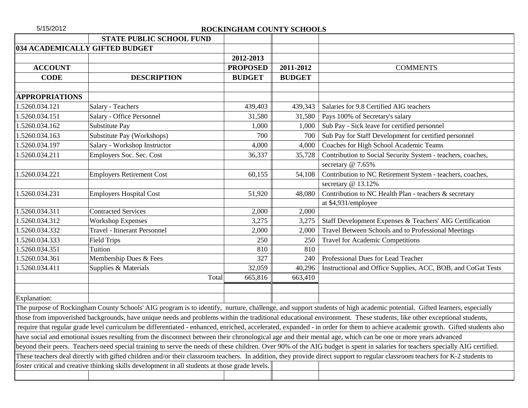|                                                                                                                                                                               | <b>STATE PUBLIC SCHOOL FUND</b>     |                 |               |                                                                                                                                                                                |  |  |  |
|-------------------------------------------------------------------------------------------------------------------------------------------------------------------------------|-------------------------------------|-----------------|---------------|--------------------------------------------------------------------------------------------------------------------------------------------------------------------------------|--|--|--|
| 034 ACADEMICALLY GIFTED BUDGET                                                                                                                                                |                                     |                 |               |                                                                                                                                                                                |  |  |  |
|                                                                                                                                                                               |                                     | 2012-2013       |               |                                                                                                                                                                                |  |  |  |
| <b>ACCOUNT</b>                                                                                                                                                                |                                     | <b>PROPOSED</b> | 2011-2012     | <b>COMMENTS</b>                                                                                                                                                                |  |  |  |
| <b>CODE</b>                                                                                                                                                                   | <b>DESCRIPTION</b>                  | <b>BUDGET</b>   | <b>BUDGET</b> |                                                                                                                                                                                |  |  |  |
|                                                                                                                                                                               |                                     |                 |               |                                                                                                                                                                                |  |  |  |
| <b>APPROPRIATIONS</b>                                                                                                                                                         |                                     |                 |               |                                                                                                                                                                                |  |  |  |
| 1.5260.034.121                                                                                                                                                                | Salary - Teachers                   | 439,403         | 439,343       | Salaries for 9.8 Certified AIG teachers                                                                                                                                        |  |  |  |
| 1.5260.034.151                                                                                                                                                                | Salary - Office Personnel           | 31,580          | 31,580        | Pays 100% of Secretary's salary                                                                                                                                                |  |  |  |
| 1.5260.034.162                                                                                                                                                                | Substitute Pay                      | 1,000           | 1,000         | Sub Pay - Sick leave for certified personnel                                                                                                                                   |  |  |  |
| 1.5260.034.163                                                                                                                                                                | Substitute Pay (Workshops)          | 700             | 700           | Sub Pay for Staff Development for certified personnel                                                                                                                          |  |  |  |
| 1.5260.034.197                                                                                                                                                                | Salary - Workshop Instructor        | 4,000           | 4,000         | Coaches for High School Academic Teams                                                                                                                                         |  |  |  |
| 1.5260.034.211                                                                                                                                                                | Employers Soc. Sec. Cost            | 36,337          | 35,728        | Contribution to Social Security System - teachers, coaches,                                                                                                                    |  |  |  |
|                                                                                                                                                                               |                                     |                 |               | secretary @ 7.65%                                                                                                                                                              |  |  |  |
| 1.5260.034.221                                                                                                                                                                | <b>Employers Retirement Cost</b>    | 60,155          | 54,108        | Contribution to NC Retirement System - teachers, coaches,                                                                                                                      |  |  |  |
|                                                                                                                                                                               |                                     |                 |               | secretary @ 13.12%                                                                                                                                                             |  |  |  |
| 1.5260.034.231                                                                                                                                                                | <b>Employers Hospital Cost</b>      | 51,920          | 48,080        | Contribution to NC Health Plan - teachers & secretary                                                                                                                          |  |  |  |
|                                                                                                                                                                               |                                     |                 |               | at \$4,931/employee                                                                                                                                                            |  |  |  |
| 1.5260.034.311                                                                                                                                                                | <b>Contracted Services</b>          | 2,000           | 2,000         |                                                                                                                                                                                |  |  |  |
| 1.5260.034.312                                                                                                                                                                | <b>Workshop Expenses</b>            | 3,275           | 3,275         | Staff Development Expenses & Teachers' AIG Certification                                                                                                                       |  |  |  |
| 1.5260.034.332                                                                                                                                                                | <b>Travel - Itinerant Personnel</b> | 2,000           | 2,000         | Travel Between Schools and to Professional Meetings                                                                                                                            |  |  |  |
| 1.5260.034.333                                                                                                                                                                | <b>Field Trips</b>                  | 250             | 250           | <b>Travel for Academic Competitions</b>                                                                                                                                        |  |  |  |
| 1.5260.034.351                                                                                                                                                                | Tuition                             | 810             | 810           |                                                                                                                                                                                |  |  |  |
| 1.5260.034.361                                                                                                                                                                | Membership Dues & Fees              | 327             | 240           | Professional Dues for Lead Teacher                                                                                                                                             |  |  |  |
| 1.5260.034.411                                                                                                                                                                | Supplies & Materials                | 32,059          | 40,296        | Instructional and Office Supplies, ACC, BOB, and CoGat Tests                                                                                                                   |  |  |  |
|                                                                                                                                                                               | Total                               | 665,816         | 663,410       |                                                                                                                                                                                |  |  |  |
|                                                                                                                                                                               |                                     |                 |               |                                                                                                                                                                                |  |  |  |
| Explanation:                                                                                                                                                                  |                                     |                 |               |                                                                                                                                                                                |  |  |  |
|                                                                                                                                                                               |                                     |                 |               | The purpose of Rockingham County Schools' AIG program is to identify, nurture, challenge, and support students of high academic potential. Gifted learners, especially         |  |  |  |
|                                                                                                                                                                               |                                     |                 |               | those from impoverished backgrounds, have unique needs and problems within the traditional educational environment. These students, like other exceptional students,           |  |  |  |
|                                                                                                                                                                               |                                     |                 |               | require that regular grade level curriculum be differentiated - enhanced, enriched, accelerated, expanded - in order for them to achieve academic growth. Gifted students also |  |  |  |
|                                                                                                                                                                               |                                     |                 |               | have social and emotional issues resulting from the disconnect between their chronological age and their mental age, which can be one or more years advanced                   |  |  |  |
|                                                                                                                                                                               |                                     |                 |               | beyond their peers. Teachers need special training to serve the needs of these children. Over 90% of the AIG budget is spent in salaries for teachers specially AIG certified. |  |  |  |
| These teachers deal directly with gifted children and/or their classroom teachers. In addition, they provide direct support to regular classroom teachers for K-2 students to |                                     |                 |               |                                                                                                                                                                                |  |  |  |
| foster critical and creative thinking skills development in all students at those grade levels.                                                                               |                                     |                 |               |                                                                                                                                                                                |  |  |  |
|                                                                                                                                                                               |                                     |                 |               |                                                                                                                                                                                |  |  |  |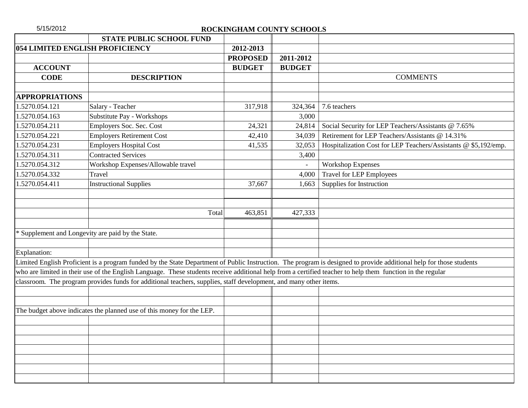| 5/15/2012             |                                                                                                                                                            | ROCKINGHAM COUNTY SCHOOLS |               |                                                                                                                                                                     |
|-----------------------|------------------------------------------------------------------------------------------------------------------------------------------------------------|---------------------------|---------------|---------------------------------------------------------------------------------------------------------------------------------------------------------------------|
|                       | <b>STATE PUBLIC SCHOOL FUND</b>                                                                                                                            |                           |               |                                                                                                                                                                     |
|                       | 054 LIMITED ENGLISH PROFICIENCY                                                                                                                            | 2012-2013                 |               |                                                                                                                                                                     |
|                       |                                                                                                                                                            | <b>PROPOSED</b>           | 2011-2012     |                                                                                                                                                                     |
| <b>ACCOUNT</b>        |                                                                                                                                                            | <b>BUDGET</b>             | <b>BUDGET</b> |                                                                                                                                                                     |
| <b>CODE</b>           | <b>DESCRIPTION</b>                                                                                                                                         |                           |               | <b>COMMENTS</b>                                                                                                                                                     |
|                       |                                                                                                                                                            |                           |               |                                                                                                                                                                     |
| <b>APPROPRIATIONS</b> |                                                                                                                                                            |                           |               |                                                                                                                                                                     |
| 1.5270.054.121        | Salary - Teacher                                                                                                                                           | 317,918                   | 324,364       | 7.6 teachers                                                                                                                                                        |
| 1.5270.054.163        | Substitute Pay - Workshops                                                                                                                                 |                           | 3,000         |                                                                                                                                                                     |
| 1.5270.054.211        | Employers Soc. Sec. Cost                                                                                                                                   | 24,321                    | 24,814        | Social Security for LEP Teachers/Assistants @ 7.65%                                                                                                                 |
| 1.5270.054.221        | <b>Employers Retirement Cost</b>                                                                                                                           | 42,410                    | 34,039        | Retirement for LEP Teachers/Assistants @ 14.31%                                                                                                                     |
| 1.5270.054.231        | <b>Employers Hospital Cost</b>                                                                                                                             | 41,535                    | 32,053        | Hospitalization Cost for LEP Teachers/Assistants @ \$5,192/emp.                                                                                                     |
| 1.5270.054.311        | <b>Contracted Services</b>                                                                                                                                 |                           | 3,400         |                                                                                                                                                                     |
| 1.5270.054.312        | Workshop Expenses/Allowable travel                                                                                                                         |                           |               | <b>Workshop Expenses</b>                                                                                                                                            |
| 1.5270.054.332        | Travel                                                                                                                                                     |                           | 4,000         | <b>Travel for LEP Employees</b>                                                                                                                                     |
| 1.5270.054.411        | <b>Instructional Supplies</b>                                                                                                                              | 37,667                    | 1,663         | Supplies for Instruction                                                                                                                                            |
|                       |                                                                                                                                                            |                           |               |                                                                                                                                                                     |
|                       | Total                                                                                                                                                      | 463,851                   | 427,333       |                                                                                                                                                                     |
|                       |                                                                                                                                                            |                           |               |                                                                                                                                                                     |
|                       | * Supplement and Longevity are paid by the State.                                                                                                          |                           |               |                                                                                                                                                                     |
|                       |                                                                                                                                                            |                           |               |                                                                                                                                                                     |
| Explanation:          |                                                                                                                                                            |                           |               |                                                                                                                                                                     |
|                       |                                                                                                                                                            |                           |               | Limited English Proficient is a program funded by the State Department of Public Instruction. The program is designed to provide additional help for those students |
|                       | who are limited in their use of the English Language. These students receive additional help from a certified teacher to help them function in the regular |                           |               |                                                                                                                                                                     |
|                       | classroom. The program provides funds for additional teachers, supplies, staff development, and many other items.                                          |                           |               |                                                                                                                                                                     |
|                       |                                                                                                                                                            |                           |               |                                                                                                                                                                     |
|                       |                                                                                                                                                            |                           |               |                                                                                                                                                                     |
|                       | The budget above indicates the planned use of this money for the LEP.                                                                                      |                           |               |                                                                                                                                                                     |
|                       |                                                                                                                                                            |                           |               |                                                                                                                                                                     |
|                       |                                                                                                                                                            |                           |               |                                                                                                                                                                     |
|                       |                                                                                                                                                            |                           |               |                                                                                                                                                                     |
|                       |                                                                                                                                                            |                           |               |                                                                                                                                                                     |
|                       |                                                                                                                                                            |                           |               |                                                                                                                                                                     |
|                       |                                                                                                                                                            |                           |               |                                                                                                                                                                     |
|                       |                                                                                                                                                            |                           |               |                                                                                                                                                                     |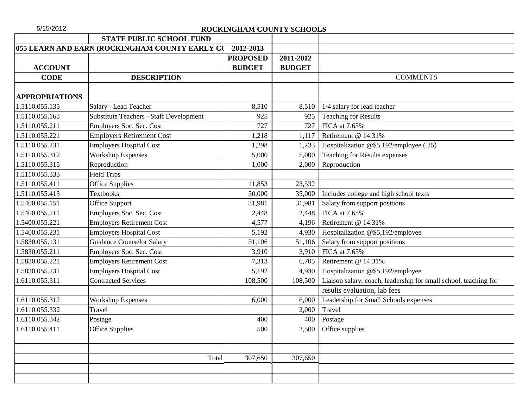| 5/15/2012             |                                                | ROCKINGHAM COUNTY SCHOOLS |               |                                                                  |
|-----------------------|------------------------------------------------|---------------------------|---------------|------------------------------------------------------------------|
|                       | <b>STATE PUBLIC SCHOOL FUND</b>                |                           |               |                                                                  |
|                       | 055 LEARN AND EARN (ROCKINGHAM COUNTY EARLY CO | 2012-2013                 |               |                                                                  |
|                       |                                                | <b>PROPOSED</b>           | 2011-2012     |                                                                  |
| <b>ACCOUNT</b>        |                                                | <b>BUDGET</b>             | <b>BUDGET</b> |                                                                  |
| <b>CODE</b>           | <b>DESCRIPTION</b>                             |                           |               | <b>COMMENTS</b>                                                  |
|                       |                                                |                           |               |                                                                  |
| <b>APPROPRIATIONS</b> |                                                |                           |               |                                                                  |
| 1.5110.055.135        | Salary - Lead Teacher                          | 8,510                     | 8,510         | 1/4 salary for lead teacher                                      |
| 1.5110.055.163        | <b>Substitute Teachers - Staff Development</b> | 925                       | 925           | <b>Teaching for Results</b>                                      |
| 1.5110.055.211        | Employers Soc. Sec. Cost                       | 727                       | 727           | FICA at 7.65%                                                    |
| 1.5110.055.221        | <b>Employers Retirement Cost</b>               | 1,218                     | 1,117         | Retirement @ 14.31%                                              |
| 1.5110.055.231        | <b>Employers Hospital Cost</b>                 | 1,298                     | 1,233         | Hospitalization @\$5,192/employee (.25)                          |
| 1.5110.055.312        | <b>Workshop Expenses</b>                       | 5,000                     | 5,000         | Teaching for Results expenses                                    |
| 1.5110.055.315        | Reproduction                                   | 1,000                     | 2,000         | Reproduction                                                     |
| 1.5110.055.333        | <b>Field Trips</b>                             |                           |               |                                                                  |
| 1.5110.055.411        | <b>Office Supplies</b>                         | 11,853                    | 23,532        |                                                                  |
| 1.5110.055.413        | <b>Textbooks</b>                               | 50,000                    | 35,000        | Includes college and high school texts                           |
| 1.5400.055.151        | Office Support                                 | 31,981                    | 31,981        | Salary from support positions                                    |
| 1.5400.055.211        | Employers Soc. Sec. Cost                       | 2,448                     | 2,448         | FICA at 7.65%                                                    |
| 1.5400.055.221        | <b>Employers Retirement Cost</b>               | 4,577                     | 4,196         | Retirement @ 14.31%                                              |
| 1.5400.055.231        | <b>Employers Hospital Cost</b>                 | 5,192                     | 4,930         | Hospitalization @\$5,192/employee                                |
| 1.5830.055.131        | <b>Guidance Counselor Salary</b>               | 51,106                    | 51,106        | Salary from support positions                                    |
| 1.5830.055.211        | Employers Soc. Sec. Cost                       | 3,910                     | 3,910         | FICA at 7.65%                                                    |
| 1.5830.055.221        | <b>Employers Retirement Cost</b>               | 7,313                     | 6,705         | Retirement @ 14.31%                                              |
| 1.5830.055.231        | <b>Employers Hospital Cost</b>                 | 5,192                     | 4,930         | Hospitalization @\$5,192/employee                                |
| 1.6110.055.311        | <b>Contracted Services</b>                     | 108,500                   | 108,500       | Liaison salary, coach, leadership for small school, teaching for |
|                       |                                                |                           |               | results evaluation, lab fees                                     |
| 1.6110.055.312        | <b>Workshop Expenses</b>                       | 6,000                     | 6,000         | Leadership for Small Schools expenses                            |
| 1.6110.055.332        | Travel                                         |                           | 2,000         | Travel                                                           |
| 1.6110.055.342        | Postage                                        | 400                       | 400           | Postage                                                          |
| 1.6110.055.411        | <b>Office Supplies</b>                         | 500                       | 2,500         | Office supplies                                                  |
|                       |                                                |                           |               |                                                                  |
|                       |                                                |                           |               |                                                                  |
|                       |                                                | Total<br>307,650          | 307,650       |                                                                  |
|                       |                                                |                           |               |                                                                  |
|                       |                                                |                           |               |                                                                  |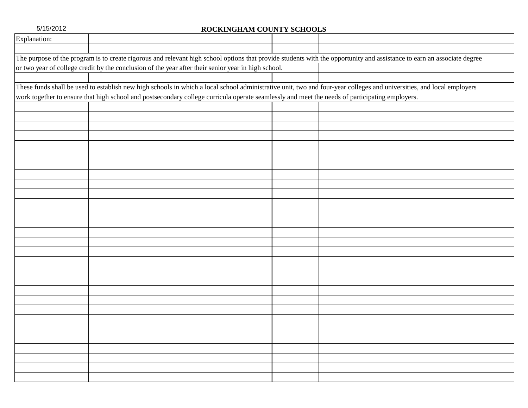| Explanation:                                                                                                                                                            |  |
|-------------------------------------------------------------------------------------------------------------------------------------------------------------------------|--|
|                                                                                                                                                                         |  |
|                                                                                                                                                                         |  |
| The purpose of the program is to create rigorous and relevant high school options that provide students with the opportunity and assistance to earn an associate degree |  |
| or two year of college credit by the conclusion of the year after their senior year in high school.                                                                     |  |
|                                                                                                                                                                         |  |
| These funds shall be used to establish new high schools in which a local school administrative unit, two and four-year colleges and universities, and local employers   |  |
| work together to ensure that high school and postsecondary college curricula operate seamlessly and meet the needs of participating employers.                          |  |
|                                                                                                                                                                         |  |
|                                                                                                                                                                         |  |
|                                                                                                                                                                         |  |
|                                                                                                                                                                         |  |
|                                                                                                                                                                         |  |
|                                                                                                                                                                         |  |
|                                                                                                                                                                         |  |
|                                                                                                                                                                         |  |
|                                                                                                                                                                         |  |
|                                                                                                                                                                         |  |
|                                                                                                                                                                         |  |
|                                                                                                                                                                         |  |
|                                                                                                                                                                         |  |
|                                                                                                                                                                         |  |
|                                                                                                                                                                         |  |
|                                                                                                                                                                         |  |
|                                                                                                                                                                         |  |
|                                                                                                                                                                         |  |
|                                                                                                                                                                         |  |
|                                                                                                                                                                         |  |
|                                                                                                                                                                         |  |
|                                                                                                                                                                         |  |
|                                                                                                                                                                         |  |
|                                                                                                                                                                         |  |
|                                                                                                                                                                         |  |
|                                                                                                                                                                         |  |
|                                                                                                                                                                         |  |
|                                                                                                                                                                         |  |
|                                                                                                                                                                         |  |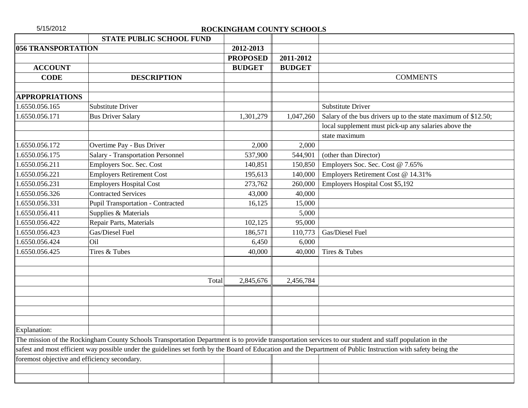| 5/15/2012                 |                                                                                                                                                                | ROCKINGHAM COUNTY SCHOOLS |               |                                                               |
|---------------------------|----------------------------------------------------------------------------------------------------------------------------------------------------------------|---------------------------|---------------|---------------------------------------------------------------|
|                           | <b>STATE PUBLIC SCHOOL FUND</b>                                                                                                                                |                           |               |                                                               |
| <b>056 TRANSPORTATION</b> |                                                                                                                                                                | 2012-2013                 |               |                                                               |
|                           |                                                                                                                                                                | <b>PROPOSED</b>           | 2011-2012     |                                                               |
| <b>ACCOUNT</b>            |                                                                                                                                                                | <b>BUDGET</b>             | <b>BUDGET</b> |                                                               |
| <b>CODE</b>               | <b>DESCRIPTION</b>                                                                                                                                             |                           |               | <b>COMMENTS</b>                                               |
|                           |                                                                                                                                                                |                           |               |                                                               |
| <b>APPROPRIATIONS</b>     |                                                                                                                                                                |                           |               |                                                               |
| 1.6550.056.165            | <b>Substitute Driver</b>                                                                                                                                       |                           |               | <b>Substitute Driver</b>                                      |
| 1.6550.056.171            | <b>Bus Driver Salary</b>                                                                                                                                       | 1,301,279                 | 1,047,260     | Salary of the bus drivers up to the state maximum of \$12.50; |
|                           |                                                                                                                                                                |                           |               | local supplement must pick-up any salaries above the          |
|                           |                                                                                                                                                                |                           |               | state maximum                                                 |
| 1.6550.056.172            | Overtime Pay - Bus Driver                                                                                                                                      | 2,000                     | 2,000         |                                                               |
| 1.6550.056.175            | <b>Salary - Transportation Personnel</b>                                                                                                                       | 537,900                   | 544,901       | (other than Director)                                         |
| 1.6550.056.211            | Employers Soc. Sec. Cost                                                                                                                                       | 140,851                   | 150,850       | Employers Soc. Sec. Cost @ 7.65%                              |
| 1.6550.056.221            | <b>Employers Retirement Cost</b>                                                                                                                               | 195,613                   | 140,000       | Employers Retirement Cost @ 14.31%                            |
| 1.6550.056.231            | <b>Employers Hospital Cost</b>                                                                                                                                 | 273,762                   | 260,000       | Employers Hospital Cost \$5,192                               |
| 1.6550.056.326            | <b>Contracted Services</b>                                                                                                                                     | 43,000                    | 40,000        |                                                               |
| 1.6550.056.331            | <b>Pupil Transportation - Contracted</b>                                                                                                                       | 16,125                    | 15,000        |                                                               |
| 1.6550.056.411            | Supplies & Materials                                                                                                                                           |                           | 5,000         |                                                               |
| 1.6550.056.422            | Repair Parts, Materials                                                                                                                                        | 102,125                   | 95,000        |                                                               |
| 1.6550.056.423            | Gas/Diesel Fuel                                                                                                                                                | 186,571                   | 110,773       | Gas/Diesel Fuel                                               |
| 1.6550.056.424            | Oil                                                                                                                                                            | 6,450                     | 6,000         |                                                               |
| 1.6550.056.425            | Tires & Tubes                                                                                                                                                  | 40,000                    | 40,000        | Tires & Tubes                                                 |
|                           |                                                                                                                                                                |                           |               |                                                               |
|                           |                                                                                                                                                                |                           |               |                                                               |
|                           | Total                                                                                                                                                          | 2,845,676                 | 2,456,784     |                                                               |
|                           |                                                                                                                                                                |                           |               |                                                               |
|                           |                                                                                                                                                                |                           |               |                                                               |
|                           |                                                                                                                                                                |                           |               |                                                               |
| Explanation:              |                                                                                                                                                                |                           |               |                                                               |
|                           | The mission of the Rockingham County Schools Transportation Department is to provide transportation services to our student and staff population in the        |                           |               |                                                               |
|                           | safest and most efficient way possible under the guidelines set forth by the Board of Education and the Department of Public Instruction with safety being the |                           |               |                                                               |
|                           | foremost objective and efficiency secondary.                                                                                                                   |                           |               |                                                               |
|                           |                                                                                                                                                                |                           |               |                                                               |
|                           |                                                                                                                                                                |                           |               |                                                               |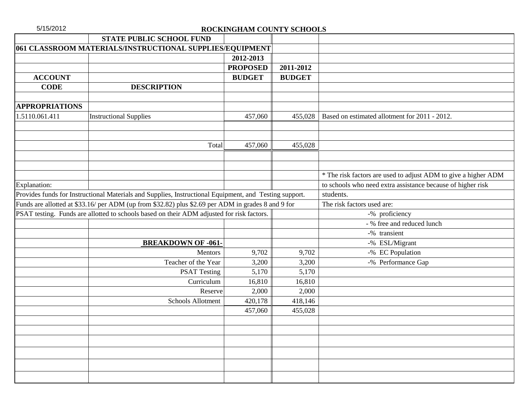|                       | <b>STATE PUBLIC SCHOOL FUND</b>                                                                        |                 |                 |                                                                |
|-----------------------|--------------------------------------------------------------------------------------------------------|-----------------|-----------------|----------------------------------------------------------------|
|                       | 061 CLASSROOM MATERIALS/INSTRUCTIONAL SUPPLIES/EQUIPMENT                                               |                 |                 |                                                                |
|                       |                                                                                                        | 2012-2013       |                 |                                                                |
|                       |                                                                                                        | <b>PROPOSED</b> | 2011-2012       |                                                                |
| <b>ACCOUNT</b>        |                                                                                                        | <b>BUDGET</b>   | <b>BUDGET</b>   |                                                                |
| <b>CODE</b>           | <b>DESCRIPTION</b>                                                                                     |                 |                 |                                                                |
|                       |                                                                                                        |                 |                 |                                                                |
| <b>APPROPRIATIONS</b> |                                                                                                        |                 |                 |                                                                |
| 1.5110.061.411        | <b>Instructional Supplies</b>                                                                          | 457,060         | 455,028         | Based on estimated allotment for 2011 - 2012.                  |
|                       |                                                                                                        |                 |                 |                                                                |
|                       |                                                                                                        |                 |                 |                                                                |
|                       | Total                                                                                                  | 457,060         | 455,028         |                                                                |
|                       |                                                                                                        |                 |                 |                                                                |
|                       |                                                                                                        |                 |                 |                                                                |
|                       |                                                                                                        |                 |                 | * The risk factors are used to adjust ADM to give a higher ADM |
| Explanation:          |                                                                                                        |                 |                 | to schools who need extra assistance because of higher risk    |
|                       | Provides funds for Instructional Materials and Supplies, Instructional Equipment, and Testing support. |                 |                 | students.                                                      |
|                       | Funds are allotted at \$33.16/ per ADM (up from \$32.82) plus \$2.69 per ADM in grades 8 and 9 for     |                 |                 | The risk factors used are:                                     |
|                       | PSAT testing. Funds are allotted to schools based on their ADM adjusted for risk factors.              |                 |                 | -% proficiency                                                 |
|                       |                                                                                                        |                 |                 | - % free and reduced lunch                                     |
|                       |                                                                                                        |                 |                 | -% transient                                                   |
|                       | <b>BREAKDOWN OF -061-</b>                                                                              |                 |                 | -% ESL/Migrant                                                 |
|                       | Mentors<br>Teacher of the Year                                                                         | 9,702           | 9,702           | -% EC Population                                               |
|                       |                                                                                                        | 3,200           | 3,200           | -% Performance Gap                                             |
|                       | <b>PSAT Testing</b>                                                                                    | 5,170           | 5,170           |                                                                |
|                       | Curriculum<br>Reserve                                                                                  | 16,810<br>2,000 | 16,810<br>2,000 |                                                                |
|                       | Schools Allotment                                                                                      | 420,178         | 418,146         |                                                                |
|                       |                                                                                                        | 457,060         | 455,028         |                                                                |
|                       |                                                                                                        |                 |                 |                                                                |
|                       |                                                                                                        |                 |                 |                                                                |
|                       |                                                                                                        |                 |                 |                                                                |
|                       |                                                                                                        |                 |                 |                                                                |
|                       |                                                                                                        |                 |                 |                                                                |
|                       |                                                                                                        |                 |                 |                                                                |
|                       |                                                                                                        |                 |                 |                                                                |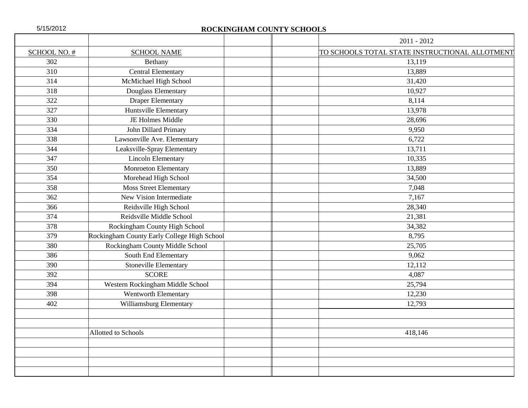|              |                                             | $2011 - 2012$                                  |
|--------------|---------------------------------------------|------------------------------------------------|
| SCHOOL NO. # | <b>SCHOOL NAME</b>                          | TO SCHOOLS TOTAL STATE INSTRUCTIONAL ALLOTMENT |
| 302          | Bethany                                     | 13,119                                         |
| 310          | <b>Central Elementary</b>                   | 13,889                                         |
| 314          | McMichael High School                       | 31,420                                         |
| 318          | Douglass Elementary                         | 10,927                                         |
| 322          | <b>Draper Elementary</b>                    | 8,114                                          |
| 327          | Huntsville Elementary                       | 13,978                                         |
| 330          | JE Holmes Middle                            | 28,696                                         |
| 334          | John Dillard Primary                        | 9,950                                          |
| 338          | Lawsonville Ave. Elementary                 | 6,722                                          |
| 344          | Leaksville-Spray Elementary                 | 13,711                                         |
| 347          | <b>Lincoln Elementary</b>                   | 10,335                                         |
| 350          | <b>Monroeton Elementary</b>                 | 13,889                                         |
| 354          | Morehead High School                        | 34,500                                         |
| 358          | <b>Moss Street Elementary</b>               | 7,048                                          |
| 362          | New Vision Intermediate                     | 7,167                                          |
| 366          | Reidsville High School                      | 28,340                                         |
| 374          | Reidsville Middle School                    | 21,381                                         |
| 378          | Rockingham County High School               | 34,382                                         |
| 379          | Rockingham County Early College High School | 8,795                                          |
| 380          | Rockingham County Middle School             | 25,705                                         |
| 386          | South End Elementary                        | 9,062                                          |
| 390          | Stoneville Elementary                       | 12,112                                         |
| 392          | <b>SCORE</b>                                | 4,087                                          |
| 394          | Western Rockingham Middle School            | 25,794                                         |
| 398          | Wentworth Elementary                        | 12,230                                         |
| 402          | Williamsburg Elementary                     | 12,793                                         |
|              |                                             |                                                |
|              |                                             |                                                |
|              | Allotted to Schools                         | 418,146                                        |
|              |                                             |                                                |
|              |                                             |                                                |
|              |                                             |                                                |
|              |                                             |                                                |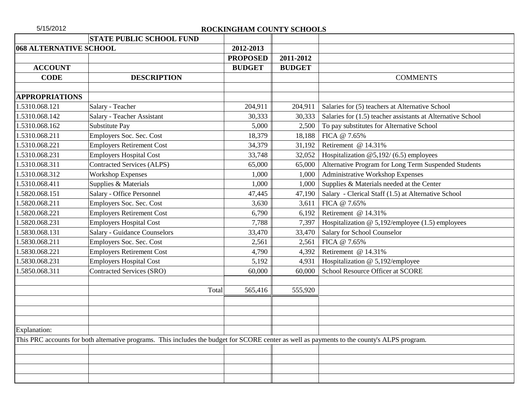|                               | <b>STATE PUBLIC SCHOOL FUND</b>                                                                                                              |                 |               |                                                             |
|-------------------------------|----------------------------------------------------------------------------------------------------------------------------------------------|-----------------|---------------|-------------------------------------------------------------|
| <b>068 ALTERNATIVE SCHOOL</b> |                                                                                                                                              | 2012-2013       |               |                                                             |
|                               |                                                                                                                                              | <b>PROPOSED</b> | 2011-2012     |                                                             |
| <b>ACCOUNT</b>                |                                                                                                                                              | <b>BUDGET</b>   | <b>BUDGET</b> |                                                             |
| <b>CODE</b>                   | <b>DESCRIPTION</b>                                                                                                                           |                 |               | <b>COMMENTS</b>                                             |
|                               |                                                                                                                                              |                 |               |                                                             |
| <b>APPROPRIATIONS</b>         |                                                                                                                                              |                 |               |                                                             |
| 1.5310.068.121                | Salary - Teacher                                                                                                                             | 204,911         | 204,911       | Salaries for (5) teachers at Alternative School             |
| 1.5310.068.142                | Salary - Teacher Assistant                                                                                                                   | 30,333          | 30,333        | Salaries for (1.5) teacher assistants at Alternative School |
| 1.5310.068.162                | Substitute Pay                                                                                                                               | 5,000           | 2,500         | To pay substitutes for Alternative School                   |
| 1.5310.068.211                | Employers Soc. Sec. Cost                                                                                                                     | 18,379          | 18,188        | FICA @ 7.65%                                                |
| 1.5310.068.221                | <b>Employers Retirement Cost</b>                                                                                                             | 34,379          | 31,192        | Retirement @ 14.31%                                         |
| 1.5310.068.231                | <b>Employers Hospital Cost</b>                                                                                                               | 33,748          | 32,052        | Hospitalization $@5,192/ (6.5)$ employees                   |
| 1.5310.068.311                | <b>Contracted Services (ALPS)</b>                                                                                                            | 65,000          | 65,000        | Alternative Program for Long Term Suspended Students        |
| 1.5310.068.312                | <b>Workshop Expenses</b>                                                                                                                     | 1,000           | 1,000         | Administrative Workshop Expenses                            |
| 1.5310.068.411                | Supplies & Materials                                                                                                                         | 1,000           | 1,000         | Supplies & Materials needed at the Center                   |
| 1.5820.068.151                | Salary - Office Personnel                                                                                                                    | 47,445          | 47,190        | Salary - Clerical Staff (1.5) at Alternative School         |
| 1.5820.068.211                | Employers Soc. Sec. Cost                                                                                                                     | 3,630           | 3,611         | FICA @ 7.65%                                                |
| 1.5820.068.221                | <b>Employers Retirement Cost</b>                                                                                                             | 6,790           | 6,192         | Retirement @ 14.31%                                         |
| 1.5820.068.231                | <b>Employers Hospital Cost</b>                                                                                                               | 7,788           | 7,397         | Hospitalization $@$ 5,192/employee (1.5) employees          |
| 1.5830.068.131                | <b>Salary - Guidance Counselors</b>                                                                                                          | 33,470          | 33,470        | Salary for School Counselor                                 |
| 1.5830.068.211                | Employers Soc. Sec. Cost                                                                                                                     | 2,561           | 2,561         | FICA @ 7.65%                                                |
| 1.5830.068.221                | <b>Employers Retirement Cost</b>                                                                                                             | 4,790           | 4,392         | Retirement @ 14.31%                                         |
| 1.5830.068.231                | <b>Employers Hospital Cost</b>                                                                                                               | 5,192           | 4,931         | Hospitalization @ 5,192/employee                            |
| 1.5850.068.311                | <b>Contracted Services (SRO)</b>                                                                                                             | 60,000          | 60,000        | <b>School Resource Officer at SCORE</b>                     |
|                               |                                                                                                                                              |                 |               |                                                             |
|                               | Total                                                                                                                                        | 565,416         | 555,920       |                                                             |
|                               |                                                                                                                                              |                 |               |                                                             |
|                               |                                                                                                                                              |                 |               |                                                             |
|                               |                                                                                                                                              |                 |               |                                                             |
| <b>Explanation:</b>           |                                                                                                                                              |                 |               |                                                             |
|                               | This PRC accounts for both alternative programs. This includes the budget for SCORE center as well as payments to the county's ALPS program. |                 |               |                                                             |
|                               |                                                                                                                                              |                 |               |                                                             |
|                               |                                                                                                                                              |                 |               |                                                             |
|                               |                                                                                                                                              |                 |               |                                                             |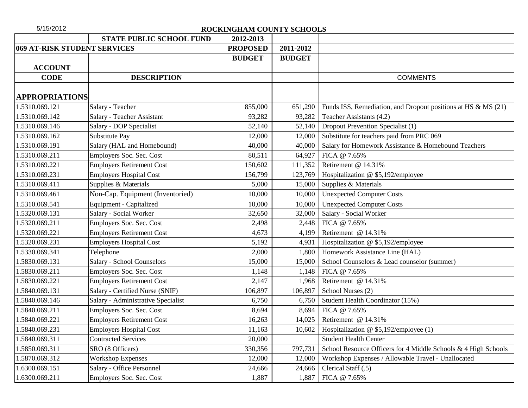| 5/15/2012                    | ROCKINGHAM COUNTY SCHOOLS          |                 |               |                                                                  |  |  |
|------------------------------|------------------------------------|-----------------|---------------|------------------------------------------------------------------|--|--|
|                              | <b>STATE PUBLIC SCHOOL FUND</b>    | 2012-2013       |               |                                                                  |  |  |
| 069 AT-RISK STUDENT SERVICES |                                    | <b>PROPOSED</b> | 2011-2012     |                                                                  |  |  |
|                              |                                    | <b>BUDGET</b>   | <b>BUDGET</b> |                                                                  |  |  |
| <b>ACCOUNT</b>               |                                    |                 |               |                                                                  |  |  |
| <b>CODE</b>                  | <b>DESCRIPTION</b>                 |                 |               | <b>COMMENTS</b>                                                  |  |  |
|                              |                                    |                 |               |                                                                  |  |  |
| <b>APPROPRIATIONS</b>        |                                    |                 |               |                                                                  |  |  |
| 1.5310.069.121               | Salary - Teacher                   | 855,000         | 651,290       | Funds ISS, Remediation, and Dropout positions at HS $\&$ MS (21) |  |  |
| 1.5310.069.142               | Salary - Teacher Assistant         | 93,282          | 93,282        | Teacher Assistants (4.2)                                         |  |  |
| 1.5310.069.146               | Salary - DOP Specialist            | 52,140          | 52,140        | Dropout Prevention Specialist (1)                                |  |  |
| 1.5310.069.162               | Substitute Pay                     | 12,000          | 12,000        | Substitute for teachers paid from PRC 069                        |  |  |
| 1.5310.069.191               | Salary (HAL and Homebound)         | 40,000          | 40,000        | Salary for Homework Assistance & Homebound Teachers              |  |  |
| 1.5310.069.211               | Employers Soc. Sec. Cost           | 80,511          | 64,927        | FICA @ 7.65%                                                     |  |  |
| 1.5310.069.221               | <b>Employers Retirement Cost</b>   | 150,602         | 111,352       | Retirement @ 14.31%                                              |  |  |
| 1.5310.069.231               | <b>Employers Hospital Cost</b>     | 156,799         | 123,769       | Hospitalization @ \$5,192/employee                               |  |  |
| 1.5310.069.411               | Supplies & Materials               | 5,000           | 15,000        | Supplies & Materials                                             |  |  |
| 1.5310.069.461               | Non-Cap. Equipment (Inventoried)   | 10,000          | 10,000        | <b>Unexpected Computer Costs</b>                                 |  |  |
| 1.5310.069.541               | Equipment - Capitalized            | 10,000          | 10,000        | <b>Unexpected Computer Costs</b>                                 |  |  |
| 1.5320.069.131               | Salary - Social Worker             | 32,650          | 32,000        | Salary - Social Worker                                           |  |  |
| 1.5320.069.211               | Employers Soc. Sec. Cost           | 2,498           | 2,448         | FICA @ 7.65%                                                     |  |  |
| 1.5320.069.221               | <b>Employers Retirement Cost</b>   | 4,673           | 4,199         | Retirement @ 14.31%                                              |  |  |
| 1.5320.069.231               | <b>Employers Hospital Cost</b>     | 5,192           | 4,931         | Hospitalization @ \$5,192/employee                               |  |  |
| 1.5330.069.341               | Telephone                          | 2,000           | 1,800         | Homework Assistance Line (HAL)                                   |  |  |
| 1.5830.069.131               | Salary - School Counselors         | 15,000          | 15,000        | School Counselors & Lead counselor (summer)                      |  |  |
| 1.5830.069.211               | Employers Soc. Sec. Cost           | 1,148           | 1,148         | FICA @ 7.65%                                                     |  |  |
| 1.5830.069.221               | <b>Employers Retirement Cost</b>   | 2,147           | 1,968         | Retirement @ 14.31%                                              |  |  |
| 1.5840.069.131               | Salary - Certified Nurse (SNIF)    | 106,897         | 106,897       | School Nurses (2)                                                |  |  |
| 1.5840.069.146               | Salary - Administrative Specialist | 6,750           | 6,750         | Student Health Coordinator (15%)                                 |  |  |
| 1.5840.069.211               | Employers Soc. Sec. Cost           | 8,694           | 8,694         | FICA @ 7.65%                                                     |  |  |
| 1.5840.069.221               | <b>Employers Retirement Cost</b>   | 16,263          | 14,025        | Retirement @ 14.31%                                              |  |  |
| 1.5840.069.231               | <b>Employers Hospital Cost</b>     | 11,163          | 10,602        | Hospitalization @ \$5,192/employee (1)                           |  |  |
| 1.5840.069.311               | <b>Contracted Services</b>         | 20,000          |               | <b>Student Health Center</b>                                     |  |  |
| 1.5850.069.311               | SRO (8 Officers)                   | 330,356         | 797,731       | School Resource Officers for 4 Middle Schools & 4 High Schools   |  |  |
| 1.5870.069.312               | <b>Workshop Expenses</b>           | 12,000          | 12,000        | Workshop Expenses / Allowable Travel - Unallocated               |  |  |
| 1.6300.069.151               | Salary - Office Personnel          | 24,666          | 24,666        | Clerical Staff (.5)                                              |  |  |
| 1.6300.069.211               | Employers Soc. Sec. Cost           | 1,887           | 1,887         | FICA @ 7.65%                                                     |  |  |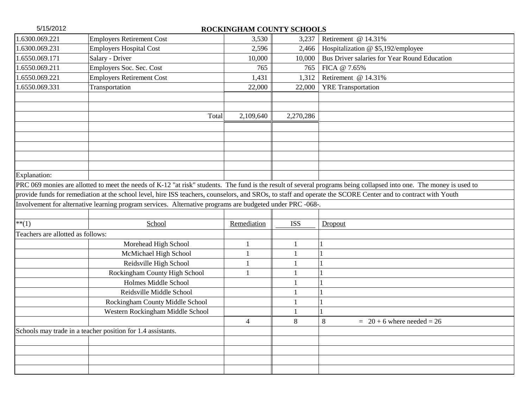| 5/15/2012                         | ROCKINGHAM COUNTY SCHOOLS                                                                                                                                    |             |              |                                                                                                                                                                     |  |
|-----------------------------------|--------------------------------------------------------------------------------------------------------------------------------------------------------------|-------------|--------------|---------------------------------------------------------------------------------------------------------------------------------------------------------------------|--|
| 1.6300.069.221                    | <b>Employers Retirement Cost</b>                                                                                                                             | 3,530       | 3,237        | Retirement @ 14.31%                                                                                                                                                 |  |
| 1.6300.069.231                    | <b>Employers Hospital Cost</b>                                                                                                                               | 2,596       | 2,466        | Hospitalization @ \$5,192/employee                                                                                                                                  |  |
| 1.6550.069.171                    | Salary - Driver                                                                                                                                              | 10,000      | 10,000       | Bus Driver salaries for Year Round Education                                                                                                                        |  |
| 1.6550.069.211                    | Employers Soc. Sec. Cost                                                                                                                                     | 765         | 765          | FICA @ 7.65%                                                                                                                                                        |  |
| 1.6550.069.221                    | <b>Employers Retirement Cost</b>                                                                                                                             | 1,431       | 1,312        | Retirement @ 14.31%                                                                                                                                                 |  |
| 1.6550.069.331                    | Transportation                                                                                                                                               | 22,000      | 22,000       | <b>YRE</b> Transportation                                                                                                                                           |  |
|                                   |                                                                                                                                                              |             |              |                                                                                                                                                                     |  |
|                                   |                                                                                                                                                              |             |              |                                                                                                                                                                     |  |
|                                   | Total                                                                                                                                                        | 2,109,640   | 2,270,286    |                                                                                                                                                                     |  |
|                                   |                                                                                                                                                              |             |              |                                                                                                                                                                     |  |
|                                   |                                                                                                                                                              |             |              |                                                                                                                                                                     |  |
|                                   |                                                                                                                                                              |             |              |                                                                                                                                                                     |  |
|                                   |                                                                                                                                                              |             |              |                                                                                                                                                                     |  |
|                                   |                                                                                                                                                              |             |              |                                                                                                                                                                     |  |
| Explanation:                      |                                                                                                                                                              |             |              |                                                                                                                                                                     |  |
|                                   |                                                                                                                                                              |             |              | PRC 069 monies are allotted to meet the needs of K-12 "at risk" students. The fund is the result of several programs being collapsed into one. The money is used to |  |
|                                   | provide funds for remediation at the school level, hire ISS teachers, counselors, and SROs, to staff and operate the SCORE Center and to contract with Youth |             |              |                                                                                                                                                                     |  |
|                                   | Involvement for alternative learning program services. Alternative programs are budgeted under PRC -068-.                                                    |             |              |                                                                                                                                                                     |  |
|                                   |                                                                                                                                                              |             |              |                                                                                                                                                                     |  |
| $***(1)$                          | School                                                                                                                                                       | Remediation | <b>ISS</b>   | Dropout                                                                                                                                                             |  |
| Teachers are allotted as follows: |                                                                                                                                                              |             |              |                                                                                                                                                                     |  |
|                                   | Morehead High School                                                                                                                                         |             | $\mathbf{1}$ |                                                                                                                                                                     |  |
|                                   | McMichael High School                                                                                                                                        |             |              |                                                                                                                                                                     |  |
|                                   | Reidsville High School                                                                                                                                       |             | 1            |                                                                                                                                                                     |  |
|                                   | Rockingham County High School                                                                                                                                |             | 1            |                                                                                                                                                                     |  |
|                                   | Holmes Middle School                                                                                                                                         |             | 1            |                                                                                                                                                                     |  |
|                                   | Reidsville Middle School                                                                                                                                     |             |              |                                                                                                                                                                     |  |
|                                   | Rockingham County Middle School                                                                                                                              |             |              |                                                                                                                                                                     |  |
|                                   | Western Rockingham Middle School                                                                                                                             |             |              |                                                                                                                                                                     |  |
|                                   |                                                                                                                                                              | 4           | 8            | 8<br>$= 20 + 6$ where needed $= 26$                                                                                                                                 |  |
|                                   | Schools may trade in a teacher position for 1.4 assistants.                                                                                                  |             |              |                                                                                                                                                                     |  |
|                                   |                                                                                                                                                              |             |              |                                                                                                                                                                     |  |
|                                   |                                                                                                                                                              |             |              |                                                                                                                                                                     |  |
|                                   |                                                                                                                                                              |             |              |                                                                                                                                                                     |  |
|                                   |                                                                                                                                                              |             |              |                                                                                                                                                                     |  |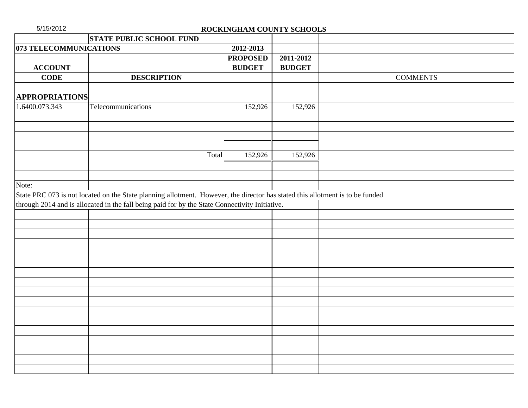| 5/15/2012<br>ROCKINGHAM COUNTY SCHOOLS |                                                                                                                               |                 |               |                 |
|----------------------------------------|-------------------------------------------------------------------------------------------------------------------------------|-----------------|---------------|-----------------|
|                                        | <b>STATE PUBLIC SCHOOL FUND</b>                                                                                               |                 |               |                 |
| 073 TELECOMMUNICATIONS                 |                                                                                                                               | 2012-2013       |               |                 |
|                                        |                                                                                                                               | <b>PROPOSED</b> | 2011-2012     |                 |
| <b>ACCOUNT</b>                         |                                                                                                                               | <b>BUDGET</b>   | <b>BUDGET</b> |                 |
| <b>CODE</b>                            | <b>DESCRIPTION</b>                                                                                                            |                 |               | <b>COMMENTS</b> |
| <b>APPROPRIATIONS</b>                  |                                                                                                                               |                 |               |                 |
| 1.6400.073.343                         | Telecommunications                                                                                                            | 152,926         | 152,926       |                 |
|                                        |                                                                                                                               |                 |               |                 |
|                                        | Total                                                                                                                         | 152,926         | 152,926       |                 |
|                                        |                                                                                                                               |                 |               |                 |
|                                        |                                                                                                                               |                 |               |                 |
| Note:                                  |                                                                                                                               |                 |               |                 |
|                                        | State PRC 073 is not located on the State planning allotment. However, the director has stated this allotment is to be funded |                 |               |                 |
|                                        | through 2014 and is allocated in the fall being paid for by the State Connectivity Initiative.                                |                 |               |                 |
|                                        |                                                                                                                               |                 |               |                 |
|                                        |                                                                                                                               |                 |               |                 |
|                                        |                                                                                                                               |                 |               |                 |
|                                        |                                                                                                                               |                 |               |                 |
|                                        |                                                                                                                               |                 |               |                 |
|                                        |                                                                                                                               |                 |               |                 |
|                                        |                                                                                                                               |                 |               |                 |
|                                        |                                                                                                                               |                 |               |                 |
|                                        |                                                                                                                               |                 |               |                 |
|                                        |                                                                                                                               |                 |               |                 |
|                                        |                                                                                                                               |                 |               |                 |
|                                        |                                                                                                                               |                 |               |                 |
|                                        |                                                                                                                               |                 |               |                 |
|                                        |                                                                                                                               |                 |               |                 |
|                                        |                                                                                                                               |                 |               |                 |
|                                        |                                                                                                                               |                 |               |                 |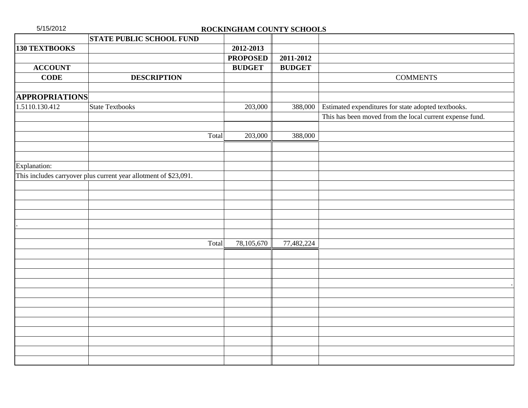| 5/15/2012             |                                                                  | ROCKINGHAM COUNTY SCHOOLS |               |                                                          |
|-----------------------|------------------------------------------------------------------|---------------------------|---------------|----------------------------------------------------------|
|                       | <b>STATE PUBLIC SCHOOL FUND</b>                                  |                           |               |                                                          |
| <b>130 TEXTBOOKS</b>  |                                                                  | 2012-2013                 |               |                                                          |
|                       |                                                                  | <b>PROPOSED</b>           | 2011-2012     |                                                          |
| <b>ACCOUNT</b>        |                                                                  | <b>BUDGET</b>             | <b>BUDGET</b> |                                                          |
| <b>CODE</b>           | <b>DESCRIPTION</b>                                               |                           |               | <b>COMMENTS</b>                                          |
|                       |                                                                  |                           |               |                                                          |
| <b>APPROPRIATIONS</b> |                                                                  |                           |               |                                                          |
| 1.5110.130.412        | State Textbooks                                                  | 203,000                   | 388,000       | Estimated expenditures for state adopted textbooks.      |
|                       |                                                                  |                           |               | This has been moved from the local current expense fund. |
|                       |                                                                  |                           |               |                                                          |
|                       | Total                                                            | 203,000                   | 388,000       |                                                          |
|                       |                                                                  |                           |               |                                                          |
|                       |                                                                  |                           |               |                                                          |
| Explanation:          |                                                                  |                           |               |                                                          |
|                       | This includes carryover plus current year allotment of \$23,091. |                           |               |                                                          |
|                       |                                                                  |                           |               |                                                          |
|                       |                                                                  |                           |               |                                                          |
|                       |                                                                  |                           |               |                                                          |
|                       |                                                                  |                           |               |                                                          |
|                       |                                                                  |                           |               |                                                          |
|                       |                                                                  |                           |               |                                                          |
|                       | Total                                                            | 78,105,670                | 77,482,224    |                                                          |
|                       |                                                                  |                           |               |                                                          |
|                       |                                                                  |                           |               |                                                          |
|                       |                                                                  |                           |               |                                                          |
|                       |                                                                  |                           |               |                                                          |
|                       |                                                                  |                           |               |                                                          |
|                       |                                                                  |                           |               |                                                          |
|                       |                                                                  |                           |               |                                                          |
|                       |                                                                  |                           |               |                                                          |
|                       |                                                                  |                           |               |                                                          |
|                       |                                                                  |                           |               |                                                          |
|                       |                                                                  |                           |               |                                                          |
|                       |                                                                  |                           |               |                                                          |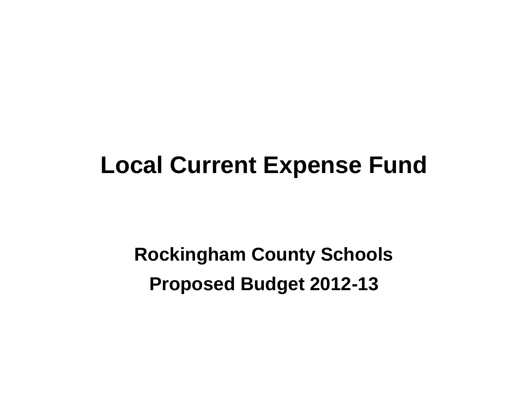# **Local Current Expense Fund**

**Rockingham County Schools Proposed Budget 2012-13**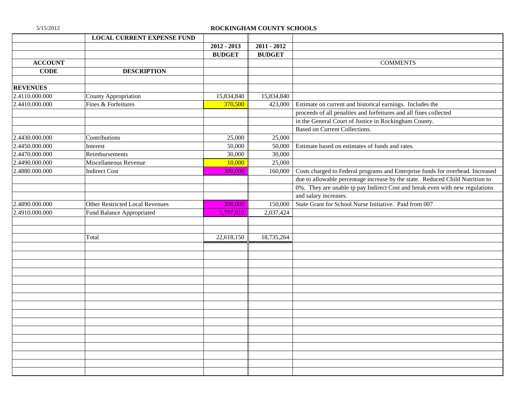|                 | <b>LOCAL CURRENT EXPENSE FUND</b> |               |               |                                                                                |
|-----------------|-----------------------------------|---------------|---------------|--------------------------------------------------------------------------------|
|                 |                                   | $2012 - 2013$ | $2011 - 2012$ |                                                                                |
|                 |                                   | <b>BUDGET</b> | <b>BUDGET</b> |                                                                                |
| <b>ACCOUNT</b>  |                                   |               |               | <b>COMMENTS</b>                                                                |
| <b>CODE</b>     | <b>DESCRIPTION</b>                |               |               |                                                                                |
|                 |                                   |               |               |                                                                                |
| <b>REVENUES</b> |                                   |               |               |                                                                                |
| 2.4110.000.000  | County Appropriation              | 15,834,840    | 15,834,840    |                                                                                |
| 2.4410.000.000  | Fines & Forfeitures               | 370,500       | 423,000       | Estimate on current and historical earnings. Includes the                      |
|                 |                                   |               |               | proceeds of all penalties and forfeitures and all fines collected              |
|                 |                                   |               |               | in the General Court of Justice in Rockingham County.                          |
|                 |                                   |               |               | Based on Current Collections.                                                  |
| 2.4430.000.000  | Contributions                     | 25,000        | 25,000        |                                                                                |
| 2.4450.000.000  | Interest                          | 50,000        | 50,000        | Estimate based on estimates of funds and rates.                                |
| 2.4470.000.000  | Reimbursements                    | 30,000        | 30,000        |                                                                                |
| 2.4490.000.000  | Miscellaneous Revenue             | 10,000        | 25,000        |                                                                                |
| 2.4880.000.000  | <b>Indirect Cost</b>              | 300,000       | 160,000       | Costs charged to Federal programs and Enterprise funds for overhead. Increased |
|                 |                                   |               |               | due to allowable percentage increase by the state. Reduced Child Nutrition to  |
|                 |                                   |               |               | 0%. They are unable tp pay Indirect Cost and break even with new regulations   |
|                 |                                   |               |               | and salary increases.                                                          |
| 2.4890.000.000  | Other Restricted Local Revenues   | 200,000       | 150,000       | State Grant for School Nurse Initiative. Paid from 007                         |
| 2.4910.000.000  | Fund Balance Appropriated         | 5,797,810     | 2,037,424     |                                                                                |
|                 |                                   |               |               |                                                                                |
|                 |                                   |               |               |                                                                                |
|                 | Total                             | 22,618,150    | 18,735,264    |                                                                                |
|                 |                                   |               |               |                                                                                |
|                 |                                   |               |               |                                                                                |
|                 |                                   |               |               |                                                                                |
|                 |                                   |               |               |                                                                                |
|                 |                                   |               |               |                                                                                |
|                 |                                   |               |               |                                                                                |
|                 |                                   |               |               |                                                                                |
|                 |                                   |               |               |                                                                                |
|                 |                                   |               |               |                                                                                |
|                 |                                   |               |               |                                                                                |
|                 |                                   |               |               |                                                                                |
|                 |                                   |               |               |                                                                                |
|                 |                                   |               |               |                                                                                |
|                 |                                   |               |               |                                                                                |
|                 |                                   |               |               |                                                                                |
|                 |                                   |               |               |                                                                                |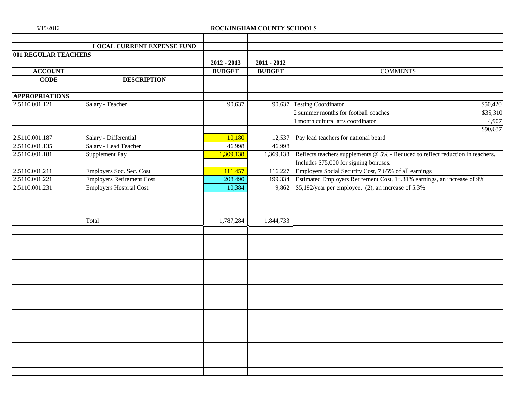|                       | <b>LOCAL CURRENT EXPENSE FUND</b> |               |               |                                                                                |          |
|-----------------------|-----------------------------------|---------------|---------------|--------------------------------------------------------------------------------|----------|
| 001 REGULAR TEACHERS  |                                   |               |               |                                                                                |          |
|                       |                                   | $2012 - 2013$ | $2011 - 2012$ |                                                                                |          |
| <b>ACCOUNT</b>        |                                   | <b>BUDGET</b> | <b>BUDGET</b> | <b>COMMENTS</b>                                                                |          |
| <b>CODE</b>           | <b>DESCRIPTION</b>                |               |               |                                                                                |          |
| <b>APPROPRIATIONS</b> |                                   |               |               |                                                                                |          |
| 2.5110.001.121        | Salary - Teacher                  | 90,637        |               | 90,637 Testing Coordinator                                                     | \$50,420 |
|                       |                                   |               |               | 2 summer months for football coaches                                           | \$35,310 |
|                       |                                   |               |               | 1 month cultural arts coordinator                                              | 4,907    |
|                       |                                   |               |               |                                                                                | \$90,637 |
| 2.5110.001.187        | Salary - Differential             | 10,180        | 12,537        | Pay lead teachers for national board                                           |          |
| 2.5110.001.135        | Salary - Lead Teacher             | 46,998        | 46,998        |                                                                                |          |
| 2.5110.001.181        | Supplement Pay                    | 1,309,138     | 1,369,138     | Reflects teachers supplements @ 5% - Reduced to reflect reduction in teachers. |          |
|                       |                                   |               |               | Includes \$75,000 for signing bonuses.                                         |          |
| 2.5110.001.211        | Employers Soc. Sec. Cost          | 111,457       | 116,227       | Employers Social Security Cost, 7.65% of all earnings                          |          |
| 2.5110.001.221        | <b>Employers Retirement Cost</b>  | 208,490       | 199,334       | Estimated Employers Retirement Cost, 14.31% earnings, an increase of 9%        |          |
| 2.5110.001.231        | <b>Employers Hospital Cost</b>    | 10,384        |               | 9,862 \ $$5,192$ /year per employee. (2), an increase of 5.3%                  |          |
|                       |                                   |               |               |                                                                                |          |
|                       |                                   |               |               |                                                                                |          |
|                       |                                   |               |               |                                                                                |          |
|                       | Total                             | 1,787,284     | 1,844,733     |                                                                                |          |
|                       |                                   |               |               |                                                                                |          |
|                       |                                   |               |               |                                                                                |          |
|                       |                                   |               |               |                                                                                |          |
|                       |                                   |               |               |                                                                                |          |
|                       |                                   |               |               |                                                                                |          |
|                       |                                   |               |               |                                                                                |          |
|                       |                                   |               |               |                                                                                |          |
|                       |                                   |               |               |                                                                                |          |
|                       |                                   |               |               |                                                                                |          |
|                       |                                   |               |               |                                                                                |          |
|                       |                                   |               |               |                                                                                |          |
|                       |                                   |               |               |                                                                                |          |
|                       |                                   |               |               |                                                                                |          |
|                       |                                   |               |               |                                                                                |          |
|                       |                                   |               |               |                                                                                |          |
|                       |                                   |               |               |                                                                                |          |
|                       |                                   |               |               |                                                                                |          |
|                       |                                   |               |               |                                                                                |          |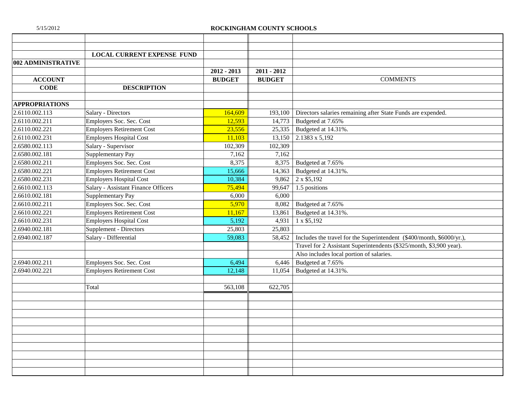|                       | <b>LOCAL CURRENT EXPENSE FUND</b>   |               |               |                                                                       |
|-----------------------|-------------------------------------|---------------|---------------|-----------------------------------------------------------------------|
| 002 ADMINISTRATIVE    |                                     |               |               |                                                                       |
|                       |                                     | $2012 - 2013$ | $2011 - 2012$ |                                                                       |
| <b>ACCOUNT</b>        |                                     | <b>BUDGET</b> | <b>BUDGET</b> | <b>COMMENTS</b>                                                       |
| <b>CODE</b>           | <b>DESCRIPTION</b>                  |               |               |                                                                       |
|                       |                                     |               |               |                                                                       |
| <b>APPROPRIATIONS</b> |                                     |               |               |                                                                       |
| 2.6110.002.113        | Salary - Directors                  | 164,609       | 193,100       | Directors salaries remaining after State Funds are expended.          |
| 2.6110.002.211        | Employers Soc. Sec. Cost            | 12,593        | 14,773        | Budgeted at 7.65%                                                     |
| 2.6110.002.221        | <b>Employers Retirement Cost</b>    | 23,556        | 25,335        | Budgeted at 14.31%.                                                   |
| 2.6110.002.231        | <b>Employers Hospital Cost</b>      | 11,103        | 13,150        | 2.1383 x 5,192                                                        |
| 2.6580.002.113        | Salary - Supervisor                 | 102,309       | 102,309       |                                                                       |
| 2.6580.002.181        | Supplementary Pay                   | 7,162         | 7,162         |                                                                       |
| 2.6580.002.211        | Employers Soc. Sec. Cost            | 8,375         | 8,375         | Budgeted at 7.65%                                                     |
| 2.6580.002.221        | <b>Employers Retirement Cost</b>    | 15.666        | 14,363        | Budgeted at 14.31%.                                                   |
| 2.6580.002.231        | <b>Employers Hospital Cost</b>      | 10,384        | 9,862         | 2 x \$5,192                                                           |
| 2.6610.002.113        | Salary - Assistant Finance Officers | 75,494        | 99,647        | 1.5 positions                                                         |
| 2.6610.002.181        | Supplementary Pay                   | 6,000         | 6,000         |                                                                       |
| 2.6610.002.211        | Employers Soc. Sec. Cost            | 5,970         | 8,082         | Budgeted at 7.65%                                                     |
| 2.6610.002.221        | <b>Employers Retirement Cost</b>    | 11,167        | 13,861        | Budgeted at 14.31%.                                                   |
| 2.6610.002.231        | <b>Employers Hospital Cost</b>      | 5,192         | 4,931         | 1 x \$5,192                                                           |
| 2.6940.002.181        | Supplement - Directors              | 25,803        | 25,803        |                                                                       |
| 2.6940.002.187        | Salary - Differential               | 59,083        | 58,452        | Includes the travel for the Superintendent (\$400/month, \$6000/yr.), |
|                       |                                     |               |               | Travel for 2 Assistant Superintendents (\$325/month, \$3,900 year).   |
|                       |                                     |               |               | Also includes local portion of salaries.                              |
| 2.6940.002.211        | Employers Soc. Sec. Cost            | 6,494         | 6,446         | Budgeted at 7.65%                                                     |
| 2.6940.002.221        | <b>Employers Retirement Cost</b>    | 12,148        | 11,054        | Budgeted at 14.31%.                                                   |
|                       |                                     |               |               |                                                                       |
|                       | Total                               | 563,108       | 622,705       |                                                                       |
|                       |                                     |               |               |                                                                       |
|                       |                                     |               |               |                                                                       |
|                       |                                     |               |               |                                                                       |
|                       |                                     |               |               |                                                                       |
|                       |                                     |               |               |                                                                       |
|                       |                                     |               |               |                                                                       |
|                       |                                     |               |               |                                                                       |
|                       |                                     |               |               |                                                                       |
|                       |                                     |               |               |                                                                       |
|                       |                                     |               |               |                                                                       |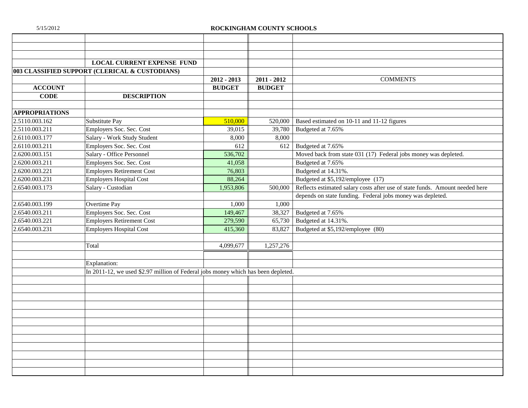|                       | <b>LOCAL CURRENT EXPENSE FUND</b>                                                 |               |               |                                                                              |
|-----------------------|-----------------------------------------------------------------------------------|---------------|---------------|------------------------------------------------------------------------------|
|                       | 003 CLASSIFIED SUPPORT (CLERICAL & CUSTODIANS)                                    |               |               |                                                                              |
|                       |                                                                                   | $2012 - 2013$ | $2011 - 2012$ | <b>COMMENTS</b>                                                              |
| <b>ACCOUNT</b>        |                                                                                   | <b>BUDGET</b> | <b>BUDGET</b> |                                                                              |
| <b>CODE</b>           | <b>DESCRIPTION</b>                                                                |               |               |                                                                              |
|                       |                                                                                   |               |               |                                                                              |
| <b>APPROPRIATIONS</b> |                                                                                   |               |               |                                                                              |
| 2.5110.003.162        | Substitute Pay                                                                    | 510,000       | 520,000       | Based estimated on 10-11 and 11-12 figures                                   |
| 2.5110.003.211        | Employers Soc. Sec. Cost                                                          | 39,015        | 39,780        | Budgeted at 7.65%                                                            |
| 2.6110.003.177        | Salary - Work Study Student                                                       | 8,000         | 8,000         |                                                                              |
| 2.6110.003.211        | Employers Soc. Sec. Cost                                                          | 612           | 612           | Budgeted at 7.65%                                                            |
| 2.6200.003.151        | Salary - Office Personnel                                                         | 536,702       |               | Moved back from state 031 (17) Federal jobs money was depleted.              |
| 2.6200.003.211        | Employers Soc. Sec. Cost                                                          | 41,058        |               | Budgeted at 7.65%                                                            |
| 2.6200.003.221        | <b>Employers Retirement Cost</b>                                                  | 76,803        |               | Budgeted at 14.31%.                                                          |
| 2.6200.003.231        | <b>Employers Hospital Cost</b>                                                    | 88,264        |               | Budgeted at \$5,192/employee (17)                                            |
| 2.6540.003.173        | Salary - Custodian                                                                | 1,953,806     | 500,000       | Reflects estimated salary costs after use of state funds. Amount needed here |
|                       |                                                                                   |               |               | depends on state funding. Federal jobs money was depleted.                   |
| 2.6540.003.199        | Overtime Pay                                                                      | 1,000         | 1,000         |                                                                              |
| 2.6540.003.211        | Employers Soc. Sec. Cost                                                          | 149,467       | 38,327        | Budgeted at 7.65%                                                            |
| 2.6540.003.221        | <b>Employers Retirement Cost</b>                                                  | 279,590       | 65,730        | Budgeted at 14.31%.                                                          |
| 2.6540.003.231        | <b>Employers Hospital Cost</b>                                                    | 415,360       | 83,827        | Budgeted at \$5,192/employee (80)                                            |
|                       |                                                                                   |               |               |                                                                              |
|                       | Total                                                                             | 4,099,677     | 1,257,276     |                                                                              |
|                       |                                                                                   |               |               |                                                                              |
|                       | Explanation:                                                                      |               |               |                                                                              |
|                       | In 2011-12, we used \$2.97 million of Federal jobs money which has been depleted. |               |               |                                                                              |
|                       |                                                                                   |               |               |                                                                              |
|                       |                                                                                   |               |               |                                                                              |
|                       |                                                                                   |               |               |                                                                              |
|                       |                                                                                   |               |               |                                                                              |
|                       |                                                                                   |               |               |                                                                              |
|                       |                                                                                   |               |               |                                                                              |
|                       |                                                                                   |               |               |                                                                              |
|                       |                                                                                   |               |               |                                                                              |
|                       |                                                                                   |               |               |                                                                              |
|                       |                                                                                   |               |               |                                                                              |
|                       |                                                                                   |               |               |                                                                              |
|                       |                                                                                   |               |               |                                                                              |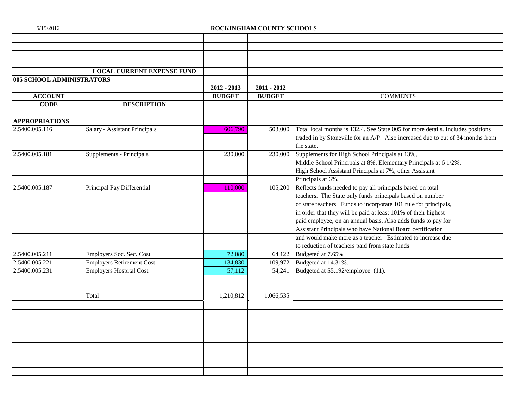|                           | <b>LOCAL CURRENT EXPENSE FUND</b> |               |               |                                                                                 |
|---------------------------|-----------------------------------|---------------|---------------|---------------------------------------------------------------------------------|
| 005 SCHOOL ADMINISTRATORS |                                   |               |               |                                                                                 |
|                           |                                   | $2012 - 2013$ | $2011 - 2012$ |                                                                                 |
| <b>ACCOUNT</b>            |                                   | <b>BUDGET</b> | <b>BUDGET</b> | <b>COMMENTS</b>                                                                 |
| <b>CODE</b>               | <b>DESCRIPTION</b>                |               |               |                                                                                 |
|                           |                                   |               |               |                                                                                 |
| <b>APPROPRIATIONS</b>     |                                   |               |               |                                                                                 |
| 2.5400.005.116            | Salary - Assistant Principals     | 606,790       | 503,000       | Total local months is 132.4. See State 005 for more details. Includes positions |
|                           |                                   |               |               | traded in by Stoneville for an A/P. Also increased due to cut of 34 months from |
|                           |                                   |               |               | the state.                                                                      |
| 2.5400.005.181            | Supplements - Principals          | 230,000       | 230,000       | Supplements for High School Principals at 13%,                                  |
|                           |                                   |               |               | Middle School Principals at 8%, Elementary Principals at 6 1/2%,                |
|                           |                                   |               |               | High School Assistant Principals at 7%, other Assistant                         |
|                           |                                   |               |               | Principals at 6%.                                                               |
| 2.5400.005.187            | Principal Pay Differential        | 110.000       | 105,200       | Reflects funds needed to pay all principals based on total                      |
|                           |                                   |               |               | teachers. The State only funds principals based on number                       |
|                           |                                   |               |               | of state teachers. Funds to incorporate 101 rule for principals,                |
|                           |                                   |               |               | in order that they will be paid at least 101% of their highest                  |
|                           |                                   |               |               | paid employee, on an annual basis. Also adds funds to pay for                   |
|                           |                                   |               |               | Assistant Principals who have National Board certification                      |
|                           |                                   |               |               | and would make more as a teacher. Estimated to increase due                     |
|                           |                                   |               |               | to reduction of teachers paid from state funds                                  |
| 2.5400.005.211            | Employers Soc. Sec. Cost          | 72,080        | 64,122        | Budgeted at 7.65%                                                               |
| 2.5400.005.221            | <b>Employers Retirement Cost</b>  | 134,830       | 109,972       | Budgeted at 14.31%.                                                             |
| 2.5400.005.231            | <b>Employers Hospital Cost</b>    | 57,112        | 54,241        | Budgeted at \$5,192/employee (11).                                              |
|                           |                                   |               |               |                                                                                 |
|                           |                                   |               |               |                                                                                 |
|                           | Total                             | 1,210,812     | 1,066,535     |                                                                                 |
|                           |                                   |               |               |                                                                                 |
|                           |                                   |               |               |                                                                                 |
|                           |                                   |               |               |                                                                                 |
|                           |                                   |               |               |                                                                                 |
|                           |                                   |               |               |                                                                                 |
|                           |                                   |               |               |                                                                                 |
|                           |                                   |               |               |                                                                                 |
|                           |                                   |               |               |                                                                                 |
|                           |                                   |               |               |                                                                                 |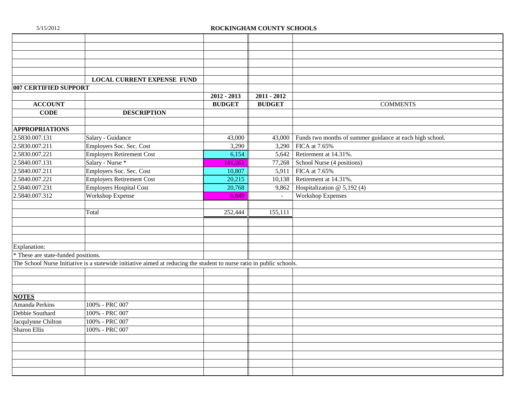|                                     | <b>LOCAL CURRENT EXPENSE FUND</b>                                                                                     |               |               |                                                          |
|-------------------------------------|-----------------------------------------------------------------------------------------------------------------------|---------------|---------------|----------------------------------------------------------|
| 007 CERTIFIED SUPPORT               |                                                                                                                       |               |               |                                                          |
|                                     |                                                                                                                       | $2012 - 2013$ | $2011 - 2012$ |                                                          |
| <b>ACCOUNT</b>                      |                                                                                                                       | <b>BUDGET</b> | <b>BUDGET</b> | <b>COMMENTS</b>                                          |
| <b>CODE</b>                         | <b>DESCRIPTION</b>                                                                                                    |               |               |                                                          |
|                                     |                                                                                                                       |               |               |                                                          |
| <b>APPROPRIATIONS</b>               |                                                                                                                       |               |               |                                                          |
| 2.5830.007.131                      | Salary - Guidance                                                                                                     | 43,000        | 43,000        | Funds two months of summer guidance at each high school. |
| 2.5830.007.211                      | Employers Soc. Sec. Cost                                                                                              | 3,290         | 3,290         | FICA at 7.65%                                            |
| 2.5830.007.221                      | <b>Employers Retirement Cost</b>                                                                                      | 6,154         | 5,642         | Retirement at 14.31%.                                    |
| 2.5840.007.131                      | Salary - Nurse *                                                                                                      | 141,261       | 77,268        | School Nurse (4 positions)                               |
| 2.5840.007.211                      | Employers Soc. Sec. Cost                                                                                              | 10,807        | 5,911         | FICA at 7.65%                                            |
| 2.5840.007.221                      | <b>Employers Retirement Cost</b>                                                                                      | 20,215        |               | 10,138 Retirement at 14.31%.                             |
| 2.5840.007.231                      | <b>Employers Hospital Cost</b>                                                                                        | 20,768        | 9,862         | Hospitalization @ 5,192 (4)                              |
| 2.5840.007.312                      | Workshop Expense                                                                                                      | 6,949         | $\sim$        | <b>Workshop Expenses</b>                                 |
|                                     |                                                                                                                       |               |               |                                                          |
|                                     | Total                                                                                                                 | 252,444       | 155,111       |                                                          |
|                                     |                                                                                                                       |               |               |                                                          |
|                                     |                                                                                                                       |               |               |                                                          |
|                                     |                                                                                                                       |               |               |                                                          |
| Explanation:                        |                                                                                                                       |               |               |                                                          |
| * These are state-funded positions. |                                                                                                                       |               |               |                                                          |
|                                     | The School Nurse Initiative is a statewide initiative aimed at reducing the student to nurse ratio in public schools. |               |               |                                                          |
|                                     |                                                                                                                       |               |               |                                                          |
|                                     |                                                                                                                       |               |               |                                                          |
|                                     |                                                                                                                       |               |               |                                                          |
| <b>NOTES</b>                        |                                                                                                                       |               |               |                                                          |
| Amanda Perkins                      | 100% - PRC 007                                                                                                        |               |               |                                                          |
| Debbie Southard                     | 100% - PRC 007                                                                                                        |               |               |                                                          |
| Jacqulynne Chilton                  | 100% - PRC 007                                                                                                        |               |               |                                                          |
| Sharon Ellis                        | 100% - PRC 007                                                                                                        |               |               |                                                          |
|                                     |                                                                                                                       |               |               |                                                          |
|                                     |                                                                                                                       |               |               |                                                          |
|                                     |                                                                                                                       |               |               |                                                          |
|                                     |                                                                                                                       |               |               |                                                          |
|                                     |                                                                                                                       |               |               |                                                          |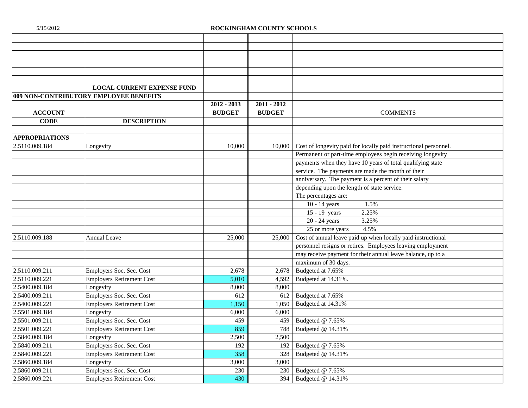|                       | <b>LOCAL CURRENT EXPENSE FUND</b>      |               |               |                                                                  |
|-----------------------|----------------------------------------|---------------|---------------|------------------------------------------------------------------|
|                       | 009 NON-CONTRIBUTORY EMPLOYEE BENEFITS |               |               |                                                                  |
|                       |                                        | $2012 - 2013$ | $2011 - 2012$ |                                                                  |
| <b>ACCOUNT</b>        |                                        | <b>BUDGET</b> | <b>BUDGET</b> | <b>COMMENTS</b>                                                  |
| <b>CODE</b>           | <b>DESCRIPTION</b>                     |               |               |                                                                  |
|                       |                                        |               |               |                                                                  |
| <b>APPROPRIATIONS</b> |                                        |               |               |                                                                  |
| 2.5110.009.184        | Longevity                              | 10,000        | 10,000        | Cost of longevity paid for locally paid instructional personnel. |
|                       |                                        |               |               | Permanent or part-time employees begin receiving longevity       |
|                       |                                        |               |               | payments when they have 10 years of total qualifying state       |
|                       |                                        |               |               | service. The payments are made the month of their                |
|                       |                                        |               |               | anniversary. The payment is a percent of their salary            |
|                       |                                        |               |               | depending upon the length of state service.                      |
|                       |                                        |               |               | The percentages are:                                             |
|                       |                                        |               |               | 1.5%<br>$10 - 14$ years                                          |
|                       |                                        |               |               | 15 - 19 years<br>2.25%                                           |
|                       |                                        |               |               | $\overline{20}$ - 24 years<br>3.25%                              |
|                       |                                        |               |               | 25 or more years<br>4.5%                                         |
| 2.5110.009.188        | <b>Annual Leave</b>                    | 25,000        | 25,000        | Cost of annual leave paid up when locally paid instructional     |
|                       |                                        |               |               | personnel resigns or retires. Employees leaving employment       |
|                       |                                        |               |               | may receive payment for their annual leave balance, up to a      |
|                       |                                        |               |               | maximum of 30 days.                                              |
| 2.5110.009.211        | Employers Soc. Sec. Cost               | 2,678         | 2,678         | Budgeted at 7.65%                                                |
| 2.5110.009.221        | <b>Employers Retirement Cost</b>       | 5,010         | 4,592         | Budgeted at 14.31%.                                              |
| 2.5400.009.184        | Longevity                              | 8,000         | 8,000         |                                                                  |
| 2.5400.009.211        | Employers Soc. Sec. Cost               | 612           | 612           | Budgeted at 7.65%                                                |
| 2.5400.009.221        | <b>Employers Retirement Cost</b>       | 1,150         | 1,050         | Budgeted at 14.31%                                               |
| 2.5501.009.184        | Longevity                              | 6,000         | 6,000         |                                                                  |
| 2.5501.009.211        | Employers Soc. Sec. Cost               | 459           | 459           | Budgeted @ 7.65%                                                 |
| 2.5501.009.221        | <b>Employers Retirement Cost</b>       | 859           | 788           | Budgeted @ 14.31%                                                |
| 2.5840.009.184        | Longevity                              | 2,500         | 2,500         |                                                                  |
| 2.5840.009.211        | Employers Soc. Sec. Cost               | 192           | 192           | Budgeted @ 7.65%                                                 |
| 2.5840.009.221        | <b>Employers Retirement Cost</b>       | 358           | 328           | Budgeted @ 14.31%                                                |
| 2.5860.009.184        | Longevity                              | 3,000         | 3,000         |                                                                  |
| 2.5860.009.211        | Employers Soc. Sec. Cost               | 230           | 230           | Budgeted @ 7.65%                                                 |
| 2.5860.009.221        | <b>Employers Retirement Cost</b>       | 430           | 394           | Budgeted @ 14.31%                                                |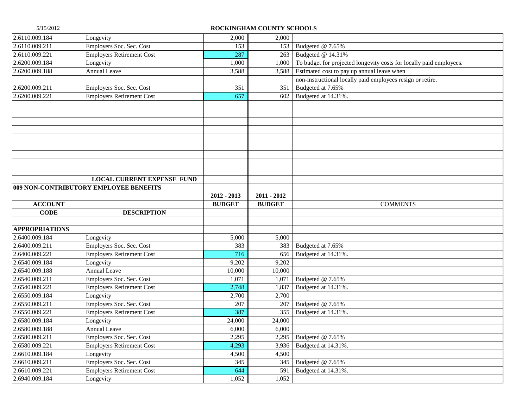| 2.6110.009.184                   | Longevity                                     | 2,000         | 2,000         |                                                                     |
|----------------------------------|-----------------------------------------------|---------------|---------------|---------------------------------------------------------------------|
| 2.6110.009.211                   | Employers Soc. Sec. Cost                      | 153           | 153           | Budgeted @ 7.65%                                                    |
| 2.6110.009.221                   | <b>Employers Retirement Cost</b>              | 287           | 263           | Budgeted @ 14.31%                                                   |
| 2.6200.009.184                   | Longevity                                     | 1,000         | 1,000         | To budget for projected longevity costs for locally paid employees. |
| 2.6200.009.188                   | <b>Annual Leave</b>                           | 3,588         | 3,588         | Estimated cost to pay up annual leave when                          |
|                                  |                                               |               |               | non-instructional locally paid employees resign or retire.          |
| 2.6200.009.211                   | Employers Soc. Sec. Cost                      | 351           | 351           | Budgeted at 7.65%                                                   |
| 2.6200.009.221                   | <b>Employers Retirement Cost</b>              | 657           | 602           | Budgeted at 14.31%                                                  |
|                                  |                                               |               |               |                                                                     |
|                                  |                                               |               |               |                                                                     |
|                                  |                                               |               |               |                                                                     |
|                                  |                                               |               |               |                                                                     |
|                                  |                                               |               |               |                                                                     |
|                                  |                                               |               |               |                                                                     |
|                                  |                                               |               |               |                                                                     |
|                                  |                                               |               |               |                                                                     |
|                                  |                                               |               |               |                                                                     |
|                                  | <b>LOCAL CURRENT EXPENSE FUND</b>             |               |               |                                                                     |
|                                  | 009 NON-CONTRIBUTORY EMPLOYEE BENEFITS        |               |               |                                                                     |
|                                  |                                               | $2012 - 2013$ | $2011 - 2012$ |                                                                     |
| <b>ACCOUNT</b>                   |                                               | <b>BUDGET</b> | <b>BUDGET</b> | <b>COMMENTS</b>                                                     |
| <b>CODE</b>                      | <b>DESCRIPTION</b>                            |               |               |                                                                     |
|                                  |                                               |               |               |                                                                     |
| <b>APPROPRIATIONS</b>            |                                               |               |               |                                                                     |
| 2.6400.009.184                   | Longevity                                     | 5,000         | 5,000         |                                                                     |
| 2.6400.009.211                   | Employers Soc. Sec. Cost                      | 383           | 383           | Budgeted at 7.65%                                                   |
| 2.6400.009.221                   | <b>Employers Retirement Cost</b>              | 716           | 656           | Budgeted at 14.31%.                                                 |
| 2.6540.009.184                   | Longevity                                     | 9,202         | 9,202         |                                                                     |
| 2.6540.009.188                   | <b>Annual Leave</b>                           | 10,000        | 10,000        |                                                                     |
| 2.6540.009.211                   | Employers Soc. Sec. Cost                      | 1,071         | 1,071         | Budgeted @ 7.65%                                                    |
| 2.6540.009.221                   | <b>Employers Retirement Cost</b>              | 2,748         | 1,837         | Budgeted at 14.31%.                                                 |
| 2.6550.009.184                   | Longevity                                     | 2,700         | 2,700         |                                                                     |
| 2.6550.009.211                   | Employers Soc. Sec. Cost                      | 207           | 207           | Budgeted @ 7.65%                                                    |
| 2.6550.009.221                   |                                               | 387           | 355           |                                                                     |
| 2.6580.009.184                   | <b>Employers Retirement Cost</b>              |               |               | Budgeted at 14.31%.                                                 |
|                                  | Longevity                                     | 24,000        | 24,000        |                                                                     |
| 2.6580.009.188                   | <b>Annual Leave</b>                           | 6,000         | 6,000         |                                                                     |
| 2.6580.009.211                   | Employers Soc. Sec. Cost                      | 2,295         | 2,295         | Budgeted @ 7.65%                                                    |
| 2.6580.009.221                   | <b>Employers Retirement Cost</b>              | 4,293         | 3,936         | Budgeted at 14.31%.                                                 |
| 2.6610.009.184                   | Longevity                                     | 4,500         | 4,500         |                                                                     |
| 2.6610.009.211                   | Employers Soc. Sec. Cost                      | 345           | 345           | Budgeted @ 7.65%                                                    |
| 2.6610.009.221<br>2.6940.009.184 | <b>Employers Retirement Cost</b><br>Longevity | 644           | 591           | Budgeted at 14.31%.                                                 |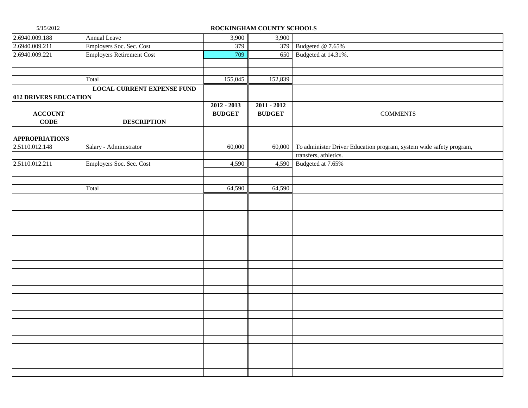| 2.6940.009.188        | <b>Annual Leave</b>               | 3,900         | 3,900               |                                                                            |
|-----------------------|-----------------------------------|---------------|---------------------|----------------------------------------------------------------------------|
| 2.6940.009.211        | Employers Soc. Sec. Cost          | 379           |                     | 379 Budgeted @ 7.65%                                                       |
| 2.6940.009.221        | Employers Retirement Cost         | 709           |                     | 650 Budgeted at 14.31%.                                                    |
|                       |                                   |               |                     |                                                                            |
|                       |                                   |               |                     |                                                                            |
|                       | Total                             | 155,045       | 152,839             |                                                                            |
|                       | <b>LOCAL CURRENT EXPENSE FUND</b> |               |                     |                                                                            |
| 012 DRIVERS EDUCATION |                                   |               |                     |                                                                            |
|                       |                                   | $2012 - 2013$ | $2011 - 2012$       |                                                                            |
| <b>ACCOUNT</b>        |                                   | <b>BUDGET</b> | <b>BUDGET</b>       | <b>COMMENTS</b>                                                            |
| <b>CODE</b>           | <b>DESCRIPTION</b>                |               |                     |                                                                            |
|                       |                                   |               |                     |                                                                            |
| <b>APPROPRIATIONS</b> |                                   |               |                     |                                                                            |
| 2.5110.012.148        | Salary - Administrator            | 60,000        |                     | 60,000 To administer Driver Education program, system wide safety program, |
|                       |                                   |               |                     | transfers, athletics.                                                      |
| 2.5110.012.211        | Employers Soc. Sec. Cost          | 4,590         |                     | 4,590 Budgeted at 7.65%                                                    |
|                       |                                   |               |                     |                                                                            |
|                       |                                   |               |                     |                                                                            |
|                       | Total                             | 64,590        | $\overline{64,590}$ |                                                                            |
|                       |                                   |               |                     |                                                                            |
|                       |                                   |               |                     |                                                                            |
|                       |                                   |               |                     |                                                                            |
|                       |                                   |               |                     |                                                                            |
|                       |                                   |               |                     |                                                                            |
|                       |                                   |               |                     |                                                                            |
|                       |                                   |               |                     |                                                                            |
|                       |                                   |               |                     |                                                                            |
|                       |                                   |               |                     |                                                                            |
|                       |                                   |               |                     |                                                                            |
|                       |                                   |               |                     |                                                                            |
|                       |                                   |               |                     |                                                                            |
|                       |                                   |               |                     |                                                                            |
|                       |                                   |               |                     |                                                                            |
|                       |                                   |               |                     |                                                                            |
|                       |                                   |               |                     |                                                                            |
|                       |                                   |               |                     |                                                                            |
|                       |                                   |               |                     |                                                                            |
|                       |                                   |               |                     |                                                                            |
|                       |                                   |               |                     |                                                                            |
|                       |                                   |               |                     |                                                                            |
|                       |                                   |               |                     |                                                                            |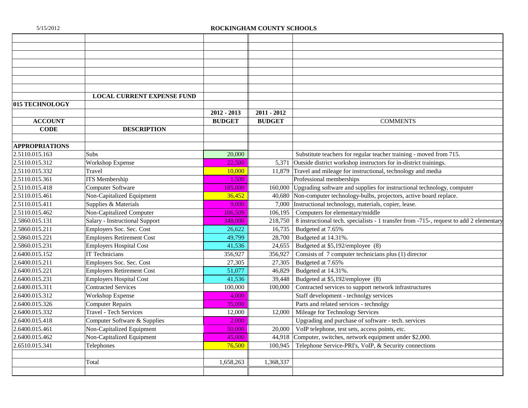|                       | <b>LOCAL CURRENT EXPENSE FUND</b> |               |               |                                                                                        |
|-----------------------|-----------------------------------|---------------|---------------|----------------------------------------------------------------------------------------|
| <b>015 TECHNOLOGY</b> |                                   |               |               |                                                                                        |
|                       |                                   | $2012 - 2013$ | $2011 - 2012$ |                                                                                        |
| <b>ACCOUNT</b>        |                                   | <b>BUDGET</b> | <b>BUDGET</b> | <b>COMMENTS</b>                                                                        |
| <b>CODE</b>           | <b>DESCRIPTION</b>                |               |               |                                                                                        |
|                       |                                   |               |               |                                                                                        |
| <b>APPROPRIATIONS</b> |                                   |               |               |                                                                                        |
| 2.5110.015.163        | Subs                              | 20,000        |               | Substitute teachers for regular teacher training - moved from 715.                     |
| 2.5110.015.312        | <b>Workshop Expense</b>           | 22,500        |               | 5,371 Outside district workshop instructors for in-district trainings.                 |
| 2.5110.015.332        | Travel                            | 10,000        |               | 11,879 Travel and mileage for instructional, technology and media                      |
| 2.5110.015.361        | <b>ITS</b> Membership             | 1,500         |               | Professional memberships                                                               |
| 2.5110.015.418        | <b>Computer Software</b>          | 185,000       | 160,000       | Upgrading software and supplies for instructional technology, computer                 |
| 2.5110.015.461        | Non-Capitalized Equipment         | 36,452        | 40,680        | Non-computer technology-bulbs, projectors, active board replace.                       |
| 2.5110.015.411        | Supplies & Materials              | 9.000         | 7,000         | Instructional technology, materials, copier, lease.                                    |
| 2.5110.015.462        | Non-Capitalized Computer          | 106.509       | 106,195       | Computers for elementary/middle                                                        |
| 2.5860.015.131        | Salary - Instructional Support    | 348,000       | 218,750       | 8 instructional tech. specialists - 1 transfer from -715-, request to add 2 elementary |
| 2.5860.015.211        | Employers Soc. Sec. Cost          | 26,622        | 16,735        | Budgeted at 7.65%                                                                      |
| 2.5860.015.221        | <b>Employers Retirement Cost</b>  | 49,799        | 28,700        | Budgeted at 14.31%.                                                                    |
| 2.5860.015.231        | <b>Employers Hospital Cost</b>    | 41,536        | 24,655        | Budgeted at \$5,192/employee (8)                                                       |
| 2.6400.015.152        | <b>IT Technicians</b>             | 356,927       | 356,927       | Consists of 7 computer technicians plus (1) director                                   |
| 2.6400.015.211        | Employers Soc. Sec. Cost          | 27,305        | 27,305        | Budgeted at 7.65%                                                                      |
| 2.6400.015.221        | <b>Employers Retirement Cost</b>  | 51,077        | 46,829        | Budgeted at 14.31%.                                                                    |
| 2.6400.015.231        | <b>Employers Hospital Cost</b>    | 41,536        | 39,448        | Budgeted at \$5,192/employee (8)                                                       |
| 2.6400.015.311        | <b>Contracted Services</b>        | 100,000       | 100,000       | Contracted services to support network infrastructures                                 |
| 2.6400.015.312        | <b>Workshop Expense</b>           | 4.000         |               | Staff development - technolgy services                                                 |
| 2.6400.015.326        | <b>Computer Repairs</b>           | 35,000        |               | Parts and related services - technolgy                                                 |
| 2.6400.015.332        | <b>Travel - Tech Services</b>     | 12,000        | 12,000        | Mileage for Technology Services                                                        |
| 2.6400.015.418        | Computer Software & Supplies      | 2.000         |               | Upgrading and purchase of software - tech. services                                    |
| 2.6400.015.461        | Non-Capitalized Equipment         | 50,000        | 20,000        | VoIP telephone, test sets, access points, etc.                                         |
| 2.6400.015.462        | Non-Capitalized Equipment         | 45,000        | 44.918        | Computer, switches, network equipment under \$2,000.                                   |
| 2.6510.015.341        | Telephones                        | 76,500        | 100,945       | Telephone Service-PRI's, VoIP, & Security connections                                  |
|                       |                                   |               |               |                                                                                        |
|                       | Total                             | 1,658,263     | 1,368,337     |                                                                                        |
|                       |                                   |               |               |                                                                                        |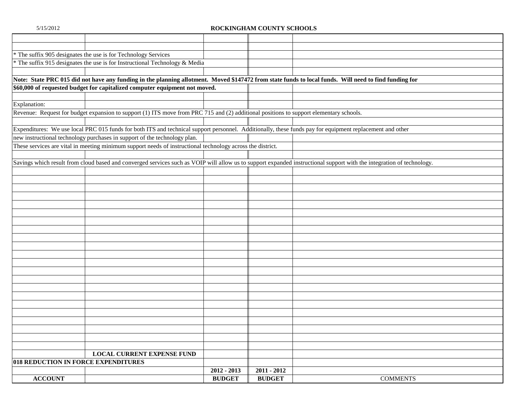| * The suffix 905 designates the use is for Technology Services                                                                                                        |               |               |                 |
|-----------------------------------------------------------------------------------------------------------------------------------------------------------------------|---------------|---------------|-----------------|
| * The suffix 915 designates the use is for Instructional Technology & Media                                                                                           |               |               |                 |
|                                                                                                                                                                       |               |               |                 |
| Note: State PRC 015 did not have any funding in the planning allotment. Moved \$147472 from state funds to local funds. Will need to find funding for                 |               |               |                 |
| \$60,000 of requested budget for capitalized computer equipment not moved.                                                                                            |               |               |                 |
|                                                                                                                                                                       |               |               |                 |
| Explanation:                                                                                                                                                          |               |               |                 |
| Revenue: Request for budget expansion to support (1) ITS move from PRC 715 and (2) additional positions to support elementary schools.                                |               |               |                 |
|                                                                                                                                                                       |               |               |                 |
| Expenditures: We use local PRC 015 funds for both ITS and technical support personnel. Additionally, these funds pay for equipment replacement and other              |               |               |                 |
| new instructional technology purchases in support of the technology plan.                                                                                             |               |               |                 |
| These services are vital in meeting minimum support needs of instructional technology across the district.                                                            |               |               |                 |
|                                                                                                                                                                       |               |               |                 |
| Savings which result from cloud based and converged services such as VOIP will allow us to support expanded instructional support with the integration of technology. |               |               |                 |
|                                                                                                                                                                       |               |               |                 |
|                                                                                                                                                                       |               |               |                 |
|                                                                                                                                                                       |               |               |                 |
|                                                                                                                                                                       |               |               |                 |
|                                                                                                                                                                       |               |               |                 |
|                                                                                                                                                                       |               |               |                 |
|                                                                                                                                                                       |               |               |                 |
|                                                                                                                                                                       |               |               |                 |
|                                                                                                                                                                       |               |               |                 |
|                                                                                                                                                                       |               |               |                 |
|                                                                                                                                                                       |               |               |                 |
|                                                                                                                                                                       |               |               |                 |
|                                                                                                                                                                       |               |               |                 |
|                                                                                                                                                                       |               |               |                 |
|                                                                                                                                                                       |               |               |                 |
|                                                                                                                                                                       |               |               |                 |
|                                                                                                                                                                       |               |               |                 |
|                                                                                                                                                                       |               |               |                 |
|                                                                                                                                                                       |               |               |                 |
|                                                                                                                                                                       |               |               |                 |
|                                                                                                                                                                       |               |               |                 |
|                                                                                                                                                                       |               |               |                 |
| <b>LOCAL CURRENT EXPENSE FUND</b>                                                                                                                                     |               |               |                 |
| 018 REDUCTION IN FORCE EXPENDITURES                                                                                                                                   |               |               |                 |
|                                                                                                                                                                       | 2012 - 2013   | $2011 - 2012$ |                 |
| <b>ACCOUNT</b>                                                                                                                                                        | <b>BUDGET</b> | <b>BUDGET</b> | <b>COMMENTS</b> |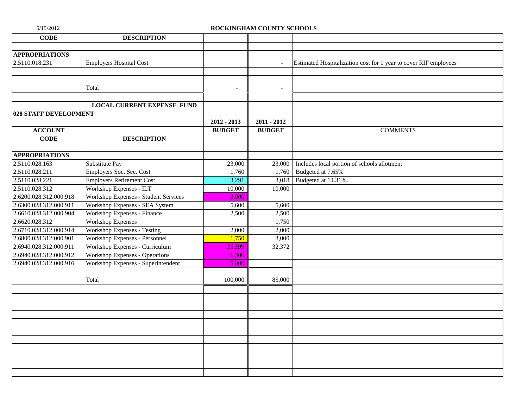| <b>CODE</b>            | <b>DESCRIPTION</b>                          |                                |                          |                                                                  |
|------------------------|---------------------------------------------|--------------------------------|--------------------------|------------------------------------------------------------------|
|                        |                                             |                                |                          |                                                                  |
| <b>APPROPRIATIONS</b>  |                                             |                                |                          |                                                                  |
| 2.5110.018.231         | <b>Employers Hospital Cost</b>              |                                | $\bar{\phantom{a}}$      | Estimated Hospitalization cost for 1 year to cover RIF employees |
|                        |                                             |                                |                          |                                                                  |
|                        |                                             |                                |                          |                                                                  |
|                        | Total                                       | $\overline{\phantom{a}}$       | $\overline{\phantom{a}}$ |                                                                  |
|                        |                                             |                                |                          |                                                                  |
|                        | <b>LOCAL CURRENT EXPENSE FUND</b>           |                                |                          |                                                                  |
| 028 STAFF DEVELOPMENT  |                                             |                                |                          |                                                                  |
|                        |                                             | $2012 - 2013$<br><b>BUDGET</b> | $2011 - 2012$            |                                                                  |
| <b>ACCOUNT</b>         |                                             |                                | <b>BUDGET</b>            | <b>COMMENTS</b>                                                  |
| $CODE$                 | <b>DESCRIPTION</b>                          |                                |                          |                                                                  |
| <b>APPROPRIATIONS</b>  |                                             |                                |                          |                                                                  |
| 2.5110.028.163         | Substitute Pay                              | 23,000                         | 23,000                   | Includes local portion of schools allotment                      |
| 2.5110.028.211         | Employers Soc. Sec. Cost                    | 1,760                          | 1,760                    | Budgeted at 7.65%                                                |
| 2.5110.028.221         | <b>Employers Retirement Cost</b>            | 3,291                          | 3,018                    | Budgeted at 14.31%.                                              |
| 2.5110.028.312         | Workshop Expenses - ILT                     | 10,000                         | 10,000                   |                                                                  |
| 2.6200.028.312.000.918 | <b>Workshop Expenses - Student Services</b> | 3,000                          |                          |                                                                  |
| 2.6300.028.312.000.911 | Workshop Expenses - SEA System              | 5,600                          | 5,600                    |                                                                  |
| 2.6610.028.312.000.904 | Workshop Expenses - Finance                 | 2,500                          | 2,500                    |                                                                  |
| 2.6620.028.312         | <b>Workshop Expenses</b>                    |                                | 1,750                    |                                                                  |
| 2.6710.028.312.000.914 | Workshop Expenses - Testing                 | 2,000                          | 2,000                    |                                                                  |
| 2.6800.028.312.000.901 | Workshop Expenses - Personnel               | 1,750                          | 3,000                    |                                                                  |
| 2.6940.028.312.000.911 | Workshop Expenses - Curriculum              | 35,599                         | 32,372                   |                                                                  |
| 2.6940.028.312.000.912 | <b>Workshop Expenses - Operations</b>       | 6,500                          |                          |                                                                  |
| 2.6940.028.312.000.916 | Workshop Expenses - Superintendent          | 5,000                          |                          |                                                                  |
|                        |                                             |                                |                          |                                                                  |
|                        | Total                                       | 100,000                        | 85,000                   |                                                                  |
|                        |                                             |                                |                          |                                                                  |
|                        |                                             |                                |                          |                                                                  |
|                        |                                             |                                |                          |                                                                  |
|                        |                                             |                                |                          |                                                                  |
|                        |                                             |                                |                          |                                                                  |
|                        |                                             |                                |                          |                                                                  |
|                        |                                             |                                |                          |                                                                  |
|                        |                                             |                                |                          |                                                                  |
|                        |                                             |                                |                          |                                                                  |
|                        |                                             |                                |                          |                                                                  |
|                        |                                             |                                |                          |                                                                  |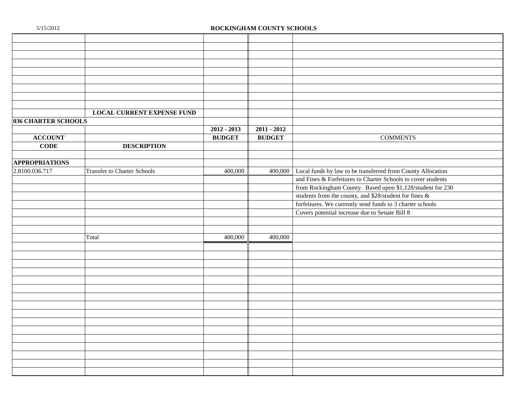|                       | <b>LOCAL CURRENT EXPENSE FUND</b>  |               |               |                                                                     |
|-----------------------|------------------------------------|---------------|---------------|---------------------------------------------------------------------|
| 036 CHARTER SCHOOLS   |                                    |               |               |                                                                     |
|                       |                                    | $2012 - 2013$ | $2011 - 2012$ |                                                                     |
| <b>ACCOUNT</b>        |                                    | <b>BUDGET</b> | <b>BUDGET</b> | <b>COMMENTS</b>                                                     |
| <b>CODE</b>           | <b>DESCRIPTION</b>                 |               |               |                                                                     |
|                       |                                    |               |               |                                                                     |
| <b>APPROPRIATIONS</b> |                                    |               |               |                                                                     |
| 2.8100.036.717        | <b>Transfer to Charter Schools</b> | 400,000       |               | 400,000 Local funds by law to be transferred from County Allocation |
|                       |                                    |               |               | and Fines & Forfeitures to Charter Schools to cover students        |
|                       |                                    |               |               | from Rockingham County. Based upon \$1,128/student for 230          |
|                       |                                    |               |               | students from the county, and \$28/student for fines &              |
|                       |                                    |               |               | forfeitures. We currently send funds to 3 charter schools           |
|                       |                                    |               |               | Covers potential increase due to Senate Bill 8                      |
|                       |                                    |               |               |                                                                     |
|                       |                                    |               |               |                                                                     |
|                       | Total                              | 400,000       | 400,000       |                                                                     |
|                       |                                    |               |               |                                                                     |
|                       |                                    |               |               |                                                                     |
|                       |                                    |               |               |                                                                     |
|                       |                                    |               |               |                                                                     |
|                       |                                    |               |               |                                                                     |
|                       |                                    |               |               |                                                                     |
|                       |                                    |               |               |                                                                     |
|                       |                                    |               |               |                                                                     |
|                       |                                    |               |               |                                                                     |
|                       |                                    |               |               |                                                                     |
|                       |                                    |               |               |                                                                     |
|                       |                                    |               |               |                                                                     |
|                       |                                    |               |               |                                                                     |
|                       |                                    |               |               |                                                                     |
|                       |                                    |               |               |                                                                     |
|                       |                                    |               |               |                                                                     |
|                       |                                    |               |               |                                                                     |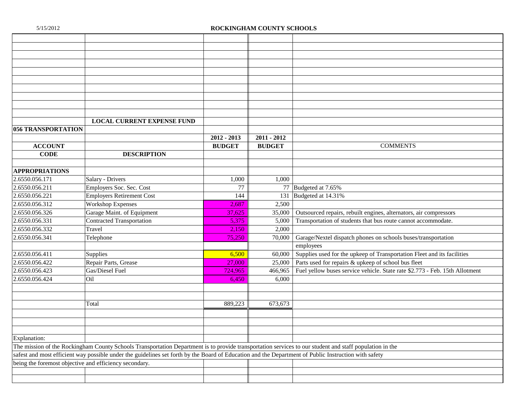|                                                        | <b>LOCAL CURRENT EXPENSE FUND</b>                                                                                                                       |               |               |                                                                             |
|--------------------------------------------------------|---------------------------------------------------------------------------------------------------------------------------------------------------------|---------------|---------------|-----------------------------------------------------------------------------|
| <b>056 TRANSPORTATION</b>                              |                                                                                                                                                         |               |               |                                                                             |
|                                                        |                                                                                                                                                         | $2012 - 2013$ | $2011 - 2012$ |                                                                             |
| <b>ACCOUNT</b>                                         |                                                                                                                                                         | <b>BUDGET</b> | <b>BUDGET</b> | <b>COMMENTS</b>                                                             |
| <b>CODE</b>                                            | <b>DESCRIPTION</b>                                                                                                                                      |               |               |                                                                             |
|                                                        |                                                                                                                                                         |               |               |                                                                             |
| <b>APPROPRIATIONS</b>                                  |                                                                                                                                                         |               |               |                                                                             |
| 2.6550.056.171                                         | Salary - Drivers                                                                                                                                        | 1,000         | 1,000         |                                                                             |
| 2.6550.056.211                                         | Employers Soc. Sec. Cost                                                                                                                                | 77            |               | 77 Budgeted at 7.65%                                                        |
| 2.6550.056.221                                         | <b>Employers Retirement Cost</b>                                                                                                                        | 144           | 131           | Budgeted at 14.31%                                                          |
| 2.6550.056.312                                         | <b>Workshop Expenses</b>                                                                                                                                | 2,687         | 2,500         |                                                                             |
| 2.6550.056.326                                         | Garage Maint. of Equipment                                                                                                                              | 37,625        | 35,000        | Outsourced repairs, rebuilt engines, alternators, air compressors           |
| 2.6550.056.331                                         | <b>Contracted Transportation</b>                                                                                                                        | 5,375         | 5,000         | Transportation of students that bus route cannot accommodate.               |
| 2.6550.056.332                                         | Travel                                                                                                                                                  | 2,150         | 2,000         |                                                                             |
| 2.6550.056.341                                         | Telephone                                                                                                                                               | 75,250        | 70,000        | Garage/Nextel dispatch phones on schools buses/transportation               |
|                                                        |                                                                                                                                                         |               |               | employees                                                                   |
| 2.6550.056.411                                         | Supplies                                                                                                                                                | 6,500         | 60,000        | Supplies used for the upkeep of Transportation Fleet and its facilities     |
| 2.6550.056.422                                         | Repair Parts, Grease                                                                                                                                    | 27,000        | 25,000        | Parts used for repairs & upkeep of school bus fleet                         |
| 2.6550.056.423                                         | Gas/Diesel Fuel                                                                                                                                         | 724,965       | 466,965       | Fuel yellow buses service vehicle. State rate \$2.773 - Feb. 15th Allotment |
| 2.6550.056.424                                         | Oil                                                                                                                                                     | 6,450         | 6,000         |                                                                             |
|                                                        |                                                                                                                                                         |               |               |                                                                             |
|                                                        |                                                                                                                                                         |               |               |                                                                             |
|                                                        | Total                                                                                                                                                   | 889,223       | 673,673       |                                                                             |
|                                                        |                                                                                                                                                         |               |               |                                                                             |
|                                                        |                                                                                                                                                         |               |               |                                                                             |
|                                                        |                                                                                                                                                         |               |               |                                                                             |
| Explanation:                                           |                                                                                                                                                         |               |               |                                                                             |
|                                                        | The mission of the Rockingham County Schools Transportation Department is to provide transportation services to our student and staff population in the |               |               |                                                                             |
|                                                        | safest and most efficient way possible under the guidelines set forth by the Board of Education and the Department of Public Instruction with safety    |               |               |                                                                             |
| being the foremost objective and efficiency secondary. |                                                                                                                                                         |               |               |                                                                             |
|                                                        |                                                                                                                                                         |               |               |                                                                             |
|                                                        |                                                                                                                                                         |               |               |                                                                             |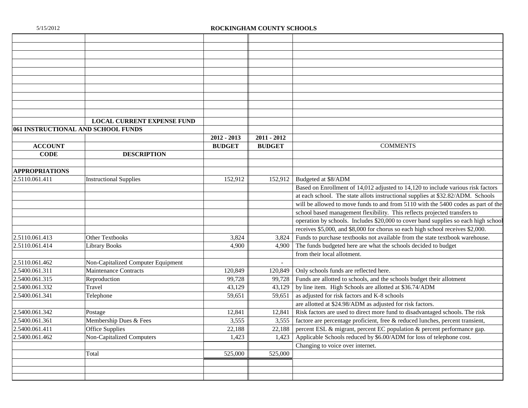|                                    | <b>LOCAL CURRENT EXPENSE FUND</b>  |               |               |                                                                                    |
|------------------------------------|------------------------------------|---------------|---------------|------------------------------------------------------------------------------------|
| 061 INSTRUCTIONAL AND SCHOOL FUNDS |                                    |               |               |                                                                                    |
|                                    |                                    | $2012 - 2013$ | $2011 - 2012$ |                                                                                    |
| <b>ACCOUNT</b>                     |                                    | <b>BUDGET</b> | <b>BUDGET</b> | <b>COMMENTS</b>                                                                    |
| <b>CODE</b>                        | <b>DESCRIPTION</b>                 |               |               |                                                                                    |
|                                    |                                    |               |               |                                                                                    |
| <b>APPROPRIATIONS</b>              |                                    |               |               |                                                                                    |
| 2.5110.061.411                     | <b>Instructional Supplies</b>      | 152.912       | 152.912       | Budgeted at \$8/ADM                                                                |
|                                    |                                    |               |               | Based on Enrollment of 14,012 adjusted to 14,120 to include various risk factors   |
|                                    |                                    |               |               | at each school. The state allots instructional supplies at \$32.82/ADM. Schools    |
|                                    |                                    |               |               | will be allowed to move funds to and from 5110 with the 5400 codes as part of the  |
|                                    |                                    |               |               | school based management flexibility. This reflects projected transfers to          |
|                                    |                                    |               |               | operation by schools. Includes \$20,000 to cover band supplies so each high school |
|                                    |                                    |               |               | receives \$5,000, and \$8,000 for chorus so each high school receives \$2,000.     |
| 2.5110.061.413                     | <b>Other Textbooks</b>             | 3,824         | 3,824         | Funds to purchase textbooks not available from the state textbook warehouse.       |
| 2.5110.061.414                     | <b>Library Books</b>               | 4,900         | 4.900         | The funds budgeted here are what the schools decided to budget                     |
|                                    |                                    |               |               | from their local allotment.                                                        |
| 2.5110.061.462                     | Non-Capitalized Computer Equipment |               |               |                                                                                    |
| 2.5400.061.311                     | <b>Maintenance Contracts</b>       | 120,849       | 120,849       | Only schools funds are reflected here.                                             |
| 2.5400.061.315                     | Reproduction                       | 99,728        | 99.728        | Funds are allotted to schools, and the schools budget their allotment              |
| 2.5400.061.332                     | Travel                             | 43,129        | 43,129        | by line item. High Schools are allotted at \$36.74/ADM                             |
| 2.5400.061.341                     | Telephone                          | 59,651        | 59,651        | as adjusted for risk factors and K-8 schools                                       |
|                                    |                                    |               |               | are allotted at \$24.98/ADM as adjusted for risk factors.                          |
| 2.5400.061.342                     | Postage                            | 12,841        | 12,841        | Risk factors are used to direct more fund to disadvantaged schools. The risk       |
| 2.5400.061.361                     | Membership Dues & Fees             | 3,555         | 3,555         | factore are percentage proficient, free & reduced lunches, percent transient,      |
| 2.5400.061.411                     | <b>Office Supplies</b>             | 22,188        | 22,188        | percent ESL & migrant, percent EC population & percent performance gap.            |
| 2.5400.061.462                     | <b>Non-Capitalized Computers</b>   | 1,423         | 1,423         | Applicable Schools reduced by \$6.00/ADM for loss of telephone cost.               |
|                                    |                                    |               |               | Changing to voice over internet.                                                   |
|                                    | Total                              | 525,000       | 525,000       |                                                                                    |
|                                    |                                    |               |               |                                                                                    |
|                                    |                                    |               |               |                                                                                    |
|                                    |                                    |               |               |                                                                                    |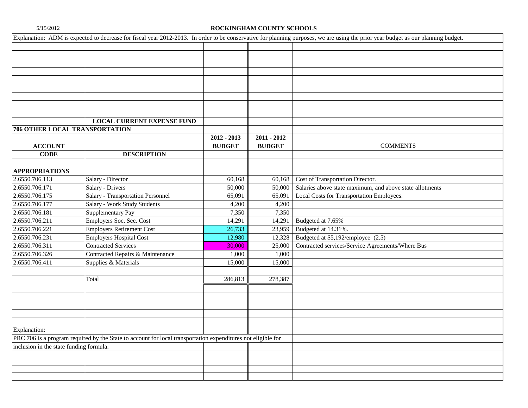|                                         |                                                                                                              |               |               | Explanation: ADM is expected to decrease for fiscal year 2012-2013. In order to be conservative for planning purposes, we are using the prior year budget as our planning budget. |
|-----------------------------------------|--------------------------------------------------------------------------------------------------------------|---------------|---------------|-----------------------------------------------------------------------------------------------------------------------------------------------------------------------------------|
|                                         |                                                                                                              |               |               |                                                                                                                                                                                   |
|                                         |                                                                                                              |               |               |                                                                                                                                                                                   |
|                                         |                                                                                                              |               |               |                                                                                                                                                                                   |
|                                         |                                                                                                              |               |               |                                                                                                                                                                                   |
|                                         |                                                                                                              |               |               |                                                                                                                                                                                   |
|                                         |                                                                                                              |               |               |                                                                                                                                                                                   |
|                                         |                                                                                                              |               |               |                                                                                                                                                                                   |
|                                         |                                                                                                              |               |               |                                                                                                                                                                                   |
|                                         |                                                                                                              |               |               |                                                                                                                                                                                   |
|                                         | <b>LOCAL CURRENT EXPENSE FUND</b>                                                                            |               |               |                                                                                                                                                                                   |
| 706 OTHER LOCAL TRANSPORTATION          |                                                                                                              |               |               |                                                                                                                                                                                   |
|                                         |                                                                                                              | $2012 - 2013$ | $2011 - 2012$ |                                                                                                                                                                                   |
| <b>ACCOUNT</b>                          |                                                                                                              | <b>BUDGET</b> | <b>BUDGET</b> | <b>COMMENTS</b>                                                                                                                                                                   |
| <b>CODE</b>                             | <b>DESCRIPTION</b>                                                                                           |               |               |                                                                                                                                                                                   |
|                                         |                                                                                                              |               |               |                                                                                                                                                                                   |
| <b>APPROPRIATIONS</b>                   |                                                                                                              |               |               |                                                                                                                                                                                   |
| 2.6550.706.113                          | Salary - Director                                                                                            | 60,168        | 60,168        | Cost of Transportation Director.                                                                                                                                                  |
| 2.6550.706.171                          | Salary - Drivers                                                                                             | 50,000        | 50,000        | Salaries above state maximum, and above state allotments                                                                                                                          |
| 2.6550.706.175                          | <b>Salary - Transportation Personnel</b>                                                                     | 65,091        | 65,091        | Local Costs for Transportation Employees.                                                                                                                                         |
| 2.6550.706.177                          | Salary - Work Study Students                                                                                 | 4,200         | 4,200         |                                                                                                                                                                                   |
| 2.6550.706.181                          | Supplementary Pay                                                                                            | 7,350         | 7,350         |                                                                                                                                                                                   |
| 2.6550.706.211                          | Employers Soc. Sec. Cost                                                                                     | 14,291        | 14,291        | Budgeted at 7.65%                                                                                                                                                                 |
| 2.6550.706.221                          | <b>Employers Retirement Cost</b>                                                                             | 26,733        | 23,959        | Budgeted at 14.31%.                                                                                                                                                               |
| 2.6550.706.231                          | <b>Employers Hospital Cost</b>                                                                               | 12,980        | 12,328        | Budgeted at \$5,192/employee (2.5)                                                                                                                                                |
| 2.6550.706.311                          | <b>Contracted Services</b>                                                                                   | 30,000        | 25,000        | Contracted services/Service Agreements/Where Bus                                                                                                                                  |
| 2.6550.706.326                          | Contracted Repairs & Maintenance                                                                             | 1,000         | 1,000         |                                                                                                                                                                                   |
| 2.6550.706.411                          | Supplies & Materials                                                                                         | 15,000        | 15,000        |                                                                                                                                                                                   |
|                                         |                                                                                                              |               |               |                                                                                                                                                                                   |
|                                         | Total                                                                                                        | 286,813       | 278,387       |                                                                                                                                                                                   |
|                                         |                                                                                                              |               |               |                                                                                                                                                                                   |
|                                         |                                                                                                              |               |               |                                                                                                                                                                                   |
|                                         |                                                                                                              |               |               |                                                                                                                                                                                   |
|                                         |                                                                                                              |               |               |                                                                                                                                                                                   |
|                                         |                                                                                                              |               |               |                                                                                                                                                                                   |
| Explanation:                            |                                                                                                              |               |               |                                                                                                                                                                                   |
|                                         | PRC 706 is a program required by the State to account for local transportation expenditures not eligible for |               |               |                                                                                                                                                                                   |
| inclusion in the state funding formula. |                                                                                                              |               |               |                                                                                                                                                                                   |
|                                         |                                                                                                              |               |               |                                                                                                                                                                                   |
|                                         |                                                                                                              |               |               |                                                                                                                                                                                   |
|                                         |                                                                                                              |               |               |                                                                                                                                                                                   |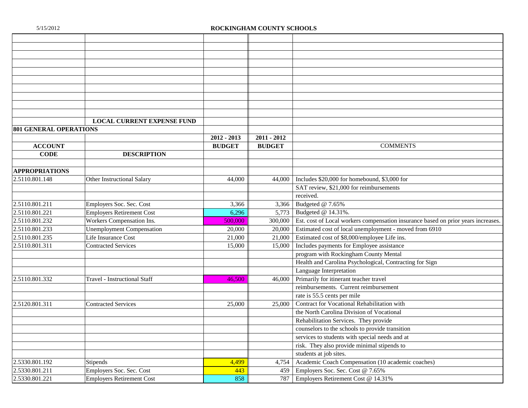|                               | <b>LOCAL CURRENT EXPENSE FUND</b>   |               |               |                                                                                   |
|-------------------------------|-------------------------------------|---------------|---------------|-----------------------------------------------------------------------------------|
| <b>801 GENERAL OPERATIONS</b> |                                     |               |               |                                                                                   |
|                               |                                     | $2012 - 2013$ | $2011 - 2012$ |                                                                                   |
| <b>ACCOUNT</b>                |                                     | <b>BUDGET</b> | <b>BUDGET</b> | <b>COMMENTS</b>                                                                   |
| <b>CODE</b>                   | <b>DESCRIPTION</b>                  |               |               |                                                                                   |
|                               |                                     |               |               |                                                                                   |
| <b>APPROPRIATIONS</b>         |                                     |               |               |                                                                                   |
| 2.5110.801.148                | Other Instructional Salary          | 44,000        |               | 44,000 Includes \$20,000 for homebound, \$3,000 for                               |
|                               |                                     |               |               | SAT review, \$21,000 for reimbursements                                           |
|                               |                                     |               |               | received.                                                                         |
| 2.5110.801.211                | Employers Soc. Sec. Cost            | 3,366         | 3,366         | Budgeted @ 7.65%                                                                  |
| 2.5110.801.221                | <b>Employers Retirement Cost</b>    | 6,296         | 5,773         | Budgeted @ 14.31%.                                                                |
| 2.5110.801.232                | Workers Compensation Ins.           | 500,000       | 300,000       | Est. cost of Local workers compensation insurance based on prior years increases. |
| 2.5110.801.233                | <b>Unemployment Compensation</b>    | 20,000        | 20,000        | Estimated cost of local unemployment - moved from 6910                            |
| 2.5110.801.235                | Life Insurance Cost                 | 21,000        | 21,000        | Estimated cost of \$8,000/employee Life ins.                                      |
| 2.5110.801.311                | <b>Contracted Services</b>          | 15,000        | 15,000        | Includes payments for Employee assistance                                         |
|                               |                                     |               |               | program with Rockingham County Mental                                             |
|                               |                                     |               |               | Health and Carolina Psychological, Contracting for Sign                           |
|                               |                                     |               |               | Language Interpretation                                                           |
| 2.5110.801.332                | <b>Travel - Instructional Staff</b> | 46,500        | 46,000        | Primarily for itinerant teacher travel                                            |
|                               |                                     |               |               | reimbursements. Current reimbursement                                             |
|                               |                                     |               |               | rate is 55.5 cents per mile                                                       |
| 2.5120.801.311                | <b>Contracted Services</b>          | 25,000        | 25,000        | Contract for Vocational Rehabilitation with                                       |
|                               |                                     |               |               | the North Carolina Division of Vocational                                         |
|                               |                                     |               |               | Rehabilitation Services. They provide                                             |
|                               |                                     |               |               | counselors to the schools to provide transition                                   |
|                               |                                     |               |               | services to students with special needs and at                                    |
|                               |                                     |               |               | risk. They also provide minimal stipends to                                       |
|                               |                                     |               |               | students at job sites.                                                            |
| 2.5330.801.192                | Stipends                            | 4,499         | 4,754         | Academic Coach Compensation (10 academic coaches)                                 |
| 2.5330.801.211                | Employers Soc. Sec. Cost            | 443           | 459           | Employers Soc. Sec. Cost @ 7.65%                                                  |
| 2.5330.801.221                | <b>Employers Retirement Cost</b>    | 858           | 787           | Employers Retirement Cost @ 14.31%                                                |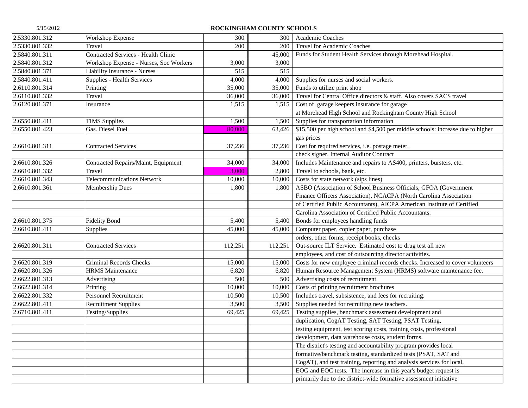| 2.5330.801.312 | Workshop Expense                       | 300     | 300     | Academic Coaches                                                                |
|----------------|----------------------------------------|---------|---------|---------------------------------------------------------------------------------|
| 2.5330.801.332 | Travel                                 | 200     | 200     | <b>Travel for Academic Coaches</b>                                              |
| 2.5840.801.311 | Contracted Services - Health Clinic    |         | 45,000  | Funds for Student Health Services through Morehead Hospital.                    |
| 2.5840.801.312 | Workshop Expense - Nurses, Soc Workers | 3,000   | 3,000   |                                                                                 |
| 2.5840.801.371 | <b>Liability Insurance - Nurses</b>    | 515     | 515     |                                                                                 |
| 2.5840.801.411 | Supplies - Health Services             | 4,000   | 4,000   | Supplies for nurses and social workers.                                         |
| 2.6110.801.314 | Printing                               | 35,000  | 35,000  | Funds to utilize print shop                                                     |
| 2.6110.801.332 | Travel                                 | 36,000  | 36,000  | Travel for Central Office directors & staff. Also covers SACS travel            |
| 2.6120.801.371 | Insurance                              | 1,515   | 1,515   | Cost of garage keepers insurance for garage                                     |
|                |                                        |         |         | at Morehead High School and Rockingham County High School                       |
| 2.6550.801.411 | <b>TIMS</b> Supplies                   | 1,500   | 1,500   | Supplies for transportation information                                         |
| 2.6550.801.423 | Gas. Diesel Fuel                       | 80,000  | 63,426  | \$15,500 per high school and \$4,500 per middle schools: increase due to higher |
|                |                                        |         |         | gas prices                                                                      |
| 2.6610.801.311 | <b>Contracted Services</b>             | 37,236  | 37,236  | Cost for required services, i.e. postage meter,                                 |
|                |                                        |         |         | check signer. Internal Auditor Contract                                         |
| 2.6610.801.326 | Contracted Repairs/Maint. Equipment    | 34,000  | 34,000  | Includes Maintenance and repairs to AS400, printers, bursters, etc.             |
| 2.6610.801.332 | Travel                                 | 3,000   | 2,800   | Travel to schools, bank, etc.                                                   |
| 2.6610.801.343 | <b>Telecommunications Network</b>      | 10,000  | 10,000  | Costs for state network (sips lines)                                            |
| 2.6610.801.361 | Membership Dues                        | 1,800   | 1,800   | ASBO (Association of School Business Officials, GFOA (Government                |
|                |                                        |         |         | Finance Officers Association), NCACPA (North Carolina Association               |
|                |                                        |         |         | of Certified Public Accountants), AICPA American Institute of Certified         |
|                |                                        |         |         | Carolina Association of Certified Public Accountants.                           |
| 2.6610.801.375 | <b>Fidelity Bond</b>                   | 5,400   | 5,400   | Bonds for employees handling funds                                              |
| 2.6610.801.411 | Supplies                               | 45,000  | 45,000  | Computer paper, copier paper, purchase                                          |
|                |                                        |         |         | orders, other forms, receipt books, checks                                      |
| 2.6620.801.311 | <b>Contracted Services</b>             | 112,251 | 112,251 | Out-source ILT Service. Estimated cost to drug test all new                     |
|                |                                        |         |         | employees, and cost of outsourcing director activities.                         |
| 2.6620.801.319 | <b>Criminal Records Checks</b>         | 15,000  | 15,000  | Costs for new employee criminal records checks. Increased to cover volunteers   |
| 2.6620.801.326 | <b>HRMS</b> Maintenance                | 6,820   | 6,820   | Human Resource Management System (HRMS) software maintenance fee.               |
| 2.6622.801.313 | Advertising                            | 500     | 500     | Advertising costs of recruitment.                                               |
| 2.6622.801.314 | Printing                               | 10,000  | 10,000  | Costs of printing recruitment brochures                                         |
| 2.6622.801.332 | <b>Personnel Recruitment</b>           | 10,500  | 10,500  | Includes travel, subsistence, and fees for recruiting.                          |
| 2.6622.801.411 | <b>Recruitment Supplies</b>            | 3,500   | 3,500   | Supplies needed for recruiting new teachers.                                    |
| 2.6710.801.411 | Testing/Supplies                       | 69,425  | 69,425  | Testing supplies, benchmark assessment development and                          |
|                |                                        |         |         | duplication, CogAT Testing, SAT Testing, PSAT Testing,                          |
|                |                                        |         |         | testing equipment, test scoring costs, training costs, professional             |
|                |                                        |         |         | development, data warehouse costs, student forms.                               |
|                |                                        |         |         | The district's testing and accountability program provides local                |
|                |                                        |         |         | formative/benchmark testing, standardized tests (PSAT, SAT and                  |
|                |                                        |         |         | CogAT), and test training, reporting and analysis services for local,           |
|                |                                        |         |         | EOG and EOC tests. The increase in this year's budget request is                |
|                |                                        |         |         | primarily due to the district-wide formative assessment initiative              |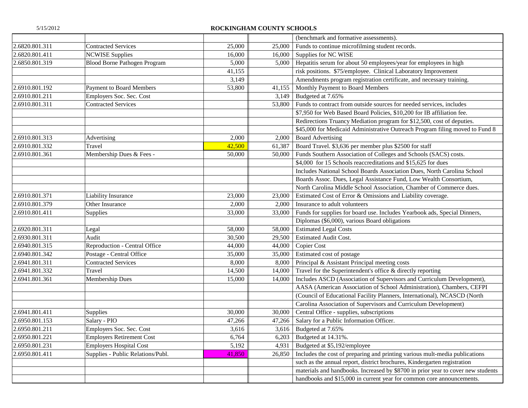|                |                                     |        |        | (benchmark and formative assessments).                                           |
|----------------|-------------------------------------|--------|--------|----------------------------------------------------------------------------------|
| 2.6820.801.311 | <b>Contracted Services</b>          | 25,000 | 25,000 | Funds to continue microfilming student records.                                  |
| 2.6820.801.411 | <b>NCWISE Supplies</b>              | 16,000 | 16,000 | Supplies for NC WISE                                                             |
| 2.6850.801.319 | <b>Blood Borne Pathogen Program</b> | 5,000  | 5,000  | Hepatitis serum for about 50 employees/year for employees in high                |
|                |                                     | 41,155 |        | risk positions. \$75/employee. Clinical Laboratory Improvement                   |
|                |                                     | 3,149  |        | Amendments program registration certificate, and necessary training.             |
| 2.6910.801.192 | <b>Payment to Board Members</b>     | 53,800 | 41,155 | Monthly Payment to Board Members                                                 |
| 2.6910.801.211 | Employers Soc. Sec. Cost            |        | 3,149  | Budgeted at 7.65%                                                                |
| 2.6910.801.311 | <b>Contracted Services</b>          |        | 53,800 | Funds to contract from outside sources for needed services, includes             |
|                |                                     |        |        | \$7,950 for Web Based Board Policies, \$10,200 for IB affiliation fee.           |
|                |                                     |        |        | Redirections Truancy Mediation program for \$12,500, cost of deputies.           |
|                |                                     |        |        | \$45,000 for Medicaid Administrative Outreach Program filing moved to Fund 8     |
| 2.6910.801.313 | Advertising                         | 2,000  | 2,000  | <b>Board Advertising</b>                                                         |
| 2.6910.801.332 | Travel                              | 42,500 | 61,387 | Board Travel. \$3,636 per member plus \$2500 for staff                           |
| 2.6910.801.361 | Membership Dues & Fees -            | 50,000 | 50,000 | Funds Southern Association of Colleges and Schools (SACS) costs.                 |
|                |                                     |        |        | \$4,000 for 15 Schools reaccreditations and \$15,625 for dues                    |
|                |                                     |        |        | Includes National School Boards Association Dues, North Carolina School          |
|                |                                     |        |        | Boards Assoc. Dues, Legal Assistance Fund, Low Wealth Consortium,                |
|                |                                     |        |        | North Carolina Middle School Association, Chamber of Commerce dues.              |
| 2.6910.801.371 | <b>Liability Insurance</b>          | 23,000 | 23,000 | Estimated Cost of Error & Omissions and Liability coverage.                      |
| 2.6910.801.379 | Other Insurance                     | 2,000  | 2,000  | Insurance to adult volunteers                                                    |
| 2.6910.801.411 | Supplies                            | 33,000 | 33,000 | Funds for supplies for board use. Includes Yearbook ads, Special Dinners,        |
|                |                                     |        |        | Diplomas (\$6,000), various Board obligations                                    |
| 2.6920.801.311 | Legal                               | 58,000 | 58,000 | <b>Estimated Legal Costs</b>                                                     |
| 2.6930.801.311 | Audit                               | 30,500 | 29,500 | <b>Estimated Audit Cost.</b>                                                     |
| 2.6940.801.315 | Reproduction - Central Office       | 44,000 | 44,000 | Copier Cost                                                                      |
| 2.6940.801.342 | Postage - Central Office            | 35,000 | 35,000 | Estimated cost of postage                                                        |
| 2.6941.801.311 | <b>Contracted Services</b>          | 8,000  | 8,000  | Principal & Assistant Principal meeting costs                                    |
| 2.6941.801.332 | Travel                              | 14,500 | 14,000 | Travel for the Superintendent's office & directly reporting                      |
| 2.6941.801.361 | Membership Dues                     | 15,000 | 14,000 | Includes ASCD (Association of Supervisors and Curriculum Development),           |
|                |                                     |        |        | AASA (American Association of School Administration), Chambers, CEFPI            |
|                |                                     |        |        | (Council of Educational Facility Planners, International), NCASCD (North         |
|                |                                     |        |        | Carolina Association of Supervisors and Curriculum Development)                  |
| 2.6941.801.411 | Supplies                            | 30,000 | 30,000 | Central Office - supplies, subscriptions                                         |
| 2.6950.801.153 | Salary - PIO                        | 47,266 | 47,266 | Salary for a Public Information Officer.                                         |
| 2.6950.801.211 | Employers Soc. Sec. Cost            | 3,616  |        | 3,616 Budgeted at 7.65%                                                          |
| 2.6950.801.221 | <b>Employers Retirement Cost</b>    | 6,764  | 6,203  | Budgeted at 14.31%.                                                              |
| 2.6950.801.231 | <b>Employers Hospital Cost</b>      | 5,192  | 4,931  | Budgeted at \$5,192/employee                                                     |
| 2.6950.801.411 | Supplies - Public Relations/Publ.   | 41,850 | 26,850 | Includes the cost of preparing and printing various mult-media publications      |
|                |                                     |        |        | such as the annual report, district brochures, Kindergarten registration         |
|                |                                     |        |        | materials and handbooks. Increased by \$8700 in prior year to cover new students |
|                |                                     |        |        | handbooks and \$15,000 in current year for common core announcements.            |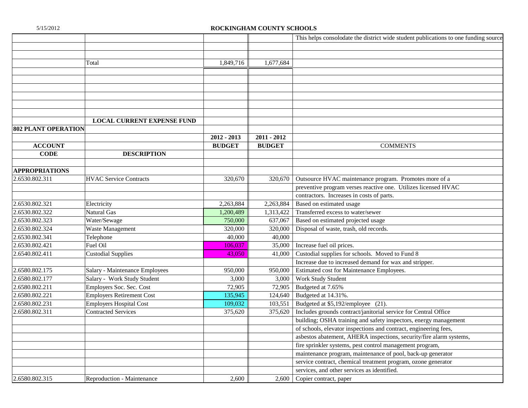|                            |                                   |               |               | This helps consolodate the district wide student publications to one funding source |
|----------------------------|-----------------------------------|---------------|---------------|-------------------------------------------------------------------------------------|
|                            |                                   |               |               |                                                                                     |
|                            |                                   |               |               |                                                                                     |
|                            | Total                             | 1,849,716     | 1,677,684     |                                                                                     |
|                            |                                   |               |               |                                                                                     |
|                            |                                   |               |               |                                                                                     |
|                            |                                   |               |               |                                                                                     |
|                            |                                   |               |               |                                                                                     |
|                            |                                   |               |               |                                                                                     |
|                            |                                   |               |               |                                                                                     |
|                            | <b>LOCAL CURRENT EXPENSE FUND</b> |               |               |                                                                                     |
| <b>802 PLANT OPERATION</b> |                                   |               |               |                                                                                     |
|                            |                                   | 2012 - 2013   | $2011 - 2012$ |                                                                                     |
| <b>ACCOUNT</b>             |                                   | <b>BUDGET</b> | <b>BUDGET</b> | <b>COMMENTS</b>                                                                     |
| <b>CODE</b>                | <b>DESCRIPTION</b>                |               |               |                                                                                     |
|                            |                                   |               |               |                                                                                     |
| <b>APPROPRIATIONS</b>      |                                   |               |               |                                                                                     |
| 2.6530.802.311             | <b>HVAC Service Contracts</b>     | 320,670       | 320,670       | Outsource HVAC maintenance program. Promotes more of a                              |
|                            |                                   |               |               | preventive program verses reactive one. Utilizes licensed HVAC                      |
|                            |                                   |               |               | contractors. Increases in costs of parts.                                           |
| 2.6530.802.321             | Electricity                       | 2,263,884     | 2,263,884     | Based on estimated usage                                                            |
| 2.6530.802.322             | Natural Gas                       | 1,200,489     | 1,313,422     | Transferred excess to water/sewer                                                   |
| 2.6530.802.323             | Water/Sewage                      | 750,000       | 637,067       | Based on estimated projected usage                                                  |
| 2.6530.802.324             | Waste Management                  | 320,000       | 320,000       | Disposal of waste, trash, old records.                                              |
| 2.6530.802.341             | Telephone                         | 40,000        | 40,000        |                                                                                     |
| 2.6530.802.421             | Fuel Oil                          | 106,037       | 35,000        | Increase fuel oil prices.                                                           |
| 2.6540.802.411             | <b>Custodial Supplies</b>         | 43,050        | 41,000        | Custodial supplies for schools. Moved to Fund 8                                     |
|                            |                                   |               |               | Increase due to increased demand for wax and stripper.                              |
| 2.6580.802.175             | Salary - Maintenance Employees    | 950,000       | 950,000       | Estimated cost for Maintenance Employees.                                           |
| 2.6580.802.177             | Salary - Work Study Student       | 3,000         | 3,000         | Work Study Student                                                                  |
| 2.6580.802.211             | Employers Soc. Sec. Cost          | 72,905        | 72,905        | Budgeted at 7.65%                                                                   |
| 2.6580.802.221             | <b>Employers Retirement Cost</b>  | 135,945       | 124,640       | Budgeted at 14.31%.                                                                 |
| 2.6580.802.231             | <b>Employers Hospital Cost</b>    | 109,032       | 103,551       | Budgeted at \$5,192/employee (21).                                                  |
| 2.6580.802.311             | <b>Contracted Services</b>        | 375,620       | 375,620       | Includes grounds contract/janitorial service for Central Office                     |
|                            |                                   |               |               | building; OSHA training and safety inspectors, energy management                    |
|                            |                                   |               |               | of schools, elevator inspections and contract, engineering fees,                    |
|                            |                                   |               |               | asbestos abatement, AHERA inspections, security/fire alarm systems,                 |
|                            |                                   |               |               | fire sprinkler systems, pest control management program,                            |
|                            |                                   |               |               | maintenance program, maintenance of pool, back-up generator                         |
|                            |                                   |               |               | service contract, chemical treatment program, ozone generator                       |
|                            |                                   |               |               | services, and other services as identified.                                         |
| 2.6580.802.315             | Reproduction - Maintenance        | 2,600         | 2,600         | Copier contract, paper                                                              |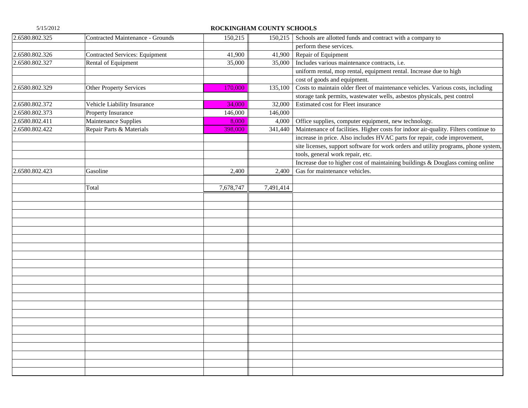| 2.6580.802.325 | Contracted Maintenance - Grounds      | 150,215   |           | 150,215 Schools are allotted funds and contract with a company to                   |
|----------------|---------------------------------------|-----------|-----------|-------------------------------------------------------------------------------------|
|                |                                       |           |           | perform these services.                                                             |
| 2.6580.802.326 | <b>Contracted Services: Equipment</b> | 41,900    | 41,900    | Repair of Equipment                                                                 |
| 2.6580.802.327 | Rental of Equipment                   | 35,000    |           | 35,000   Includes various maintenance contracts, i.e.                               |
|                |                                       |           |           | uniform rental, mop rental, equipment rental. Increase due to high                  |
|                |                                       |           |           | cost of goods and equipment.                                                        |
| 2.6580.802.329 | <b>Other Property Services</b>        | 170,000   | 135,100   | Costs to maintain older fleet of maintenance vehicles. Various costs, including     |
|                |                                       |           |           | storage tank permits, wastewater wells, asbestos physicals, pest control            |
| 2.6580.802.372 | Vehicle Liability Insurance           | 34,000    | 32,000    | Estimated cost for Fleet insurance                                                  |
| 2.6580.802.373 | Property Insurance                    | 146,000   | 146,000   |                                                                                     |
| 2.6580.802.411 | Maintenance Supplies                  | 8,000     | 4,000     | Office supplies, computer equipment, new technology.                                |
| 2.6580.802.422 | Repair Parts & Materials              | 398,000   | 341,440   | Maintenance of facilities. Higher costs for indoor air-quality. Filters continue to |
|                |                                       |           |           | increase in price. Also includes HVAC parts for repair, code improvement,           |
|                |                                       |           |           | site licenses, support software for work orders and utility programs, phone system, |
|                |                                       |           |           | tools, general work repair, etc.                                                    |
|                |                                       |           |           | Increase due to higher cost of maintaining buildings & Douglass coming online       |
| 2.6580.802.423 | Gasoline                              | 2,400     | 2,400     | Gas for maintenance vehicles.                                                       |
|                |                                       |           |           |                                                                                     |
|                | Total                                 | 7,678,747 | 7,491,414 |                                                                                     |
|                |                                       |           |           |                                                                                     |
|                |                                       |           |           |                                                                                     |
|                |                                       |           |           |                                                                                     |
|                |                                       |           |           |                                                                                     |
|                |                                       |           |           |                                                                                     |
|                |                                       |           |           |                                                                                     |
|                |                                       |           |           |                                                                                     |
|                |                                       |           |           |                                                                                     |
|                |                                       |           |           |                                                                                     |
|                |                                       |           |           |                                                                                     |
|                |                                       |           |           |                                                                                     |
|                |                                       |           |           |                                                                                     |
|                |                                       |           |           |                                                                                     |
|                |                                       |           |           |                                                                                     |
|                |                                       |           |           |                                                                                     |
|                |                                       |           |           |                                                                                     |
|                |                                       |           |           |                                                                                     |
|                |                                       |           |           |                                                                                     |
|                |                                       |           |           |                                                                                     |
|                |                                       |           |           |                                                                                     |
|                |                                       |           |           |                                                                                     |
|                |                                       |           |           |                                                                                     |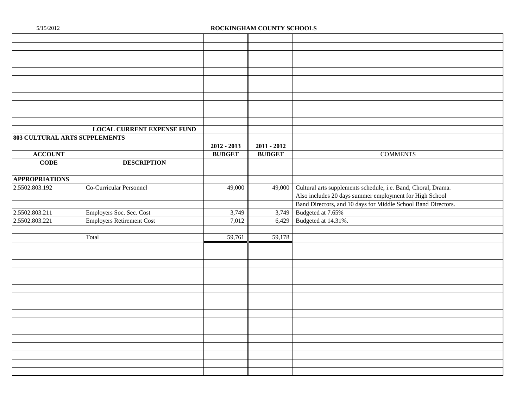|                               | <b>LOCAL CURRENT EXPENSE FUND</b> |               |               |                                                               |
|-------------------------------|-----------------------------------|---------------|---------------|---------------------------------------------------------------|
| 803 CULTURAL ARTS SUPPLEMENTS |                                   |               |               |                                                               |
|                               |                                   | $2012 - 2013$ | $2011 - 2012$ |                                                               |
| <b>ACCOUNT</b>                |                                   | <b>BUDGET</b> | <b>BUDGET</b> | <b>COMMENTS</b>                                               |
| <b>CODE</b>                   | <b>DESCRIPTION</b>                |               |               |                                                               |
|                               |                                   |               |               |                                                               |
| <b>APPROPRIATIONS</b>         |                                   |               |               |                                                               |
| 2.5502.803.192                | Co-Curricular Personnel           | 49,000        | 49,000        | Cultural arts supplements schedule, i.e. Band, Choral, Drama. |
|                               |                                   |               |               | Also includes 20 days summer employment for High School       |
|                               |                                   |               |               | Band Directors, and 10 days for Middle School Band Directors. |
| 2.5502.803.211                | Employers Soc. Sec. Cost          | 3,749         | 3,749         | Budgeted at 7.65%                                             |
| 2.5502.803.221                | <b>Employers Retirement Cost</b>  | 7,012         | 6,429         | Budgeted at 14.31%.                                           |
|                               |                                   |               |               |                                                               |
|                               | Total                             | 59,761        | 59,178        |                                                               |
|                               |                                   |               |               |                                                               |
|                               |                                   |               |               |                                                               |
|                               |                                   |               |               |                                                               |
|                               |                                   |               |               |                                                               |
|                               |                                   |               |               |                                                               |
|                               |                                   |               |               |                                                               |
|                               |                                   |               |               |                                                               |
|                               |                                   |               |               |                                                               |
|                               |                                   |               |               |                                                               |
|                               |                                   |               |               |                                                               |
|                               |                                   |               |               |                                                               |
|                               |                                   |               |               |                                                               |
|                               |                                   |               |               |                                                               |
|                               |                                   |               |               |                                                               |
|                               |                                   |               |               |                                                               |
|                               |                                   |               |               |                                                               |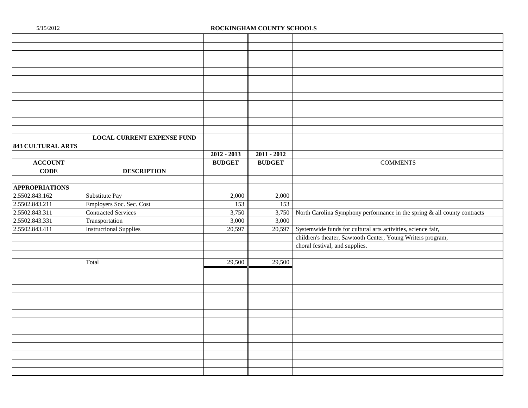|                          | <b>LOCAL CURRENT EXPENSE FUND</b> |               |               |                                                                                   |
|--------------------------|-----------------------------------|---------------|---------------|-----------------------------------------------------------------------------------|
| <b>843 CULTURAL ARTS</b> |                                   |               |               |                                                                                   |
|                          |                                   | $2012 - 2013$ | $2011 - 2012$ |                                                                                   |
| <b>ACCOUNT</b>           |                                   | <b>BUDGET</b> | <b>BUDGET</b> | <b>COMMENTS</b>                                                                   |
| <b>CODE</b>              | <b>DESCRIPTION</b>                |               |               |                                                                                   |
|                          |                                   |               |               |                                                                                   |
| <b>APPROPRIATIONS</b>    |                                   |               |               |                                                                                   |
| 2.5502.843.162           | Substitute Pay                    | 2,000         | 2,000         |                                                                                   |
| 2.5502.843.211           | Employers Soc. Sec. Cost          | 153           | 153           |                                                                                   |
| 2.5502.843.311           | <b>Contracted Services</b>        | 3,750         |               | 3,750 North Carolina Symphony performance in the spring $\&$ all county contracts |
| 2.5502.843.331           | Transportation                    | 3,000         | 3,000         |                                                                                   |
| 2.5502.843.411           | <b>Instructional Supplies</b>     | 20,597        | 20,597        | Systemwide funds for cultural arts activities, science fair,                      |
|                          |                                   |               |               | children's theater, Sawtooth Center, Young Writers program,                       |
|                          |                                   |               |               | choral festival, and supplies.                                                    |
|                          |                                   |               |               |                                                                                   |
|                          | Total                             | 29,500        | 29,500        |                                                                                   |
|                          |                                   |               |               |                                                                                   |
|                          |                                   |               |               |                                                                                   |
|                          |                                   |               |               |                                                                                   |
|                          |                                   |               |               |                                                                                   |
|                          |                                   |               |               |                                                                                   |
|                          |                                   |               |               |                                                                                   |
|                          |                                   |               |               |                                                                                   |
|                          |                                   |               |               |                                                                                   |
|                          |                                   |               |               |                                                                                   |
|                          |                                   |               |               |                                                                                   |
|                          |                                   |               |               |                                                                                   |
|                          |                                   |               |               |                                                                                   |
|                          |                                   |               |               |                                                                                   |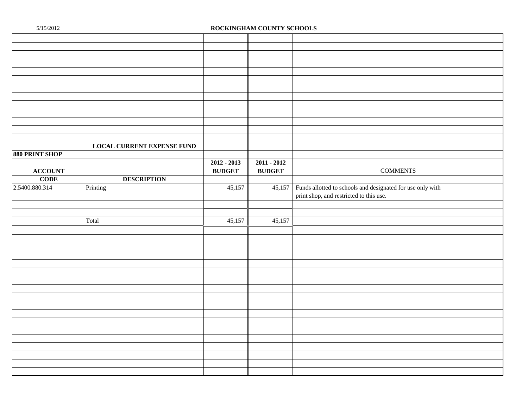|                | <b>LOCAL CURRENT EXPENSE FUND</b> |               |               |                                                            |
|----------------|-----------------------------------|---------------|---------------|------------------------------------------------------------|
| 880 PRINT SHOP |                                   |               |               |                                                            |
|                |                                   | $2012 - 2013$ | $2011 - 2012$ |                                                            |
| <b>ACCOUNT</b> |                                   | <b>BUDGET</b> | <b>BUDGET</b> | <b>COMMENTS</b>                                            |
| <b>CODE</b>    | <b>DESCRIPTION</b>                |               |               |                                                            |
| 2.5400.880.314 | Printing                          | 45,157        | 45,157        | Funds allotted to schools and designated for use only with |
|                |                                   |               |               | print shop, and restricted to this use.                    |
|                |                                   |               |               |                                                            |
|                |                                   |               |               |                                                            |
|                | Total                             | 45,157        | 45,157        |                                                            |
|                |                                   |               |               |                                                            |
|                |                                   |               |               |                                                            |
|                |                                   |               |               |                                                            |
|                |                                   |               |               |                                                            |
|                |                                   |               |               |                                                            |
|                |                                   |               |               |                                                            |
|                |                                   |               |               |                                                            |
|                |                                   |               |               |                                                            |
|                |                                   |               |               |                                                            |
|                |                                   |               |               |                                                            |
|                |                                   |               |               |                                                            |
|                |                                   |               |               |                                                            |
|                |                                   |               |               |                                                            |
|                |                                   |               |               |                                                            |
|                |                                   |               |               |                                                            |
|                |                                   |               |               |                                                            |
|                |                                   |               |               |                                                            |
|                |                                   |               |               |                                                            |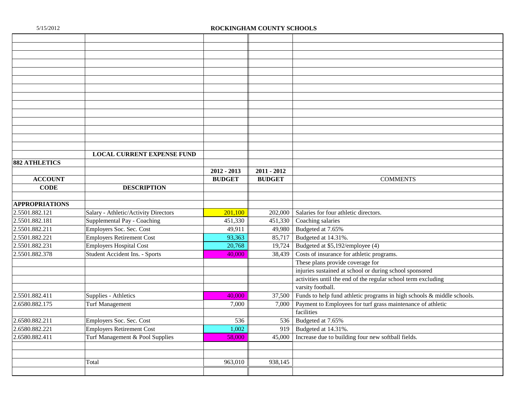|                       | <b>LOCAL CURRENT EXPENSE FUND</b>    |               |               |                                                                        |
|-----------------------|--------------------------------------|---------------|---------------|------------------------------------------------------------------------|
| <b>882 ATHLETICS</b>  |                                      |               |               |                                                                        |
|                       |                                      | $2012 - 2013$ | $2011 - 2012$ |                                                                        |
| <b>ACCOUNT</b>        |                                      | <b>BUDGET</b> | <b>BUDGET</b> | <b>COMMENTS</b>                                                        |
| <b>CODE</b>           | <b>DESCRIPTION</b>                   |               |               |                                                                        |
|                       |                                      |               |               |                                                                        |
| <b>APPROPRIATIONS</b> |                                      |               |               |                                                                        |
| 2.5501.882.121        | Salary - Athletic/Activity Directors | 201,100       | 202,000       | Salaries for four athletic directors.                                  |
| 2.5501.882.181        | Supplemental Pay - Coaching          | 451,330       | 451,330       | Coaching salaries                                                      |
| 2.5501.882.211        | Employers Soc. Sec. Cost             | 49,911        | 49,980        | Budgeted at 7.65%                                                      |
| 2.5501.882.221        | <b>Employers Retirement Cost</b>     | 93,363        | 85,717        | Budgeted at 14.31%.                                                    |
| 2.5501.882.231        | <b>Employers Hospital Cost</b>       | 20,768        | 19,724        | Budgeted at \$5,192/employee (4)                                       |
| 2.5501.882.378        | Student Accident Ins. - Sports       | 40,000        | 38,439        | Costs of insurance for athletic programs.                              |
|                       |                                      |               |               | These plans provide coverage for                                       |
|                       |                                      |               |               | injuries sustained at school or during school sponsored                |
|                       |                                      |               |               | activities until the end of the regular school term excluding          |
|                       |                                      |               |               | varsity football.                                                      |
| 2.5501.882.411        | Supplies - Athletics                 | 40,000        | 37,500        | Funds to help fund athletic programs in high schools & middle schools. |
| 2.6580.882.175        | <b>Turf Management</b>               | 7,000         | 7,000         | Payment to Employees for turf grass maintenance of athletic            |
|                       |                                      |               |               | facilities                                                             |
| 2.6580.882.211        | Employers Soc. Sec. Cost             | 536           | 536           | Budgeted at 7.65%                                                      |
| 2.6580.882.221        | <b>Employers Retirement Cost</b>     | 1,002         | 919           | Budgeted at 14.31%.                                                    |
| 2.6580.882.411        | Turf Management & Pool Supplies      | 58,000        | 45,000        | Increase due to building four new softball fields.                     |
|                       |                                      |               |               |                                                                        |
|                       |                                      |               |               |                                                                        |
|                       | Total                                | 963,010       | 938,145       |                                                                        |
|                       |                                      |               |               |                                                                        |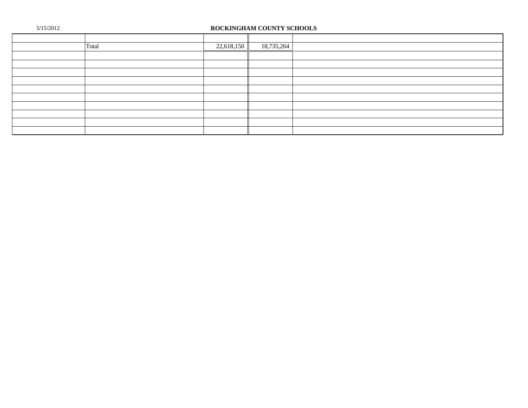| Total | 22,618,150 | 18,735,264 |  |
|-------|------------|------------|--|
|       |            |            |  |
|       |            |            |  |
|       |            |            |  |
|       |            |            |  |
|       |            |            |  |
|       |            |            |  |
|       |            |            |  |
|       |            |            |  |
|       |            |            |  |
|       |            |            |  |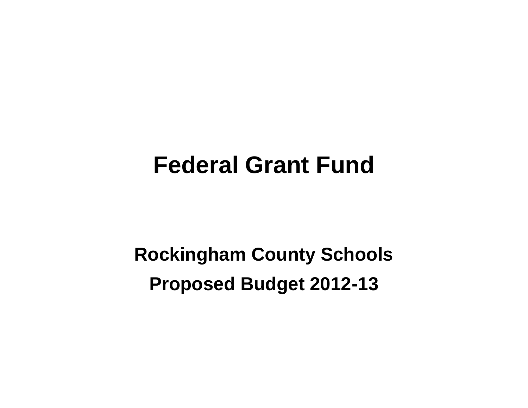# **Federal Grant Fund**

**Rockingham County Schools Proposed Budget 2012-13**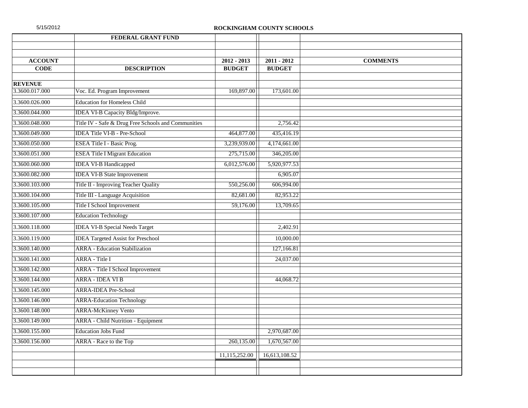| 5/15/2012 |  |  |  |
|-----------|--|--|--|
|           |  |  |  |

|                | <b>FEDERAL GRANT FUND</b>                           |               |               |                 |
|----------------|-----------------------------------------------------|---------------|---------------|-----------------|
|                |                                                     |               |               |                 |
| <b>ACCOUNT</b> |                                                     | $2012 - 2013$ | $2011 - 2012$ | <b>COMMENTS</b> |
| <b>CODE</b>    | <b>DESCRIPTION</b>                                  | <b>BUDGET</b> | <b>BUDGET</b> |                 |
| <b>REVENUE</b> |                                                     |               |               |                 |
| 3.3600.017.000 | Voc. Ed. Program Improvement                        | 169,897.00    | 173,601.00    |                 |
| 3.3600.026.000 | <b>Education for Homeless Child</b>                 |               |               |                 |
| 3.3600.044.000 | IDEA VI-B Capacity Bldg/Improve.                    |               |               |                 |
| 3.3600.048.000 | Title IV - Safe & Drug Free Schools and Communities |               | 2,756.42      |                 |
| 3.3600.049.000 | <b>IDEA Title VI-B - Pre-School</b>                 | 464,877.00    | 435,416.19    |                 |
| 3.3600.050.000 | <b>ESEA Title I - Basic Prog.</b>                   | 3,239,939.00  | 4,174,661.00  |                 |
| 3.3600.051.000 | <b>ESEA Title I Migrant Education</b>               | 275,715.00    | 346,205.00    |                 |
| 3.3600.060.000 | <b>IDEA VI-B Handicapped</b>                        | 6,012,576.00  | 5,920,977.53  |                 |
| 3.3600.082.000 | <b>IDEA VI-B State Improvement</b>                  |               | 6,905.07      |                 |
| 3.3600.103.000 | Title II - Improving Teacher Quality                | 550,256.00    | 606,994.00    |                 |
| 3.3600.104.000 | Title III - Language Acquisition                    | 82,681.00     | 82,953.22     |                 |
| 3.3600.105.000 | Title I School Improvement                          | 59,176.00     | 13,709.65     |                 |
| 3.3600.107.000 | <b>Education Technology</b>                         |               |               |                 |
| 3.3600.118.000 | <b>IDEA VI-B Special Needs Target</b>               |               | 2,402.91      |                 |
| 3.3600.119.000 | <b>IDEA</b> Targeted Assist for Preschool           |               | 10,000.00     |                 |
| 3.3600.140.000 | <b>ARRA</b> - Education Stabilization               |               | 127,166.81    |                 |
| 3.3600.141.000 | <b>ARRA</b> - Title I                               |               | 24,037.00     |                 |
| 3.3600.142.000 | <b>ARRA</b> - Title I School Improvement            |               |               |                 |
| 3.3600.144.000 | <b>ARRA - IDEA VI B</b>                             |               | 44,068.72     |                 |
| 3.3600.145.000 | <b>ARRA-IDEA Pre-School</b>                         |               |               |                 |
| 3.3600.146.000 | <b>ARRA-Education Technology</b>                    |               |               |                 |
| 3.3600.148.000 | <b>ARRA-McKinney Vento</b>                          |               |               |                 |
| 3.3600.149.000 | <b>ARRA</b> - Child Nutrition - Equipment           |               |               |                 |
| 3.3600.155.000 | <b>Education Jobs Fund</b>                          |               | 2,970,687.00  |                 |
| 3.3600.156.000 | ARRA - Race to the Top                              | 260,135.00    | 1,670,567.00  |                 |
|                |                                                     | 11,115,252.00 | 16,613,108.52 |                 |
|                |                                                     |               |               |                 |
|                |                                                     |               |               |                 |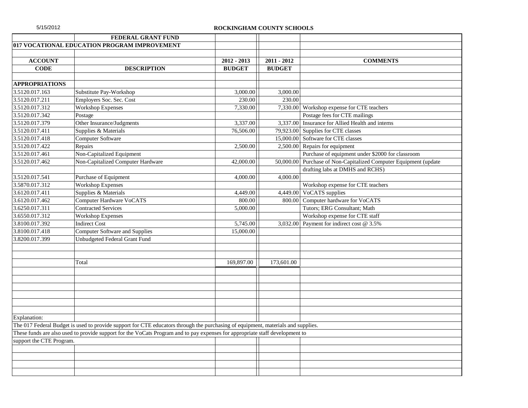|                          | FEDERAL GRANT FUND                                                                                                               |               |               |                                                                  |
|--------------------------|----------------------------------------------------------------------------------------------------------------------------------|---------------|---------------|------------------------------------------------------------------|
|                          | 017 VOCATIONAL EDUCATION PROGRAM IMPROVEMENT                                                                                     |               |               |                                                                  |
|                          |                                                                                                                                  |               |               |                                                                  |
| <b>ACCOUNT</b>           |                                                                                                                                  | $2012 - 2013$ | 2011 - 2012   | <b>COMMENTS</b>                                                  |
| <b>CODE</b>              | <b>DESCRIPTION</b>                                                                                                               | <b>BUDGET</b> | <b>BUDGET</b> |                                                                  |
|                          |                                                                                                                                  |               |               |                                                                  |
| <b>APPROPRIATIONS</b>    |                                                                                                                                  |               |               |                                                                  |
| 3.5120.017.163           | Substitute Pay-Workshop                                                                                                          | 3,000.00      | 3,000.00      |                                                                  |
| 3.5120.017.211           | Employers Soc. Sec. Cost                                                                                                         | 230.00        | 230.00        |                                                                  |
| 3.5120.017.312           | <b>Workshop Expenses</b>                                                                                                         | 7,330.00      |               | 7,330.00 Workshop expense for CTE teachers                       |
| 3.5120.017.342           | Postage                                                                                                                          |               |               | Postage fees for CTE mailings                                    |
| 3.5120.017.379           | Other Insurance/Judgments                                                                                                        | 3,337.00      |               | 3,337.00 Insurance for Allied Health and interns                 |
| 3.5120.017.411           | Supplies & Materials                                                                                                             | 76,506.00     |               | 79,923.00 Supplies for CTE classes                               |
| 3.5120.017.418           | Computer Software                                                                                                                |               |               | 15,000.00 Software for CTE classes                               |
| 3.5120.017.422           | Repairs                                                                                                                          | 2,500.00      |               | $2,500.00$ Repairs for equipment                                 |
| 3.5120.017.461           | Non-Capitalized Equipment                                                                                                        |               |               | Purchase of equipment under \$2000 for classroom                 |
| 3.5120.017.462           | Non-Capitalized Computer Hardware                                                                                                | 42,000.00     |               | 50,000.00 Purchase of Non-Capitalized Computer Equipment (update |
|                          |                                                                                                                                  |               |               | drafting labs at DMHS and RCHS)                                  |
| 3.5120.017.541           | Purchase of Equipment                                                                                                            | 4,000.00      | 4,000.00      |                                                                  |
| 3.5870.017.312           | <b>Workshop Expenses</b>                                                                                                         |               |               | Workshop expense for CTE teachers                                |
| 3.6120.017.411           | Supplies & Materials                                                                                                             | 4,449.00      |               | 4,449.00 VoCATS supplies                                         |
| 3.6120.017.462           | <b>Computer Hardware VoCATS</b>                                                                                                  | 800.00        |               | 800.00 Computer hardware for VoCATS                              |
| 3.6250.017.311           | <b>Contracted Services</b>                                                                                                       | 5,000.00      |               | Tutors; ERG Consultant; Math                                     |
| 3.6550.017.312           | <b>Workshop Expenses</b>                                                                                                         |               |               | Workshop expense for CTE staff                                   |
| 3.8100.017.392           | <b>Indirect Cost</b>                                                                                                             | 5,745.00      |               | 3,032.00 Payment for indirect cost $@$ 3.5%                      |
| 3.8100.017.418           | <b>Computer Software and Supplies</b>                                                                                            | 15,000.00     |               |                                                                  |
| 3.8200.017.399           | Unbudgeted Federal Grant Fund                                                                                                    |               |               |                                                                  |
|                          |                                                                                                                                  |               |               |                                                                  |
|                          |                                                                                                                                  |               |               |                                                                  |
|                          | Total                                                                                                                            | 169,897.00    | 173,601.00    |                                                                  |
|                          |                                                                                                                                  |               |               |                                                                  |
|                          |                                                                                                                                  |               |               |                                                                  |
|                          |                                                                                                                                  |               |               |                                                                  |
|                          |                                                                                                                                  |               |               |                                                                  |
|                          |                                                                                                                                  |               |               |                                                                  |
|                          |                                                                                                                                  |               |               |                                                                  |
| Explanation:             |                                                                                                                                  |               |               |                                                                  |
|                          | The 017 Federal Budget is used to provide support for CTE educators through the purchasing of equipment, materials and supplies. |               |               |                                                                  |
|                          | These funds are also used to provide support for the VoCats Program and to pay expenses for appropriate staff development to     |               |               |                                                                  |
| support the CTE Program. |                                                                                                                                  |               |               |                                                                  |
|                          |                                                                                                                                  |               |               |                                                                  |
|                          |                                                                                                                                  |               |               |                                                                  |
|                          |                                                                                                                                  |               |               |                                                                  |
|                          |                                                                                                                                  |               |               |                                                                  |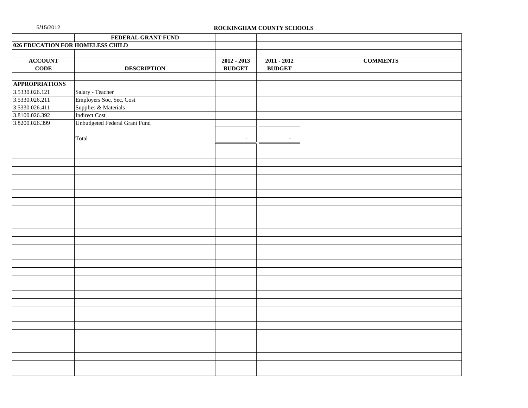|                       | FEDERAL GRANT FUND               |               |                |                 |
|-----------------------|----------------------------------|---------------|----------------|-----------------|
|                       | 026 EDUCATION FOR HOMELESS CHILD |               |                |                 |
|                       |                                  |               |                |                 |
| <b>ACCOUNT</b>        |                                  | $2012 - 2013$ | $2011 - 2012$  | <b>COMMENTS</b> |
| <b>CODE</b>           | <b>DESCRIPTION</b>               | <b>BUDGET</b> | <b>BUDGET</b>  |                 |
|                       |                                  |               |                |                 |
| <b>APPROPRIATIONS</b> |                                  |               |                |                 |
| 3.5330.026.121        | Salary - Teacher                 |               |                |                 |
| 3.5330.026.211        | Employers Soc. Sec. Cost         |               |                |                 |
| 3.5330.026.411        | Supplies & Materials             |               |                |                 |
| 3.8100.026.392        | <b>Indirect Cost</b>             |               |                |                 |
| 3.8200.026.399        | Unbudgeted Federal Grant Fund    |               |                |                 |
|                       |                                  |               |                |                 |
|                       | Total                            | $\sim$        | $\blacksquare$ |                 |
|                       |                                  |               |                |                 |
|                       |                                  |               |                |                 |
|                       |                                  |               |                |                 |
|                       |                                  |               |                |                 |
|                       |                                  |               |                |                 |
|                       |                                  |               |                |                 |
|                       |                                  |               |                |                 |
|                       |                                  |               |                |                 |
|                       |                                  |               |                |                 |
|                       |                                  |               |                |                 |
|                       |                                  |               |                |                 |
|                       |                                  |               |                |                 |
|                       |                                  |               |                |                 |
|                       |                                  |               |                |                 |
|                       |                                  |               |                |                 |
|                       |                                  |               |                |                 |
|                       |                                  |               |                |                 |
|                       |                                  |               |                |                 |
|                       |                                  |               |                |                 |
|                       |                                  |               |                |                 |
|                       |                                  |               |                |                 |
|                       |                                  |               |                |                 |
|                       |                                  |               |                |                 |
|                       |                                  |               |                |                 |
|                       |                                  |               |                |                 |
|                       |                                  |               |                |                 |
|                       |                                  |               |                |                 |
|                       |                                  |               |                |                 |
|                       |                                  |               |                |                 |
|                       |                                  |               |                |                 |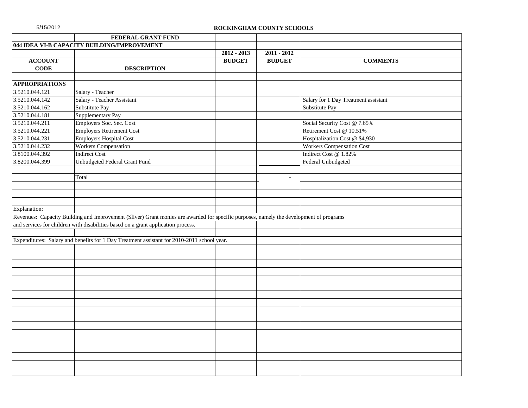|                             | FEDERAL GRANT FUND                                                                                                                      |               |                |                                      |
|-----------------------------|-----------------------------------------------------------------------------------------------------------------------------------------|---------------|----------------|--------------------------------------|
|                             | 044 IDEA VI-B CAPACITY BUILDING/IMPROVEMENT                                                                                             |               |                |                                      |
|                             |                                                                                                                                         | $2012 - 2013$ | $2011 - 2012$  |                                      |
| <b>ACCOUNT</b>              |                                                                                                                                         | <b>BUDGET</b> | <b>BUDGET</b>  | <b>COMMENTS</b>                      |
| <b>CODE</b>                 | <b>DESCRIPTION</b>                                                                                                                      |               |                |                                      |
|                             |                                                                                                                                         |               |                |                                      |
| <b>APPROPRIATIONS</b>       |                                                                                                                                         |               |                |                                      |
| 3.5210.044.121              | Salary - Teacher                                                                                                                        |               |                |                                      |
| 3.5210.044.142              | Salary - Teacher Assistant                                                                                                              |               |                | Salary for 1 Day Treatment assistant |
| $3.5210.044.\overline{162}$ | Substitute Pay                                                                                                                          |               |                | Substitute Pay                       |
| 3.5210.044.181              | Supplementary Pay                                                                                                                       |               |                |                                      |
| 3.5210.044.211              | Employers Soc. Sec. Cost                                                                                                                |               |                | Social Security Cost @ 7.65%         |
| 3.5210.044.221              | <b>Employers Retirement Cost</b>                                                                                                        |               |                | Retirement Cost @ 10.51%             |
| 3.5210.044.231              | <b>Employers Hospital Cost</b>                                                                                                          |               |                | Hospitalization Cost @ \$4,930       |
| 3.5210.044.232              | <b>Workers Compensation</b>                                                                                                             |               |                | <b>Workers Compensation Cost</b>     |
| 3.8100.044.392              | <b>Indirect Cost</b>                                                                                                                    |               |                | Indirect Cost @ 1.82%                |
| 3.8200.044.399              | Unbudgeted Federal Grant Fund                                                                                                           |               |                | Federal Unbudgeted                   |
|                             |                                                                                                                                         |               |                |                                      |
|                             | Total                                                                                                                                   |               | $\blacksquare$ |                                      |
|                             |                                                                                                                                         |               |                |                                      |
|                             |                                                                                                                                         |               |                |                                      |
|                             |                                                                                                                                         |               |                |                                      |
| Explanation:                |                                                                                                                                         |               |                |                                      |
|                             | Revenues: Capacity Building and Improvement (Sliver) Grant monies are awarded for specific purposes, namely the development of programs |               |                |                                      |
|                             | and services for children with disabilities based on a grant application process.                                                       |               |                |                                      |
|                             |                                                                                                                                         |               |                |                                      |
|                             | Expenditures: Salary and benefits for 1 Day Treatment assistant for 2010-2011 school year.                                              |               |                |                                      |
|                             |                                                                                                                                         |               |                |                                      |
|                             |                                                                                                                                         |               |                |                                      |
|                             |                                                                                                                                         |               |                |                                      |
|                             |                                                                                                                                         |               |                |                                      |
|                             |                                                                                                                                         |               |                |                                      |
|                             |                                                                                                                                         |               |                |                                      |
|                             |                                                                                                                                         |               |                |                                      |
|                             |                                                                                                                                         |               |                |                                      |
|                             |                                                                                                                                         |               |                |                                      |
|                             |                                                                                                                                         |               |                |                                      |
|                             |                                                                                                                                         |               |                |                                      |
|                             |                                                                                                                                         |               |                |                                      |
|                             |                                                                                                                                         |               |                |                                      |
|                             |                                                                                                                                         |               |                |                                      |
|                             |                                                                                                                                         |               |                |                                      |
|                             |                                                                                                                                         |               |                |                                      |
|                             |                                                                                                                                         |               |                |                                      |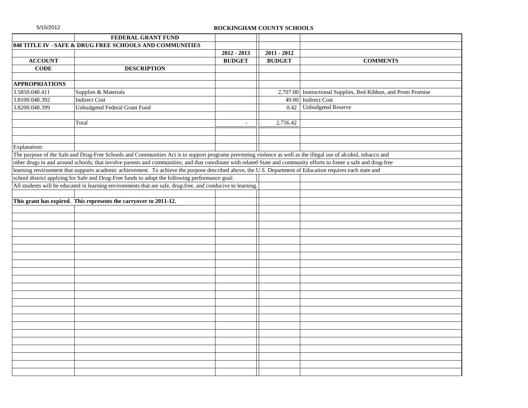|  | 5/15/2012 |  |  |
|--|-----------|--|--|
|  |           |  |  |

|                       | FEDERAL GRANT FUND                                                                                                                                                   |                |               |                                                               |
|-----------------------|----------------------------------------------------------------------------------------------------------------------------------------------------------------------|----------------|---------------|---------------------------------------------------------------|
|                       | 048 TITLE IV - SAFE & DRUG FREE SCHOOLS AND COMMUNITIES                                                                                                              |                |               |                                                               |
|                       |                                                                                                                                                                      | $2012 - 2013$  | $2011 - 2012$ |                                                               |
| <b>ACCOUNT</b>        |                                                                                                                                                                      | <b>BUDGET</b>  | <b>BUDGET</b> | <b>COMMENTS</b>                                               |
| <b>CODE</b>           | <b>DESCRIPTION</b>                                                                                                                                                   |                |               |                                                               |
|                       |                                                                                                                                                                      |                |               |                                                               |
| <b>APPROPRIATIONS</b> |                                                                                                                                                                      |                |               |                                                               |
| 3.5850.048.411        | Supplies & Materials                                                                                                                                                 |                |               | 2,707.00 Instructional Supplies, Red Ribbon, and Prom Promise |
| 3.8100.048.392        | <b>Indirect Cost</b>                                                                                                                                                 |                | 49.00         | <b>Indirect Cost</b>                                          |
| 3.8200.048.399        | Unbudgeted Federal Grant Fund                                                                                                                                        |                | 0.42          | <b>Unbudgeted Reserve</b>                                     |
|                       |                                                                                                                                                                      |                |               |                                                               |
|                       | Total                                                                                                                                                                | $\overline{a}$ | 2,756.42      |                                                               |
|                       |                                                                                                                                                                      |                |               |                                                               |
|                       |                                                                                                                                                                      |                |               |                                                               |
| Explanation:          |                                                                                                                                                                      |                |               |                                                               |
|                       | The purpose of the Safe and Drug-Free Schools and Communities Act is to support programs preventing violence as well as the illegal use of alcohol, tobacco and      |                |               |                                                               |
|                       | other drugs in and around schools; that involve parents and communities; and that coordinate with related State and community efforts to foster a safe and drug-free |                |               |                                                               |
|                       | learning environment that supports academic achievement. To achieve the purpose described above, the U.S. Department of Education requires each state and            |                |               |                                                               |
|                       | school district applying for Safe and Drug-Free funds to adopt the following performance goal:                                                                       |                |               |                                                               |
|                       | All students will be educated in learning environments that are safe, drug-free, and conducive to learning.                                                          |                |               |                                                               |
|                       |                                                                                                                                                                      |                |               |                                                               |
|                       | This grant has expired. This represents the carryover to 2011-12.                                                                                                    |                |               |                                                               |
|                       |                                                                                                                                                                      |                |               |                                                               |
|                       |                                                                                                                                                                      |                |               |                                                               |
|                       |                                                                                                                                                                      |                |               |                                                               |
|                       |                                                                                                                                                                      |                |               |                                                               |
|                       |                                                                                                                                                                      |                |               |                                                               |
|                       |                                                                                                                                                                      |                |               |                                                               |
|                       |                                                                                                                                                                      |                |               |                                                               |
|                       |                                                                                                                                                                      |                |               |                                                               |
|                       |                                                                                                                                                                      |                |               |                                                               |
|                       |                                                                                                                                                                      |                |               |                                                               |
|                       |                                                                                                                                                                      |                |               |                                                               |
|                       |                                                                                                                                                                      |                |               |                                                               |
|                       |                                                                                                                                                                      |                |               |                                                               |
|                       |                                                                                                                                                                      |                |               |                                                               |
|                       |                                                                                                                                                                      |                |               |                                                               |
|                       |                                                                                                                                                                      |                |               |                                                               |
|                       |                                                                                                                                                                      |                |               |                                                               |
|                       |                                                                                                                                                                      |                |               |                                                               |
|                       |                                                                                                                                                                      |                |               |                                                               |
|                       |                                                                                                                                                                      |                |               |                                                               |
|                       |                                                                                                                                                                      |                |               |                                                               |
|                       |                                                                                                                                                                      |                |               |                                                               |
|                       |                                                                                                                                                                      |                |               |                                                               |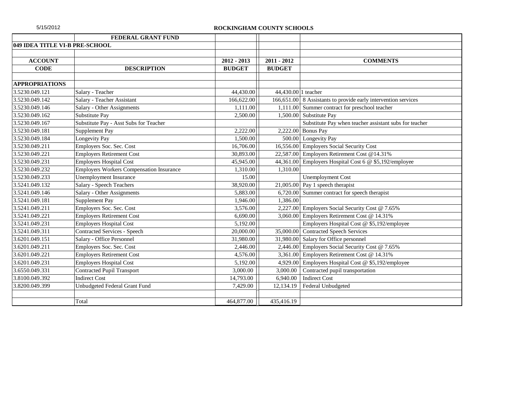|                                | FEDERAL GRANT FUND                              |               |                     |                                                                |
|--------------------------------|-------------------------------------------------|---------------|---------------------|----------------------------------------------------------------|
| 049 IDEA TITLE VI-B PRE-SCHOOL |                                                 |               |                     |                                                                |
|                                |                                                 |               |                     |                                                                |
| <b>ACCOUNT</b>                 |                                                 | $2012 - 2013$ | $2011 - 2012$       | <b>COMMENTS</b>                                                |
| <b>CODE</b>                    | <b>DESCRIPTION</b>                              | <b>BUDGET</b> | <b>BUDGET</b>       |                                                                |
|                                |                                                 |               |                     |                                                                |
| <b>APPROPRIATIONS</b>          |                                                 |               |                     |                                                                |
| 3.5230.049.121                 | Salary - Teacher                                | 44,430.00     | 44,430.00 1 teacher |                                                                |
| 3.5230.049.142                 | Salary - Teacher Assistant                      | 166,622.00    |                     | 166,651.00 8 Assistants to provide early intervention services |
| 3.5230.049.146                 | Salary - Other Assignments                      | 1,111.00      |                     | 1,111.00 Summer contract for preschool teacher                 |
| 3.5230.049.162                 | Substitute Pay                                  | 2,500.00      |                     | 1,500.00 Substitute Pay                                        |
| 3.5230.049.167                 | Substitute Pay - Asst Subs for Teacher          |               |                     | Substitute Pay when teacher assistant subs for teacher         |
| 3.5230.049.181                 | Supplement Pay                                  | 2,222.00      |                     | 2,222.00 Bonus Pay                                             |
| 3.5230.049.184                 | Longevity Pay                                   | 1,500.00      |                     | 500.00 Longevity Pay                                           |
| 3.5230.049.211                 | Employers Soc. Sec. Cost                        | 16,706.00     |                     | 16,556.00 Employers Social Security Cost                       |
| 3.5230.049.221                 | <b>Employers Retirement Cost</b>                | 30,893.00     |                     | 22,587.00 Employers Retirement Cost @14.31%                    |
| 3.5230.049.231                 | Employers Hospital Cost                         | 45,945.00     |                     | 44,361.00 Employers Hospital Cost 6 @ \$5,192/employee         |
| 3.5230.049.232                 | <b>Employers Workers Compensation Insurance</b> | 1,310.00      | 1,310.00            |                                                                |
| 3.5230.049.233                 | <b>Unemployment Insurance</b>                   | 15.00         |                     | <b>Unemployment Cost</b>                                       |
| 3.5241.049.132                 | <b>Salary - Speech Teachers</b>                 | 38,920.00     |                     | $21,005.00$ Pay 1 speech therapist                             |
| 3.5241.049.146                 | Salary - Other Assignments                      | 5,883.00      |                     | 6,720.00 Summer contract for speech therapist                  |
| 3.5241.049.181                 | Supplement Pay                                  | 1,946.00      | 1,386.00            |                                                                |
| 3.5241.049.211                 | Employers Soc. Sec. Cost                        | 3,576.00      |                     | 2,227.00 Employers Social Security Cost @ 7.65%                |
| 3.5241.049.221                 | <b>Employers Retirement Cost</b>                | 6,690.00      |                     | 3,060.00 Employers Retirement Cost @ 14.31%                    |
| 3.5241.049.231                 | <b>Employers Hospital Cost</b>                  | 5,192.00      |                     | Employers Hospital Cost @ \$5,192/employee                     |
| 3.5241.049.311                 | Contracted Services - Speech                    | 20,000.00     |                     | 35,000.00 Contracted Speech Services                           |
| 3.6201.049.151                 | Salary - Office Personnel                       | 31,980.00     |                     | 31,980.00 Salary for Office personnel                          |
| 3.6201.049.211                 | Employers Soc. Sec. Cost                        | 2,446.00      |                     | 2,446.00 Employers Social Security Cost @ 7.65%                |
| 3.6201.049.221                 | <b>Employers Retirement Cost</b>                | 4,576.00      |                     | 3,361.00 Employers Retirement Cost @ 14.31%                    |
| 3.6201.049.231                 | <b>Employers Hospital Cost</b>                  | 5,192.00      | 4,929.00            | Employers Hospital Cost @ \$5,192/employee                     |
| 3.6550.049.331                 | <b>Contracted Pupil Transport</b>               | 3,000.00      | 3,000.00            | Contracted pupil transportation                                |
| 3.8100.049.392                 | <b>Indirect Cost</b>                            | 14,793.00     | 6.940.00            | <b>Indirect Cost</b>                                           |
| 3.8200.049.399                 | Unbudgeted Federal Grant Fund                   | 7,429.00      | 12,134.19           | Federal Unbudgeted                                             |
|                                |                                                 |               |                     |                                                                |
|                                | Total                                           | 464,877.00    | 435,416.19          |                                                                |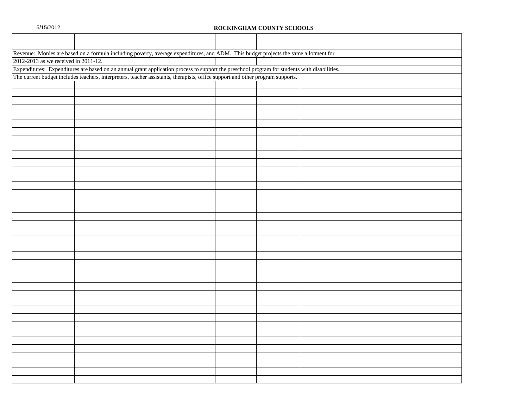|                                      | Revenue: Monies are based on a formula including poverty, average expenditures, and ADM. This budget projects the same allotment for         |  |  |
|--------------------------------------|----------------------------------------------------------------------------------------------------------------------------------------------|--|--|
| 2012-2013 as we received in 2011-12. |                                                                                                                                              |  |  |
|                                      | Expenditures: Expenditures are based on an annual grant application process to support the preschool program for students with disabilities. |  |  |
|                                      | The current budget includes teachers, interpreters, teacher assistants, therapists, office support and other program supports.               |  |  |
|                                      |                                                                                                                                              |  |  |
|                                      |                                                                                                                                              |  |  |
|                                      |                                                                                                                                              |  |  |
|                                      |                                                                                                                                              |  |  |
|                                      |                                                                                                                                              |  |  |
|                                      |                                                                                                                                              |  |  |
|                                      |                                                                                                                                              |  |  |
|                                      |                                                                                                                                              |  |  |
|                                      |                                                                                                                                              |  |  |
|                                      |                                                                                                                                              |  |  |
|                                      |                                                                                                                                              |  |  |
|                                      |                                                                                                                                              |  |  |
|                                      |                                                                                                                                              |  |  |
|                                      |                                                                                                                                              |  |  |
|                                      |                                                                                                                                              |  |  |
|                                      |                                                                                                                                              |  |  |
|                                      |                                                                                                                                              |  |  |
|                                      |                                                                                                                                              |  |  |
|                                      |                                                                                                                                              |  |  |
|                                      |                                                                                                                                              |  |  |
|                                      |                                                                                                                                              |  |  |
|                                      |                                                                                                                                              |  |  |
|                                      |                                                                                                                                              |  |  |
|                                      |                                                                                                                                              |  |  |
|                                      |                                                                                                                                              |  |  |
|                                      |                                                                                                                                              |  |  |
|                                      |                                                                                                                                              |  |  |
|                                      |                                                                                                                                              |  |  |
|                                      |                                                                                                                                              |  |  |
|                                      |                                                                                                                                              |  |  |
|                                      |                                                                                                                                              |  |  |
|                                      |                                                                                                                                              |  |  |
|                                      |                                                                                                                                              |  |  |
|                                      |                                                                                                                                              |  |  |
|                                      |                                                                                                                                              |  |  |
|                                      |                                                                                                                                              |  |  |
|                                      |                                                                                                                                              |  |  |
|                                      |                                                                                                                                              |  |  |
|                                      |                                                                                                                                              |  |  |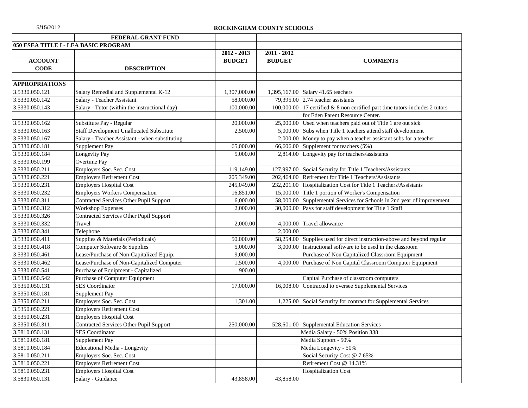| 5/15/2012 |  |  |
|-----------|--|--|
|           |  |  |

|                       | FEDERAL GRANT FUND                              |               |               |                                                                              |
|-----------------------|-------------------------------------------------|---------------|---------------|------------------------------------------------------------------------------|
|                       | 050 ESEA TITLE I - LEA BASIC PROGRAM            |               |               |                                                                              |
|                       |                                                 | 2012 - 2013   | 2011 - 2012   |                                                                              |
| <b>ACCOUNT</b>        |                                                 | <b>BUDGET</b> | <b>BUDGET</b> | <b>COMMENTS</b>                                                              |
| <b>CODE</b>           | <b>DESCRIPTION</b>                              |               |               |                                                                              |
|                       |                                                 |               |               |                                                                              |
| <b>APPROPRIATIONS</b> |                                                 |               |               |                                                                              |
| 3.5330.050.121        | Salary Remedial and Supplemental K-12           | 1,307,000.00  |               | 1,395,167.00 Salary 41.65 teachers                                           |
| 3.5330.050.142        | Salary - Teacher Assistant                      | 58,000.00     |               | 79,395.00 $\vert$ 2.74 teacher assistants                                    |
| 3.5330.050.143        | Salary - Tutor (within the instructional day)   | 100,000.00    |               | 100,000.00 17 certified & 8 non certified part time tutors-includes 2 tutors |
|                       |                                                 |               |               | for Eden Parent Resource Center.                                             |
| 3.5330.050.162        | Substitute Pay - Regular                        | 20,000.00     |               | 25,000.00 Used when teachers paid out of Title 1 are out sick                |
| 3.5330.050.163        | <b>Staff Development Unallocated Substitute</b> | 2,500.00      |               | 5,000.00 Subs when Title 1 teachers attend staff development                 |
| 3.5330.050.167        | Salary - Teacher Assistant - when substituting  |               |               | 2,000.00 Money to pay when a teacher assistant subs for a teacher            |
| 3.5330.050.181        | Supplement Pay                                  | 65,000.00     |               | 66,606.00 Supplement for teachers (5%)                                       |
| 3.5330.050.184        | Longevity Pay                                   | 5,000.00      |               | 2,814.00 Longevity pay for teachers/assistants                               |
| 3.5330.050.199        | Overtime Pay                                    |               |               |                                                                              |
| 3.5330.050.211        | Employers Soc. Sec. Cost                        | 119,149.00    |               | 127,997.00 Social Security for Title 1 Teachers/Assistants                   |
| 3.5330.050.221        | <b>Employers Retirement Cost</b>                | 205,349.00    |               | 202,464.00 Retirement for Title 1 Teachers/Assistants                        |
| 3.5330.050.231        | <b>Employers Hospital Cost</b>                  | 245,049.00    |               | 232,201.00 Hospitalization Cost for Title 1 Teachers/Assistants              |
| 3.5330.050.232        | <b>Employers Workers Compensation</b>           | 16,851.00     |               | 15,000.00 Title 1 portion of Worker's Compensation                           |
| 3.5330.050.311        | Contracted Services Other Pupil Support         | 6,000.00      | 58,000.00     | Supplemental Services for Schools in 2nd year of improvement                 |
| 3.5330.050.312        | <b>Workshop Expenses</b>                        | 2,000.00      |               | 30,000.00 Pays for staff development for Title 1 Staff                       |
| 3.5330.050.326        | Contracted Services Other Pupil Support         |               |               |                                                                              |
| 3.5330.050.332        | Travel                                          | 2,000.00      |               | 4,000.00 Travel allowance                                                    |
| 3.5330.050.341        | Telephone                                       |               | 2,000.00      |                                                                              |
| 3.5330.050.411        | Supplies & Materials (Periodicals)              | 50,000.00     |               | 58,254.00 Supplies used for direct instruction-above and beyond regular      |
| 3.5330.050.418        | Computer Software & Supplies                    | 5,000.00      | 3,000.00      | Instructional software to be used in the classroom                           |
| 3.5330.050.461        | Lease/Purchase of Non-Capitalized Equip.        | 9,000.00      |               | Purchase of Non Capitalized Classroom Equipment                              |
| 3.5330.050.462        | Lease/Purchase of Non-Capitalized Computer      | 1,500.00      | 4,000.00      | Purchase of Non Capital Classroom Computer Equipment                         |
| 3.5330.050.541        | Purchase of Equipment - Capitalized             | 900.00        |               |                                                                              |
| 3.5330.050.542        | Purchase of Computer Equipment                  |               |               | Capital Purchase of classroom computers                                      |
| 3.5350.050.131        | <b>SES</b> Coordinator                          | 17,000.00     | 16,008.00     | Contracted to oversee Supplemental Services                                  |
| 3.5350.050.181        | Supplement Pay                                  |               |               |                                                                              |
| 3.5350.050.211        | Employers Soc. Sec. Cost                        | 1,301.00      |               | 1,225.00 Social Security for contract for Supplemental Services              |
| 3.5350.050.221        | <b>Employers Retirement Cost</b>                |               |               |                                                                              |
| 3.5350.050.231        | <b>Employers Hospital Cost</b>                  |               |               |                                                                              |
| 3.5350.050.311        | Contracted Services Other Pupil Support         | 250,000.00    |               | 528,601.00 Supplemental Education Services                                   |
| 3.5810.050.131        | <b>SES</b> Coordinator                          |               |               | Media Salary - 50% Position 338                                              |
| 3.5810.050.181        | Supplement Pay                                  |               |               | Media Support - 50%                                                          |
| 3.5810.050.184        | Educational Media - Longevity                   |               |               | Media Longevity - 50%                                                        |
| 3.5810.050.211        | Employers Soc. Sec. Cost                        |               |               | Social Security Cost @ 7.65%                                                 |
| 3.5810.050.221        | <b>Employers Retirement Cost</b>                |               |               | Retirement Cost @ 14.31%                                                     |
| 3.5810.050.231        | <b>Employers Hospital Cost</b>                  |               |               | <b>Hospitalization Cost</b>                                                  |
| 3.5830.050.131        | Salary - Guidance                               | 43,858.00     | 43,858.00     |                                                                              |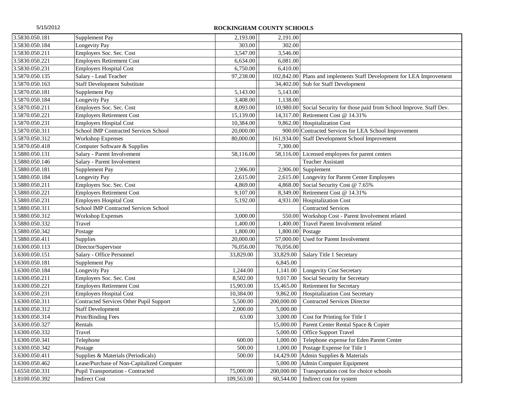| 3.5830.050.181 | Supplement Pay                             | 2,193.00   | 2,191.00   |                                                                |
|----------------|--------------------------------------------|------------|------------|----------------------------------------------------------------|
| 3.5830.050.184 | <b>Longevity Pay</b>                       | 303.00     | 302.00     |                                                                |
| 3.5830.050.211 | Employers Soc. Sec. Cost                   | 3,547.00   | 3,546.00   |                                                                |
| 3.5830.050.221 | <b>Employers Retirement Cost</b>           | 6,634.00   | 6,081.00   |                                                                |
| 3.5830.050.231 | <b>Employers Hospital Cost</b>             | 6,750.00   | 6,410.00   |                                                                |
| 3.5870.050.135 | Salary - Lead Teacher                      | 97,238.00  | 102,842.00 | Plans and implements Staff Development for LEA Improvement     |
| 3.5870.050.163 | <b>Staff Development Substitute</b>        |            | 34,402.00  | Sub for Staff Development                                      |
| 3.5870.050.181 | Supplement Pay                             | 5,143.00   | 5,143.00   |                                                                |
| 3.5870.050.184 | Longevity Pay                              | 3,408.00   | 1,138.00   |                                                                |
| 3.5870.050.211 | Employers Soc. Sec. Cost                   | 8,093.00   | 10,980.00  | Social Security for those paid from School Improve. Staff Dev. |
| 3.5870.050.221 | <b>Employers Retirement Cost</b>           | 15,139.00  | 14,317.00  | Retirement Cost @ 14.31%                                       |
| 3.5870.050.231 | <b>Employers Hospital Cost</b>             | 10,384.00  | 9,862.00   | <b>Hospitalization Cost</b>                                    |
| 3.5870.050.311 | School IMP Contracted Services School      | 20,000.00  |            | 900.00 Contracted Services for LEA School Improvement          |
| 3.5870.050.312 | <b>Workshop Expenses</b>                   | 80,000.00  | 161,934.00 | Staff Development School Improvement                           |
| 3.5870.050.418 | Computer Software & Supplies               |            | 7,300.00   |                                                                |
| 3.5880.050.131 | Salary - Parent Involvement                | 58,116.00  | 58,116.00  | Licensed employees for parent centers                          |
| 3.5880.050.146 | Salary - Parent Involvement                |            |            | <b>Teacher Assistant</b>                                       |
| 3.5880.050.181 | Supplement Pay                             | 2,906.00   | 2,906.00   | Supplement                                                     |
| 3.5880.050.184 | Longevity Pay                              | 2,615.00   | 2,615.00   | Longevity for Parent Center Employees                          |
| 3.5880.050.211 | Employers Soc. Sec. Cost                   | 4,869.00   | 4,868.00   | Social Security Cost @ 7.65%                                   |
| 3.5880.050.221 | <b>Employers Retirement Cost</b>           | 9,107.00   | 8,349.00   | Retirement Cost @ 14.31%                                       |
| 3.5880.050.231 | <b>Employers Hospital Cost</b>             | 5,192.00   | 4,931.00   | <b>Hospitalization Cost</b>                                    |
| 3.5880.050.311 | School IMP Contracted Services School      |            |            | <b>Contracted Services</b>                                     |
| 3.5880.050.312 | <b>Workshop Expenses</b>                   | 3,000.00   | 550.00     | Workshop Cost - Parent Involvement related                     |
| 3.5880.050.332 | Travel                                     | 1,400.00   | 1,400.00   | Travel Parent Involvement related                              |
| 3.5880.050.342 | Postage                                    | 1,800.00   | 1,800.00   | Postage                                                        |
| 3.5880.050.411 | Supplies                                   | 20,000.00  | 57,000.00  | Used for Parent Involvement                                    |
| 3.6300.050.113 | Director/Supervisor                        | 76,056.00  | 76,056.00  |                                                                |
| 3.6300.050.151 | Salary - Office Personnel                  | 33,829.00  | 33,829.00  | Salary Title 1 Secretary                                       |
| 3.6300.050.181 | Supplement Pay                             |            | 6,845.00   |                                                                |
| 3.6300.050.184 | Longevity Pay                              | 1,244.00   | 1,141.00   | <b>Longevity Cost Secretary</b>                                |
| 3.6300.050.211 | Employers Soc. Sec. Cost                   | 8,502.00   | 9,017.00   | Social Security for Secretary                                  |
| 3.6300.050.221 | <b>Employers Retirement Cost</b>           | 15,903.00  | 15,465.00  | <b>Retirement for Secretary</b>                                |
| 3.6300.050.231 | <b>Employers Hospital Cost</b>             | 10,384.00  | 9,862.00   | <b>Hospitalization Cost Secretary</b>                          |
| 3.6300.050.311 | Contracted Services Other Pupil Support    | 5,500.00   | 200,000.00 | <b>Contracted Services Director</b>                            |
| 3.6300.050.312 | <b>Staff Development</b>                   | 2,000.00   | 5,000.00   |                                                                |
| 3.6300.050.314 | Print/Binding Fees                         | 63.00      | 3,000.00   | Cost for Printing for Title 1                                  |
| 3.6300.050.327 | Rentals                                    |            | 15,000.00  | Parent Center Rental Space & Copier                            |
| 3.6300.050.332 | Travel                                     |            | 5,000.00   | <b>Office Support Travel</b>                                   |
| 3.6300.050.341 | Telephone                                  | 600.00     | 1,000.00   | Telephone expense for Eden Parent Center                       |
| 3.6300.050.342 | Postage                                    | 500.00     | 1,000.00   | Postage Expense for Title 1                                    |
| 3.6300.050.411 | Supplies & Materials (Periodicals)         | 500.00     | 14,429.00  | Admin Supplies & Materials                                     |
| 3.6300.050.462 | Lease/Purchase of Non-Capitalized Computer |            | 5,000.00   | Admin Computer Equipment                                       |
| 3.6550.050.331 | Pupil Transportation - Contracted          | 75,000.00  | 200,000.00 | Transportation cost for choice schools                         |
| 3.8100.050.392 | <b>Indirect Cost</b>                       | 109,563.00 | 60,544.00  | Indirect cost for system                                       |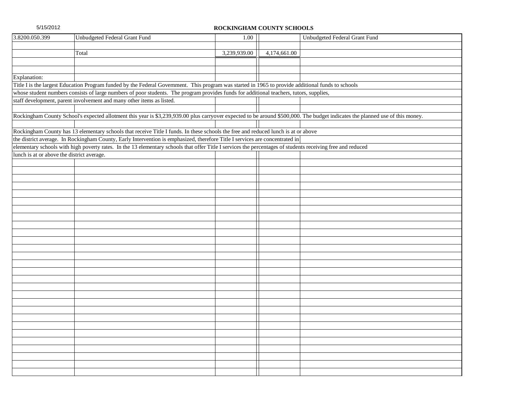| 3.8200.050.399                             | Unbudgeted Federal Grant Fund                                                                                                                                                 | 1.00         |              | Unbudgeted Federal Grant Fund |
|--------------------------------------------|-------------------------------------------------------------------------------------------------------------------------------------------------------------------------------|--------------|--------------|-------------------------------|
|                                            |                                                                                                                                                                               |              |              |                               |
|                                            | Total                                                                                                                                                                         | 3,239,939.00 | 4,174,661.00 |                               |
|                                            |                                                                                                                                                                               |              |              |                               |
|                                            |                                                                                                                                                                               |              |              |                               |
| Explanation:                               |                                                                                                                                                                               |              |              |                               |
|                                            | Title I is the largest Education Program funded by the Federal Government. This program was started in 1965 to provide additional funds to schools                            |              |              |                               |
|                                            | whose student numbers consists of large numbers of poor students. The program provides funds for additional teachers, tutors, supplies,                                       |              |              |                               |
|                                            | staff development, parent involvement and many other items as listed.                                                                                                         |              |              |                               |
|                                            |                                                                                                                                                                               |              |              |                               |
|                                            | Rockingham County School's expected allotment this year is \$3,239,939.00 plus carryover expected to be around \$500,000. The budget indicates the planned use of this money. |              |              |                               |
|                                            |                                                                                                                                                                               |              |              |                               |
|                                            | Rockingham County has 13 elementary schools that receive Title I funds. In these schools the free and reduced lunch is at or above                                            |              |              |                               |
|                                            | the district average. In Rockingham County, Early Intervention is emphasized, therefore Title I services are concentrated in                                                  |              |              |                               |
|                                            | elementary schools with high poverty rates. In the 13 elementary schools that offer Title I services the percentages of students receiving free and reduced                   |              |              |                               |
| lunch is at or above the district average. |                                                                                                                                                                               |              |              |                               |
|                                            |                                                                                                                                                                               |              |              |                               |
|                                            |                                                                                                                                                                               |              |              |                               |
|                                            |                                                                                                                                                                               |              |              |                               |
|                                            |                                                                                                                                                                               |              |              |                               |
|                                            |                                                                                                                                                                               |              |              |                               |
|                                            |                                                                                                                                                                               |              |              |                               |
|                                            |                                                                                                                                                                               |              |              |                               |
|                                            |                                                                                                                                                                               |              |              |                               |
|                                            |                                                                                                                                                                               |              |              |                               |
|                                            |                                                                                                                                                                               |              |              |                               |
|                                            |                                                                                                                                                                               |              |              |                               |
|                                            |                                                                                                                                                                               |              |              |                               |
|                                            |                                                                                                                                                                               |              |              |                               |
|                                            |                                                                                                                                                                               |              |              |                               |
|                                            |                                                                                                                                                                               |              |              |                               |
|                                            |                                                                                                                                                                               |              |              |                               |
|                                            |                                                                                                                                                                               |              |              |                               |
|                                            |                                                                                                                                                                               |              |              |                               |
|                                            |                                                                                                                                                                               |              |              |                               |
|                                            |                                                                                                                                                                               |              |              |                               |
|                                            |                                                                                                                                                                               |              |              |                               |
|                                            |                                                                                                                                                                               |              |              |                               |
|                                            |                                                                                                                                                                               |              |              |                               |
|                                            |                                                                                                                                                                               |              |              |                               |
|                                            |                                                                                                                                                                               |              |              |                               |
|                                            |                                                                                                                                                                               |              |              |                               |
|                                            |                                                                                                                                                                               |              |              |                               |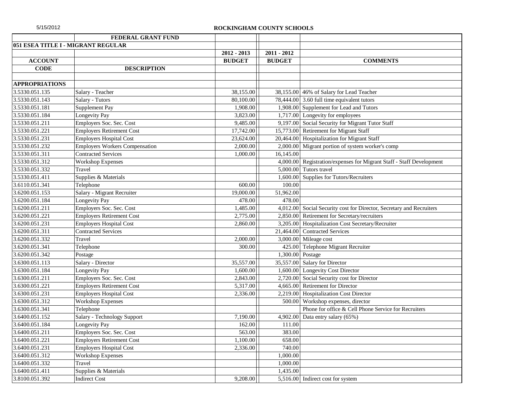| 5/15/2012 |  |  |  |
|-----------|--|--|--|
|           |  |  |  |

|                       | FEDERAL GRANT FUND                    |                              |                                |                                                             |
|-----------------------|---------------------------------------|------------------------------|--------------------------------|-------------------------------------------------------------|
|                       | 051 ESEA TITLE I - MIGRANT REGULAR    |                              |                                |                                                             |
| <b>ACCOUNT</b>        |                                       | 2012 - 2013<br><b>BUDGET</b> | $2011 - 2012$<br><b>BUDGET</b> | <b>COMMENTS</b>                                             |
| <b>CODE</b>           | <b>DESCRIPTION</b>                    |                              |                                |                                                             |
|                       |                                       |                              |                                |                                                             |
| <b>APPROPRIATIONS</b> |                                       |                              |                                |                                                             |
| 3.5330.051.135        | Salary - Teacher                      | 38,155.00                    |                                | 38,155.00 46% of Salary for Lead Teacher                    |
| 3.5330.051.143        | Salary - Tutors                       | 80,100.00                    |                                | 78,444.00 3.60 full time equivalent tutors                  |
| 3.5330.051.181        | Supplement Pay                        | 1,908.00                     |                                | 1,908.00 Supplement for Lead and Tutors                     |
| 3.5330.051.184        | Longevity Pay                         | 3,823.00                     |                                | 1,717.00 Longevity for employees                            |
| 3.5330.051.211        | Employers Soc. Sec. Cost              | 9,485.00                     |                                | 9,197.00 Social Security for Migrant Tutor Staff            |
| 3.5330.051.221        | <b>Employers Retirement Cost</b>      | 17,742.00                    | 15,773.00                      | Retirement for Migrant Staff                                |
| 3.5330.051.231        | <b>Employers Hospital Cost</b>        | 23,624.00                    | 20,464.00                      | Hospitalization for Migrant Staff                           |
| 3.5330.051.232        | <b>Employers Workers Compensation</b> | 2,000.00                     | 2,000.00                       | Migrant portion of system worker's comp                     |
| 3.5330.051.311        | <b>Contracted Services</b>            | 1,000.00                     | 16,145.00                      |                                                             |
| 3.5330.051.312        | <b>Workshop Expenses</b>              |                              | 4,000.00                       | Registration/expenses for Migrant Staff - Staff Development |
| 3.5330.051.332        | Travel                                |                              | 5,000.00                       | Tutors travel                                               |
| 3.5330.051.411        | Supplies & Materials                  |                              | 1,600.00                       | Supplies for Tutors/Recruiters                              |
| 3.6110.051.341        | Telephone                             | 600.00                       | 100.00                         |                                                             |
| 3.6200.051.153        | Salary - Migrant Recruiter            | 19,000.00                    | 51,962.00                      |                                                             |
| 3.6200.051.184        | <b>Longevity Pay</b>                  | 478.00                       | 478.00                         |                                                             |
| 3.6200.051.211        | Employers Soc. Sec. Cost              | 1,485.00                     | 4,012.00                       | Social Security cost for Director, Secretary and Recruiters |
| 3.6200.051.221        | <b>Employers Retirement Cost</b>      | 2,775.00                     | 2,850.00                       | Retirement for Secretary/recruiters                         |
| 3.6200.051.231        | <b>Employers Hospital Cost</b>        | 2,860.00                     | 3,205.00                       | Hospitalization Cost Secretary/Recruiter                    |
| 3.6200.051.311        | <b>Contracted Services</b>            |                              | 21,464.00                      | <b>Contracted Services</b>                                  |
| 3.6200.051.332        | Travel                                | 2,000.00                     | 3,000.00                       | Mileage cost                                                |
| 3.6200.051.341        | Telephone                             | 300.00                       | 425.00                         | Telephone Migrant Recruiter                                 |
| 3.6200.051.342        | Postage                               |                              | 1,300.00                       | Postage                                                     |
| 3.6300.051.113        | Salary - Director                     | 35,557.00                    | 35,557.00                      | Salary for Director                                         |
| 3.6300.051.184        | Longevity Pay                         | 1,600.00                     | 1,600.00                       | <b>Longevity Cost Director</b>                              |
| 3.6300.051.211        | Employers Soc. Sec. Cost              | 2,843.00                     | 2,720.00                       | Social Security cost for Director                           |
| 3.6300.051.221        | <b>Employers Retirement Cost</b>      | 5,317.00                     | 4,665.00                       | Retirement for Director                                     |
| 3.6300.051.231        | <b>Employers Hospital Cost</b>        | 2,336.00                     | 2,219.00                       | <b>Hospitalization Cost Director</b>                        |
| 3.6300.051.312        | <b>Workshop Expenses</b>              |                              | 500.00                         | Workshop expenses, director                                 |
| 3.6300.051.341        | Telephone                             |                              |                                | Phone for office & Cell Phone Service for Recruiters        |
| 3.6400.051.152        | Salary - Technology Support           | 7.190.00                     | 4,902.00                       | Data entry salary (65%)                                     |
| 3.6400.051.184        | Longevity Pay                         | 162.00                       | 111.00                         |                                                             |
| 3.6400.051.211        | Employers Soc. Sec. Cost              | 563.00                       | 383.00                         |                                                             |
| 3.6400.051.221        | <b>Employers Retirement Cost</b>      | 1,100.00                     | 658.00                         |                                                             |
| 3.6400.051.231        | <b>Employers Hospital Cost</b>        | 2,336.00                     | 740.00                         |                                                             |
| 3.6400.051.312        | <b>Workshop Expenses</b>              |                              | 1,000.00                       |                                                             |
| 3.6400.051.332        | Travel                                |                              | 1,000.00                       |                                                             |
| 3.6400.051.411        | Supplies & Materials                  |                              | 1,435.00                       |                                                             |
| 3.8100.051.392        | <b>Indirect Cost</b>                  | 9,208.00                     |                                | 5,516.00 Indirect cost for system                           |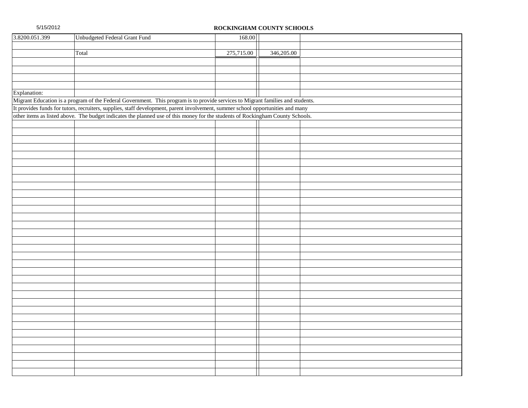| 3.8200.051.399 | Unbudgeted Federal Grant Fund                                                                                                                                                                                                                                     | 168.00     |            |  |
|----------------|-------------------------------------------------------------------------------------------------------------------------------------------------------------------------------------------------------------------------------------------------------------------|------------|------------|--|
|                |                                                                                                                                                                                                                                                                   |            |            |  |
|                | Total                                                                                                                                                                                                                                                             | 275,715.00 | 346,205.00 |  |
|                |                                                                                                                                                                                                                                                                   |            |            |  |
|                |                                                                                                                                                                                                                                                                   |            |            |  |
|                |                                                                                                                                                                                                                                                                   |            |            |  |
|                |                                                                                                                                                                                                                                                                   |            |            |  |
| Explanation:   |                                                                                                                                                                                                                                                                   |            |            |  |
|                | Migrant Education is a program of the Federal Government. This program is to provide services to Migrant families and students.                                                                                                                                   |            |            |  |
|                | It provides funds for tutors, recruiters, supplies, staff development, parent involvement, summer school opportunities and many<br>other items as listed above. The budget indicates the planned use of this money for the students of Rockingham County Schools. |            |            |  |
|                |                                                                                                                                                                                                                                                                   |            |            |  |
|                |                                                                                                                                                                                                                                                                   |            |            |  |
|                |                                                                                                                                                                                                                                                                   |            |            |  |
|                |                                                                                                                                                                                                                                                                   |            |            |  |
|                |                                                                                                                                                                                                                                                                   |            |            |  |
|                |                                                                                                                                                                                                                                                                   |            |            |  |
|                |                                                                                                                                                                                                                                                                   |            |            |  |
|                |                                                                                                                                                                                                                                                                   |            |            |  |
|                |                                                                                                                                                                                                                                                                   |            |            |  |
|                |                                                                                                                                                                                                                                                                   |            |            |  |
|                |                                                                                                                                                                                                                                                                   |            |            |  |
|                |                                                                                                                                                                                                                                                                   |            |            |  |
|                |                                                                                                                                                                                                                                                                   |            |            |  |
|                |                                                                                                                                                                                                                                                                   |            |            |  |
|                |                                                                                                                                                                                                                                                                   |            |            |  |
|                |                                                                                                                                                                                                                                                                   |            |            |  |
|                |                                                                                                                                                                                                                                                                   |            |            |  |
|                |                                                                                                                                                                                                                                                                   |            |            |  |
|                |                                                                                                                                                                                                                                                                   |            |            |  |
|                |                                                                                                                                                                                                                                                                   |            |            |  |
|                |                                                                                                                                                                                                                                                                   |            |            |  |
|                |                                                                                                                                                                                                                                                                   |            |            |  |
|                |                                                                                                                                                                                                                                                                   |            |            |  |
|                |                                                                                                                                                                                                                                                                   |            |            |  |
|                |                                                                                                                                                                                                                                                                   |            |            |  |
|                |                                                                                                                                                                                                                                                                   |            |            |  |
|                |                                                                                                                                                                                                                                                                   |            |            |  |
|                |                                                                                                                                                                                                                                                                   |            |            |  |
|                |                                                                                                                                                                                                                                                                   |            |            |  |
|                |                                                                                                                                                                                                                                                                   |            |            |  |
|                |                                                                                                                                                                                                                                                                   |            |            |  |
|                |                                                                                                                                                                                                                                                                   |            |            |  |
|                |                                                                                                                                                                                                                                                                   |            |            |  |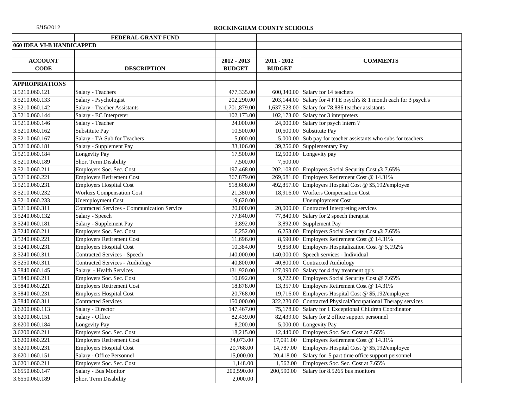|                           | FEDERAL GRANT FUND                                 |               |               |                                                                  |
|---------------------------|----------------------------------------------------|---------------|---------------|------------------------------------------------------------------|
| 060 IDEA VI-B HANDICAPPED |                                                    |               |               |                                                                  |
|                           |                                                    |               |               |                                                                  |
| <b>ACCOUNT</b>            |                                                    | $2012 - 2013$ | $2011 - 2012$ | <b>COMMENTS</b>                                                  |
| <b>CODE</b>               | <b>DESCRIPTION</b>                                 | <b>BUDGET</b> | <b>BUDGET</b> |                                                                  |
|                           |                                                    |               |               |                                                                  |
| <b>APPROPRIATIONS</b>     |                                                    |               |               |                                                                  |
| 3.5210.060.121            | Salary - Teachers                                  | 477,335.00    |               | 600,340.00 Salary for 14 teachers                                |
| 3.5210.060.133            | Salary - Psychologist                              | 202,290.00    |               | 203,144.00 Salary for 4 FTE psych's & 1 month each for 3 psych's |
| 3.5210.060.142            | Salary - Teacher Assistants                        | 1,701,879.00  |               | 1,637,523.00 Salary for 78.886 teacher assistants                |
| 3.5210.060.144            | Salary - EC Interpreter                            | 102,173.00    |               | 102,173.00 Salary for 3 interpreters                             |
| 3.5210.060.146            | Salary - Teacher                                   | 24,000.00     |               | 24,000.00 Salary for psych intern?                               |
| 3.5210.060.162            | Substitute Pay                                     | 10,500.00     |               | 10,500.00 Substitute Pay                                         |
| 3.5210.060.167            | Salary - TA Sub for Teachers                       | 5,000.00      |               | 5,000.00 Sub pay for teacher assistants who subs for teachers    |
| 3.5210.060.181            | Salary - Supplement Pay                            | 33,106.00     |               | 39,256.00 Supplementary Pay                                      |
| 3.5210.060.184            | Longevity Pay                                      | 17,500.00     |               | 12,500.00 Longevity pay                                          |
| 3.5210.060.189            | Short Term Disability                              | 7,500.00      | 7,500.00      |                                                                  |
| 3.5210.060.211            | Employers Soc. Sec. Cost                           | 197,468.00    |               | 202,108.00 Employers Social Security Cost @ 7.65%                |
| 3.5210.060.221            | <b>Employers Retirement Cost</b>                   | 367,879.00    |               | 269,681.00 Employers Retirement Cost @ 14.31%                    |
| 3.5210.060.231            | <b>Employers Hospital Cost</b>                     | 518,608.00    |               | 492,857.00 Employers Hospital Cost @ \$5,192/employee            |
| 3.5210.060.232            | <b>Workers Compensation Cost</b>                   | 21,380.00     | 18,916.00     | <b>Workers Compensation Cost</b>                                 |
| 3.5210.060.233            | <b>Unemployment Cost</b>                           | 19,620.00     |               | <b>Unemployment Cost</b>                                         |
| 3.5210.060.311            | <b>Contracted Services - Communication Service</b> | 20,000.00     |               | 20,000.00 Contracted Interpreting services                       |
| 3.5240.060.132            | Salary - Speech                                    | 77,840.00     |               | 77,840.00 Salary for 2 speech therapist                          |
| 3.5240.060.181            | Salary - Supplement Pay                            | 3,892.00      |               | 3,892.00 Supplement Pay                                          |
| 3.5240.060.211            | Employers Soc. Sec. Cost                           | 6,252.00      |               | 6,253.00 Employers Social Security Cost @ 7.65%                  |
| 3.5240.060.221            | <b>Employers Retirement Cost</b>                   | 11,696.00     |               | 8,590.00 Employers Retirement Cost @ 14.31%                      |
| 3.5240.060.231            | <b>Employers Hospital Cost</b>                     | 10,384.00     |               | 9,858.00 Employers Hospitalization Cost @ 5,192%                 |
| 3.5240.060.311            | Contracted Services - Speech                       | 140,000.00    |               | 140,000.00 Speech services - Individual                          |
| 3.5250.060.311            | <b>Contracted Services - Audiology</b>             | 40,800.00     |               | 40,800.00 Contracted Audiology                                   |
| 3.5840.060.145            | Salary - Health Services                           | 131,920.00    |               | 127,090.00 Salary for 4 day treatment qp's                       |
| 3.5840.060.211            | Employers Soc. Sec. Cost                           | 10,092.00     |               | 9,722.00 Employers Social Security Cost @ 7.65%                  |
| 3.5840.060.221            | <b>Employers Retirement Cost</b>                   | 18,878.00     |               | 13,357.00 Employers Retirement Cost @ 14.31%                     |
| 3.5840.060.231            | <b>Employers Hospital Cost</b>                     | 20,768.00     |               | 19,716.00 Employers Hospital Cost @ \$5,192/employee             |
| 3.5840.060.311            | <b>Contracted Services</b>                         | 150,000.00    |               | 322,230.00 Contracted Physical/Occupational Therapy services     |
| 3.6200.060.113            | Salary - Director                                  | 147,467.00    |               | 75,178.00 Salary for 1 Exceptional Children Coordinator          |
| 3.6200.060.151            | Salary - Office                                    | 82,439.00     |               | 82,439.00 Salary for 2 office support personnel                  |
| 3.6200.060.184            | Longevity Pay                                      | 8,200.00      |               | 5,000.00 Longevity Pay                                           |
| 3.6200.060.211            | Employers Soc. Sec. Cost                           | 18,215.00     |               | 12,440.00 Employers Soc. Sec. Cost at 7.65%                      |
| 3.6200.060.221            | <b>Employers Retirement Cost</b>                   | 34,073.00     | 17,091.00     | Employers Retirement Cost @ 14.31%                               |
| 3.6200.060.231            | <b>Employers Hospital Cost</b>                     | 20,768.00     | 14,787.00     | Employers Hospital Cost @ \$5,192/employee                       |
| 3.6201.060.151            | Salary - Office Personnel                          | 15,000.00     | 20,418.00     | Salary for .5 part time office support personnel                 |
| 3.6201.060.211            | Employers Soc. Sec. Cost                           | 1,148.00      | 1,562.00      | Employers Soc. Sec. Cost at 7.65%                                |
| 3.6550.060.147            | Salary - Bus Monitor                               | 200,590.00    | 200,590.00    | Salary for 8.5265 bus monitors                                   |
| 3.6550.060.189            | <b>Short Term Disability</b>                       | 2,000.00      |               |                                                                  |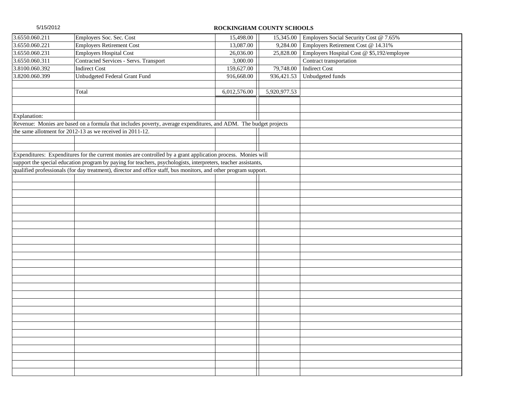| 3.6550.060.211 | Employers Soc. Sec. Cost                                                                                         | 15,498.00    | 15,345.00    | Employers Social Security Cost @ 7.65%     |
|----------------|------------------------------------------------------------------------------------------------------------------|--------------|--------------|--------------------------------------------|
| 3.6550.060.221 | <b>Employers Retirement Cost</b>                                                                                 | 13,087.00    | 9,284.00     | Employers Retirement Cost @ 14.31%         |
| 3.6550.060.231 | <b>Employers Hospital Cost</b>                                                                                   | 26,036.00    | 25,828.00    | Employers Hospital Cost @ \$5,192/employee |
| 3.6550.060.311 | Contracted Services - Servs. Transport                                                                           | 3,000.00     |              | Contract transportation                    |
| 3.8100.060.392 | <b>Indirect Cost</b>                                                                                             | 159,627.00   | 79,748.00    | <b>Indirect Cost</b>                       |
| 3.8200.060.399 | Unbudgeted Federal Grant Fund                                                                                    | 916,668.00   | 936,421.53   | Unbudgeted funds                           |
|                |                                                                                                                  |              |              |                                            |
|                | Total                                                                                                            | 6,012,576.00 | 5,920,977.53 |                                            |
|                |                                                                                                                  |              |              |                                            |
|                |                                                                                                                  |              |              |                                            |
| Explanation:   |                                                                                                                  |              |              |                                            |
|                | Revenue: Monies are based on a formula that includes poverty, average expenditures, and ADM. The budget projects |              |              |                                            |
|                | the same allotment for 2012-13 as we received in 2011-12.                                                        |              |              |                                            |
|                |                                                                                                                  |              |              |                                            |
|                |                                                                                                                  |              |              |                                            |
|                | Expenditures: Expenditures for the current monies are controlled by a grant application process. Monies will     |              |              |                                            |
|                | support the special education program by paying for teachers, psychologists, interpreters, teacher assistants,   |              |              |                                            |
|                | qualified professionals (for day treatment), director and office staff, bus monitors, and other program support. |              |              |                                            |
|                |                                                                                                                  |              |              |                                            |
|                |                                                                                                                  |              |              |                                            |
|                |                                                                                                                  |              |              |                                            |
|                |                                                                                                                  |              |              |                                            |
|                |                                                                                                                  |              |              |                                            |
|                |                                                                                                                  |              |              |                                            |
|                |                                                                                                                  |              |              |                                            |
|                |                                                                                                                  |              |              |                                            |
|                |                                                                                                                  |              |              |                                            |
|                |                                                                                                                  |              |              |                                            |
|                |                                                                                                                  |              |              |                                            |
|                |                                                                                                                  |              |              |                                            |
|                |                                                                                                                  |              |              |                                            |
|                |                                                                                                                  |              |              |                                            |
|                |                                                                                                                  |              |              |                                            |
|                |                                                                                                                  |              |              |                                            |
|                |                                                                                                                  |              |              |                                            |
|                |                                                                                                                  |              |              |                                            |
|                |                                                                                                                  |              |              |                                            |
|                |                                                                                                                  |              |              |                                            |
|                |                                                                                                                  |              |              |                                            |
|                |                                                                                                                  |              |              |                                            |
|                |                                                                                                                  |              |              |                                            |
|                |                                                                                                                  |              |              |                                            |
|                |                                                                                                                  |              |              |                                            |
|                |                                                                                                                  |              |              |                                            |
|                |                                                                                                                  |              |              |                                            |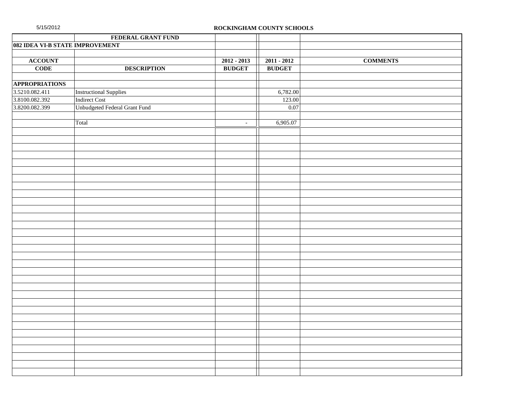|                                 | FEDERAL GRANT FUND            |               |               |                 |
|---------------------------------|-------------------------------|---------------|---------------|-----------------|
| 082 IDEA VI-B STATE IMPROVEMENT |                               |               |               |                 |
|                                 |                               |               |               |                 |
| <b>ACCOUNT</b>                  |                               | $2012 - 2013$ | $2011 - 2012$ | <b>COMMENTS</b> |
| <b>CODE</b>                     | <b>DESCRIPTION</b>            | <b>BUDGET</b> | <b>BUDGET</b> |                 |
|                                 |                               |               |               |                 |
| <b>APPROPRIATIONS</b>           |                               |               |               |                 |
| 3.5210.082.411                  | <b>Instructional Supplies</b> |               | 6,782.00      |                 |
| 3.8100.082.392                  | Indirect Cost                 |               | 123.00        |                 |
| 3.8200.082.399                  | Unbudgeted Federal Grant Fund |               | 0.07          |                 |
|                                 |                               |               |               |                 |
|                                 | Total                         | $\sim$        | 6,905.07      |                 |
|                                 |                               |               |               |                 |
|                                 |                               |               |               |                 |
|                                 |                               |               |               |                 |
|                                 |                               |               |               |                 |
|                                 |                               |               |               |                 |
|                                 |                               |               |               |                 |
|                                 |                               |               |               |                 |
|                                 |                               |               |               |                 |
|                                 |                               |               |               |                 |
|                                 |                               |               |               |                 |
|                                 |                               |               |               |                 |
|                                 |                               |               |               |                 |
|                                 |                               |               |               |                 |
|                                 |                               |               |               |                 |
|                                 |                               |               |               |                 |
|                                 |                               |               |               |                 |
|                                 |                               |               |               |                 |
|                                 |                               |               |               |                 |
|                                 |                               |               |               |                 |
|                                 |                               |               |               |                 |
|                                 |                               |               |               |                 |
|                                 |                               |               |               |                 |
|                                 |                               |               |               |                 |
|                                 |                               |               |               |                 |
|                                 |                               |               |               |                 |
|                                 |                               |               |               |                 |
|                                 |                               |               |               |                 |
|                                 |                               |               |               |                 |
|                                 |                               |               |               |                 |
|                                 |                               |               |               |                 |
|                                 |                               |               |               |                 |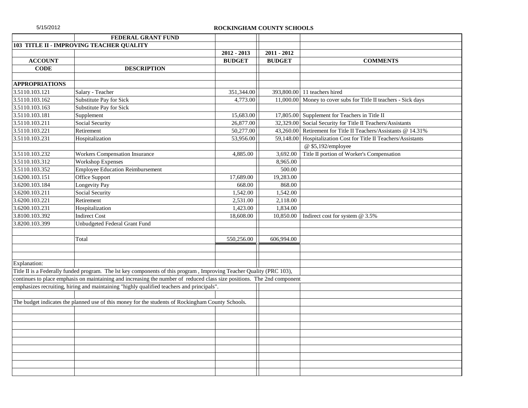| 5/15/2012 |  |  |  |
|-----------|--|--|--|
|           |  |  |  |

|                             | FEDERAL GRANT FUND                                                                                                      |               |               |                                                                 |
|-----------------------------|-------------------------------------------------------------------------------------------------------------------------|---------------|---------------|-----------------------------------------------------------------|
|                             | 103 TITLE II - IMPROVING TEACHER QUALITY                                                                                |               |               |                                                                 |
|                             |                                                                                                                         | $2012 - 2013$ | $2011 - 2012$ |                                                                 |
| <b>ACCOUNT</b>              |                                                                                                                         | <b>BUDGET</b> | <b>BUDGET</b> | <b>COMMENTS</b>                                                 |
| <b>CODE</b>                 | <b>DESCRIPTION</b>                                                                                                      |               |               |                                                                 |
|                             |                                                                                                                         |               |               |                                                                 |
| <b>APPROPRIATIONS</b>       |                                                                                                                         |               |               |                                                                 |
| 3.5110.103.121              | Salary - Teacher                                                                                                        | 351,344.00    |               | 393,800.00 11 teachers hired                                    |
| 3.5110.103.162              | Substitute Pay for Sick                                                                                                 | 4,773.00      |               | 11,000.00 Money to cover subs for Title II teachers - Sick days |
| 3.5110.103.163              | Substitute Pay for Sick                                                                                                 |               |               |                                                                 |
| 3.5110.103.181              | Supplement                                                                                                              | 15,683.00     |               | 17,805.00 Supplement for Teachers in Title II                   |
| 3.5110.103.211              | Social Security                                                                                                         | 26,877.00     |               | 32,329.00 Social Security for Title II Teachers/Assistants      |
| 3.5110.103.221              | Retirement                                                                                                              | 50,277.00     |               | 43,260.00 Retirement for Title II Teachers/Assistants @ 14.31%  |
| 3.5110.103.231              | Hospitalization                                                                                                         | 53,956.00     | 59,148.00     | Hospitalization Cost for Title II Teachers/Assistants           |
|                             |                                                                                                                         |               |               | $@$ \$5,192/employee                                            |
| 3.5110.103.232              | Workers Compensation Insurance                                                                                          | 4,885.00      | 3,692.00      | Title II portion of Worker's Compensation                       |
| 3.5110.103.312              | <b>Workshop Expenses</b>                                                                                                |               | 8,965.00      |                                                                 |
| 3.5110.103.352              | <b>Employee Education Reimbursement</b>                                                                                 |               | 500.00        |                                                                 |
| 3.6200.103.151              | Office Support                                                                                                          | 17,689.00     | 19,283.00     |                                                                 |
| $3.6200.103.\overline{184}$ | Longevity Pay                                                                                                           | 668.00        | 868.00        |                                                                 |
| 3.6200.103.211              | Social Security                                                                                                         | 1,542.00      | 1,542.00      |                                                                 |
| 3.6200.103.221              | Retirement                                                                                                              | 2,531.00      | 2,118.00      |                                                                 |
| 3.6200.103.231              | Hospitalization                                                                                                         | 1,423.00      | 1,834.00      |                                                                 |
| 3.8100.103.392              | <b>Indirect Cost</b>                                                                                                    | 18,608.00     | 10,850.00     | Indirect cost for system $@3.5\%$                               |
| 3.8200.103.399              | Unbudgeted Federal Grant Fund                                                                                           |               |               |                                                                 |
|                             |                                                                                                                         |               |               |                                                                 |
|                             | Total                                                                                                                   | 550,256.00    | 606,994.00    |                                                                 |
|                             |                                                                                                                         |               |               |                                                                 |
|                             |                                                                                                                         |               |               |                                                                 |
| Explanation:                |                                                                                                                         |               |               |                                                                 |
|                             | Title II is a Federally funded program. The lst key components of this program, Improving Teacher Quality (PRC 103),    |               |               |                                                                 |
|                             | continues to place emphasis on maintaining and increasing the number of reduced class size positions. The 2nd component |               |               |                                                                 |
|                             | emphasizes recruiting, hiring and maintaining "highly qualified teachers and principals".                               |               |               |                                                                 |
|                             |                                                                                                                         |               |               |                                                                 |
|                             | The budget indicates the planned use of this money for the students of Rockingham County Schools.                       |               |               |                                                                 |
|                             |                                                                                                                         |               |               |                                                                 |
|                             |                                                                                                                         |               |               |                                                                 |
|                             |                                                                                                                         |               |               |                                                                 |
|                             |                                                                                                                         |               |               |                                                                 |
|                             |                                                                                                                         |               |               |                                                                 |
|                             |                                                                                                                         |               |               |                                                                 |
|                             |                                                                                                                         |               |               |                                                                 |
|                             |                                                                                                                         |               |               |                                                                 |
|                             |                                                                                                                         |               |               |                                                                 |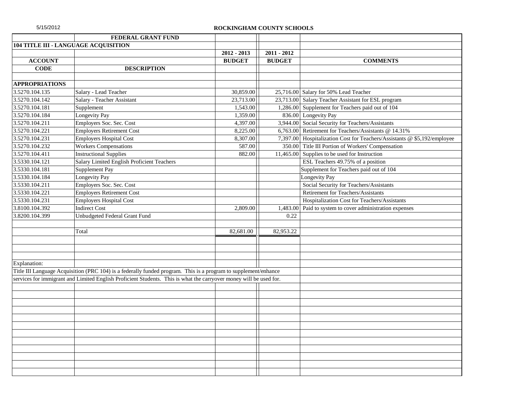| 5/15/2012             |                                                                                                                    | ROCKINGHAM COUNTY SCHOOLS |               |                                                                          |
|-----------------------|--------------------------------------------------------------------------------------------------------------------|---------------------------|---------------|--------------------------------------------------------------------------|
|                       | <b>FEDERAL GRANT FUND</b>                                                                                          |                           |               |                                                                          |
|                       | 104 TITLE III - LANGUAGE ACQUISITION                                                                               |                           |               |                                                                          |
|                       |                                                                                                                    | $2012 - 2013$             | $2011 - 2012$ |                                                                          |
| <b>ACCOUNT</b>        |                                                                                                                    | <b>BUDGET</b>             | <b>BUDGET</b> | <b>COMMENTS</b>                                                          |
| <b>CODE</b>           | <b>DESCRIPTION</b>                                                                                                 |                           |               |                                                                          |
|                       |                                                                                                                    |                           |               |                                                                          |
| <b>APPROPRIATIONS</b> |                                                                                                                    |                           |               |                                                                          |
| 3.5270.104.135        | Salary - Lead Teacher                                                                                              | 30,859.00                 |               | 25,716.00 Salary for 50% Lead Teacher                                    |
| 3.5270.104.142        | Salary - Teacher Assistant                                                                                         | 23,713.00                 |               | 23,713.00 Salary Teacher Assistant for ESL program                       |
| 3.5270.104.181        | Supplement                                                                                                         | 1,543.00                  |               | 1,286.00 Supplement for Teachers paid out of 104                         |
| 3.5270.104.184        | <b>Longevity Pay</b>                                                                                               | 1,359.00                  |               | 836.00 Longevity Pay                                                     |
| 3.5270.104.211        | Employers Soc. Sec. Cost                                                                                           | 4,397.00                  | 3,944.00      | Social Security for Teachers/Assistants                                  |
| 3.5270.104.221        | <b>Employers Retirement Cost</b>                                                                                   | 8,225.00                  | 6,763.00      | Retirement for Teachers/Assistants @ 14.31%                              |
| 3.5270.104.231        | <b>Employers Hospital Cost</b>                                                                                     | 8,307.00                  |               | 7,397.00 Hospitalization Cost for Teachers/Assistants @ \$5,192/employee |
| 3.5270.104.232        | <b>Workers Compensations</b>                                                                                       | 587.00                    | 350.00        | Title III Portion of Workers' Compensation                               |
| 3.5270.104.411        | <b>Instructional Supplies</b>                                                                                      | 882.00                    |               | 11,465.00 Supplies to be used for Instruction                            |
| 3.5330.104.121        | Salary Limited English Proficient Teachers                                                                         |                           |               | ESL Teachers 49.75% of a position                                        |
| 3.5330.104.181        | Supplement Pay                                                                                                     |                           |               | Supplement for Teachers paid out of 104                                  |
| 3.5330.104.184        | Longevity Pay                                                                                                      |                           |               | Longevity Pay                                                            |
| 3.5330.104.211        | Employers Soc. Sec. Cost                                                                                           |                           |               | Social Security for Teachers/Assistants                                  |
| 3.5330.104.221        | <b>Employers Retirement Cost</b>                                                                                   |                           |               | Retirement for Teachers/Assistants                                       |
| 3.5330.104.231        | <b>Employers Hospital Cost</b>                                                                                     |                           |               | Hospitalization Cost for Teachers/Assistants                             |
| 3.8100.104.392        | <b>Indirect Cost</b>                                                                                               | 2,809.00                  | 1,483.00      | Paid to system to cover administration expenses                          |
| 3.8200.104.399        | Unbudgeted Federal Grant Fund                                                                                      |                           | 0.22          |                                                                          |
|                       |                                                                                                                    |                           |               |                                                                          |
|                       | Total                                                                                                              | 82,681.00                 | 82,953.22     |                                                                          |
|                       |                                                                                                                    |                           |               |                                                                          |
|                       |                                                                                                                    |                           |               |                                                                          |
|                       |                                                                                                                    |                           |               |                                                                          |
| Explanation:          |                                                                                                                    |                           |               |                                                                          |
|                       | Title III Language Acquisition (PRC 104) is a federally funded program. This is a program to supplement/enhance    |                           |               |                                                                          |
|                       | services for immigrant and Limited English Proficient Students. This is what the carryover money will be used for. |                           |               |                                                                          |
|                       |                                                                                                                    |                           |               |                                                                          |
|                       |                                                                                                                    |                           |               |                                                                          |
|                       |                                                                                                                    |                           |               |                                                                          |
|                       |                                                                                                                    |                           |               |                                                                          |
|                       |                                                                                                                    |                           |               |                                                                          |
|                       |                                                                                                                    |                           |               |                                                                          |
|                       |                                                                                                                    |                           |               |                                                                          |
|                       |                                                                                                                    |                           |               |                                                                          |
|                       |                                                                                                                    |                           |               |                                                                          |
|                       |                                                                                                                    |                           |               |                                                                          |
|                       |                                                                                                                    |                           |               |                                                                          |
|                       |                                                                                                                    |                           |               |                                                                          |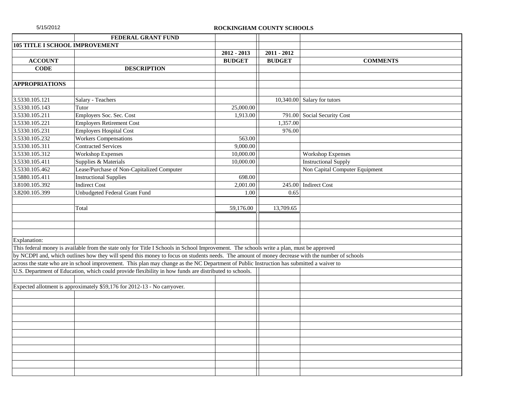| 5/15/2012 |  |  |
|-----------|--|--|
|           |  |  |

|                       | FEDERAL GRANT FUND                                                                                                                              |               |               |                                |
|-----------------------|-------------------------------------------------------------------------------------------------------------------------------------------------|---------------|---------------|--------------------------------|
|                       | <b>105 TITLE I SCHOOL IMPROVEMENT</b>                                                                                                           |               |               |                                |
|                       |                                                                                                                                                 | $2012 - 2013$ | $2011 - 2012$ |                                |
| <b>ACCOUNT</b>        |                                                                                                                                                 | <b>BUDGET</b> | <b>BUDGET</b> | <b>COMMENTS</b>                |
| <b>CODE</b>           | <b>DESCRIPTION</b>                                                                                                                              |               |               |                                |
|                       |                                                                                                                                                 |               |               |                                |
| <b>APPROPRIATIONS</b> |                                                                                                                                                 |               |               |                                |
|                       |                                                                                                                                                 |               |               |                                |
| 3.5330.105.121        | Salary - Teachers                                                                                                                               |               |               | 10,340.00 Salary for tutors    |
| 3.5330.105.143        | Tutor                                                                                                                                           | 25,000.00     |               |                                |
| 3.5330.105.211        | Employers Soc. Sec. Cost                                                                                                                        | 1,913.00      |               | 791.00 Social Security Cost    |
| 3.5330.105.221        | <b>Employers Retirement Cost</b>                                                                                                                |               | 1,357.00      |                                |
| 3.5330.105.231        | <b>Employers Hospital Cost</b>                                                                                                                  |               | 976.00        |                                |
| 3.5330.105.232        | <b>Workers Compensations</b>                                                                                                                    | 563.00        |               |                                |
| 3.5330.105.311        | <b>Contracted Services</b>                                                                                                                      | 9,000.00      |               |                                |
| 3.5330.105.312        | <b>Workshop Expenses</b>                                                                                                                        | 10,000.00     |               | <b>Workshop Expenses</b>       |
| 3.5330.105.411        | Supplies & Materials                                                                                                                            | 10,000.00     |               | <b>Instructional Supply</b>    |
| 3.5330.105.462        | Lease/Purchase of Non-Capitalized Computer                                                                                                      |               |               | Non Capital Computer Equipment |
| 3.5880.105.411        | <b>Instructional Supplies</b>                                                                                                                   | 698.00        |               |                                |
| 3.8100.105.392        | <b>Indirect Cost</b>                                                                                                                            | 2,001.00      | 245.00        | <b>Indirect Cost</b>           |
| 3.8200.105.399        | Unbudgeted Federal Grant Fund                                                                                                                   | 1.00          | 0.65          |                                |
|                       |                                                                                                                                                 |               |               |                                |
|                       | Total                                                                                                                                           | 59,176.00     | 13,709.65     |                                |
|                       |                                                                                                                                                 |               |               |                                |
|                       |                                                                                                                                                 |               |               |                                |
|                       |                                                                                                                                                 |               |               |                                |
| Explanation:          |                                                                                                                                                 |               |               |                                |
|                       | This federal money is available from the state only for Title I Schools in School Improvement. The schools write a plan, must be approved       |               |               |                                |
|                       | by NCDPI and, which outlines how they will spend this money to focus on students needs. The amount of money decrease with the number of schools |               |               |                                |
|                       | across the state who are in school improvement. This plan may change as the NC Department of Public Instruction has submitted a waiver to       |               |               |                                |
|                       | U.S. Department of Education, which could provide flexibility in how funds are distributed to schools.                                          |               |               |                                |
|                       |                                                                                                                                                 |               |               |                                |
|                       | Expected allotment is approximately \$59,176 for 2012-13 - No carryover.                                                                        |               |               |                                |
|                       |                                                                                                                                                 |               |               |                                |
|                       |                                                                                                                                                 |               |               |                                |
|                       |                                                                                                                                                 |               |               |                                |
|                       |                                                                                                                                                 |               |               |                                |
|                       |                                                                                                                                                 |               |               |                                |
|                       |                                                                                                                                                 |               |               |                                |
|                       |                                                                                                                                                 |               |               |                                |
|                       |                                                                                                                                                 |               |               |                                |
|                       |                                                                                                                                                 |               |               |                                |
|                       |                                                                                                                                                 |               |               |                                |
|                       |                                                                                                                                                 |               |               |                                |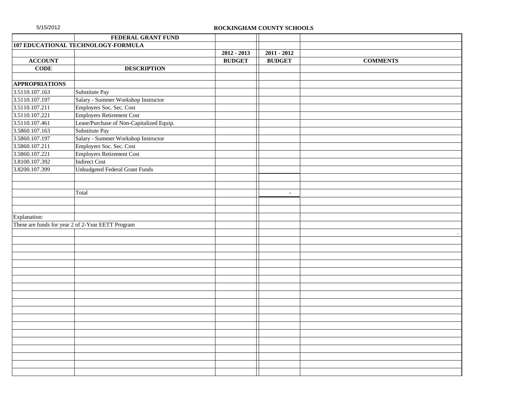| 5/15/2012             | ROCKINGHAM COUNTY SCHOOLS                         |               |                |                 |
|-----------------------|---------------------------------------------------|---------------|----------------|-----------------|
|                       | FEDERAL GRANT FUND                                |               |                |                 |
|                       | 107 EDUCATIONAL TECHNOLOGY-FORMULA                |               |                |                 |
|                       |                                                   | $2012 - 2013$ | $2011 - 2012$  |                 |
| <b>ACCOUNT</b>        |                                                   | <b>BUDGET</b> | <b>BUDGET</b>  | <b>COMMENTS</b> |
| <b>CODE</b>           | <b>DESCRIPTION</b>                                |               |                |                 |
|                       |                                                   |               |                |                 |
| <b>APPROPRIATIONS</b> |                                                   |               |                |                 |
| 3.5110.107.163        | Substitute Pay                                    |               |                |                 |
| 3.5110.107.197        | Salary - Summer Workshop Instructor               |               |                |                 |
| 3.5110.107.211        | Employers Soc. Sec. Cost                          |               |                |                 |
| 3.5110.107.221        | <b>Employers Retirement Cost</b>                  |               |                |                 |
| 3.5110.107.461        | Lease/Purchase of Non-Capitalized Equip.          |               |                |                 |
| 3.5860.107.163        | Substitute Pay                                    |               |                |                 |
| 3.5860.107.197        | Salary - Summer Workshop Instructor               |               |                |                 |
| 3.5860.107.211        | Employers Soc. Sec. Cost                          |               |                |                 |
| 3.5860.107.221        | <b>Employers Retirement Cost</b>                  |               |                |                 |
| 3.8100.107.392        | <b>Indirect Cost</b>                              |               |                |                 |
| 3.8200.107.399        | <b>Unbudgeted Federal Grant Funds</b>             |               |                |                 |
|                       |                                                   |               |                |                 |
|                       |                                                   |               |                |                 |
|                       | Total                                             |               | $\blacksquare$ |                 |
|                       |                                                   |               |                |                 |
|                       |                                                   |               |                |                 |
| Explanation:          |                                                   |               |                |                 |
|                       | These are funds for year 2 of 2-Year EETT Program |               |                |                 |
|                       |                                                   |               |                |                 |
|                       |                                                   |               |                |                 |
|                       |                                                   |               |                |                 |
|                       |                                                   |               |                |                 |
|                       |                                                   |               |                |                 |
|                       |                                                   |               |                |                 |
|                       |                                                   |               |                |                 |
|                       |                                                   |               |                |                 |
|                       |                                                   |               |                |                 |
|                       |                                                   |               |                |                 |
|                       |                                                   |               |                |                 |
|                       |                                                   |               |                |                 |
|                       |                                                   |               |                |                 |
|                       |                                                   |               |                |                 |
|                       |                                                   |               |                |                 |
|                       |                                                   |               |                |                 |
|                       |                                                   |               |                |                 |
|                       |                                                   |               |                |                 |
|                       |                                                   |               |                |                 |
|                       |                                                   |               |                |                 |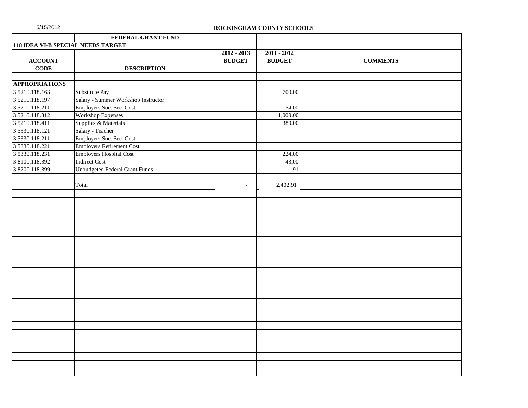| 5/15/2012<br>ROCKINGHAM COUNTY SCHOOLS    |                                     |               |               |                 |
|-------------------------------------------|-------------------------------------|---------------|---------------|-----------------|
|                                           | FEDERAL GRANT FUND                  |               |               |                 |
| <b>118 IDEA VI-B SPECIAL NEEDS TARGET</b> |                                     |               |               |                 |
|                                           |                                     | $2012 - 2013$ | $2011 - 2012$ |                 |
| <b>ACCOUNT</b>                            |                                     | <b>BUDGET</b> | <b>BUDGET</b> | <b>COMMENTS</b> |
| <b>CODE</b>                               | <b>DESCRIPTION</b>                  |               |               |                 |
|                                           |                                     |               |               |                 |
| <b>APPROPRIATIONS</b>                     |                                     |               |               |                 |
| 3.5210.118.163                            | Substitute Pay                      |               | 700.00        |                 |
| 3.5210.118.197                            | Salary - Summer Workshop Instructor |               |               |                 |
| 3.5210.118.211                            | Employers Soc. Sec. Cost            |               | 54.00         |                 |
| 3.5210.118.312                            | <b>Workshop Expenses</b>            |               | 1,000.00      |                 |
| 3.5210.118.411                            | Supplies & Materials                |               | 380.00        |                 |
| 3.5330.118.121                            | Salary - Teacher                    |               |               |                 |
| 3.5330.118.211                            | Employers Soc. Sec. Cost            |               |               |                 |
| 3.5330.118.221                            | <b>Employers Retirement Cost</b>    |               |               |                 |
| 3.5330.118.231                            | <b>Employers Hospital Cost</b>      |               | 224.00        |                 |
| 3.8100.118.392                            | <b>Indirect Cost</b>                |               | 43.00         |                 |
| 3.8200.118.399                            | Unbudgeted Federal Grant Funds      |               | 1.91          |                 |
|                                           |                                     |               |               |                 |
|                                           | Total                               | $\sim$        | 2,402.91      |                 |
|                                           |                                     |               |               |                 |
|                                           |                                     |               |               |                 |
|                                           |                                     |               |               |                 |
|                                           |                                     |               |               |                 |
|                                           |                                     |               |               |                 |
|                                           |                                     |               |               |                 |
|                                           |                                     |               |               |                 |
|                                           |                                     |               |               |                 |
|                                           |                                     |               |               |                 |
|                                           |                                     |               |               |                 |
|                                           |                                     |               |               |                 |
|                                           |                                     |               |               |                 |
|                                           |                                     |               |               |                 |
|                                           |                                     |               |               |                 |
|                                           |                                     |               |               |                 |
|                                           |                                     |               |               |                 |
|                                           |                                     |               |               |                 |
|                                           |                                     |               |               |                 |
|                                           |                                     |               |               |                 |
|                                           |                                     |               |               |                 |
|                                           |                                     |               |               |                 |
|                                           |                                     |               |               |                 |
|                                           |                                     |               |               |                 |
|                                           |                                     |               |               |                 |
|                                           |                                     |               |               |                 |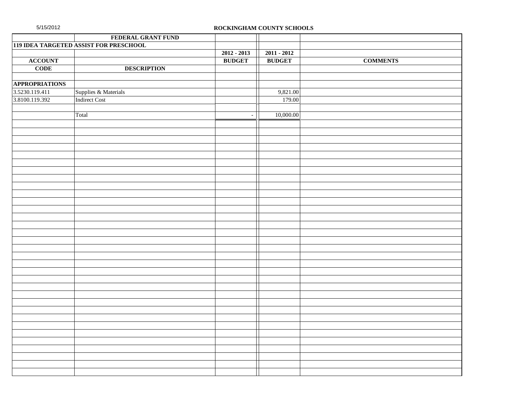| 5/15/2012             |                                        |               | ROCKINGHAM COUNTY SCHOOLS |                 |
|-----------------------|----------------------------------------|---------------|---------------------------|-----------------|
|                       | FEDERAL GRANT FUND                     |               |                           |                 |
|                       | 119 IDEA TARGETED ASSIST FOR PRESCHOOL |               |                           |                 |
|                       |                                        | $2012 - 2013$ | $2011 - 2012$             |                 |
| <b>ACCOUNT</b>        |                                        | <b>BUDGET</b> | <b>BUDGET</b>             | <b>COMMENTS</b> |
| $CODE$                | <b>DESCRIPTION</b>                     |               |                           |                 |
|                       |                                        |               |                           |                 |
| <b>APPROPRIATIONS</b> |                                        |               |                           |                 |
| 3.5230.119.411        | Supplies & Materials                   |               | 9,821.00                  |                 |
| 3.8100.119.392        | <b>Indirect Cost</b>                   |               | 179.00                    |                 |
|                       |                                        |               |                           |                 |
|                       | Total                                  | $\omega$      | 10,000.00                 |                 |
|                       |                                        |               |                           |                 |
|                       |                                        |               |                           |                 |
|                       |                                        |               |                           |                 |
|                       |                                        |               |                           |                 |
|                       |                                        |               |                           |                 |
|                       |                                        |               |                           |                 |
|                       |                                        |               |                           |                 |
|                       |                                        |               |                           |                 |
|                       |                                        |               |                           |                 |
|                       |                                        |               |                           |                 |
|                       |                                        |               |                           |                 |
|                       |                                        |               |                           |                 |
|                       |                                        |               |                           |                 |
|                       |                                        |               |                           |                 |
|                       |                                        |               |                           |                 |
|                       |                                        |               |                           |                 |
|                       |                                        |               |                           |                 |
|                       |                                        |               |                           |                 |
|                       |                                        |               |                           |                 |
|                       |                                        |               |                           |                 |
|                       |                                        |               |                           |                 |
|                       |                                        |               |                           |                 |
|                       |                                        |               |                           |                 |
|                       |                                        |               |                           |                 |
|                       |                                        |               |                           |                 |
|                       |                                        |               |                           |                 |
|                       |                                        |               |                           |                 |
|                       |                                        |               |                           |                 |
|                       |                                        |               |                           |                 |
|                       |                                        |               |                           |                 |
|                       |                                        |               |                           |                 |
|                       |                                        |               |                           |                 |
|                       |                                        |               |                           |                 |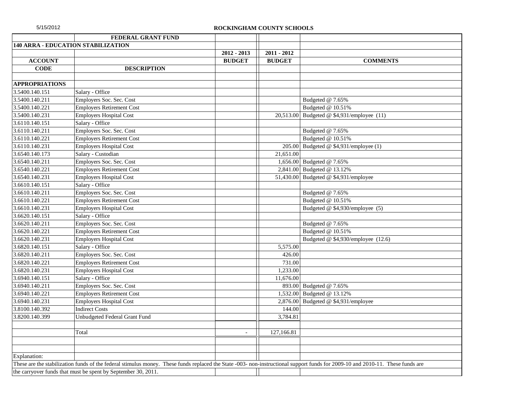|                       | FEDERAL GRANT FUND                                                                                                                                                             |               |               |                                         |
|-----------------------|--------------------------------------------------------------------------------------------------------------------------------------------------------------------------------|---------------|---------------|-----------------------------------------|
|                       | 140 ARRA - EDUCATION STABILIZATION                                                                                                                                             |               |               |                                         |
|                       |                                                                                                                                                                                | 2012 - 2013   | $2011 - 2012$ |                                         |
| <b>ACCOUNT</b>        |                                                                                                                                                                                | <b>BUDGET</b> | <b>BUDGET</b> | <b>COMMENTS</b>                         |
| <b>CODE</b>           | <b>DESCRIPTION</b>                                                                                                                                                             |               |               |                                         |
|                       |                                                                                                                                                                                |               |               |                                         |
| <b>APPROPRIATIONS</b> |                                                                                                                                                                                |               |               |                                         |
| 3.5400.140.151        | Salary - Office                                                                                                                                                                |               |               |                                         |
| 3.5400.140.211        | Employers Soc. Sec. Cost                                                                                                                                                       |               |               | Budgeted @ 7.65%                        |
| 3.5400.140.221        | <b>Employers Retirement Cost</b>                                                                                                                                               |               |               | Budgeted @ 10.51%                       |
| 3.5400.140.231        | <b>Employers Hospital Cost</b>                                                                                                                                                 |               | 20,513.00     | Budgeted @ \$4,931/employee (11)        |
| 3.6110.140.151        | Salary - Office                                                                                                                                                                |               |               |                                         |
| 3.6110.140.211        | Employers Soc. Sec. Cost                                                                                                                                                       |               |               | Budgeted @ 7.65%                        |
| 3.6110.140.221        | <b>Employers Retirement Cost</b>                                                                                                                                               |               |               | Budgeted @ 10.51%                       |
| 3.6110.140.231        | <b>Employers Hospital Cost</b>                                                                                                                                                 |               |               | 205.00 Budgeted @ $$4,931/employee (1)$ |
| 3.6540.140.173        | Salary - Custodian                                                                                                                                                             |               | 21,651.00     |                                         |
| 3.6540.140.211        | Employers Soc. Sec. Cost                                                                                                                                                       |               |               | 1,656.00 Budgeted @ 7.65%               |
| 3.6540.140.221        | <b>Employers Retirement Cost</b>                                                                                                                                               |               |               | 2,841.00 Budgeted @ 13.12%              |
| 3.6540.140.231        | <b>Employers Hospital Cost</b>                                                                                                                                                 |               |               | 51,430.00 Budgeted @ $$4,931$ /employee |
| 3.6610.140.151        | Salary - Office                                                                                                                                                                |               |               |                                         |
| 3.6610.140.211        | Employers Soc. Sec. Cost                                                                                                                                                       |               |               | Budgeted @ 7.65%                        |
| 3.6610.140.221        | <b>Employers Retirement Cost</b>                                                                                                                                               |               |               | Budgeted @ 10.51%                       |
| 3.6610.140.231        | <b>Employers Hospital Cost</b>                                                                                                                                                 |               |               | Budgeted @ \$4,930/employee (5)         |
| 3.6620.140.151        | Salary - Office                                                                                                                                                                |               |               |                                         |
| 3.6620.140.211        | Employers Soc. Sec. Cost                                                                                                                                                       |               |               | Budgeted @ 7.65%                        |
| 3.6620.140.221        | <b>Employers Retirement Cost</b>                                                                                                                                               |               |               | Budgeted @ 10.51%                       |
| 3.6620.140.231        | <b>Employers Hospital Cost</b>                                                                                                                                                 |               |               | Budgeted @ \$4,930/employee (12.6)      |
| 3.6820.140.151        | Salary - Office                                                                                                                                                                |               | 5,575.00      |                                         |
| 3.6820.140.211        | Employers Soc. Sec. Cost                                                                                                                                                       |               | 426.00        |                                         |
| 3.6820.140.221        | <b>Employers Retirement Cost</b>                                                                                                                                               |               | 731.00        |                                         |
| 3.6820.140.231        | <b>Employers Hospital Cost</b>                                                                                                                                                 |               | 1,233.00      |                                         |
| 3.6940.140.151        | Salary - Office                                                                                                                                                                |               | 11,676.00     |                                         |
| 3.6940.140.211        | Employers Soc. Sec. Cost                                                                                                                                                       |               |               | 893.00 Budgeted @ 7.65%                 |
| 3.6940.140.221        | <b>Employers Retirement Cost</b>                                                                                                                                               |               |               | 1,532.00 Budgeted @ 13.12%              |
| 3.6940.140.231        | <b>Employers Hospital Cost</b>                                                                                                                                                 |               |               | 2,876.00 Budgeted @ $$4,931/employee$   |
| 3.8100.140.392        | <b>Indirect Costs</b>                                                                                                                                                          |               | 144.00        |                                         |
| 3.8200.140.399        | Unbudgeted Federal Grant Fund                                                                                                                                                  |               | 3,784.81      |                                         |
|                       |                                                                                                                                                                                |               |               |                                         |
|                       | Total                                                                                                                                                                          |               | 127.166.81    |                                         |
|                       |                                                                                                                                                                                |               |               |                                         |
|                       |                                                                                                                                                                                |               |               |                                         |
| <b>Explanation:</b>   |                                                                                                                                                                                |               |               |                                         |
|                       | These are the stabilization funds of the federal stimulus money. These funds replaced the State -003- non-instructional support funds for 2009-10 and 2010-11. These funds are |               |               |                                         |
|                       | the carryover funds that must be spent by September 30, 2011.                                                                                                                  |               |               |                                         |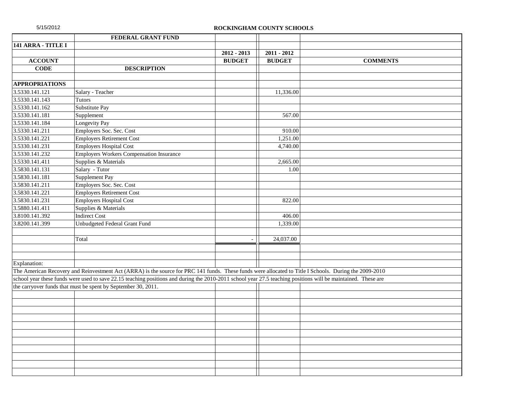| 5/15/2012             |                                                                                                                                                               | ROCKINGHAM COUNTY SCHOOLS |               |                 |
|-----------------------|---------------------------------------------------------------------------------------------------------------------------------------------------------------|---------------------------|---------------|-----------------|
|                       | FEDERAL GRANT FUND                                                                                                                                            |                           |               |                 |
| 141 ARRA - TITLE I    |                                                                                                                                                               |                           |               |                 |
|                       |                                                                                                                                                               | $2012 - 2013$             | $2011 - 2012$ |                 |
| <b>ACCOUNT</b>        |                                                                                                                                                               | <b>BUDGET</b>             | <b>BUDGET</b> | <b>COMMENTS</b> |
| <b>CODE</b>           | <b>DESCRIPTION</b>                                                                                                                                            |                           |               |                 |
|                       |                                                                                                                                                               |                           |               |                 |
| <b>APPROPRIATIONS</b> |                                                                                                                                                               |                           |               |                 |
| 3.5330.141.121        | Salary - Teacher                                                                                                                                              |                           | 11,336.00     |                 |
| 3.5330.141.143        | <b>Tutors</b>                                                                                                                                                 |                           |               |                 |
| 3.5330.141.162        | Substitute Pay                                                                                                                                                |                           |               |                 |
| 3.5330.141.181        | Supplement                                                                                                                                                    |                           | 567.00        |                 |
| 3.5330.141.184        | Longevity Pay                                                                                                                                                 |                           |               |                 |
| 3.5330.141.211        | Employers Soc. Sec. Cost                                                                                                                                      |                           | 910.00        |                 |
| 3.5330.141.221        | <b>Employers Retirement Cost</b>                                                                                                                              |                           | 1,251.00      |                 |
| 3.5330.141.231        | <b>Employers Hospital Cost</b>                                                                                                                                |                           | 4,740.00      |                 |
| 3.5330.141.232        | <b>Employers Workers Compensation Insurance</b>                                                                                                               |                           |               |                 |
| 3.5330.141.411        | Supplies & Materials                                                                                                                                          |                           | 2,665.00      |                 |
| 3.5830.141.131        | Salary - Tutor                                                                                                                                                |                           | 1.00          |                 |
| 3.5830.141.181        | Supplement Pay                                                                                                                                                |                           |               |                 |
| 3.5830.141.211        | Employers Soc. Sec. Cost                                                                                                                                      |                           |               |                 |
| 3.5830.141.221        | <b>Employers Retirement Cost</b>                                                                                                                              |                           |               |                 |
| 3.5830.141.231        | <b>Employers Hospital Cost</b>                                                                                                                                |                           | 822.00        |                 |
| 3.5880.141.411        | Supplies & Materials                                                                                                                                          |                           |               |                 |
| 3.8100.141.392        | <b>Indirect Cost</b>                                                                                                                                          |                           | 406.00        |                 |
| 3.8200.141.399        | Unbudgeted Federal Grant Fund                                                                                                                                 |                           | 1,339.00      |                 |
|                       |                                                                                                                                                               |                           |               |                 |
|                       | Total                                                                                                                                                         | $\blacksquare$            | 24,037.00     |                 |
|                       |                                                                                                                                                               |                           |               |                 |
|                       |                                                                                                                                                               |                           |               |                 |
| Explanation:          |                                                                                                                                                               |                           |               |                 |
|                       | The American Recovery and Reinvestment Act (ARRA) is the source for PRC 141 funds. These funds were allocated to Title I Schools. During the 2009-2010        |                           |               |                 |
|                       | school year these funds were used to save 22.15 teaching positions and during the 2010-2011 school year 27.5 teaching positions will be maintained. These are |                           |               |                 |
|                       | the carryover funds that must be spent by September 30, 2011.                                                                                                 |                           |               |                 |
|                       |                                                                                                                                                               |                           |               |                 |
|                       |                                                                                                                                                               |                           |               |                 |
|                       |                                                                                                                                                               |                           |               |                 |
|                       |                                                                                                                                                               |                           |               |                 |
|                       |                                                                                                                                                               |                           |               |                 |
|                       |                                                                                                                                                               |                           |               |                 |
|                       |                                                                                                                                                               |                           |               |                 |
|                       |                                                                                                                                                               |                           |               |                 |
|                       |                                                                                                                                                               |                           |               |                 |
|                       |                                                                                                                                                               |                           |               |                 |
|                       |                                                                                                                                                               |                           |               |                 |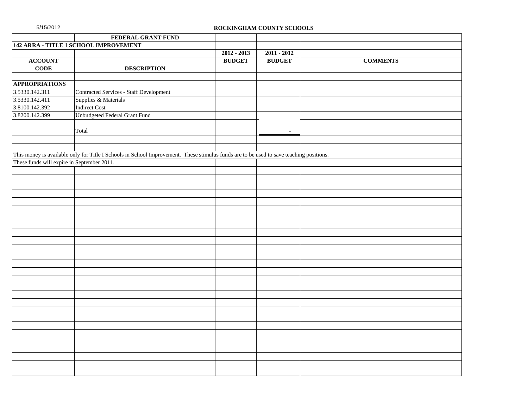| 5/15/2012                                  |                                                                                                                                         | ROCKINGHAM COUNTY SCHOOLS |               |                 |  |
|--------------------------------------------|-----------------------------------------------------------------------------------------------------------------------------------------|---------------------------|---------------|-----------------|--|
|                                            | FEDERAL GRANT FUND                                                                                                                      |                           |               |                 |  |
|                                            | 142 ARRA - TITLE 1 SCHOOL IMPROVEMENT                                                                                                   |                           |               |                 |  |
|                                            |                                                                                                                                         | $2012 - 2013$             | $2011 - 2012$ |                 |  |
| <b>ACCOUNT</b>                             |                                                                                                                                         | <b>BUDGET</b>             | <b>BUDGET</b> | <b>COMMENTS</b> |  |
| $CODE$                                     | <b>DESCRIPTION</b>                                                                                                                      |                           |               |                 |  |
|                                            |                                                                                                                                         |                           |               |                 |  |
| <b>APPROPRIATIONS</b>                      |                                                                                                                                         |                           |               |                 |  |
| 3.5330.142.311                             | <b>Contracted Services - Staff Development</b>                                                                                          |                           |               |                 |  |
| 3.5330.142.411                             | Supplies & Materials                                                                                                                    |                           |               |                 |  |
| 3.8100.142.392                             | <b>Indirect Cost</b>                                                                                                                    |                           |               |                 |  |
| 3.8200.142.399                             | Unbudgeted Federal Grant Fund                                                                                                           |                           |               |                 |  |
|                                            |                                                                                                                                         |                           |               |                 |  |
|                                            | Total                                                                                                                                   |                           | $\sim$        |                 |  |
|                                            |                                                                                                                                         |                           |               |                 |  |
|                                            |                                                                                                                                         |                           |               |                 |  |
|                                            | This money is available only for Title I Schools in School Improvement. These stimulus funds are to be used to save teaching positions. |                           |               |                 |  |
| These funds will expire in September 2011. |                                                                                                                                         |                           |               |                 |  |
|                                            |                                                                                                                                         |                           |               |                 |  |
|                                            |                                                                                                                                         |                           |               |                 |  |
|                                            |                                                                                                                                         |                           |               |                 |  |
|                                            |                                                                                                                                         |                           |               |                 |  |
|                                            |                                                                                                                                         |                           |               |                 |  |
|                                            |                                                                                                                                         |                           |               |                 |  |
|                                            |                                                                                                                                         |                           |               |                 |  |
|                                            |                                                                                                                                         |                           |               |                 |  |
|                                            |                                                                                                                                         |                           |               |                 |  |
|                                            |                                                                                                                                         |                           |               |                 |  |
|                                            |                                                                                                                                         |                           |               |                 |  |
|                                            |                                                                                                                                         |                           |               |                 |  |
|                                            |                                                                                                                                         |                           |               |                 |  |
|                                            |                                                                                                                                         |                           |               |                 |  |
|                                            |                                                                                                                                         |                           |               |                 |  |
|                                            |                                                                                                                                         |                           |               |                 |  |
|                                            |                                                                                                                                         |                           |               |                 |  |
|                                            |                                                                                                                                         |                           |               |                 |  |
|                                            |                                                                                                                                         |                           |               |                 |  |
|                                            |                                                                                                                                         |                           |               |                 |  |
|                                            |                                                                                                                                         |                           |               |                 |  |
|                                            |                                                                                                                                         |                           |               |                 |  |
|                                            |                                                                                                                                         |                           |               |                 |  |
|                                            |                                                                                                                                         |                           |               |                 |  |
|                                            |                                                                                                                                         |                           |               |                 |  |
|                                            |                                                                                                                                         |                           |               |                 |  |
|                                            |                                                                                                                                         |                           |               |                 |  |
|                                            |                                                                                                                                         |                           |               |                 |  |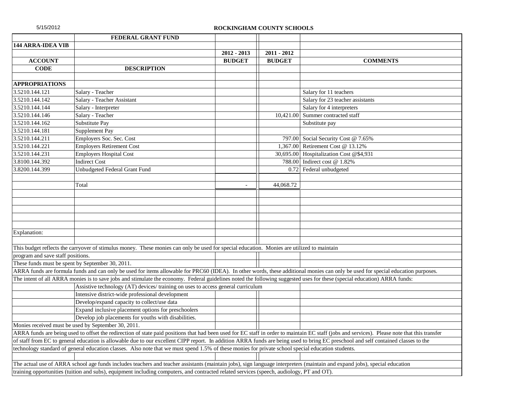| 5/15/2012                         |                                                                                                                                                                                    | ROCKINGHAM COUNTY SCHOOLS |               |                                                                                                                                                                                               |
|-----------------------------------|------------------------------------------------------------------------------------------------------------------------------------------------------------------------------------|---------------------------|---------------|-----------------------------------------------------------------------------------------------------------------------------------------------------------------------------------------------|
|                                   | <b>FEDERAL GRANT FUND</b>                                                                                                                                                          |                           |               |                                                                                                                                                                                               |
| <b>144 ARRA-IDEA VIB</b>          |                                                                                                                                                                                    |                           |               |                                                                                                                                                                                               |
|                                   |                                                                                                                                                                                    | $2012 - 2013$             | $2011 - 2012$ |                                                                                                                                                                                               |
| <b>ACCOUNT</b>                    |                                                                                                                                                                                    | <b>BUDGET</b>             | <b>BUDGET</b> | <b>COMMENTS</b>                                                                                                                                                                               |
| <b>CODE</b>                       | <b>DESCRIPTION</b>                                                                                                                                                                 |                           |               |                                                                                                                                                                                               |
|                                   |                                                                                                                                                                                    |                           |               |                                                                                                                                                                                               |
| <b>APPROPRIATIONS</b>             |                                                                                                                                                                                    |                           |               |                                                                                                                                                                                               |
| 3.5210.144.121                    | Salary - Teacher                                                                                                                                                                   |                           |               | Salary for 11 teachers                                                                                                                                                                        |
| 3.5210.144.142                    | Salary - Teacher Assistant                                                                                                                                                         |                           |               | Salary for 23 teacher assistants                                                                                                                                                              |
| 3.5210.144.144                    | Salary - Interpreter                                                                                                                                                               |                           |               | Salary for 4 interpreters                                                                                                                                                                     |
| 3.5210.144.146                    | Salary - Teacher                                                                                                                                                                   |                           | 10,421.00     | Summer contracted staff                                                                                                                                                                       |
| 3.5210.144.162                    | Substitute Pay                                                                                                                                                                     |                           |               | Substitute pay                                                                                                                                                                                |
| 3.5210.144.181                    | Supplement Pay                                                                                                                                                                     |                           |               |                                                                                                                                                                                               |
| 3.5210.144.211                    | Employers Soc. Sec. Cost                                                                                                                                                           |                           |               | 797.00 Social Security Cost @ 7.65%                                                                                                                                                           |
| 3.5210.144.221                    | <b>Employers Retirement Cost</b>                                                                                                                                                   |                           | 1,367.00      | Retirement Cost @ 13.12%                                                                                                                                                                      |
| 3.5210.144.231                    | <b>Employers Hospital Cost</b>                                                                                                                                                     |                           |               | 30,695.00 Hospitalization Cost @\$4,931                                                                                                                                                       |
| 3.8100.144.392                    | <b>Indirect Cost</b>                                                                                                                                                               |                           |               | 788.00 Indirect cost @ 1.82%                                                                                                                                                                  |
| 3.8200.144.399                    | Unbudgeted Federal Grant Fund                                                                                                                                                      |                           | 0.72          | Federal unbudgeted                                                                                                                                                                            |
|                                   |                                                                                                                                                                                    |                           |               |                                                                                                                                                                                               |
|                                   | Total                                                                                                                                                                              | $\sim$                    | 44,068.72     |                                                                                                                                                                                               |
|                                   |                                                                                                                                                                                    |                           |               |                                                                                                                                                                                               |
|                                   |                                                                                                                                                                                    |                           |               |                                                                                                                                                                                               |
|                                   |                                                                                                                                                                                    |                           |               |                                                                                                                                                                                               |
|                                   |                                                                                                                                                                                    |                           |               |                                                                                                                                                                                               |
|                                   |                                                                                                                                                                                    |                           |               |                                                                                                                                                                                               |
| Explanation:                      |                                                                                                                                                                                    |                           |               |                                                                                                                                                                                               |
|                                   |                                                                                                                                                                                    |                           |               |                                                                                                                                                                                               |
|                                   | This budget reflects the carryover of stimulus money. These monies can only be used for special education. Monies are utilized to maintain                                         |                           |               |                                                                                                                                                                                               |
| program and save staff positions. |                                                                                                                                                                                    |                           |               |                                                                                                                                                                                               |
|                                   | These funds must be spent by September 30, 2011.                                                                                                                                   |                           |               |                                                                                                                                                                                               |
|                                   | ARRA funds are formula funds and can only be used for items allowable for PRC60 (IDEA). In other words, these additional monies can only be used for special education purposes.   |                           |               |                                                                                                                                                                                               |
|                                   | The intent of all ARRA monies is to save jobs and stimulate the economy. Federal guidelines noted the following suggested uses for these (special education) ARRA funds:           |                           |               |                                                                                                                                                                                               |
|                                   | Assistive technology (AT) devices/ training on uses to access general curriculum                                                                                                   |                           |               |                                                                                                                                                                                               |
|                                   | Intensive district-wide professional development                                                                                                                                   |                           |               |                                                                                                                                                                                               |
|                                   | Develop/expand capacity to collect/use data                                                                                                                                        |                           |               |                                                                                                                                                                                               |
|                                   | Expand inclusive placement options for preschoolers                                                                                                                                |                           |               |                                                                                                                                                                                               |
|                                   | Develop job placements for youths with disabilities.                                                                                                                               |                           |               |                                                                                                                                                                                               |
|                                   | Monies received must be used by September 30, 2011.                                                                                                                                |                           |               |                                                                                                                                                                                               |
|                                   |                                                                                                                                                                                    |                           |               | ARRA funds are being used to offset the redirection of state paid positions that had been used for EC staff in order to maintain EC staff (jobs and services). Please note that this transfer |
|                                   | of staff from EC to general education is allowable due to our excellent CIPP report. In addition ARRA funds are being used to bring EC preschool and self contained classes to the |                           |               |                                                                                                                                                                                               |
|                                   | technology standard of general education classes. Also note that we must spend 1.5% of these monies for private school special education students.                                 |                           |               |                                                                                                                                                                                               |
|                                   |                                                                                                                                                                                    |                           |               |                                                                                                                                                                                               |
|                                   | The actual use of ARRA school age funds includes teachers and teacher assistants (maintain jobs), sign language interpreters (maintain and expand jobs), special education         |                           |               |                                                                                                                                                                                               |
|                                   | training opportunities (tuition and subs), equipment including computers, and contracted related services (speech, audiology, PT and OT).                                          |                           |               |                                                                                                                                                                                               |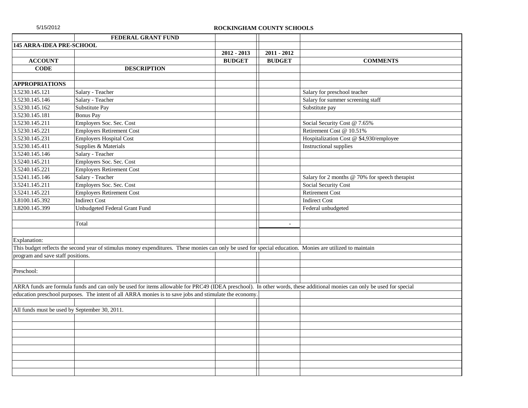| 5/15/2012                                     |                                                                                                                                                                        | ROCKINGHAM COUNTY SCHOOLS |               |                                                |
|-----------------------------------------------|------------------------------------------------------------------------------------------------------------------------------------------------------------------------|---------------------------|---------------|------------------------------------------------|
|                                               | FEDERAL GRANT FUND                                                                                                                                                     |                           |               |                                                |
| <b>145 ARRA-IDEA PRE-SCHOOL</b>               |                                                                                                                                                                        |                           |               |                                                |
|                                               |                                                                                                                                                                        | $2012 - 2013$             | $2011 - 2012$ |                                                |
| <b>ACCOUNT</b>                                |                                                                                                                                                                        | <b>BUDGET</b>             | <b>BUDGET</b> | <b>COMMENTS</b>                                |
| <b>CODE</b>                                   | <b>DESCRIPTION</b>                                                                                                                                                     |                           |               |                                                |
|                                               |                                                                                                                                                                        |                           |               |                                                |
| <b>APPROPRIATIONS</b>                         |                                                                                                                                                                        |                           |               |                                                |
| 3.5230.145.121                                | Salary - Teacher                                                                                                                                                       |                           |               | Salary for preschool teacher                   |
| 3.5230.145.146                                | Salary - Teacher                                                                                                                                                       |                           |               | Salary for summer screening staff              |
| 3.5230.145.162                                | Substitute Pay                                                                                                                                                         |                           |               | Substitute pay                                 |
| 3.5230.145.181                                | <b>Bonus Pay</b>                                                                                                                                                       |                           |               |                                                |
| 3.5230.145.211                                | Employers Soc. Sec. Cost                                                                                                                                               |                           |               | Social Security Cost @ 7.65%                   |
| 3.5230.145.221                                | <b>Employers Retirement Cost</b>                                                                                                                                       |                           |               | Retirement Cost @ 10.51%                       |
| 3.5230.145.231                                | <b>Employers Hospital Cost</b>                                                                                                                                         |                           |               | Hospitalization Cost @ \$4,930/employee        |
| 3.5230.145.411                                | Supplies & Materials                                                                                                                                                   |                           |               | <b>Instructional supplies</b>                  |
| 3.5240.145.146                                | Salary - Teacher                                                                                                                                                       |                           |               |                                                |
| 3.5240.145.211                                | Employers Soc. Sec. Cost                                                                                                                                               |                           |               |                                                |
| 3.5240.145.221                                | <b>Employers Retirement Cost</b>                                                                                                                                       |                           |               |                                                |
| 3.5241.145.146                                | Salary - Teacher                                                                                                                                                       |                           |               | Salary for 2 months @ 70% for speech therapist |
| 3.5241.145.211                                | Employers Soc. Sec. Cost                                                                                                                                               |                           |               | Social Security Cost                           |
| 3.5241.145.221                                | <b>Employers Retirement Cost</b>                                                                                                                                       |                           |               | <b>Retirement Cost</b>                         |
| 3.8100.145.392                                | <b>Indirect Cost</b>                                                                                                                                                   |                           |               | <b>Indirect Cost</b>                           |
| 3.8200.145.399                                | Unbudgeted Federal Grant Fund                                                                                                                                          |                           |               | Federal unbudgeted                             |
|                                               |                                                                                                                                                                        |                           |               |                                                |
|                                               | Total                                                                                                                                                                  |                           | $\sim$        |                                                |
|                                               |                                                                                                                                                                        |                           |               |                                                |
| Explanation:                                  |                                                                                                                                                                        |                           |               |                                                |
|                                               | This budget reflects the second year of stimulus money expenditures. These monies can only be used for special education. Monies are utilized to maintain              |                           |               |                                                |
| program and save staff positions.             |                                                                                                                                                                        |                           |               |                                                |
|                                               |                                                                                                                                                                        |                           |               |                                                |
| Preschool:                                    |                                                                                                                                                                        |                           |               |                                                |
|                                               |                                                                                                                                                                        |                           |               |                                                |
|                                               | ARRA funds are formula funds and can only be used for items allowable for PRC49 (IDEA preschool). In other words, these additional monies can only be used for special |                           |               |                                                |
|                                               | education preschool purposes. The intent of all ARRA monies is to save jobs and stimulate the economy                                                                  |                           |               |                                                |
|                                               |                                                                                                                                                                        |                           |               |                                                |
| All funds must be used by September 30, 2011. |                                                                                                                                                                        |                           |               |                                                |
|                                               |                                                                                                                                                                        |                           |               |                                                |
|                                               |                                                                                                                                                                        |                           |               |                                                |
|                                               |                                                                                                                                                                        |                           |               |                                                |
|                                               |                                                                                                                                                                        |                           |               |                                                |
|                                               |                                                                                                                                                                        |                           |               |                                                |
|                                               |                                                                                                                                                                        |                           |               |                                                |
|                                               |                                                                                                                                                                        |                           |               |                                                |
|                                               |                                                                                                                                                                        |                           |               |                                                |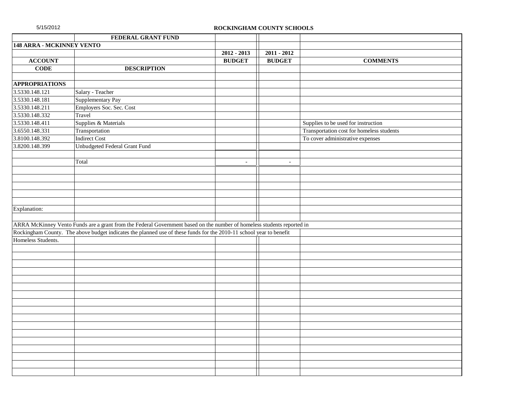| 5/15/2012                        |                                                                                                                        |                | ROCKINGHAM COUNTY SCHOOLS |                                           |
|----------------------------------|------------------------------------------------------------------------------------------------------------------------|----------------|---------------------------|-------------------------------------------|
|                                  | FEDERAL GRANT FUND                                                                                                     |                |                           |                                           |
| <b>148 ARRA - MCKINNEY VENTO</b> |                                                                                                                        |                |                           |                                           |
|                                  |                                                                                                                        | $2012 - 2013$  | $2011 - 2012$             |                                           |
| <b>ACCOUNT</b>                   |                                                                                                                        | <b>BUDGET</b>  | <b>BUDGET</b>             | <b>COMMENTS</b>                           |
| <b>CODE</b>                      | <b>DESCRIPTION</b>                                                                                                     |                |                           |                                           |
|                                  |                                                                                                                        |                |                           |                                           |
| <b>APPROPRIATIONS</b>            |                                                                                                                        |                |                           |                                           |
| 3.5330.148.121                   | Salary - Teacher                                                                                                       |                |                           |                                           |
| 3.5330.148.181                   | Supplementary Pay                                                                                                      |                |                           |                                           |
| 3.5330.148.211                   | Employers Soc. Sec. Cost                                                                                               |                |                           |                                           |
| 3.5330.148.332                   | Travel                                                                                                                 |                |                           |                                           |
| 3.5330.148.411                   | Supplies & Materials                                                                                                   |                |                           | Supplies to be used for instruction       |
| 3.6550.148.331                   | Transportation                                                                                                         |                |                           | Transportation cost for homeless students |
| 3.8100.148.392                   | <b>Indirect Cost</b>                                                                                                   |                |                           | To cover administrative expenses          |
| 3.8200.148.399                   | Unbudgeted Federal Grant Fund                                                                                          |                |                           |                                           |
|                                  |                                                                                                                        |                |                           |                                           |
|                                  | Total                                                                                                                  | $\blacksquare$ | $\blacksquare$            |                                           |
|                                  |                                                                                                                        |                |                           |                                           |
|                                  |                                                                                                                        |                |                           |                                           |
|                                  |                                                                                                                        |                |                           |                                           |
|                                  |                                                                                                                        |                |                           |                                           |
|                                  |                                                                                                                        |                |                           |                                           |
| Explanation:                     |                                                                                                                        |                |                           |                                           |
|                                  |                                                                                                                        |                |                           |                                           |
|                                  | ARRA McKinney Vento Funds are a grant from the Federal Government based on the number of homeless students reported in |                |                           |                                           |
|                                  | Rockingham County. The above budget indicates the planned use of these funds for the 2010-11 school year to benefit    |                |                           |                                           |
| Homeless Students.               |                                                                                                                        |                |                           |                                           |
|                                  |                                                                                                                        |                |                           |                                           |
|                                  |                                                                                                                        |                |                           |                                           |
|                                  |                                                                                                                        |                |                           |                                           |
|                                  |                                                                                                                        |                |                           |                                           |
|                                  |                                                                                                                        |                |                           |                                           |
|                                  |                                                                                                                        |                |                           |                                           |
|                                  |                                                                                                                        |                |                           |                                           |
|                                  |                                                                                                                        |                |                           |                                           |
|                                  |                                                                                                                        |                |                           |                                           |
|                                  |                                                                                                                        |                |                           |                                           |
|                                  |                                                                                                                        |                |                           |                                           |
|                                  |                                                                                                                        |                |                           |                                           |
|                                  |                                                                                                                        |                |                           |                                           |
|                                  |                                                                                                                        |                |                           |                                           |
|                                  |                                                                                                                        |                |                           |                                           |
|                                  |                                                                                                                        |                |                           |                                           |
|                                  |                                                                                                                        |                |                           |                                           |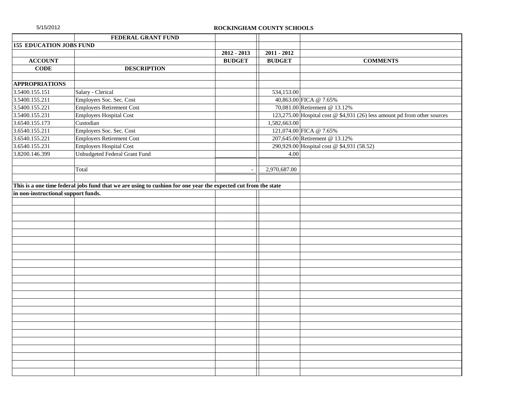| 5/15/2012                           |                                                                                                                | ROCKINGHAM COUNTY SCHOOLS |               |                                                                           |
|-------------------------------------|----------------------------------------------------------------------------------------------------------------|---------------------------|---------------|---------------------------------------------------------------------------|
|                                     | FEDERAL GRANT FUND                                                                                             |                           |               |                                                                           |
| <b>155 EDUCATION JOBS FUND</b>      |                                                                                                                |                           |               |                                                                           |
|                                     |                                                                                                                | $2012 - 2013$             | $2011 - 2012$ |                                                                           |
| <b>ACCOUNT</b>                      |                                                                                                                | <b>BUDGET</b>             | <b>BUDGET</b> | <b>COMMENTS</b>                                                           |
| <b>CODE</b>                         | <b>DESCRIPTION</b>                                                                                             |                           |               |                                                                           |
|                                     |                                                                                                                |                           |               |                                                                           |
| <b>APPROPRIATIONS</b>               |                                                                                                                |                           |               |                                                                           |
| 3.5400.155.151                      | Salary - Clerical                                                                                              |                           | 534,153.00    |                                                                           |
| 3.5400.155.211                      | Employers Soc. Sec. Cost                                                                                       |                           |               | 40,863.00 FICA @ 7.65%                                                    |
| 3.5400.155.221                      | <b>Employers Retirement Cost</b>                                                                               |                           |               | 70,081.00 Retirement @ 13.12%                                             |
| 3.5400.155.231                      | <b>Employers Hospital Cost</b>                                                                                 |                           |               | 123,275.00 Hospital cost @ \$4,931 (26) less amount pd from other sources |
| 3.6540.155.173                      | Custodian                                                                                                      |                           | 1,582,663.00  |                                                                           |
| 3.6540.155.211                      | Employers Soc. Sec. Cost                                                                                       |                           |               | 121,074.00 FICA @ 7.65%                                                   |
| 3.6540.155.221                      | <b>Employers Retirement Cost</b>                                                                               |                           |               | 207,645.00 Retirement @ 13.12%                                            |
| 3.6540.155.231                      | <b>Employers Hospital Cost</b>                                                                                 |                           |               | 290,929.00 Hospital cost @ \$4,931 (58.52)                                |
| 3.8200.146.399                      | <b>Unbudgeted Federal Grant Fund</b>                                                                           |                           | 4.00          |                                                                           |
|                                     |                                                                                                                |                           |               |                                                                           |
|                                     | Total                                                                                                          |                           | 2,970,687.00  |                                                                           |
|                                     |                                                                                                                |                           |               |                                                                           |
|                                     | This is a one time federal jobs fund that we are using to cushion for one year the expected cut from the state |                           |               |                                                                           |
| in non-instructional support funds. |                                                                                                                |                           |               |                                                                           |
|                                     |                                                                                                                |                           |               |                                                                           |
|                                     |                                                                                                                |                           |               |                                                                           |
|                                     |                                                                                                                |                           |               |                                                                           |
|                                     |                                                                                                                |                           |               |                                                                           |
|                                     |                                                                                                                |                           |               |                                                                           |
|                                     |                                                                                                                |                           |               |                                                                           |
|                                     |                                                                                                                |                           |               |                                                                           |
|                                     |                                                                                                                |                           |               |                                                                           |
|                                     |                                                                                                                |                           |               |                                                                           |
|                                     |                                                                                                                |                           |               |                                                                           |
|                                     |                                                                                                                |                           |               |                                                                           |
|                                     |                                                                                                                |                           |               |                                                                           |
|                                     |                                                                                                                |                           |               |                                                                           |
|                                     |                                                                                                                |                           |               |                                                                           |
|                                     |                                                                                                                |                           |               |                                                                           |
|                                     |                                                                                                                |                           |               |                                                                           |
|                                     |                                                                                                                |                           |               |                                                                           |
|                                     |                                                                                                                |                           |               |                                                                           |
|                                     |                                                                                                                |                           |               |                                                                           |
|                                     |                                                                                                                |                           |               |                                                                           |
|                                     |                                                                                                                |                           |               |                                                                           |
|                                     |                                                                                                                |                           |               |                                                                           |
|                                     |                                                                                                                |                           |               |                                                                           |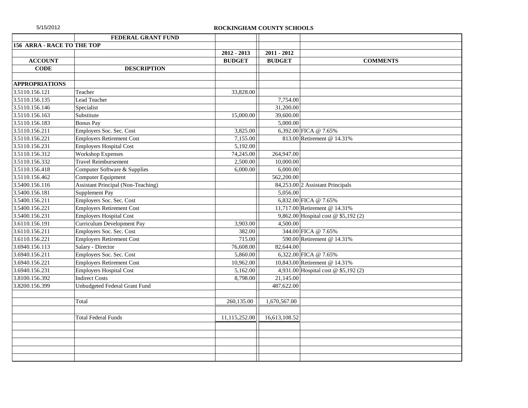| 5/15/2012 |  |  |  |
|-----------|--|--|--|
|           |  |  |  |

|                            | FEDERAL GRANT FUND                        |                       |               |                                      |
|----------------------------|-------------------------------------------|-----------------------|---------------|--------------------------------------|
| 156 ARRA - RACE TO THE TOP |                                           |                       |               |                                      |
|                            |                                           | $2012 - 2013$         | $2011 - 2012$ |                                      |
| <b>ACCOUNT</b>             |                                           | <b>BUDGET</b>         | <b>BUDGET</b> | <b>COMMENTS</b>                      |
| <b>CODE</b>                | <b>DESCRIPTION</b>                        |                       |               |                                      |
|                            |                                           |                       |               |                                      |
| <b>APPROPRIATIONS</b>      |                                           |                       |               |                                      |
| 3.5110.156.121             | Teacher                                   | 33,828.00             |               |                                      |
| 3.5110.156.135             | Lead Teacher                              |                       | 7,754.00      |                                      |
| 3.5110.156.146             | Specialist                                |                       | 31,200.00     |                                      |
| 3.5110.156.163             | Substitute                                | 15,000.00             | 39,600.00     |                                      |
| 3.5110.156.183             | <b>Bonus Pay</b>                          |                       | 5,000.00      |                                      |
| 3.5110.156.211             | Employers Soc. Sec. Cost                  | 3,825.00              |               | 6,392.00 FICA @ 7.65%                |
| 3.5110.156.221             | <b>Employers Retirement Cost</b>          | 7,155.00              |               | 813.00 Retirement @ 14.31%           |
| 3.5110.156.231             | <b>Employers Hospital Cost</b>            | 5,192.00              |               |                                      |
| 3.5110.156.312             | <b>Workshop Expenses</b>                  | 74,245.00             | 264,947.00    |                                      |
| 3.5110.156.332             | <b>Travel Reimbursement</b>               | 2,500.00              | 10,000.00     |                                      |
| 3.5110.156.418             | Computer Software & Supplies              | 6,000.00              | 6,000.00      |                                      |
| 3.5110.156.462             | Computer Equipment                        |                       | 562,200.00    |                                      |
| 3.5400.156.116             | <b>Assistant Principal (Non-Teaching)</b> |                       |               | 84,253.00 2 Assistant Principals     |
| 3.5400.156.181             | Supplement Pay                            |                       | 5,056.00      |                                      |
| 3.5400.156.211             | Employers Soc. Sec. Cost                  |                       |               | 6,832.00 FICA @ 7.65%                |
| 3.5400.156.221             | <b>Employers Retirement Cost</b>          |                       |               | 11,717.00 Retirement @ 14.31%        |
| 3.5400.156.231             | <b>Employers Hospital Cost</b>            |                       |               | 9,862.00 Hospital cost @ \$5,192 (2) |
| 3.6110.156.191             | <b>Curriculum Development Pay</b>         | 3,903.00              | 4,500.00      |                                      |
| 3.6110.156.211             | Employers Soc. Sec. Cost                  | 382.00                |               | 344.00 FICA @ 7.65%                  |
| 3.6110.156.221             | <b>Employers Retirement Cost</b>          | 715.00                |               | 590.00 Retirement @ 14.31%           |
| 3.6940.156.113             | Salary - Director                         | 76,608.00             | 82,644.00     |                                      |
| 3.6940.156.211             | Employers Soc. Sec. Cost                  | $\overline{5,860.00}$ |               | 6,322.00 FICA @ 7.65%                |
| 3.6940.156.221             | <b>Employers Retirement Cost</b>          | 10,962.00             |               | 10,843.00 Retirement @ 14.31%        |
| 3.6940.156.231             | <b>Employers Hospital Cost</b>            | 5,162.00              |               | 4,931.00 Hospital cost @ \$5,192 (2) |
| 3.8100.156.392             | <b>Indirect Costs</b>                     | 8,798.00              | 21,145.00     |                                      |
| 3.8200.156.399             | Unbudgeted Federal Grant Fund             |                       | 487,622.00    |                                      |
|                            |                                           |                       |               |                                      |
|                            | Total                                     | 260,135.00            | 1,670,567.00  |                                      |
|                            |                                           |                       |               |                                      |
|                            | <b>Total Federal Funds</b>                | 11,115,252.00         | 16,613,108.52 |                                      |
|                            |                                           |                       |               |                                      |
|                            |                                           |                       |               |                                      |
|                            |                                           |                       |               |                                      |
|                            |                                           |                       |               |                                      |
|                            |                                           |                       |               |                                      |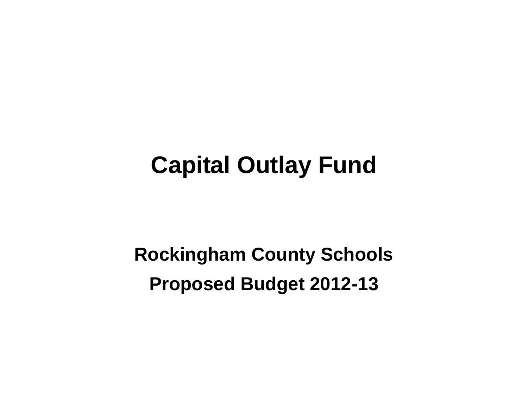# **Capital Outlay Fund**

**Rockingham County Schools Proposed Budget 2012-13**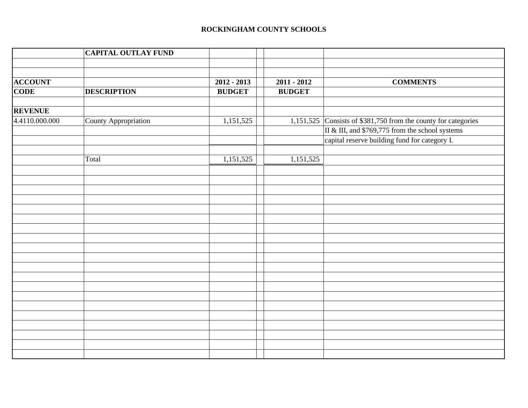|                | <b>CAPITAL OUTLAY FUND</b> |               |               |                                                                 |
|----------------|----------------------------|---------------|---------------|-----------------------------------------------------------------|
|                |                            |               |               |                                                                 |
|                |                            |               |               |                                                                 |
| <b>ACCOUNT</b> |                            | $2012 - 2013$ | $2011 - 2012$ | <b>COMMENTS</b>                                                 |
| <b>CODE</b>    | <b>DESCRIPTION</b>         | <b>BUDGET</b> | <b>BUDGET</b> |                                                                 |
|                |                            |               |               |                                                                 |
| <b>REVENUE</b> |                            |               |               |                                                                 |
| 4.4110.000.000 | County Appropriation       | 1,151,525     |               | 1,151,525 Consists of $$381,750$ from the county for categories |
|                |                            |               |               | II & III, and \$769,775 from the school systems                 |
|                |                            |               |               | capital reserve building fund for category I.                   |
|                |                            |               |               |                                                                 |
|                | Total                      | 1,151,525     | 1,151,525     |                                                                 |
|                |                            |               |               |                                                                 |
|                |                            |               |               |                                                                 |
|                |                            |               |               |                                                                 |
|                |                            |               |               |                                                                 |
|                |                            |               |               |                                                                 |
|                |                            |               |               |                                                                 |
|                |                            |               |               |                                                                 |
|                |                            |               |               |                                                                 |
|                |                            |               |               |                                                                 |
|                |                            |               |               |                                                                 |
|                |                            |               |               |                                                                 |
|                |                            |               |               |                                                                 |
|                |                            |               |               |                                                                 |
|                |                            |               |               |                                                                 |
|                |                            |               |               |                                                                 |
|                |                            |               |               |                                                                 |
|                |                            |               |               |                                                                 |
|                |                            |               |               |                                                                 |
|                |                            |               |               |                                                                 |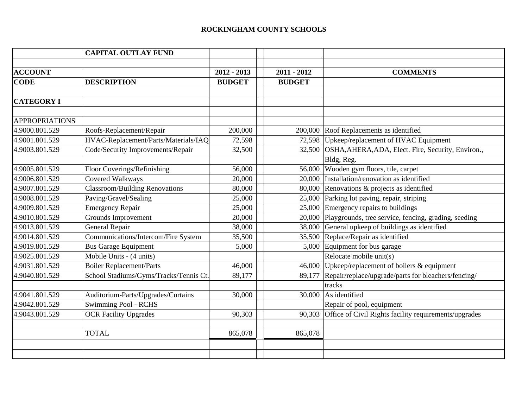|                       | <b>CAPITAL OUTLAY FUND</b>             |               |               |                                                              |
|-----------------------|----------------------------------------|---------------|---------------|--------------------------------------------------------------|
|                       |                                        |               |               |                                                              |
| <b>ACCOUNT</b>        |                                        | $2012 - 2013$ | $2011 - 2012$ | <b>COMMENTS</b>                                              |
| <b>CODE</b>           | <b>DESCRIPTION</b>                     | <b>BUDGET</b> | <b>BUDGET</b> |                                                              |
|                       |                                        |               |               |                                                              |
| <b>CATEGORY I</b>     |                                        |               |               |                                                              |
|                       |                                        |               |               |                                                              |
| <b>APPROPRIATIONS</b> |                                        |               |               |                                                              |
| 4.9000.801.529        | Roofs-Replacement/Repair               | 200,000       |               | 200,000 Roof Replacements as identified                      |
| 4.9001.801.529        | HVAC-Replacement/Parts/Materials/IAQ   | 72,598        |               | 72,598 Upkeep/replacement of HVAC Equipment                  |
| 4.9003.801.529        | Code/Security Improvements/Repair      | 32,500        | 32,500        | OSHA, AHERA, ADA, Elect. Fire, Security, Environ.,           |
|                       |                                        |               |               | Bldg, Reg.                                                   |
| 4.9005.801.529        | Floor Coverings/Refinishing            | 56,000        | 56,000        | Wooden gym floors, tile, carpet                              |
| 4.9006.801.529        | <b>Covered Walkways</b>                | 20,000        |               | 20,000 Installation/renovation as identified                 |
| 4.9007.801.529        | <b>Classroom/Building Renovations</b>  | 80,000        |               | 80,000 Renovations & projects as identified                  |
| 4.9008.801.529        | Paving/Gravel/Sealing                  | 25,000        |               | 25,000 Parking lot paving, repair, striping                  |
| 4.9009.801.529        | <b>Emergency Repair</b>                | 25,000        |               | 25,000 Emergency repairs to buildings                        |
| 4.9010.801.529        | <b>Grounds Improvement</b>             | 20,000        |               | 20,000 Playgrounds, tree service, fencing, grading, seeding  |
| 4.9013.801.529        | General Repair                         | 38,000        |               | $38,000$ General upkeep of buildings as identified           |
| 4.9014.801.529        | Communications/Intercom/Fire System    | 35,500        |               | 35,500 Replace/Repair as identified                          |
| 4.9019.801.529        | <b>Bus Garage Equipment</b>            | 5,000         |               | 5,000 Equipment for bus garage                               |
| 4.9025.801.529        | Mobile Units - (4 units)               |               |               | Relocate mobile unit(s)                                      |
| 4.9031.801.529        | <b>Boiler Replacement/Parts</b>        | 46,000        | 46,000        | Upkeep/replacement of boilers $&$ equipment                  |
| 4.9040.801.529        | School Stadiums/Gyms/Tracks/Tennis Ct. | 89,177        | 89,177        | Repair/replace/upgrade/parts for bleachers/fencing/          |
|                       |                                        |               |               | tracks                                                       |
| 4.9041.801.529        | Auditorium-Parts/Upgrades/Curtains     | 30,000        |               | 30,000 As identified                                         |
| 4.9042.801.529        | Swimming Pool - RCHS                   |               |               | Repair of pool, equipment                                    |
| 4.9043.801.529        | <b>OCR Facility Upgrades</b>           | 90,303        |               | 90,303 Office of Civil Rights facility requirements/upgrades |
|                       |                                        |               |               |                                                              |
|                       | <b>TOTAL</b>                           | 865,078       | 865,078       |                                                              |
|                       |                                        |               |               |                                                              |
|                       |                                        |               |               |                                                              |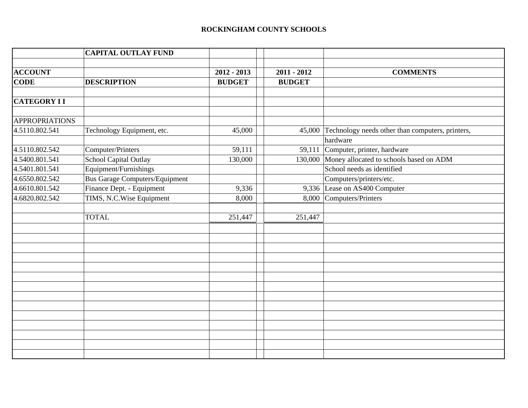|                       | <b>CAPITAL OUTLAY FUND</b>            |               |               |                                                  |
|-----------------------|---------------------------------------|---------------|---------------|--------------------------------------------------|
|                       |                                       |               |               |                                                  |
| <b>ACCOUNT</b>        |                                       | $2012 - 2013$ | $2011 - 2012$ | <b>COMMENTS</b>                                  |
| <b>CODE</b>           | <b>DESCRIPTION</b>                    | <b>BUDGET</b> | <b>BUDGET</b> |                                                  |
|                       |                                       |               |               |                                                  |
| <b>CATEGORY II</b>    |                                       |               |               |                                                  |
|                       |                                       |               |               |                                                  |
| <b>APPROPRIATIONS</b> |                                       |               |               |                                                  |
| 4.5110.802.541        | Technology Equipment, etc.            | 45,000        | 45,000        | Technology needs other than computers, printers, |
|                       |                                       |               |               | hardware                                         |
| 4.5110.802.542        | Computer/Printers                     | 59,111        |               | $\overline{59,111}$ Computer, printer, hardware  |
| 4.5400.801.541        | School Capital Outlay                 | 130,000       |               | 130,000 Money allocated to schools based on ADM  |
| 4.5401.801.541        | Equipment/Furnishings                 |               |               | School needs as identified                       |
| 4.6550.802.542        | <b>Bus Garage Computers/Equipment</b> |               |               | Computers/printers/etc.                          |
| 4.6610.801.542        | Finance Dept. - Equipment             | 9,336         |               | 9,336 Lease on AS400 Computer                    |
| 4.6820.802.542        | TIMS, N.C.Wise Equipment              | 8,000         |               | 8,000 Computers/Printers                         |
|                       |                                       |               |               |                                                  |
|                       | <b>TOTAL</b>                          | 251,447       | 251,447       |                                                  |
|                       |                                       |               |               |                                                  |
|                       |                                       |               |               |                                                  |
|                       |                                       |               |               |                                                  |
|                       |                                       |               |               |                                                  |
|                       |                                       |               |               |                                                  |
|                       |                                       |               |               |                                                  |
|                       |                                       |               |               |                                                  |
|                       |                                       |               |               |                                                  |
|                       |                                       |               |               |                                                  |
|                       |                                       |               |               |                                                  |
|                       |                                       |               |               |                                                  |
|                       |                                       |               |               |                                                  |
|                       |                                       |               |               |                                                  |
|                       |                                       |               |               |                                                  |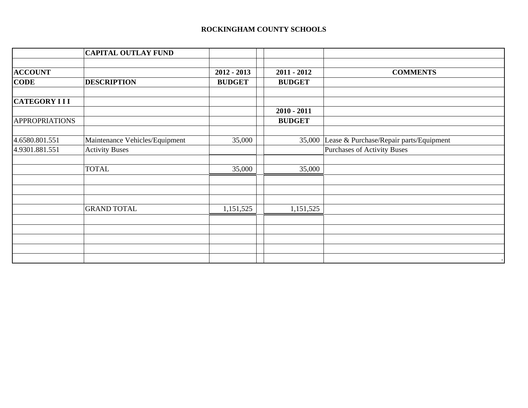## **ROCKINGHAM COUNTY SCHOOLS**

|                       | <b>CAPITAL OUTLAY FUND</b>     |               |               |                                                |
|-----------------------|--------------------------------|---------------|---------------|------------------------------------------------|
|                       |                                |               |               |                                                |
| <b>ACCOUNT</b>        |                                | $2012 - 2013$ | $2011 - 2012$ | <b>COMMENTS</b>                                |
| <b>CODE</b>           | <b>DESCRIPTION</b>             | <b>BUDGET</b> | <b>BUDGET</b> |                                                |
| <b>CATEGORY III</b>   |                                |               |               |                                                |
|                       |                                |               | $2010 - 2011$ |                                                |
| <b>APPROPRIATIONS</b> |                                |               | <b>BUDGET</b> |                                                |
| 4.6580.801.551        | Maintenance Vehicles/Equipment | 35,000        |               | 35,000 Lease & Purchase/Repair parts/Equipment |
| 4.9301.881.551        | <b>Activity Buses</b>          |               |               | <b>Purchases of Activity Buses</b>             |
|                       | <b>TOTAL</b>                   | 35,000        | 35,000        |                                                |
|                       |                                |               |               |                                                |
|                       | <b>GRAND TOTAL</b>             |               |               |                                                |
|                       |                                | 1,151,525     | 1,151,525     |                                                |
|                       |                                |               |               |                                                |
|                       |                                |               |               |                                                |
|                       |                                |               |               |                                                |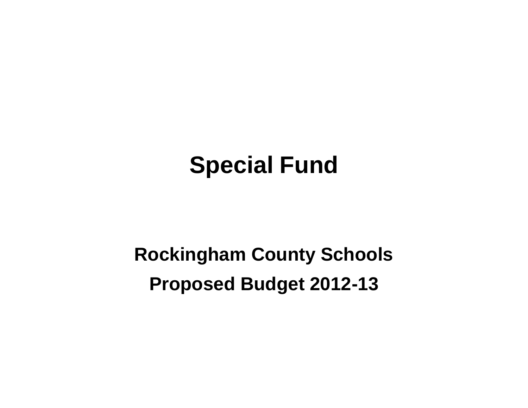# **Special Fund**

## **Rockingham County Schools Proposed Budget 2012-13**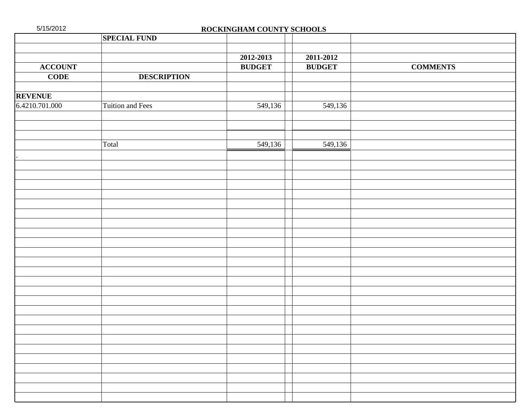| 5/15/2012      |                     | ROCKINGHAM COUNTY SCHOOLS |               |                 |
|----------------|---------------------|---------------------------|---------------|-----------------|
|                | <b>SPECIAL FUND</b> |                           |               |                 |
|                |                     |                           |               |                 |
|                |                     | 2012-2013                 | 2011-2012     |                 |
| <b>ACCOUNT</b> |                     | <b>BUDGET</b>             | <b>BUDGET</b> | <b>COMMENTS</b> |
| $CODE$         | <b>DESCRIPTION</b>  |                           |               |                 |
|                |                     |                           |               |                 |
| <b>REVENUE</b> |                     |                           |               |                 |
| 6.4210.701.000 | Tuition and Fees    | 549,136                   | 549,136       |                 |
|                |                     |                           |               |                 |
|                |                     |                           |               |                 |
|                | Total               | 549,136                   | 549,136       |                 |
|                |                     |                           |               |                 |
|                |                     |                           |               |                 |
|                |                     |                           |               |                 |
|                |                     |                           |               |                 |
|                |                     |                           |               |                 |
|                |                     |                           |               |                 |
|                |                     |                           |               |                 |
|                |                     |                           |               |                 |
|                |                     |                           |               |                 |
|                |                     |                           |               |                 |
|                |                     |                           |               |                 |
|                |                     |                           |               |                 |
|                |                     |                           |               |                 |
|                |                     |                           |               |                 |
|                |                     |                           |               |                 |
|                |                     |                           |               |                 |
|                |                     |                           |               |                 |
|                |                     |                           |               |                 |
|                |                     |                           |               |                 |
|                |                     |                           |               |                 |
|                |                     |                           |               |                 |
|                |                     |                           |               |                 |
|                |                     |                           |               |                 |
|                |                     |                           |               |                 |
|                |                     |                           |               |                 |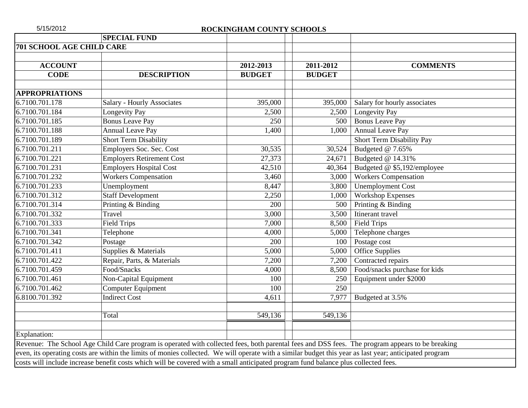| 5/15/2012                        |                                                                                                                                                        | ROCKINGHAM COUNTY SCHOOLS |               |                               |
|----------------------------------|--------------------------------------------------------------------------------------------------------------------------------------------------------|---------------------------|---------------|-------------------------------|
|                                  | <b>SPECIAL FUND</b>                                                                                                                                    |                           |               |                               |
| <b>701 SCHOOL AGE CHILD CARE</b> |                                                                                                                                                        |                           |               |                               |
| <b>ACCOUNT</b>                   |                                                                                                                                                        | 2012-2013                 | 2011-2012     | <b>COMMENTS</b>               |
| <b>CODE</b>                      | <b>DESCRIPTION</b>                                                                                                                                     | <b>BUDGET</b>             | <b>BUDGET</b> |                               |
| <b>APPROPRIATIONS</b>            |                                                                                                                                                        |                           |               |                               |
| 6.7100.701.178                   | <b>Salary - Hourly Associates</b>                                                                                                                      | 395,000                   | 395,000       | Salary for hourly associates  |
| 6.7100.701.184                   | Longevity Pay                                                                                                                                          | 2,500                     | 2,500         | Longevity Pay                 |
| 6.7100.701.185                   | <b>Bonus Leave Pay</b>                                                                                                                                 | 250                       | 500           | <b>Bonus Leave Pay</b>        |
| 6.7100.701.188                   | <b>Annual Leave Pay</b>                                                                                                                                | 1,400                     | 1,000         | <b>Annual Leave Pay</b>       |
| 6.7100.701.189                   | Short Term Disability                                                                                                                                  |                           |               | Short Term Disability Pay     |
| 6.7100.701.211                   | Employers Soc. Sec. Cost                                                                                                                               | 30,535                    | 30,524        | Budgeted @ 7.65%              |
| 6.7100.701.221                   | <b>Employers Retirement Cost</b>                                                                                                                       | 27,373                    | 24,671        | Budgeted @ 14.31%             |
| 6.7100.701.231                   | <b>Employers Hospital Cost</b>                                                                                                                         | 42,510                    | 40,364        | Budgeted @ \$5,192/employee   |
| 6.7100.701.232                   | <b>Workers Compensation</b>                                                                                                                            | 3,460                     | 3,000         | <b>Workers Compensation</b>   |
| 6.7100.701.233                   | Unemployment                                                                                                                                           | 8,447                     | 3,800         | <b>Unemployment Cost</b>      |
| 6.7100.701.312                   | <b>Staff Development</b>                                                                                                                               | 2,250                     | 1,000         | <b>Workshop Expenses</b>      |
| 6.7100.701.314                   | Printing & Binding                                                                                                                                     | 200                       | 500           | Printing & Binding            |
| 6.7100.701.332                   | Travel                                                                                                                                                 | 3,000                     | 3,500         | Itinerant travel              |
| 6.7100.701.333                   | <b>Field Trips</b>                                                                                                                                     | 7,000                     | 8,500         | <b>Field Trips</b>            |
| 6.7100.701.341                   | Telephone                                                                                                                                              | 4,000                     | 5,000         | Telephone charges             |
| 6.7100.701.342                   | Postage                                                                                                                                                | 200                       | 100           | Postage cost                  |
| 6.7100.701.411                   | Supplies & Materials                                                                                                                                   | 5,000                     | 5,000         | Office Supplies               |
| 6.7100.701.422                   | Repair, Parts, & Materials                                                                                                                             | 7,200                     | 7,200         | Contracted repairs            |
| 6.7100.701.459                   | Food/Snacks                                                                                                                                            | 4,000                     | 8,500         | Food/snacks purchase for kids |
| 6.7100.701.461                   | Non-Capital Equipment                                                                                                                                  | 100                       | 250           | Equipment under \$2000        |
| 6.7100.701.462                   | <b>Computer Equipment</b>                                                                                                                              | 100                       | 250           |                               |
| 6.8100.701.392                   | <b>Indirect Cost</b>                                                                                                                                   | 4,611                     | 7,977         | Budgeted at 3.5%              |
|                                  | Total                                                                                                                                                  | 549,136                   | 549,136       |                               |
|                                  |                                                                                                                                                        |                           |               |                               |
| Explanation:                     |                                                                                                                                                        |                           |               |                               |
|                                  | Revenue: The School Age Child Care program is operated with collected fees, both parental fees and DSS fees. The program appears to be breaking        |                           |               |                               |
|                                  | even, its operating costs are within the limits of monies collected. We will operate with a similar budget this year as last year; anticipated program |                           |               |                               |
|                                  | costs will include increase benefit costs which will be covered with a small anticipated program fund balance plus collected fees.                     |                           |               |                               |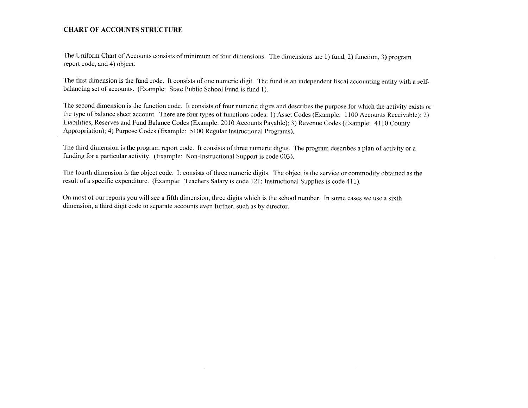#### **CHART OF ACCOUNTS STRUCTURE**

The Uniform Chart of Accounts consists of minimum of four dimensions. The dimensions are 1) fund, 2) function, 3) program report code, and 4) object.

The first dimension is the fund code. It consists of one numeric digit. The fund is an independent fiscal accounting entity with a selfbalancing set of accounts. (Example: State Public School Fund is fund 1).

The second dimension is the function code. It consists of four numeric digits and describes the purpose for which the activity exists or the type of balance sheet account. There are four types of functions codes: 1) Asset Codes (Example: 1100 Accounts Receivable); 2) Liabilities, Reserves and Fund Balance Codes (Example: 2010 Accounts Payable); 3) Revenue Codes (Example: 4110 County Appropriation); 4) Purpose Codes (Example: 5100 Regular Instructional Programs).

The third dimension is the program report code. It consists of three numeric digits. The program describes a plan of activity or a funding for a particular activity. (Example: Non-Instructional Support is code 003).

The fourth dimension is the object code. It consists of three numeric digits. The object is the service or commodity obtained as the result of a specific expenditure. (Example: Teachers Salary is code 121; Instructional Supplies is code 411).

On most of our reports you will see a fifth dimension, three digits which is the school number. In some cases we use a sixth dimension, a third digit code to separate accounts even further, such as by director.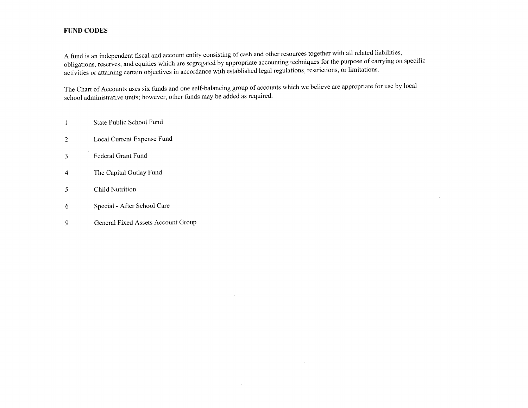### **FUND CODES**

A fund is an independent fiscal and account entity consisting of cash and other resources together with all related liabilities, obligations, reserves, and equities which are segregated by appropriate accounting techniques for the purpose of carrying on specific activities or attaining certain objectives in accordance with established legal regulations, restrictions, or limitations.

The Chart of Accounts uses six funds and one self-balancing group of accounts which we believe are appropriate for use by local school administrative units; however, other funds may be added as required.

- State Public School Fund  $\mathbf{1}$
- Local Current Expense Fund 2
- Federal Grant Fund  $\overline{3}$
- The Capital Outlay Fund  $\overline{4}$
- **Child Nutrition**  $\mathfrak{S}$
- Special After School Care 6
- General Fixed Assets Account Group  $\overline{9}$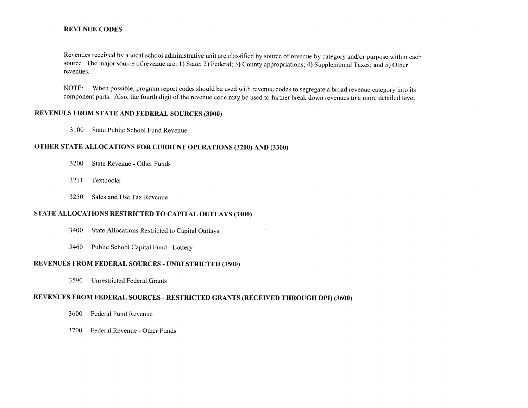#### **REVENUE CODES**

Revenues received by a local school administrative unit are classified by source of revenue by category and/or purpose within each source. The major source of revenue are: 1) State; 2) Federal; 3) County appropriations; 4) Supplemental Taxes; and 5) Other revenues.

When possible, program report codes should be used with revenue codes to segregate a broad revenue category into its NOTE: component parts. Also, the fourth digit of the revenue code may be used to further break down revenues to a more detailed level.

### REVENUES FROM STATE AND FEDERAL SOURCES (3000)

3100 State Public School Fund Revenue

## OTHER STATE ALLOCATIONS FOR CURRENT OPERATIONS (3200) AND (3300)

- 3200 State Revenue - Other Funds
- 3211 Textbooks
- 3250 Sales and Use Tax Revenue

## STATE ALLOCATIONS RESTRICTED TO CAPITAL OUTLAYS (3400)

- 3400 State Allocations Restricted to Capital Outlays
- 3460 Public School Capital Fund - Lottery

#### REVENUES FROM FEDERAL SOURCES - UNRESTRICTED (3500)

3590 Unrestricted Federal Grants

## REVENUES FROM FEDERAL SOURCES - RESTRICTED GRANTS (RECEIVED THROUGH DPI) (3600)

- 3600 Federal Fund Revenue
- 3700 Federal Revenue - Other Funds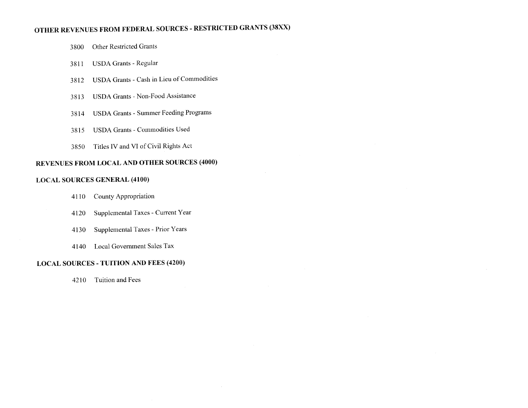## OTHER REVENUES FROM FEDERAL SOURCES - RESTRICTED GRANTS (38XX)

- Other Restricted Grants 3800
- **USDA Grants Regular** 3811
- USDA Grants Cash in Lieu of Commodities 3812
- **USDA Grants Non-Food Assistance** 3813
- **USDA Grants Summer Feeding Programs** 3814
- **USDA Grants Commodities Used** 3815
- Titles IV and VI of Civil Rights Act 3850

## **REVENUES FROM LOCAL AND OTHER SOURCES (4000)**

#### **LOCAL SOURCES GENERAL (4100)**

- County Appropriation 4110
- Supplemental Taxes Current Year 4120
- Supplemental Taxes Prior Years 4130
- 4140 Local Government Sales Tax

#### **LOCAL SOURCES - TUITION AND FEES (4200)**

4210 Tuition and Fees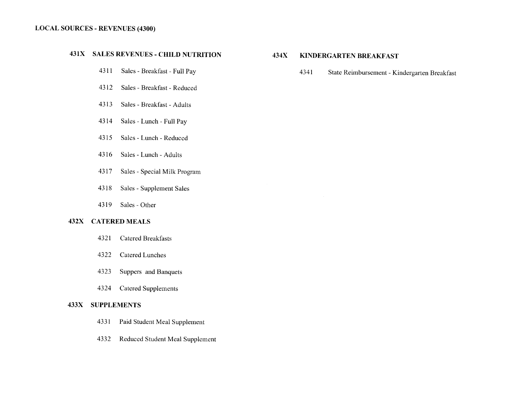#### **LOCAL SOURCES - REVENUES (4300)**

## 431X SALES REVENUES - CHILD NUTRITION

- Sales Breakfast Full Pay 4311
- 4312 Sales - Breakfast - Reduced
- 4313 Sales - Breakfast - Adults
- 4314 Sales - Lunch - Full Pay
- 4315 Sales - Lunch - Reduced
- Sales Lunch Adults 4316
- 4317 Sales - Special Milk Program
- 4318 Sales - Supplement Sales
- 4319 Sales - Other

### 432X CATERED MEALS

- **Catered Breakfasts** 4321
- 4322 Catered Lunches
- 4323 Suppers and Banquets
- 4324 **Catered Supplements**

#### **433X SUPPLEMENTS**

- 4331 Paid Student Meal Supplement
- Reduced Student Meal Supplement 4332

#### 434X **KINDERGARTEN BREAKFAST**

4341 State Reimbursement - Kindergarten Breakfast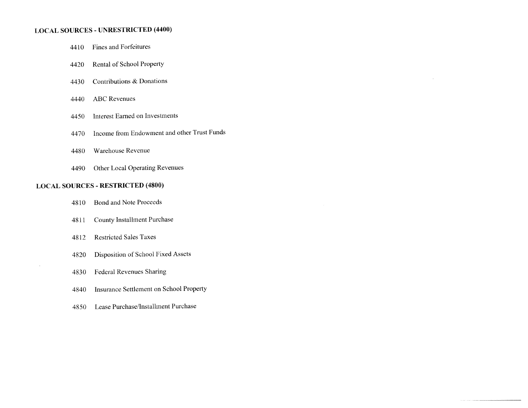## **LOCAL SOURCES - UNRESTRICTED (4400)**

- Fines and Forfeitures 4410
- Rental of School Property 4420
- Contributions & Donations 4430
- **ABC** Revenues 4440
- **Interest Earned on Investments** 4450
- Income from Endowment and other Trust Funds 4470
- Warehouse Revenue 4480
- Other Local Operating Revenues 4490

#### **LOCAL SOURCES - RESTRICTED (4800)**

- **Bond and Note Proceeds** 4810
- **County Installment Purchase** 4811
- **Restricted Sales Taxes** 4812
- Disposition of School Fixed Assets 4820
- **Federal Revenues Sharing** 4830
- Insurance Settlement on School Property 4840
- Lease Purchase/Installment Purchase 4850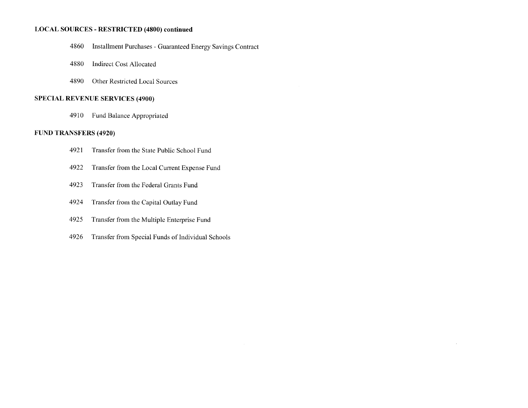#### **LOCAL SOURCES - RESTRICTED (4800) continued**

- 4860 **Installment Purchases - Guaranteed Energy Savings Contract**
- 4880 **Indirect Cost Allocated**
- Other Restricted Local Sources 4890

#### **SPECIAL REVENUE SERVICES (4900)**

Fund Balance Appropriated 4910

#### **FUND TRANSFERS (4920)**

- 4921 Transfer from the State Public School Fund
- 4922 Transfer from the Local Current Expense Fund
- 4923 Transfer from the Federal Grants Fund
- 4924 Transfer from the Capital Outlay Fund
- Transfer from the Multiple Enterprise Fund 4925
- 4926 Transfer from Special Funds of Individual Schools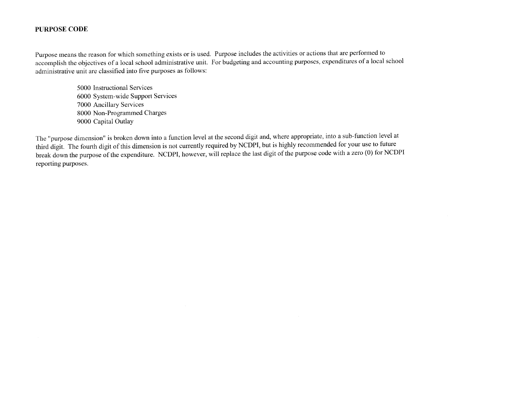#### **PURPOSE CODE**

Purpose means the reason for which something exists or is used. Purpose includes the activities or actions that are performed to accomplish the objectives of a local school administrative unit. For budgeting and accounting purposes, expenditures of a local school administrative unit are classified into five purposes as follows:

> 5000 Instructional Services 6000 System-wide Support Services 7000 Ancillary Services 8000 Non-Programmed Charges 9000 Capital Outlay

The "purpose dimension" is broken down into a function level at the second digit and, where appropriate, into a sub-function level at third digit. The fourth digit of this dimension is not currently required by NCDPI, but is highly recommended for your use to future break down the purpose of the expenditure. NCDPI, however, will replace the last digit of the purpose code with a zero (0) for NCDPI reporting purposes.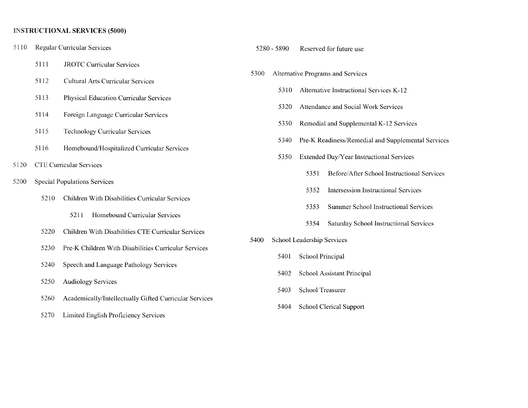## **INSTRUCTIONAL SERVICES (5000)**

| 5110 |      | <b>Regular Curricular Services</b>                     |      | 5280 - 5890 | Reserved for future use                             |
|------|------|--------------------------------------------------------|------|-------------|-----------------------------------------------------|
|      | 5111 | <b>JROTC Curricular Services</b>                       |      |             |                                                     |
|      | 5112 | <b>Cultural Arts Curricular Services</b>               | 5300 |             | Alternative Programs and Services                   |
|      | 5113 | <b>Physical Education Curricular Services</b>          |      | 5310        | Alternative Instructional Services K-12             |
|      |      |                                                        |      | 5320        | Attendance and Social Work Services                 |
|      | 5114 | Foreign Language Curricular Services                   |      | 5330        | Remedial and Supplemental K-12 Services             |
|      | 5115 | <b>Technology Curricular Services</b>                  |      |             |                                                     |
|      | 5116 | Homebound/Hospitalized Curricular Services             |      | 5340        | Pre-K Readiness/Remedial and Supplemental Services  |
| 5120 |      | <b>CTE Curricular Services</b>                         |      | 5350        | Extended Day/Year Instructional Services            |
|      |      |                                                        |      |             | Before/After School Instructional Services<br>5351  |
| 5200 |      | <b>Special Populations Services</b>                    |      |             | <b>Intersession Instructional Services</b><br>5352  |
|      | 5210 | Children With Disabilities Curricular Services         |      |             | <b>Summer School Instructional Services</b><br>5353 |
|      |      | 5211<br>Homebound Curricular Services                  |      |             |                                                     |
|      | 5220 | Children With Disabilities CTE Curricular Services     |      |             | Saturday School Instructional Services<br>5354      |
|      | 5230 | Pre-K Children With Disabilities Curricular Services   | 5400 |             | School Leadership Services                          |
|      |      |                                                        |      | 5401        | School Principal                                    |
|      | 5240 | Speech and Language Pathology Services                 |      | 5402        | School Assistant Principal                          |
|      | 5250 | <b>Audiology Services</b>                              |      |             |                                                     |
|      | 5260 | Academically/Intellectually Gifted Curricular Services |      | 5403        | School Treasurer                                    |
|      | 5270 | Limited English Proficiency Services                   |      | 5404        | <b>School Clerical Support</b>                      |
|      |      |                                                        |      |             |                                                     |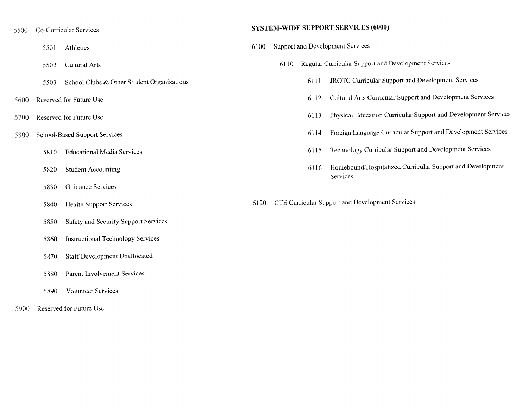- Co-Curricular Services 5500
	- Athletics 5501
	- Cultural Arts 5502
	- School Clubs & Other Student Organizations 5503
- Reserved for Future Use 5600
- 5700 Reserved for Future Use
- 5800 **School-Based Support Services** 
	- **Educational Media Services** 5810
	- 5820 **Student Accounting**
	- Guidance Services 5830
	- **Health Support Services** 5840
	- **Safety and Security Support Services** 5850
	- **Instructional Technology Services** 5860
	- **Staff Development Unallocated** 5870
	- Parent Involvement Services 5880
	- **Volunteer Services** 5890
- Reserved for Future Use 5900

#### **SYSTEM-WIDE SUPPORT SERVICES (6000)**

- **Support and Development Services** 6100
	- Regular Curricular Support and Development Services 6110
		- **JROTC Curricular Support and Development Services** 6111
		- Cultural Arts Curricular Support and Development Services 6112
		- Physical Education Curricular Support and Development Services 6113
		- Foreign Language Curricular Support and Development Services 6114
		- Technology Curricular Support and Development Services 6115
		- Homebound/Hospitalized Curricular Support and Development 6116 Services
- CTE Curricular Support and Development Services 6120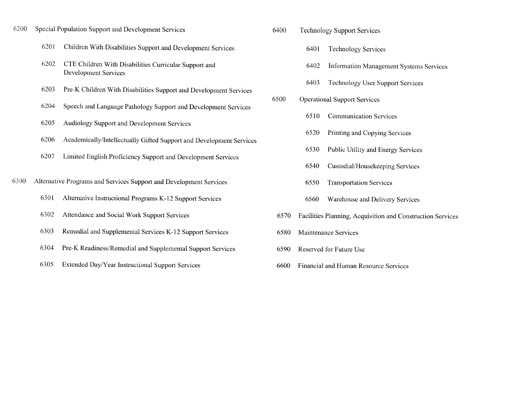- Special Population Support and Development Services 6200
	- 6201 Children With Disabilities Support and Development Services
	- CTE Children With Disabilities Curricular Support and 6202 Development Services
	- Pre-K Children With Disabilities Support and Development Services 6203
	- 6204 Speech and Language Pathology Support and Development Services
	- 6205 Audiology Support and Development Services
	- 6206 Academically/Intellectually Gifted Support and Development Services
	- 6207 Limited English Proficiency Support and Development Services
- 6300 Alternative Programs and Services Support and Development Services
	- 6301 Alternative Instructional Programs K-12 Support Services
	- 6302 Attendance and Social Work Support Services
	- 6303 Remedial and Supplemental Services K-12 Support Services
	- 6304 Pre-K Readiness/Remedial and Supplemental Support Services
	- 6305 Extended Day/Year Instructional Support Services
- 6400 **Technology Support Services** 
	- **Technology Services** 6401
	- 6402 Information Management Systems Services
	- 6403 **Technology User Support Services**
- 6500 **Operational Support Services** 
	- 6510 **Communication Services**
	- 6520 Printing and Copying Services
	- 6530 Public Utility and Energy Services
	- 6540 Custodial/Housekeeping Services
	- 6550 **Transportation Services**
	- 6560 Warehouse and Delivery Services
- 6570 Facilities Planning, Acquisition and Construction Services
- 6580 Maintenance Services
- Reserved for Future Use 6590
- **Financial and Human Resource Services** 6600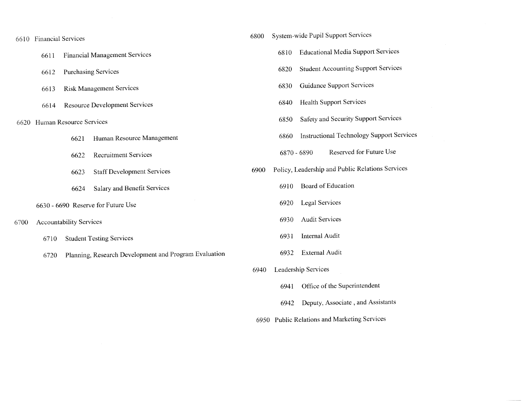| 6610 | <b>Financial Services</b> |                                |                                                       | 6800 |      | System-wide Pupil Support Services               |
|------|---------------------------|--------------------------------|-------------------------------------------------------|------|------|--------------------------------------------------|
|      | 6611                      |                                | <b>Financial Management Services</b>                  |      | 6810 | <b>Educational Media Support Services</b>        |
|      | 6612                      |                                | <b>Purchasing Services</b>                            |      | 6820 | <b>Student Accounting Support Services</b>       |
|      | 6613                      |                                | <b>Risk Management Services</b>                       |      | 6830 | Guidance Support Services                        |
|      | 6614                      |                                | <b>Resource Development Services</b>                  |      | 6840 | <b>Health Support Services</b>                   |
| 6620 |                           | Human Resource Services        |                                                       |      | 6850 | Safety and Security Support Services             |
|      |                           | 6621                           | Human Resource Management                             |      | 6860 | <b>Instructional Technology Support Services</b> |
|      |                           | 6622                           | <b>Recruitment Services</b>                           |      |      | Reserved for Future Use<br>6870 - 6890           |
|      |                           | 6623                           | <b>Staff Development Services</b>                     | 6900 |      | Policy, Leadership and Public Relations Services |
|      |                           | 6624                           | Salary and Benefit Services                           |      | 6910 | Board of Education                               |
|      |                           |                                | 6630 - 6690 Reserve for Future Use                    |      | 6920 | Legal Services                                   |
| 6700 |                           | <b>Accountability Services</b> |                                                       |      | 6930 | <b>Audit Services</b>                            |
|      | 6710                      |                                | <b>Student Testing Services</b>                       |      | 6931 | Internal Audit                                   |
|      | 6720                      |                                | Planning, Research Development and Program Evaluation |      | 6932 | <b>External Audit</b>                            |
|      |                           |                                |                                                       | 6940 |      | Leadership Services                              |

- 6941 Office of the Superintendent
- 6942 Deputy, Associate, and Assistants
- 6950 Public Relations and Marketing Services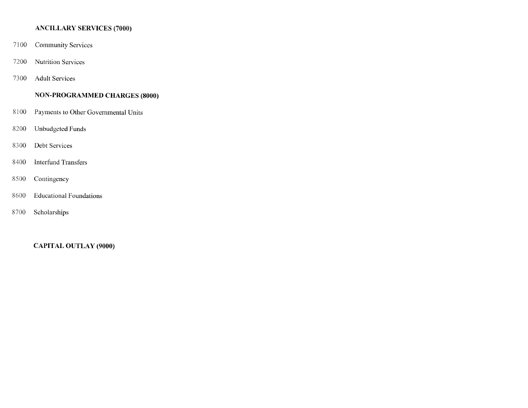## **ANCILLARY SERVICES (7000)**

- 7100 **Community Services**
- 7200 **Nutrition Services**
- 7300 **Adult Services**

## **NON-PROGRAMMED CHARGES (8000)**

- 8100 Payments to Other Governmental Units
- 8200 Unbudgeted Funds
- 8300 Debt Services
- 8400 **Interfund Transfers**
- 8500 Contingency
- 8600 **Educational Foundations**
- 8700 Scholarships

**CAPITAL OUTLAY (9000)**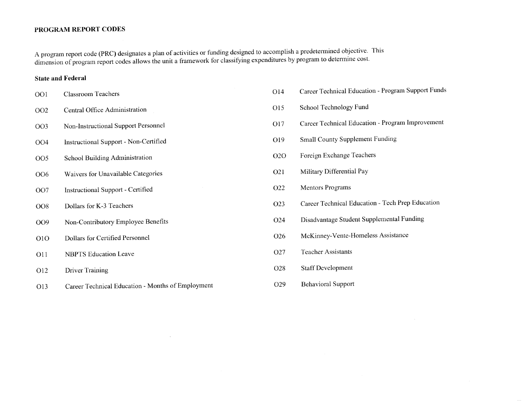#### PROGRAM REPORT CODES

A program report code (PRC) designates a plan of activities or funding designed to accomplish a predetermined objective. This dimension of program report codes allows the unit a framework for classifying expenditures by program to determine cost.

#### **State and Federal**

- **Classroom Teachers** OO1
- OO<sub>2</sub> Central Office Administration
- Non-Instructional Support Personnel OO3
- **Instructional Support Non-Certified** OO<sub>4</sub>
- **School Building Administration OO5**
- Waivers for Unavailable Categories OO6
- OO7 Instructional Support - Certified
- Dollars for K-3 Teachers **OO8**
- Non-Contributory Employee Benefits OO9
- Dollars for Certified Personnel  $O1O$
- **O11 NBPTS** Education Leave
- O<sub>12</sub> Driver Training
- Career Technical Education Months of Employment O13
- Career Technical Education Program Support Funds O14
- O15 School Technology Fund
- Career Technical Education Program Improvement O17
- **Small County Supplement Funding** O19
- Foreign Exchange Teachers  $O2O$
- O21 Military Differential Pay
- O22 **Mentors Programs**
- Career Technical Education Tech Prep Education O23
- Disadvantage Student Supplemental Funding O24
- McKinney-Vente-Homeless Assistance O26
- **Teacher Assistants** O27
- **Staff Development** O<sub>28</sub>
- **Behavioral Support** O<sub>29</sub>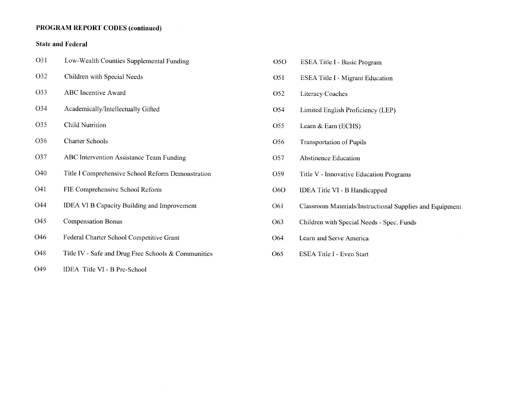## **PROGRAM REPORT CODES (continued)**

## **State and Federal**

| O31             | Low-Wealth Counties Supplemental Funding            |
|-----------------|-----------------------------------------------------|
| O32             | Children with Special Needs                         |
| O33             | <b>ABC</b> Incentive Award                          |
| O34             | Academically/Intellectually Gifted                  |
| O35             | <b>Child Nutrition</b>                              |
| O <sub>36</sub> | <b>Charter Schools</b>                              |
| O37             | ABC Intervention Assistance Team Funding            |
| O40             | Title I Comprehensive School Reform Demonstration   |
| O41             | FIE Comprehensive School Reform                     |
| O44             | <b>IDEA VI B Capacity Building and Improvement</b>  |
| O45             | <b>Compensation Bonus</b>                           |
| O46             | Federal Charter School Competitive Grant            |
| O48             | Title IV - Safe and Drug Free Schools & Communities |

O49 IDEA Title VI - B Pre-School

| 050             | ESEA Title I - Basic Program                             |
|-----------------|----------------------------------------------------------|
| O51             | <b>ESEA Title I - Migrant Education</b>                  |
| O <sub>52</sub> | <b>Literacy Coaches</b>                                  |
| O54             | Limited English Proficiency (LEP)                        |
| O55             | Learn & Earn (ECHS)                                      |
| O <sub>56</sub> | <b>Transportation of Pupils</b>                          |
| O57             | <b>Abstinence Education</b>                              |
| O59             | Title V - Innovative Education Programs                  |
| 060             | <b>IDEA Title VI - B Handicapped</b>                     |
| O61             | Classroom Materials/Instructional Supplies and Equipment |
| O <sub>63</sub> | Children with Special Needs - Spec. Funds                |
| O64             | Learn and Serve America                                  |
| O65             | ESEA Title I - Even Start                                |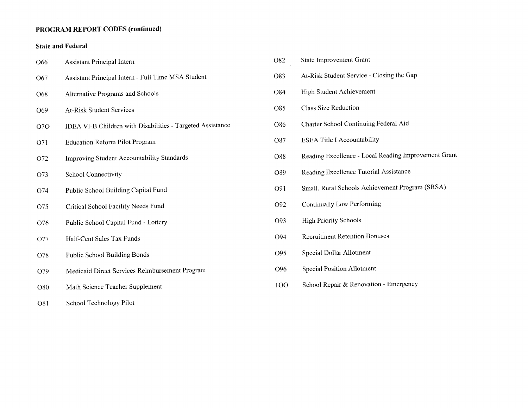## PROGRAM REPORT CODES (continued)

## **State and Federal**

| O66        | <b>Assistant Principal Intern</b>                          |
|------------|------------------------------------------------------------|
| O67        | Assistant Principal Intern - Full Time MSA Student         |
| O68        | <b>Alternative Programs and Schools</b>                    |
| O69        | <b>At-Risk Student Services</b>                            |
| <b>O7O</b> | IDEA VI-B Children with Disabilities - Targeted Assistance |
| O71        | <b>Education Reform Pilot Program</b>                      |
| O72        | Improving Student Accountability Standards                 |
| O73        | <b>School Connectivity</b>                                 |
| O74        | Public School Building Capital Fund                        |
| O75        | Critical School Facility Needs Fund                        |
| O76        | Public School Capital Fund - Lottery                       |
| O77        | Half-Cent Sales Tax Funds                                  |
| O78        | <b>Public School Building Bonds</b>                        |
| O79        | Medicaid Direct Services Reimbursement Program             |
| O80        | Math Science Teacher Supplement                            |
| O81        | School Technology Pilot                                    |

| O82 | <b>State Improvement Grant</b>                       |
|-----|------------------------------------------------------|
| O83 | At-Risk Student Service - Closing the Gap            |
| O84 | <b>High Student Achievement</b>                      |
| O85 | <b>Class Size Reduction</b>                          |
| O86 | Charter School Continuing Federal Aid                |
| O87 | <b>ESEA Title I Accountability</b>                   |
| O88 | Reading Excellence - Local Reading Improvement Grant |
| O89 | Reading Excellence Tutorial Assistance               |
| O91 | Small, Rural Schools Achievement Program (SRSA)      |
| O92 | Continually Low Performing                           |
| O93 | <b>High Priority Schools</b>                         |
| O94 | <b>Recruitment Retention Bonuses</b>                 |
| O95 | Special Dollar Allotment                             |
| O96 | <b>Special Position Allotment</b>                    |
| 100 | School Repair & Renovation - Emergency               |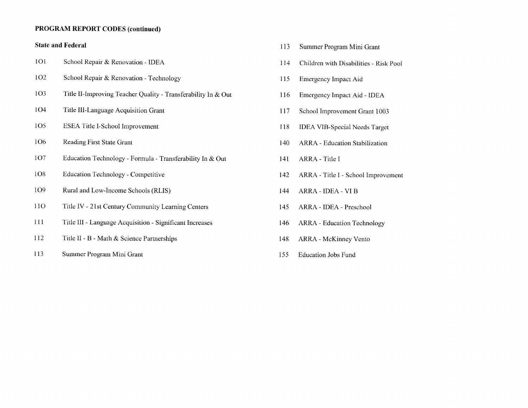#### **PROGRAM REPORT CODES (continued)**

#### **State and Federal**

- **101** School Repair & Renovation - IDEA
- **1O2** School Repair & Renovation - Technology
- 103 Title II-Improving Teacher Quality - Transferability In & Out
- **1O4** Title III-Language Acquisition Grant
- 105 ESEA Title I-School Improvement
- 106 Reading First State Grant
- 1O7 Education Technology - Formula - Transferability In & Out
- 1O<sub>8</sub> **Education Technology - Competitive**
- 109 Rural and Low-Income Schools (RLIS)
- 110 Title IV - 21st Century Community Learning Centers
- 111 Title III - Language Acquisition - Significant Increases
- 112 Title II - B - Math & Science Partnerships
- 113 Summer Program Mini Grant
- 113 Summer Program Mini Grant
- 114 Children with Disabilities - Risk Pool
- Emergency Impact Aid 115
- 116 Emergency Impact Aid - IDEA
- School Improvement Grant 1003 117
- 118 **IDEA VIB-Special Needs Target**
- 140 ARRA - Education Stabilization
- 141 ARRA - Title I
- 142 ARRA - Title I - School Improvement
- 144 ARRA - IDEA - VI B
- 145 ARRA - IDEA - Preschool
- **ARRA** Education Technology 146
- ARRA McKinney Vento 148
- 155 **Education Jobs Fund**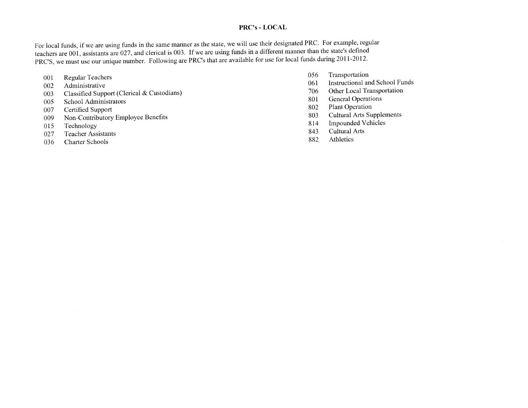### PRC's - LOCAL

For local funds, if we are using funds in the same manner as the state, we will use their designated PRC. For example, regular teachers are 001, assistants are 027, and clerical is 003. If we are using funds in a different manner than the state's defined PRC'S, we must use our unique number. Following are PRC's that are available for use for local funds during 2011-2012.

- **Regular Teachers** 001
- Administrative 002
- Classified Support (Clerical & Custodians) 003
- School Administrators 005
- Certified Support 007
- Non-Contributory Employee Benefits 009
- Technology 015
- Teacher Assistants 027
- **Charter Schools** 036
- Transportation 056
- **Instructional and School Funds** 061
- Other Local Transportation 706
- **General Operations** 801
- Plant Operation 802
- **Cultural Arts Supplements** 803
- **Impounded Vehicles** 814
- Cultural Arts 843
- Athletics 882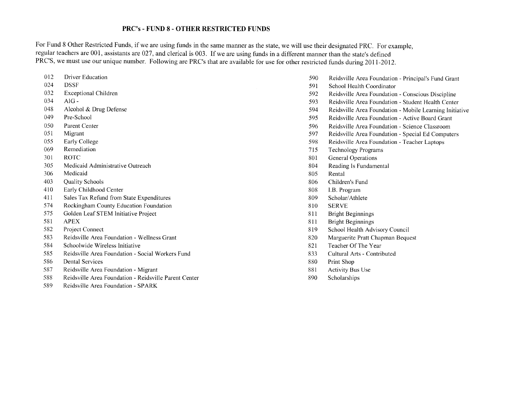#### **PRC's - FUND 8 - OTHER RESTRICTED FUNDS**

For Fund 8 Other Restricted Funds, if we are using funds in the same manner as the state, we will use their designated PRC. For example, regular teachers are 001, assistants are 027, and clerical is 003. If we are using funds in a different manner than the state's defined PRC'S, we must use our unique number. Following are PRC's that are available for use for other restricted funds during 2011-2012.

- 012 **Driver Education**
- 024 **DSSF**
- 032 **Exceptional Children**
- 034  $AIG -$
- 048 Alcohol & Drug Defense
- 049 Pre-School
- 050 Parent Center
- 051 Migrant
- 055 Early College
- 069 Remediation
- 301 **ROTC**
- 305 Medicaid Administrative Outreach
- Medicaid 306
- 403 **Quality Schools**
- 410 Early Childhood Center
- 411 Sales Tax Refund from State Expenditures
- 574 Rockingham County Education Foundation
- 575 Golden Leaf STEM Initiative Project
- **APEX** 581
- 582 Project Connect
- 583 Reidsville Area Foundation - Wellness Grant
- 584 Schoolwide Wireless Initiative
- 585 Reidsville Area Foundation - Social Workers Fund
- 586 **Dental Services**
- 587 Reidsville Area Foundation - Migrant
- 588 Reidsville Area Foundation - Reidsville Parent Center
- 589 Reidsville Area Foundation - SPARK
- 590 Reidsville Area Foundation - Principal's Fund Grant
- 591 School Health Coordinator
- 592 Reidsville Area Foundation - Conscious Discipline
- 593 Reidsville Area Foundation - Student Health Center
- 594 Reidsville Area Foundation - Mobile Learning Initiative
- 595 Reidsville Area Foundation - Active Board Grant
- 596 Reidsville Area Foundation - Science Classroom
- 597 Reidsville Area Foundation - Special Ed Computers
- 598 Reidsville Area Foundation - Teacher Laptops
- 715 **Technology Programs**
- 801 General Operations
- 804 Reading Is Fundamental
- 805 Rental
- 806 Children's Fund
- 808 I.B. Program
- 809 Scholar/Athlete
- **SERVE** 810
- 811 **Bright Beginnings**
- **Bright Beginnings** 811
- 819 School Health Advisory Council
- Marguerite Pratt Chapman Bequest 820
- Teacher Of The Year 821
- 833 Cultural Arts - Contributed
- 880 Print Shop
- 881 Activity Bus Use
- 890 Scholarships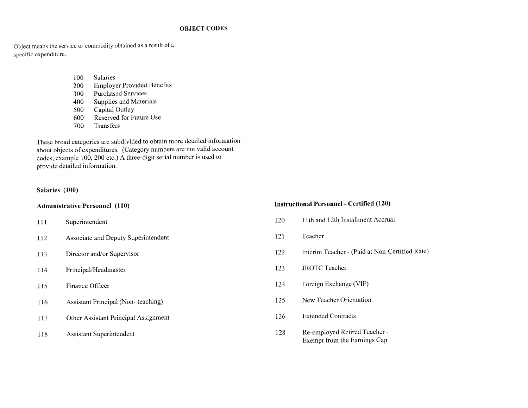#### **OBJECT CODES**

Object means the service or commodity obtained as a result of a specific expenditure.

- 100 **Salaries**
- **Employer Provided Benefits** 200
- **Purchased Services** 300
- Supplies and Materials 400
- Capital Outlay 500
- Reserved for Future Use 600
- Transfers 700

These broad categories are subdivided to obtain more detailed information about objects of expenditures. (Category numbers are not valid account codes, example 100, 200 etc.) A three-digit serial number is used to provide detailed information.

#### Salaries (100)

#### **Administrative Personnel (110)**

- Superintendent 111
- Associate and Deputy Superintendent 112
- Director and/or Supervisor 113
- 114 Principal/Headmaster
- Finance Officer 115
- **Assistant Principal (Non-teaching)** 116
- Other Assistant Principal Assignment 117
- **Assistant Superintendent** 118

#### **Instructional Personnel - Certified (120)**

- 120 11th and 12th Installment Accrual
- Teacher 121
- Interim Teacher (Paid at Non-Certified Rate) 122
- **JROTC Teacher** 123
- Foreign Exchange (VIF) 124
- New Teacher Orientation  $125$
- 126 **Extended Contracts**
- 128 Re-employed Retired Teacher -Exempt from the Earnings Cap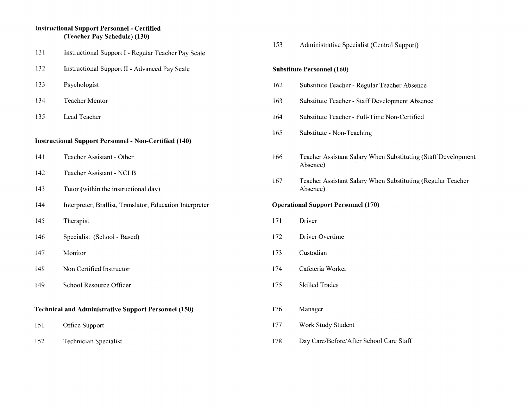#### **Instructional Support Personnel - Certified** (Teacher Pay Schedule) (130)

- 131 Instructional Support I - Regular Teacher Pay Scale
- 132 Instructional Support II - Advanced Pay Scale
- 133 Psychologist
- 134 Teacher Mentor
- 135 Lead Teacher

#### **Instructional Support Personnel - Non-Certified (140)**

- Teacher Assistant Other 141
- 142 Teacher Assistant - NCLB
- 143 Tutor (within the instructional day)
- 144 Interpreter, Brallist, Translator, Education Interpreter
- 145 Therapist
- 146 Specialist (School - Based)
- 147 Monitor
- 148 Non Certified Instructor
- 149 School Resource Officer

#### **Technical and Administrative Support Personnel (150)**

- 151 Office Support
- 152 **Technician Specialist**

153 Administrative Specialist (Central Support)

#### **Substitute Personnel (160)**

- 162 Substitute Teacher - Regular Teacher Absence
- 163 Substitute Teacher - Staff Development Absence
- Substitute Teacher Full-Time Non-Certified 164
- 165 Substitute - Non-Teaching
- 166 Teacher Assistant Salary When Substituting (Staff Development) Absence)
- Teacher Assistant Salary When Substituting (Regular Teacher) 167 Absence)

#### **Operational Support Personnel (170)**

- 171 Driver
- 172 Driver Overtime
- 173 Custodian
- 174 Cafeteria Worker
- 175 **Skilled Trades**
- 176 Manager
- 177 Work Study Student
- 178 Day Care/Before/After School Care Staff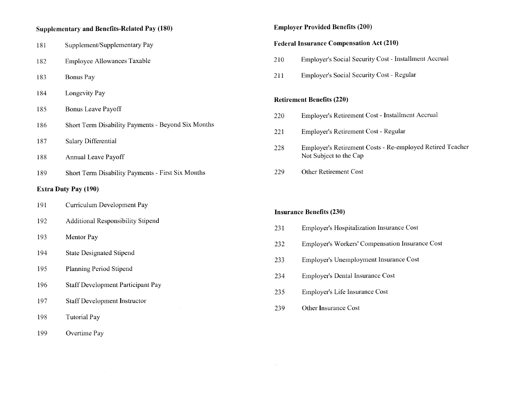#### **Supplementary and Benefits-Related Pay (180)**

- 181 Supplement/Supplementary Pay
- 182 **Employee Allowances Taxable**
- 183 Bonus Pay
- 184 Longevity Pay
- **Bonus Leave Payoff** 185
- Short Term Disability Payments Beyond Six Months 186
- Salary Differential 187
- 188 Annual Leave Payoff
- 189 Short Term Disability Payments - First Six Months

#### **Extra Duty Pay (190)**

- Curriculum Development Pay 191
- 192 Additional Responsibility Stipend
- 193 Mentor Pay
- 194 **State Designated Stipend**
- 195 Planning Period Stipend
- 196 **Staff Development Participant Pay**
- 197 **Staff Development Instructor**
- **Tutorial Pay** 198
- 199 Overtime Pay

#### **Employer Provided Benefits (200)**

#### **Federal Insurance Compensation Act (210)**

- Employer's Social Security Cost Installment Accrual 210
- 211 Employer's Social Security Cost - Regular

#### **Retirement Benefits (220)**

- Employer's Retirement Cost Installment Accrual 220
- Employer's Retirement Cost Regular 221
- 228 Employer's Retirement Costs - Re-employed Retired Teacher Not Subject to the Cap
- Other Retirement Cost 229

#### **Insurance Benefits (230)**

- 231 **Employer's Hospitalization Insurance Cost**
- 232 **Employer's Workers' Compensation Insurance Cost**
- Employer's Unemployment Insurance Cost 233
- 234 **Employer's Dental Insurance Cost**
- 235 Employer's Life Insurance Cost
- 239 Other Insurance Cost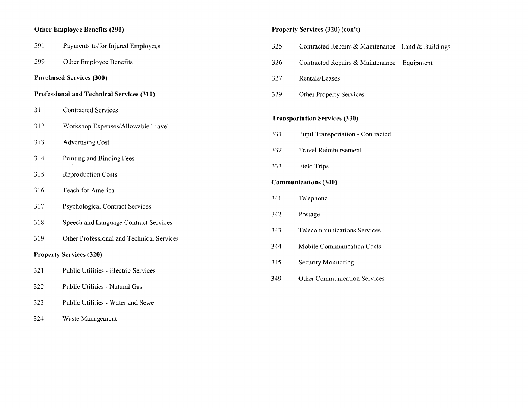## Other Employee Benefits (290)

| 291 | Payments to/for Injured Employees           |
|-----|---------------------------------------------|
| 299 | Other Employee Benefits                     |
|     | <b>Purchased Services (300)</b>             |
|     | Professional and Technical Services (310)   |
| 311 | <b>Contracted Services</b>                  |
| 312 | Workshop Expenses/Allowable Travel          |
| 313 | <b>Advertising Cost</b>                     |
| 314 | Printing and Binding Fees                   |
| 315 | <b>Reproduction Costs</b>                   |
| 316 | <b>Teach for America</b>                    |
| 317 | <b>Psychological Contract Services</b>      |
| 318 | Speech and Language Contract Services       |
| 319 | Other Professional and Technical Services   |
|     | <b>Property Services (320)</b>              |
| 321 | <b>Public Utilities - Electric Services</b> |
|     |                                             |

- 322 Public Utilities - Natural Gas
- 323 Public Utilities - Water and Sewer
- 324 Waste Management

## Property Services (320) (con't)

| 325 | Contracted Repairs & Maintenance - Land & Buildings |
|-----|-----------------------------------------------------|
| 326 | Contracted Repairs & Maintenance _ Equipment        |
| 327 | Rentals/Leases                                      |
| 329 | <b>Other Property Services</b>                      |
|     | <b>Transportation Services (330)</b>                |
| 331 | Pupil Transportation - Contracted                   |
| 332 | <b>Travel Reimbursement</b>                         |
| 333 | <b>Field Trips</b>                                  |
|     | <b>Communications (340)</b>                         |
| 341 | Telephone                                           |
| 342 | Postage                                             |
| 343 | <b>Telecommunications Services</b>                  |
| 344 | Mobile Communication Costs                          |
| 345 | Security Monitoring                                 |
| 349 | <b>Other Communication Services</b>                 |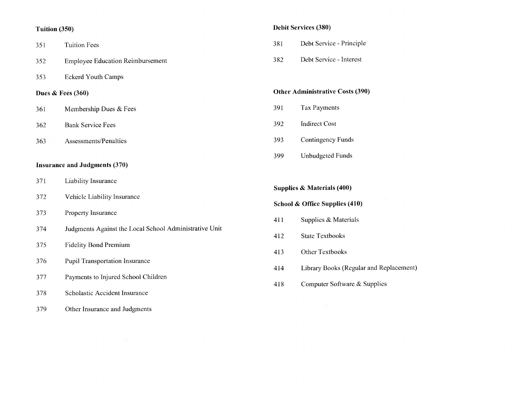## Tuition (350)

| 351 | <b>Tuition Fees</b>                                    |  |  |
|-----|--------------------------------------------------------|--|--|
| 352 | <b>Employee Education Reimbursement</b>                |  |  |
| 353 | <b>Eckerd Youth Camps</b>                              |  |  |
|     | Dues $&$ Fees (360)                                    |  |  |
| 361 | Membership Dues & Fees                                 |  |  |
| 362 | <b>Bank Service Fees</b>                               |  |  |
| 363 | Assessments/Penalties                                  |  |  |
|     | <b>Insurance and Judgments (370)</b>                   |  |  |
| 371 | <b>Liability Insurance</b>                             |  |  |
| 372 | Vehicle Liability Insurance                            |  |  |
| 373 | Property Insurance                                     |  |  |
| 374 | Judgments Against the Local School Administrative Unit |  |  |
| 375 | <b>Fidelity Bond Premium</b>                           |  |  |
| 376 | <b>Pupil Transportation Insurance</b>                  |  |  |
| 377 | Payments to Injured School Children                    |  |  |
| 378 | Scholastic Accident Insurance                          |  |  |
| 379 | Other Insurance and Judgments                          |  |  |

 $\sim$ 

|  | Debit Services (380) |  |
|--|----------------------|--|
|--|----------------------|--|

| 381 | Debt Service - Principle |
|-----|--------------------------|
|     |                          |

382 Debt Service - Interest

|  | <b>Other Administrative Costs (390)</b> |  |  |  |
|--|-----------------------------------------|--|--|--|
|--|-----------------------------------------|--|--|--|

- 391 Tax Payments
- 392 **Indirect Cost**
- Contingency Funds 393
- 399 **Unbudgeted Funds**

**Supplies & Materials (400)** 

**School & Office Supplies (410)** 

- Supplies & Materials 411
- 412 State Textbooks
- Other Textbooks 413
- 414 Library Books (Regular and Replacement)
- Computer Software & Supplies 418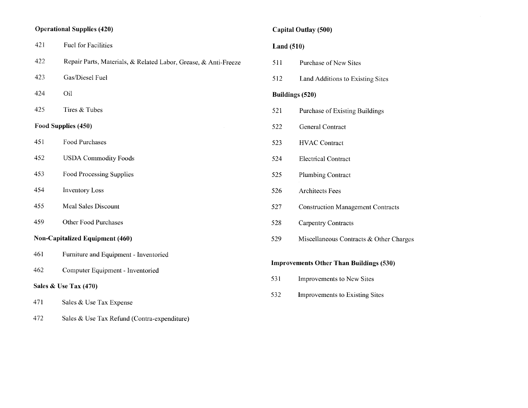## **Operational Supplies (420)**

| 421                                    | <b>Fuel for Facilities</b>                                      |  |  |  |
|----------------------------------------|-----------------------------------------------------------------|--|--|--|
| 422                                    | Repair Parts, Materials, & Related Labor, Grease, & Anti-Freeze |  |  |  |
| 423                                    | Gas/Diesel Fuel                                                 |  |  |  |
| 424                                    | Oil                                                             |  |  |  |
| 425                                    | Tires & Tubes                                                   |  |  |  |
| Food Supplies (450)                    |                                                                 |  |  |  |
| 451                                    | Food Purchases                                                  |  |  |  |
| 452                                    | <b>USDA Commodity Foods</b>                                     |  |  |  |
| 453                                    | Food Processing Supplies                                        |  |  |  |
| 454                                    | <b>Inventory Loss</b>                                           |  |  |  |
| 455                                    | <b>Meal Sales Discount</b>                                      |  |  |  |
| 459                                    | <b>Other Food Purchases</b>                                     |  |  |  |
| <b>Non-Capitalized Equipment (460)</b> |                                                                 |  |  |  |
| 461                                    | Furniture and Equipment - Inventoried                           |  |  |  |
| 462                                    | Computer Equipment - Inventoried                                |  |  |  |
| Sales & Use Tax (470)                  |                                                                 |  |  |  |
|                                        |                                                                 |  |  |  |

- 471 Sales & Use Tax Expense
- 472 Sales & Use Tax Refund (Contra-expenditure)

## Capital Outlay (500)

#### Land  $(510)$

- 511 Purchase of New Sites
- 512 Land Additions to Existing Sites

### **Buildings (520)**

- 521 **Purchase of Existing Buildings**
- 522 General Contract
- 523 **HVAC Contract**
- 524 **Electrical Contract**
- 525 Plumbing Contract
- 526 Architects Fees
- 527 **Construction Management Contracts**
- 528 **Carpentry Contracts**
- 529 Miscellaneous Contracts & Other Charges

### **Improvements Other Than Buildings (530)**

- 531 Improvements to New Sites
- 532 Improvements to Existing Sites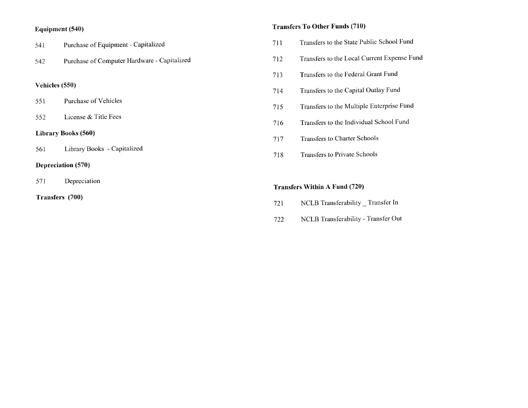#### Equipment (540)

| Purchase of Equipment - Capitalized<br>541 |  |
|--------------------------------------------|--|
|--------------------------------------------|--|

Purchase of Computer Hardware - Capitalized 542

#### Vehicles (550)

- Purchase of Vehicles 551
- License & Title Fees 552

#### **Library Books (560)**

Library Books - Capitalized 561

#### **Depreciation** (570)

- Depreciation 571
- Transfers (700)

## **Transfers To Other Funds (710)**

- Transfers to the State Public School Fund 711
- Transfers to the Local Current Expense Fund 712
- Transfers to the Federal Grant Fund 713
- Transfers to the Capital Outlay Fund 714
- Transfers to the Multiple Enterprise Fund 715
- Transfers to the Individual School Fund 716
- Transfers to Charter Schools 717
- **Transfers to Private Schools** 718

#### **Transfers Within A Fund (720)**

- NCLB Transferability  $\_$  Transfer In 721
- NCLB Transferability Transfer Out 722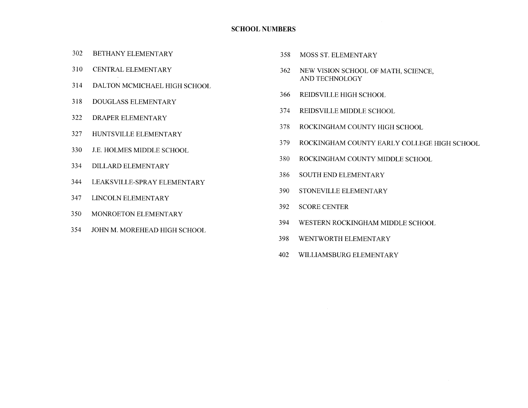#### **SCHOOL NUMBERS**

- 302 BETHANY ELEMENTARY
- 310 **CENTRAL ELEMENTARY**
- 314 DALTON MCMICHAEL HIGH SCHOOL
- 318 **DOUGLASS ELEMENTARY**
- 322 DRAPER ELEMENTARY
- 327 HUNTSVILLE ELEMENTARY
- 330 J.E. HOLMES MIDDLE SCHOOL
- 334 DILLARD ELEMENTARY
- 344 LEAKSVILLE-SPRAY ELEMENTARY
- 347 LINCOLN ELEMENTARY
- 350 MONROETON ELEMENTARY
- 354 JOHN M. MOREHEAD HIGH SCHOOL
- 358 MOSS ST. ELEMENTARY
- 362 NEW VISION SCHOOL OF MATH, SCIENCE, AND TECHNOLOGY
- 366 REIDSVILLE HIGH SCHOOL
- 374 REIDSVILLE MIDDLE SCHOOL
- 378 ROCKINGHAM COUNTY HIGH SCHOOL
- ROCKINGHAM COUNTY EARLY COLLEGE HIGH SCHOOL 379
- 380 ROCKINGHAM COUNTY MIDDLE SCHOOL
- 386 SOUTH END ELEMENTARY
- 390 STONEVILLE ELEMENTARY
- 392 **SCORE CENTER**
- 394 WESTERN ROCKINGHAM MIDDLE SCHOOL
- 398 WENTWORTH ELEMENTARY
- 402 WILLIAMSBURG ELEMENTARY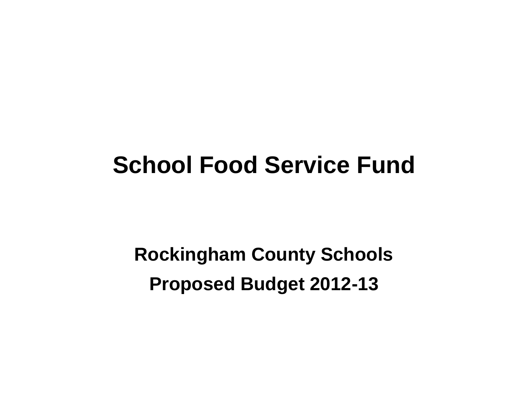## **School Food Service Fund**

**Rockingham County Schools Proposed Budget 2012-13**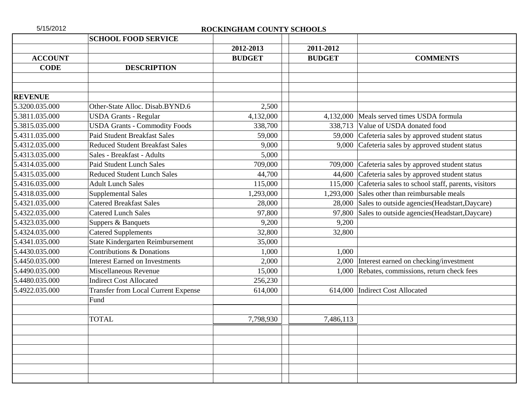## 5/15/2012 **ROCKINGHAM COUNTY SCHOOLS**

|                | <b>SCHOOL FOOD SERVICE</b>                 |               |               |                                                            |
|----------------|--------------------------------------------|---------------|---------------|------------------------------------------------------------|
|                |                                            | 2012-2013     | 2011-2012     |                                                            |
| <b>ACCOUNT</b> |                                            | <b>BUDGET</b> | <b>BUDGET</b> | <b>COMMENTS</b>                                            |
| <b>CODE</b>    | <b>DESCRIPTION</b>                         |               |               |                                                            |
|                |                                            |               |               |                                                            |
|                |                                            |               |               |                                                            |
| <b>REVENUE</b> |                                            |               |               |                                                            |
| 5.3200.035.000 | Other-State Alloc. Disab.BYND.6            | 2,500         |               |                                                            |
| 5.3811.035.000 | <b>USDA Grants - Regular</b>               | 4,132,000     |               | 4,132,000 Meals served times USDA formula                  |
| 5.3815.035.000 | <b>USDA Grants - Commodity Foods</b>       | 338,700       | 338,713       | Value of USDA donated food                                 |
| 5.4311.035.000 | <b>Paid Student Breakfast Sales</b>        | 59,000        |               | 59,000 Cafeteria sales by approved student status          |
| 5.4312.035.000 | <b>Reduced Student Breakfast Sales</b>     | 9,000         |               | 9,000 Cafeteria sales by approved student status           |
| 5.4313.035.000 | Sales - Breakfast - Adults                 | 5,000         |               |                                                            |
| 5.4314.035.000 | <b>Paid Student Lunch Sales</b>            | 709,000       |               | 709,000 Cafeteria sales by approved student status         |
| 5.4315.035.000 | <b>Reduced Student Lunch Sales</b>         | 44,700        |               | 44,600 Cafeteria sales by approved student status          |
| 5.4316.035.000 | <b>Adult Lunch Sales</b>                   | 115,000       |               | 115,000 Cafeteria sales to school staff, parents, visitors |
| 5.4318.035.000 | <b>Supplemental Sales</b>                  | 1,293,000     |               | 1,293,000 Sales other than reimbursable meals              |
| 5.4321.035.000 | <b>Catered Breakfast Sales</b>             | 28,000        |               | 28,000 Sales to outside agencies (Headstart, Daycare)      |
| 5.4322.035.000 | <b>Catered Lunch Sales</b>                 | 97,800        |               | 97,800 Sales to outside agencies (Headstart, Daycare)      |
| 5.4323.035.000 | Suppers & Banquets                         | 9,200         | 9,200         |                                                            |
| 5.4324.035.000 | <b>Catered Supplements</b>                 | 32,800        | 32,800        |                                                            |
| 5.4341.035.000 | State Kindergarten Reimbursement           | 35,000        |               |                                                            |
| 5.4430.035.000 | Contributions & Donations                  | 1,000         | 1,000         |                                                            |
| 5.4450.035.000 | <b>Interest Earned on Investments</b>      | 2,000         |               | 2,000 Interest earned on checking/investment               |
| 5.4490.035.000 | Miscellaneous Revenue                      | 15,000        |               | 1,000 Rebates, commissions, return check fees              |
| 5.4480.035.000 | <b>Indirect Cost Allocated</b>             | 256,230       |               |                                                            |
| 5.4922.035.000 | <b>Transfer from Local Current Expense</b> | 614,000       |               | 614,000 Indirect Cost Allocated                            |
|                | Fund                                       |               |               |                                                            |
|                |                                            |               |               |                                                            |
|                | <b>TOTAL</b>                               | 7,798,930     | 7,486,113     |                                                            |
|                |                                            |               |               |                                                            |
|                |                                            |               |               |                                                            |
|                |                                            |               |               |                                                            |
|                |                                            |               |               |                                                            |
|                |                                            |               |               |                                                            |
|                |                                            |               |               |                                                            |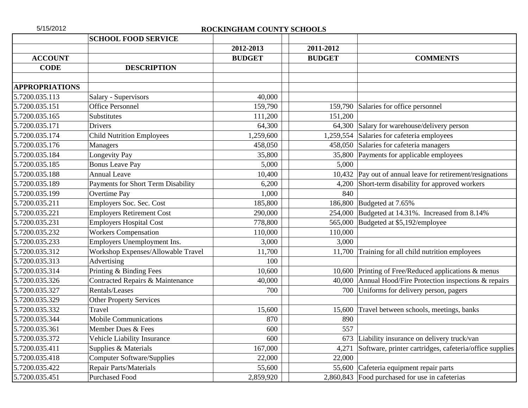| 5/15/2012             |                                    | ROCKINGHAM COUNTY SCHOOLS |               |                                                         |
|-----------------------|------------------------------------|---------------------------|---------------|---------------------------------------------------------|
|                       | <b>SCHOOL FOOD SERVICE</b>         |                           |               |                                                         |
|                       |                                    | 2012-2013                 | 2011-2012     |                                                         |
| <b>ACCOUNT</b>        |                                    | <b>BUDGET</b>             | <b>BUDGET</b> | <b>COMMENTS</b>                                         |
| <b>CODE</b>           | <b>DESCRIPTION</b>                 |                           |               |                                                         |
|                       |                                    |                           |               |                                                         |
| <b>APPROPRIATIONS</b> |                                    |                           |               |                                                         |
| 5.7200.035.113        | Salary - Supervisors               | 40,000                    |               |                                                         |
| 5.7200.035.151        | Office Personnel                   | 159,790                   |               | 159,790 Salaries for office personnel                   |
| 5.7200.035.165        | Substitutes                        | 111,200                   | 151,200       |                                                         |
| 5.7200.035.171        | <b>Drivers</b>                     | 64,300                    |               | 64,300 Salary for warehouse/delivery person             |
| 5.7200.035.174        | <b>Child Nutrition Employees</b>   | 1,259,600                 | 1,259,554     | Salaries for cafeteria employees                        |
| 5.7200.035.176        | Managers                           | 458,050                   |               | 458,050 Salaries for cafeteria managers                 |
| 5.7200.035.184        | Longevity Pay                      | 35,800                    |               | 35,800 Payments for applicable employees                |
| 5.7200.035.185        | <b>Bonus Leave Pay</b>             | 5,000                     | 5,000         |                                                         |
| 5.7200.035.188        | <b>Annual Leave</b>                | 10,400                    | 10,432        | Pay out of annual leave for retirement/resignations     |
| 5.7200.035.189        | Payments for Short Term Disability | 6,200                     | 4,200         | Short-term disability for approved workers              |
| 5.7200.035.199        | Overtime Pay                       | 1,000                     | 840           |                                                         |
| 5.7200.035.211        | Employers Soc. Sec. Cost           | 185,800                   | 186,800       | Budgeted at 7.65%                                       |
| 5.7200.035.221        | <b>Employers Retirement Cost</b>   | 290,000                   | 254,000       | Budgeted at 14.31%. Increased from 8.14%                |
| 5.7200.035.231        | <b>Employers Hospital Cost</b>     | 778,800                   | 565,000       | Budgeted at \$5,192/employee                            |
| 5.7200.035.232        | <b>Workers Compensation</b>        | 110,000                   | 110,000       |                                                         |
| 5.7200.035.233        | Employers Unemployment Ins.        | 3,000                     | 3,000         |                                                         |
| 5.7200.035.312        | Workshop Expenses/Allowable Travel | 11,700                    | 11,700        | Training for all child nutrition employees              |
| 5.7200.035.313        | Advertising                        | 100                       |               |                                                         |
| 5.7200.035.314        | Printing & Binding Fees            | 10,600                    |               | 10,600 Printing of Free/Reduced applications & menus    |
| 5.7200.035.326        | Contracted Repairs & Maintenance   | 40,000                    | 40,000        | Annual Hood/Fire Protection inspections & repairs       |
| 5.7200.035.327        | Rentals/Leases                     | 700                       | 700           | Uniforms for delivery person, pagers                    |
| 5.7200.035.329        | <b>Other Property Services</b>     |                           |               |                                                         |
| 5.7200.035.332        | Travel                             | 15,600                    | 15,600        | Travel between schools, meetings, banks                 |
| 5.7200.035.344        | <b>Mobile Communications</b>       | 870                       | 890           |                                                         |
| 5.7200.035.361        | Member Dues & Fees                 | 600                       | 557           |                                                         |
| 5.7200.035.372        | Vehicle Liability Insurance        | 600                       | 673           | Liability insurance on delivery truck/van               |
| 5.7200.035.411        | Supplies & Materials               | 167,000                   | 4,271         | Software, printer cartridges, cafeteria/office supplies |
| 5.7200.035.418        | <b>Computer Software/Supplies</b>  | 22,000                    | 22,000        |                                                         |
| 5.7200.035.422        | <b>Repair Parts/Materials</b>      | 55,600                    | 55,600        | Cafeteria equipment repair parts                        |
| 5.7200.035.451        | <b>Purchased Food</b>              | 2,859,920                 |               | 2,860,843 Food purchased for use in cafeterias          |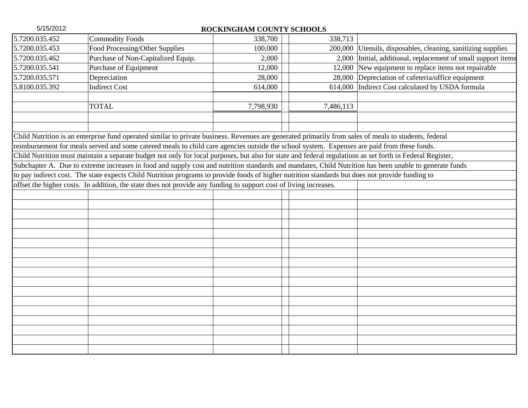| 5/15/2012      | ROCKINGHAM COUNTY SCHOOLS                                                                                                                                 |           |           |                                                              |  |
|----------------|-----------------------------------------------------------------------------------------------------------------------------------------------------------|-----------|-----------|--------------------------------------------------------------|--|
| 5.7200.035.452 | <b>Commodity Foods</b>                                                                                                                                    | 338,700   | 338,713   |                                                              |  |
| 5.7200.035.453 | Food Processing/Other Supplies                                                                                                                            | 100,000   |           | 200,000 Utensils, disposables, cleaning, sanitizing supplies |  |
| 5.7200.035.462 | Purchase of Non-Capitalized Equip.                                                                                                                        | 2,000     | 2,000     | Initial, additional, replacement of small support items      |  |
| 5.7200.035.541 | Purchase of Equipment                                                                                                                                     | 12,000    |           | 12,000 New equipment to replace items not repairable         |  |
| 5.7200.035.571 | Depreciation                                                                                                                                              | 28,000    |           | 28,000 Depreciation of cafeteria/office equipment            |  |
| 5.8100.035.392 | <b>Indirect Cost</b>                                                                                                                                      | 614,000   | 614,000   | Indirect Cost calculated by USDA formula                     |  |
|                |                                                                                                                                                           |           |           |                                                              |  |
|                | <b>TOTAL</b>                                                                                                                                              | 7,798,930 | 7,486,113 |                                                              |  |
|                |                                                                                                                                                           |           |           |                                                              |  |
|                |                                                                                                                                                           |           |           |                                                              |  |
|                | Child Nutrition is an enterprise fund operated similar to private business. Revenues are generated primarily from sales of meals to students, federal     |           |           |                                                              |  |
|                | reimbursement for meals served and some catered meals to child care agencies outside the school system. Expenses are paid from these funds.               |           |           |                                                              |  |
|                | Child Nutrition must maintain a separate budget not only for local purposes, but also for state and federal regulations as set forth in Federal Register, |           |           |                                                              |  |
|                | Subchapter A. Due to extreme increases in food and supply cost and nutrition standards and mandates, Child Nutrition has been unable to generate funds    |           |           |                                                              |  |
|                | to pay indirect cost. The state expects Child Nutrition programs to provide foods of higher nutrition standards but does not provide funding to           |           |           |                                                              |  |
|                | offset the higher costs. In addition, the state does not provide any funding to support cost of living increases.                                         |           |           |                                                              |  |
|                |                                                                                                                                                           |           |           |                                                              |  |
|                |                                                                                                                                                           |           |           |                                                              |  |
|                |                                                                                                                                                           |           |           |                                                              |  |
|                |                                                                                                                                                           |           |           |                                                              |  |
|                |                                                                                                                                                           |           |           |                                                              |  |
|                |                                                                                                                                                           |           |           |                                                              |  |
|                |                                                                                                                                                           |           |           |                                                              |  |
|                |                                                                                                                                                           |           |           |                                                              |  |
|                |                                                                                                                                                           |           |           |                                                              |  |
|                |                                                                                                                                                           |           |           |                                                              |  |
|                |                                                                                                                                                           |           |           |                                                              |  |
|                |                                                                                                                                                           |           |           |                                                              |  |
|                |                                                                                                                                                           |           |           |                                                              |  |
|                |                                                                                                                                                           |           |           |                                                              |  |
|                |                                                                                                                                                           |           |           |                                                              |  |
|                |                                                                                                                                                           |           |           |                                                              |  |
|                |                                                                                                                                                           |           |           |                                                              |  |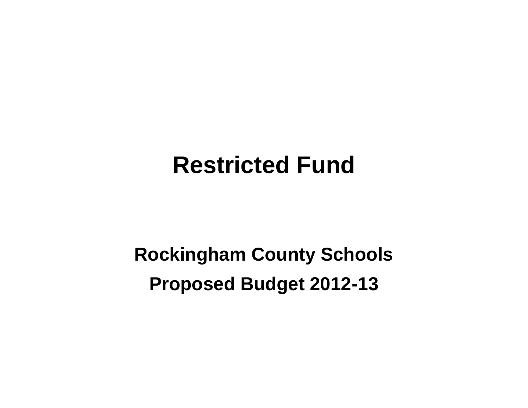## **Restricted Fund**

# **Rockingham County Schools Proposed Budget 2012-13**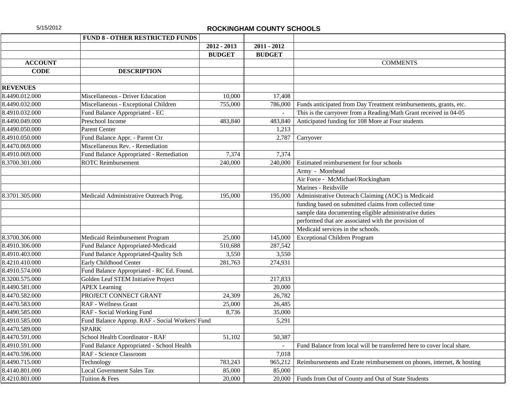|                 | <b>FUND 8 - OTHER RESTRICTED FUNDS</b>          |               |               |                                                                        |
|-----------------|-------------------------------------------------|---------------|---------------|------------------------------------------------------------------------|
|                 |                                                 | $2012 - 2013$ | $2011 - 2012$ |                                                                        |
|                 |                                                 | <b>BUDGET</b> | <b>BUDGET</b> |                                                                        |
| <b>ACCOUNT</b>  |                                                 |               |               | <b>COMMENTS</b>                                                        |
| <b>CODE</b>     | <b>DESCRIPTION</b>                              |               |               |                                                                        |
|                 |                                                 |               |               |                                                                        |
| <b>REVENUES</b> |                                                 |               |               |                                                                        |
| 8.4490.012.000  | Miscellaneous - Driver Education                | 10,000        | 17,408        |                                                                        |
| 8.4490.032.000  | Miscellaneous - Exceptional Children            | 755,000       | 786,000       | Funds anticipated from Day Treatment reimbursements, grants, etc.      |
| 8.4910.032.000  | Fund Balance Appropriated - EC                  |               |               | This is the carryover from a Reading/Math Grant received in 04-05      |
| 8.4490.049.000  | Preschool Income                                | 483,840       | 483,840       | Anticipated funding for 108 More at Four students                      |
| 8.4490.050.000  | Parent Center                                   |               | 1,213         |                                                                        |
| 8.4910.050.000  | Fund Balance Appr. - Parent Ctr                 |               | 2,787         | Carryover                                                              |
| 8.4470.069.000  | Miscellaneous Rev. - Remediation                |               |               |                                                                        |
| 8.4910.069.000  | Fund Balance Appropriated - Remediation         | 7,374         | 7,374         |                                                                        |
| 8.3700.301.000  | <b>ROTC</b> Reimbursement                       | 240,000       | 240,000       | Estimated reimbursement for four schools                               |
|                 |                                                 |               |               | Army - Morehead                                                        |
|                 |                                                 |               |               | Air Force - McMichael/Rockingham                                       |
|                 |                                                 |               |               | Marines - Reidsville                                                   |
| 8.3701.305.000  | Medicaid Administrative Outreach Prog.          | 195,000       | 195,000       | Administrative Outreach Claiming (AOC) is Medicaid                     |
|                 |                                                 |               |               | funding based on submitted claims from collected time                  |
|                 |                                                 |               |               | sample data documenting eligible administrative duties                 |
|                 |                                                 |               |               | performed that are associated with the provision of                    |
|                 |                                                 |               |               | Medicaid services in the schools.                                      |
| 8.3700.306.000  | Medicaid Reimbursement Program                  | 25,000        | 145,000       | <b>Exceptional Children Program</b>                                    |
| 8.4910.306.000  | Fund Balance Appropriated-Medicaid              | 510,688       | 287,542       |                                                                        |
| 8.4910.403.000  | Fund Balance Appropriated-Quality Sch           | 3,550         | 3,550         |                                                                        |
| 8.4210.410.000  | Early Childhood Center                          | 281,763       | 274,931       |                                                                        |
| 8.4910.574.000  | Fund Balance Appropriated - RC Ed. Found.       |               |               |                                                                        |
| 8.3200.575.000  | Golden Leaf STEM Initiative Project             |               | 217,833       |                                                                        |
| 8.4490.581.000  | <b>APEX</b> Learning                            |               | 20,000        |                                                                        |
| 8.4470.582.000  | PROJECT CONNECT GRANT                           | 24,309        | 26,782        |                                                                        |
| 8.4470.583.000  | RAF - Wellness Grant                            | 25,000        | 26,485        |                                                                        |
| 8.4490.585.000  | RAF - Social Working Fund                       | 8,736         | 35,000        |                                                                        |
| 8.4910.585.000  | Fund Balance Approp. RAF - Social Workers' Fund |               | 5,291         |                                                                        |
| 8.4470.589.000  | <b>SPARK</b>                                    |               |               |                                                                        |
| 8.4470.591.000  | School Health Coordinator - RAF                 | 51,102        | 50,387        |                                                                        |
| 8.4910.591.000  | Fund Balance Appropriated - School Health       |               |               | Fund Balance from local will be transferred here to cover local share. |
| 8.4470.596.000  | RAF - Science Classroom                         |               | 7,018         |                                                                        |
| 8.4490.715.000  | Technology                                      | 783,243       | 965,212       | Reimbursements and Erate reimbursement on phones, internet, & hosting  |
| 8.4140.801.000  | <b>Local Government Sales Tax</b>               | 85,000        | 85,000        |                                                                        |
| 8.4210.801.000  | Tuition & Fees                                  | 20,000        | 20,000        | Funds from Out of County and Out of State Students                     |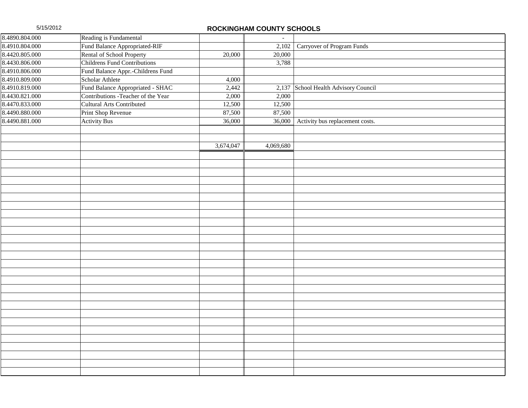| 8.4890.804.000 | Reading is Fundamental              |           | $\sim$    |                                      |
|----------------|-------------------------------------|-----------|-----------|--------------------------------------|
| 8.4910.804.000 | Fund Balance Appropriated-RIF       |           |           | 2,102 Carryover of Program Funds     |
| 8.4420.805.000 | Rental of School Property           | 20,000    | 20,000    |                                      |
| 8.4430.806.000 | <b>Childrens Fund Contributions</b> |           | 3,788     |                                      |
| 8.4910.806.000 | Fund Balance Appr.-Childrens Fund   |           |           |                                      |
| 8.4910.809.000 | Scholar Athlete                     | 4,000     |           |                                      |
| 8.4910.819.000 | Fund Balance Appropriated - SHAC    | 2,442     |           | 2,137 School Health Advisory Council |
| 8.4430.821.000 | Contributions - Teacher of the Year | 2,000     | 2,000     |                                      |
| 8.4470.833.000 | Cultural Arts Contributed           | 12,500    | 12,500    |                                      |
| 8.4490.880.000 | Print Shop Revenue                  | 87,500    | 87,500    |                                      |
| 8.4490.881.000 | <b>Activity Bus</b>                 | 36,000    | 36,000    | Activity bus replacement costs.      |
|                |                                     |           |           |                                      |
|                |                                     |           |           |                                      |
|                |                                     | 3,674,047 | 4,069,680 |                                      |
|                |                                     |           |           |                                      |
|                |                                     |           |           |                                      |
|                |                                     |           |           |                                      |
|                |                                     |           |           |                                      |
|                |                                     |           |           |                                      |
|                |                                     |           |           |                                      |
|                |                                     |           |           |                                      |
|                |                                     |           |           |                                      |
|                |                                     |           |           |                                      |
|                |                                     |           |           |                                      |
|                |                                     |           |           |                                      |
|                |                                     |           |           |                                      |
|                |                                     |           |           |                                      |
|                |                                     |           |           |                                      |
|                |                                     |           |           |                                      |
|                |                                     |           |           |                                      |
|                |                                     |           |           |                                      |
|                |                                     |           |           |                                      |
|                |                                     |           |           |                                      |
|                |                                     |           |           |                                      |
|                |                                     |           |           |                                      |
|                |                                     |           |           |                                      |
|                |                                     |           |           |                                      |
|                |                                     |           |           |                                      |
|                |                                     |           |           |                                      |
|                |                                     |           |           |                                      |
|                |                                     |           |           |                                      |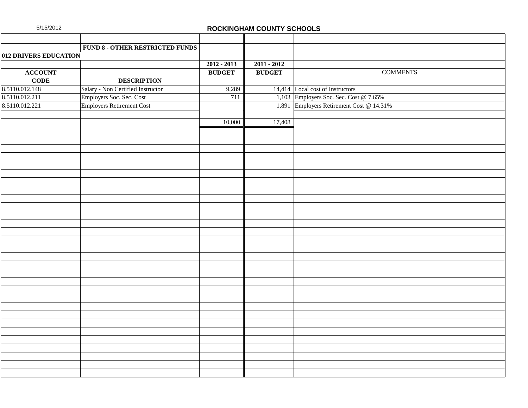|                       | FUND 8 - OTHER RESTRICTED FUNDS   |               |               |                                          |
|-----------------------|-----------------------------------|---------------|---------------|------------------------------------------|
| 012 DRIVERS EDUCATION |                                   |               |               |                                          |
|                       |                                   | $2012 - 2013$ | $2011 - 2012$ |                                          |
| <b>ACCOUNT</b>        |                                   | <b>BUDGET</b> | <b>BUDGET</b> | <b>COMMENTS</b>                          |
| <b>CODE</b>           | <b>DESCRIPTION</b>                |               |               |                                          |
| 8.5110.012.148        | Salary - Non Certified Instructor | 9,289         |               | 14,414 Local cost of Instructors         |
| 8.5110.012.211        | Employers Soc. Sec. Cost          | 711           |               | 1,103 Employers Soc. Sec. Cost @ 7.65%   |
| 8.5110.012.221        | <b>Employers Retirement Cost</b>  |               |               | 1,891 Employers Retirement Cost @ 14.31% |
|                       |                                   |               |               |                                          |
|                       |                                   | 10,000        | 17,408        |                                          |
|                       |                                   |               |               |                                          |
|                       |                                   |               |               |                                          |
|                       |                                   |               |               |                                          |
|                       |                                   |               |               |                                          |
|                       |                                   |               |               |                                          |
|                       |                                   |               |               |                                          |
|                       |                                   |               |               |                                          |
|                       |                                   |               |               |                                          |
|                       |                                   |               |               |                                          |
|                       |                                   |               |               |                                          |
|                       |                                   |               |               |                                          |
|                       |                                   |               |               |                                          |
|                       |                                   |               |               |                                          |
|                       |                                   |               |               |                                          |
|                       |                                   |               |               |                                          |
|                       |                                   |               |               |                                          |
|                       |                                   |               |               |                                          |
|                       |                                   |               |               |                                          |
|                       |                                   |               |               |                                          |
|                       |                                   |               |               |                                          |
|                       |                                   |               |               |                                          |
|                       |                                   |               |               |                                          |
|                       |                                   |               |               |                                          |
|                       |                                   |               |               |                                          |
|                       |                                   |               |               |                                          |
|                       |                                   |               |               |                                          |
|                       |                                   |               |               |                                          |
|                       |                                   |               |               |                                          |
|                       |                                   |               |               |                                          |
|                       |                                   |               |               |                                          |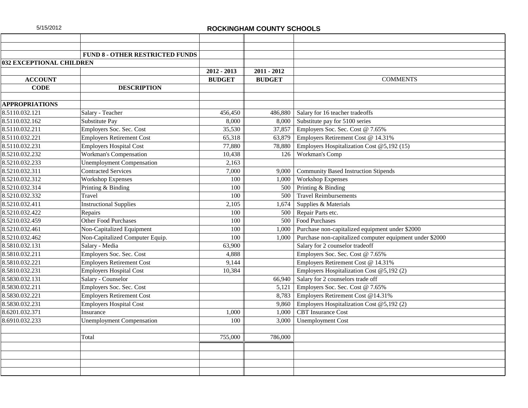|                                 | <b>FUND 8 - OTHER RESTRICTED FUNDS</b> |               |               |                                                          |
|---------------------------------|----------------------------------------|---------------|---------------|----------------------------------------------------------|
| <b>032 EXCEPTIONAL CHILDREN</b> |                                        |               |               |                                                          |
|                                 |                                        | $2012 - 2013$ | $2011 - 2012$ |                                                          |
| <b>ACCOUNT</b>                  |                                        | <b>BUDGET</b> | <b>BUDGET</b> | <b>COMMENTS</b>                                          |
| <b>CODE</b>                     | <b>DESCRIPTION</b>                     |               |               |                                                          |
|                                 |                                        |               |               |                                                          |
| <b>APPROPRIATIONS</b>           |                                        |               |               |                                                          |
| 8.5110.032.121                  | Salary - Teacher                       | 456,450       | 486,880       | Salary for 16 teacher tradeoffs                          |
| 8.5110.032.162                  | Substitute Pay                         | 8,000         | 8,000         | Substitute pay for 5100 series                           |
| 8.5110.032.211                  | Employers Soc. Sec. Cost               | 35,530        | 37,857        | Employers Soc. Sec. Cost @ 7.65%                         |
| 8.5110.032.221                  | <b>Employers Retirement Cost</b>       | 65,318        | 63,879        | Employers Retirement Cost @ 14.31%                       |
| 8.5110.032.231                  | <b>Employers Hospital Cost</b>         | 77,880        | 78,880        | Employers Hospitalization Cost @5,192 (15)               |
| 8.5210.032.232                  | Workman's Compensation                 | 10,438        | 126           | Workman's Comp                                           |
| 8.5210.032.233                  | <b>Unemployment Compensation</b>       | 2,163         |               |                                                          |
| 8.5210.032.311                  | <b>Contracted Services</b>             | 7,000         | 9.000         | <b>Community Based Instruction Stipends</b>              |
| 8.5210.032.312                  | <b>Workshop Expenses</b>               | 100           | 1,000         | <b>Workshop Expenses</b>                                 |
| 8.5210.032.314                  | Printing & Binding                     | 100           | 500           | Printing & Binding                                       |
| 8.5210.032.332                  | Travel                                 | 100           | 500           | <b>Travel Reimbursements</b>                             |
| 8.5210.032.411                  | <b>Instructional Supplies</b>          | 2,105         | 1,674         | Supplies & Materials                                     |
| 8.5210.032.422                  | Repairs                                | 100           | 500           | Repair Parts etc.                                        |
| 8.5210.032.459                  | Other Food Purchases                   | 100           |               | 500 Food Purchases                                       |
| 8.5210.032.461                  | Non-Capitalized Equipment              | 100           | 1,000         | Purchase non-capitalized equipment under \$2000          |
| 8.5210.032.462                  | Non-Capitalized Computer Equip.        | 100           | 1,000         | Purchase non-capitalized computer equipment under \$2000 |
| 8.5810.032.131                  | Salary - Media                         | 63,900        |               | Salary for 2 counselor tradeoff                          |
| 8.5810.032.211                  | Employers Soc. Sec. Cost               | 4,888         |               | Employers Soc. Sec. Cost @ 7.65%                         |
| 8.5810.032.221                  | <b>Employers Retirement Cost</b>       | 9,144         |               | Employers Retirement Cost @ 14.31%                       |
| 8.5810.032.231                  | <b>Employers Hospital Cost</b>         | 10,384        |               | Employers Hospitalization Cost @5,192 (2)                |
| 8.5830.032.131                  | Salary - Counselor                     |               | 66,940        | Salary for 2 counselors trade off                        |
| 8.5830.032.211                  | Employers Soc. Sec. Cost               |               | 5,121         | Employers Soc. Sec. Cost @ 7.65%                         |
| 8.5830.032.221                  | <b>Employers Retirement Cost</b>       |               | 8,783         | Employers Retirement Cost @14.31%                        |
| 8.5830.032.231                  | <b>Employers Hospital Cost</b>         |               | 9,860         | Employers Hospitalization Cost @5,192 (2)                |
| 8.6201.032.371                  | Insurance                              | 1,000         | 1,000         | <b>CBT</b> Insurance Cost                                |
| 8.6910.032.233                  | <b>Unemployment Compensation</b>       | 100           | 3,000         | <b>Unemployment Cost</b>                                 |
|                                 |                                        |               |               |                                                          |
|                                 | Total                                  | 755,000       | 786,000       |                                                          |
|                                 |                                        |               |               |                                                          |
|                                 |                                        |               |               |                                                          |
|                                 |                                        |               |               |                                                          |
|                                 |                                        |               |               |                                                          |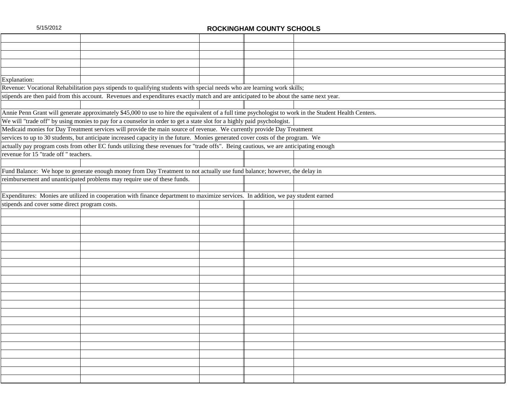| Explanation:                                  |                                                                                                                                                        |  |  |
|-----------------------------------------------|--------------------------------------------------------------------------------------------------------------------------------------------------------|--|--|
|                                               | Revenue: Vocational Rehabilitation pays stipends to qualifying students with special needs who are learning work skills;                               |  |  |
|                                               | stipends are then paid from this account. Revenues and expenditures exactly match and are anticipated to be about the same next year.                  |  |  |
|                                               |                                                                                                                                                        |  |  |
|                                               | Annie Penn Grant will generate approximately \$45,000 to use to hire the equivalent of a full time psychologist to work in the Student Health Centers. |  |  |
|                                               | We will "trade off" by using monies to pay for a counselor in order to get a state slot for a highly paid psychologist.                                |  |  |
|                                               | Medicaid monies for Day Treatment services will provide the main source of revenue. We currently provide Day Treatment                                 |  |  |
|                                               | services to up to 30 students, but anticipate increased capacity in the future. Monies generated cover costs of the program. We                        |  |  |
|                                               | actually pay program costs from other EC funds utilizing these revenues for "trade offs". Being cautious, we are anticipating enough                   |  |  |
| revenue for 15 "trade off " teachers.         |                                                                                                                                                        |  |  |
|                                               |                                                                                                                                                        |  |  |
|                                               | Fund Balance: We hope to generate enough money from Day Treatment to not actually use fund balance; however, the delay in                              |  |  |
|                                               | reimbursement and unanticipated problems may require use of these funds.                                                                               |  |  |
|                                               |                                                                                                                                                        |  |  |
|                                               | Expenditures: Monies are utilized in cooperation with finance department to maximize services. In addition, we pay student earned                      |  |  |
| stipends and cover some direct program costs. |                                                                                                                                                        |  |  |
|                                               |                                                                                                                                                        |  |  |
|                                               |                                                                                                                                                        |  |  |
|                                               |                                                                                                                                                        |  |  |
|                                               |                                                                                                                                                        |  |  |
|                                               |                                                                                                                                                        |  |  |
|                                               |                                                                                                                                                        |  |  |
|                                               |                                                                                                                                                        |  |  |
|                                               |                                                                                                                                                        |  |  |
|                                               |                                                                                                                                                        |  |  |
|                                               |                                                                                                                                                        |  |  |
|                                               |                                                                                                                                                        |  |  |
|                                               |                                                                                                                                                        |  |  |
|                                               |                                                                                                                                                        |  |  |
|                                               |                                                                                                                                                        |  |  |
|                                               |                                                                                                                                                        |  |  |
|                                               |                                                                                                                                                        |  |  |
|                                               |                                                                                                                                                        |  |  |
|                                               |                                                                                                                                                        |  |  |
|                                               |                                                                                                                                                        |  |  |
|                                               |                                                                                                                                                        |  |  |
|                                               |                                                                                                                                                        |  |  |
|                                               |                                                                                                                                                        |  |  |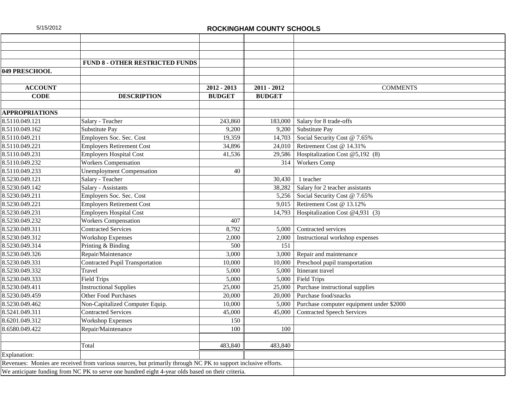|                       | <b>FUND 8 - OTHER RESTRICTED FUNDS</b>                                                                        |               |               |                                          |
|-----------------------|---------------------------------------------------------------------------------------------------------------|---------------|---------------|------------------------------------------|
| 049 PRESCHOOL         |                                                                                                               |               |               |                                          |
|                       |                                                                                                               |               |               |                                          |
| <b>ACCOUNT</b>        |                                                                                                               | $2012 - 2013$ | $2011 - 2012$ | <b>COMMENTS</b>                          |
| <b>CODE</b>           | <b>DESCRIPTION</b>                                                                                            | <b>BUDGET</b> | <b>BUDGET</b> |                                          |
|                       |                                                                                                               |               |               |                                          |
| <b>APPROPRIATIONS</b> |                                                                                                               |               |               |                                          |
| 8.5110.049.121        | Salary - Teacher                                                                                              | 243,860       | 183,000       | Salary for 8 trade-offs                  |
| 8.5110.049.162        | Substitute Pay                                                                                                | 9,200         | 9,200         | Substitute Pay                           |
| 8.5110.049.211        | Employers Soc. Sec. Cost                                                                                      | 19,359        | 14,703        | Social Security Cost @ 7.65%             |
| 8.5110.049.221        | <b>Employers Retirement Cost</b>                                                                              | 34,896        | 24.010        | Retirement Cost @ 14.31%                 |
| 8.5110.049.231        | <b>Employers Hospital Cost</b>                                                                                | 41,536        | 29,586        | Hospitalization Cost @5,192 (8)          |
| 8.5110.049.232        | Workers Compensation                                                                                          |               | 314           | <b>Workers Comp</b>                      |
| 8.5110.049.233        | <b>Unemployment Compensation</b>                                                                              | 40            |               |                                          |
| 8.5230.049.121        | Salary - Teacher                                                                                              |               | 30,430        | 1 teacher                                |
| 8.5230.049.142        | Salary - Assistants                                                                                           |               | 38,282        | Salary for 2 teacher assistants          |
| 8.5230.049.211        | Employers Soc. Sec. Cost                                                                                      |               | 5,256         | Social Security Cost @ 7.65%             |
| 8.5230.049.221        | <b>Employers Retirement Cost</b>                                                                              |               | 9,015         | Retirement Cost @ 13.12%                 |
| 8.5230.049.231        | <b>Employers Hospital Cost</b>                                                                                |               | 14,793        | Hospitalization Cost @4,931 (3)          |
| 8.5230.049.232        | <b>Workers Compensation</b>                                                                                   | 407           |               |                                          |
| 8.5230.049.311        | <b>Contracted Services</b>                                                                                    | 8,792         | 5,000         | Contracted services                      |
| 8.5230.049.312        | <b>Workshop Expenses</b>                                                                                      | 2,000         | 2,000         | Instructional workshop expenses          |
| 8.5230.049.314        | Printing & Binding                                                                                            | 500           | 151           |                                          |
| 8.5230.049.326        | Repair/Maintenance                                                                                            | 3,000         | 3,000         | Repair and maintenance                   |
| 8.5230.049.331        | <b>Contracted Pupil Transportation</b>                                                                        | 10,000        | 10,000        | Preschool pupil transportation           |
| 8.5230.049.332        | Travel                                                                                                        | 5,000         | 5,000         | Itinerant travel                         |
| 8.5230.049.333        | <b>Field Trips</b>                                                                                            | 5,000         | 5,000         | <b>Field Trips</b>                       |
| 8.5230.049.411        | <b>Instructional Supplies</b>                                                                                 | 25,000        | 25,000        | Purchase instructional supplies          |
| 8.5230.049.459        | Other Food Purchases                                                                                          | 20,000        | 20,000        | Purchase food/snacks                     |
| 8.5230.049.462        | Non-Capitalized Computer Equip.                                                                               | 10,000        | 5,000         | Purchase computer equipment under \$2000 |
| 8.5241.049.311        | <b>Contracted Services</b>                                                                                    | 45,000        | 45,000        | <b>Contracted Speech Services</b>        |
| 8.6201.049.312        | <b>Workshop Expenses</b>                                                                                      | 150           |               |                                          |
| 8.6580.049.422        | Repair/Maintenance                                                                                            | 100           | 100           |                                          |
|                       |                                                                                                               |               |               |                                          |
|                       | Total                                                                                                         | 483,840       | 483,840       |                                          |
| Explanation:          |                                                                                                               |               |               |                                          |
|                       | Revenues: Monies are received from various sources, but primarily through NC PK to support inclusive efforts. |               |               |                                          |
|                       | We anticipate funding from NC PK to serve one hundred eight 4-year olds based on their criteria.              |               |               |                                          |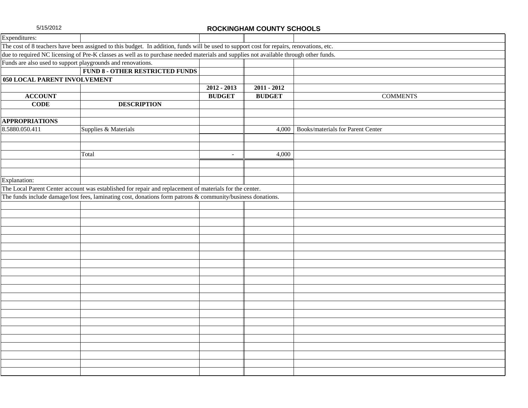| Expenditures:                |                                                                                                                                          |                |               |                                         |  |  |
|------------------------------|------------------------------------------------------------------------------------------------------------------------------------------|----------------|---------------|-----------------------------------------|--|--|
|                              | The cost of 8 teachers have been assigned to this budget. In addition, funds will be used to support cost for repairs, renovations, etc. |                |               |                                         |  |  |
|                              | due to required NC licensing of Pre-K classes as well as to purchase needed materials and supplies not available through other funds.    |                |               |                                         |  |  |
|                              | Funds are also used to support playgrounds and renovations.                                                                              |                |               |                                         |  |  |
|                              | <b>FUND 8 - OTHER RESTRICTED FUNDS</b>                                                                                                   |                |               |                                         |  |  |
| 050 LOCAL PARENT INVOLVEMENT |                                                                                                                                          |                |               |                                         |  |  |
|                              |                                                                                                                                          | $2012 - 2013$  | $2011 - 2012$ |                                         |  |  |
| <b>ACCOUNT</b>               |                                                                                                                                          | <b>BUDGET</b>  | <b>BUDGET</b> | <b>COMMENTS</b>                         |  |  |
| <b>CODE</b>                  | <b>DESCRIPTION</b>                                                                                                                       |                |               |                                         |  |  |
|                              |                                                                                                                                          |                |               |                                         |  |  |
| <b>APPROPRIATIONS</b>        |                                                                                                                                          |                |               |                                         |  |  |
| 8.5880.050.411               | Supplies & Materials                                                                                                                     |                |               | 4,000 Books/materials for Parent Center |  |  |
|                              |                                                                                                                                          |                |               |                                         |  |  |
|                              |                                                                                                                                          |                |               |                                         |  |  |
|                              | Total                                                                                                                                    | $\blacksquare$ | 4,000         |                                         |  |  |
|                              |                                                                                                                                          |                |               |                                         |  |  |
|                              |                                                                                                                                          |                |               |                                         |  |  |
| Explanation:                 |                                                                                                                                          |                |               |                                         |  |  |
|                              | The Local Parent Center account was established for repair and replacement of materials for the center.                                  |                |               |                                         |  |  |
|                              | The funds include damage/lost fees, laminating cost, donations form patrons & community/business donations.                              |                |               |                                         |  |  |
|                              |                                                                                                                                          |                |               |                                         |  |  |
|                              |                                                                                                                                          |                |               |                                         |  |  |
|                              |                                                                                                                                          |                |               |                                         |  |  |
|                              |                                                                                                                                          |                |               |                                         |  |  |
|                              |                                                                                                                                          |                |               |                                         |  |  |
|                              |                                                                                                                                          |                |               |                                         |  |  |
|                              |                                                                                                                                          |                |               |                                         |  |  |
|                              |                                                                                                                                          |                |               |                                         |  |  |
|                              |                                                                                                                                          |                |               |                                         |  |  |
|                              |                                                                                                                                          |                |               |                                         |  |  |
|                              |                                                                                                                                          |                |               |                                         |  |  |
|                              |                                                                                                                                          |                |               |                                         |  |  |
|                              |                                                                                                                                          |                |               |                                         |  |  |
|                              |                                                                                                                                          |                |               |                                         |  |  |
|                              |                                                                                                                                          |                |               |                                         |  |  |
|                              |                                                                                                                                          |                |               |                                         |  |  |
|                              |                                                                                                                                          |                |               |                                         |  |  |
|                              |                                                                                                                                          |                |               |                                         |  |  |
|                              |                                                                                                                                          |                |               |                                         |  |  |
|                              |                                                                                                                                          |                |               |                                         |  |  |
|                              |                                                                                                                                          |                |               |                                         |  |  |
|                              |                                                                                                                                          |                |               |                                         |  |  |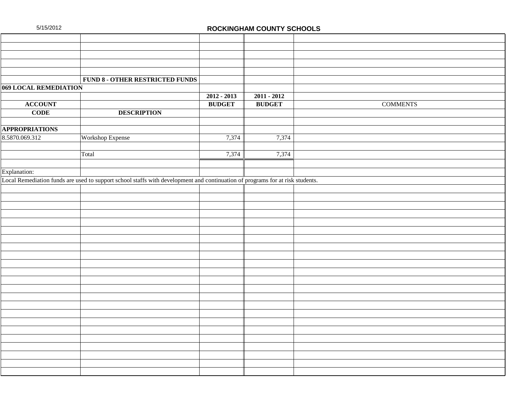|                       | FUND 8 - OTHER RESTRICTED FUNDS                                                                                               |               |               |                 |
|-----------------------|-------------------------------------------------------------------------------------------------------------------------------|---------------|---------------|-----------------|
| 069 LOCAL REMEDIATION |                                                                                                                               |               |               |                 |
|                       |                                                                                                                               | $2012 - 2013$ | $2011 - 2012$ |                 |
| <b>ACCOUNT</b>        |                                                                                                                               | <b>BUDGET</b> | <b>BUDGET</b> | <b>COMMENTS</b> |
| <b>CODE</b>           | <b>DESCRIPTION</b>                                                                                                            |               |               |                 |
|                       |                                                                                                                               |               |               |                 |
| <b>APPROPRIATIONS</b> |                                                                                                                               |               |               |                 |
| 8.5870.069.312        | Workshop Expense                                                                                                              | 7,374         | 7,374         |                 |
|                       |                                                                                                                               |               |               |                 |
|                       | Total                                                                                                                         | 7,374         | 7,374         |                 |
|                       |                                                                                                                               |               |               |                 |
| Explanation:          |                                                                                                                               |               |               |                 |
|                       | Local Remediation funds are used to support school staffs with development and continuation of programs for at risk students. |               |               |                 |
|                       |                                                                                                                               |               |               |                 |
|                       |                                                                                                                               |               |               |                 |
|                       |                                                                                                                               |               |               |                 |
|                       |                                                                                                                               |               |               |                 |
|                       |                                                                                                                               |               |               |                 |
|                       |                                                                                                                               |               |               |                 |
|                       |                                                                                                                               |               |               |                 |
|                       |                                                                                                                               |               |               |                 |
|                       |                                                                                                                               |               |               |                 |
|                       |                                                                                                                               |               |               |                 |
|                       |                                                                                                                               |               |               |                 |
|                       |                                                                                                                               |               |               |                 |
|                       |                                                                                                                               |               |               |                 |
|                       |                                                                                                                               |               |               |                 |
|                       |                                                                                                                               |               |               |                 |
|                       |                                                                                                                               |               |               |                 |
|                       |                                                                                                                               |               |               |                 |
|                       |                                                                                                                               |               |               |                 |
|                       |                                                                                                                               |               |               |                 |
|                       |                                                                                                                               |               |               |                 |
|                       |                                                                                                                               |               |               |                 |
|                       |                                                                                                                               |               |               |                 |
|                       |                                                                                                                               |               |               |                 |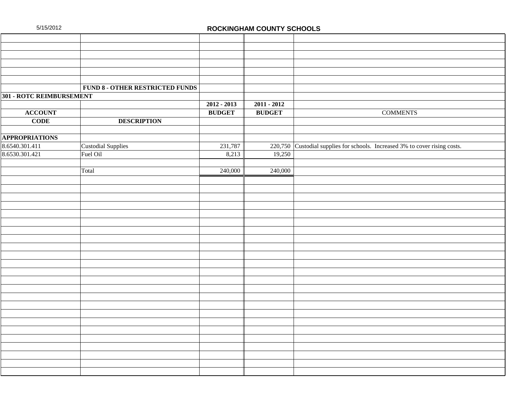|--|

#### **ROCKINGHAM COUNTY SCHOOLS**

|                          | <b>FUND 8 - OTHER RESTRICTED FUNDS</b> |               |               |                                                                             |
|--------------------------|----------------------------------------|---------------|---------------|-----------------------------------------------------------------------------|
| 301 - ROTC REIMBURSEMENT |                                        |               |               |                                                                             |
|                          |                                        | $2012 - 2013$ | $2011 - 2012$ |                                                                             |
| <b>ACCOUNT</b>           |                                        | <b>BUDGET</b> | <b>BUDGET</b> | <b>COMMENTS</b>                                                             |
| <b>CODE</b>              | <b>DESCRIPTION</b>                     |               |               |                                                                             |
|                          |                                        |               |               |                                                                             |
| <b>APPROPRIATIONS</b>    |                                        |               |               |                                                                             |
| 8.6540.301.411           | Custodial Supplies                     | 231,787       |               | 220,750 Custodial supplies for schools. Increased 3% to cover rising costs. |
| 8.6530.301.421           | Fuel Oil                               | 8,213         | 19,250        |                                                                             |
|                          |                                        |               |               |                                                                             |
|                          | Total                                  | 240,000       | 240,000       |                                                                             |
|                          |                                        |               |               |                                                                             |
|                          |                                        |               |               |                                                                             |
|                          |                                        |               |               |                                                                             |
|                          |                                        |               |               |                                                                             |
|                          |                                        |               |               |                                                                             |
|                          |                                        |               |               |                                                                             |
|                          |                                        |               |               |                                                                             |
|                          |                                        |               |               |                                                                             |
|                          |                                        |               |               |                                                                             |
|                          |                                        |               |               |                                                                             |
|                          |                                        |               |               |                                                                             |
|                          |                                        |               |               |                                                                             |
|                          |                                        |               |               |                                                                             |
|                          |                                        |               |               |                                                                             |
|                          |                                        |               |               |                                                                             |
|                          |                                        |               |               |                                                                             |
|                          |                                        |               |               |                                                                             |
|                          |                                        |               |               |                                                                             |
|                          |                                        |               |               |                                                                             |
|                          |                                        |               |               |                                                                             |
|                          |                                        |               |               |                                                                             |
|                          |                                        |               |               |                                                                             |
|                          |                                        |               |               |                                                                             |
|                          |                                        |               |               |                                                                             |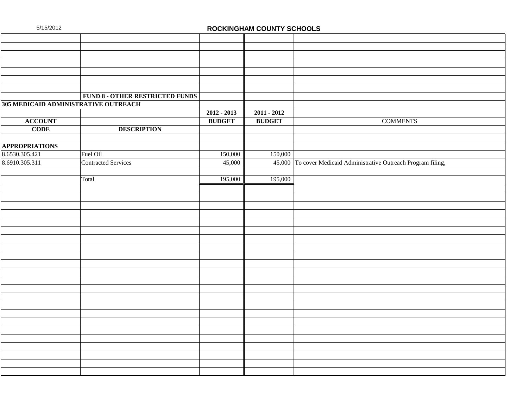| 5/15/2012 |  |  |  |  |
|-----------|--|--|--|--|
|-----------|--|--|--|--|

#### **ROCKINGHAM COUNTY SCHOOLS**

|                                      | <b>FUND 8 - OTHER RESTRICTED FUNDS</b> |               |               |                                                                  |
|--------------------------------------|----------------------------------------|---------------|---------------|------------------------------------------------------------------|
| 305 MEDICAID ADMINISTRATIVE OUTREACH |                                        |               |               |                                                                  |
|                                      |                                        | $2012 - 2013$ | $2011 - 2012$ |                                                                  |
| <b>ACCOUNT</b>                       |                                        | <b>BUDGET</b> | <b>BUDGET</b> | <b>COMMENTS</b>                                                  |
| <b>CODE</b>                          | <b>DESCRIPTION</b>                     |               |               |                                                                  |
|                                      |                                        |               |               |                                                                  |
| <b>APPROPRIATIONS</b>                |                                        |               |               |                                                                  |
| 8.6530.305.421                       | Fuel Oil                               | 150,000       | 150,000       |                                                                  |
| 8.6910.305.311                       | Contracted Services                    | 45,000        |               | 45,000 To cover Medicaid Administrative Outreach Program filing, |
|                                      |                                        |               |               |                                                                  |
|                                      | Total                                  | 195,000       | 195,000       |                                                                  |
|                                      |                                        |               |               |                                                                  |
|                                      |                                        |               |               |                                                                  |
|                                      |                                        |               |               |                                                                  |
|                                      |                                        |               |               |                                                                  |
|                                      |                                        |               |               |                                                                  |
|                                      |                                        |               |               |                                                                  |
|                                      |                                        |               |               |                                                                  |
|                                      |                                        |               |               |                                                                  |
|                                      |                                        |               |               |                                                                  |
|                                      |                                        |               |               |                                                                  |
|                                      |                                        |               |               |                                                                  |
|                                      |                                        |               |               |                                                                  |
|                                      |                                        |               |               |                                                                  |
|                                      |                                        |               |               |                                                                  |
|                                      |                                        |               |               |                                                                  |
|                                      |                                        |               |               |                                                                  |
|                                      |                                        |               |               |                                                                  |
|                                      |                                        |               |               |                                                                  |
|                                      |                                        |               |               |                                                                  |
|                                      |                                        |               |               |                                                                  |
|                                      |                                        |               |               |                                                                  |
|                                      |                                        |               |               |                                                                  |
|                                      |                                        |               |               |                                                                  |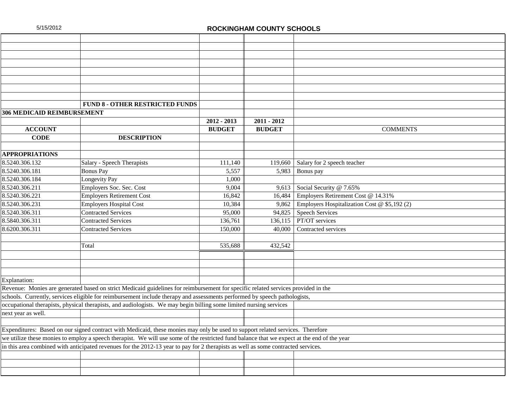|                                   | <b>FUND 8 - OTHER RESTRICTED FUNDS</b>                                                                                                      |               |               |                                              |
|-----------------------------------|---------------------------------------------------------------------------------------------------------------------------------------------|---------------|---------------|----------------------------------------------|
| <b>306 MEDICAID REIMBURSEMENT</b> |                                                                                                                                             |               |               |                                              |
|                                   |                                                                                                                                             | $2012 - 2013$ | $2011 - 2012$ |                                              |
| <b>ACCOUNT</b>                    |                                                                                                                                             | <b>BUDGET</b> | <b>BUDGET</b> | <b>COMMENTS</b>                              |
| <b>CODE</b>                       | <b>DESCRIPTION</b>                                                                                                                          |               |               |                                              |
|                                   |                                                                                                                                             |               |               |                                              |
| <b>APPROPRIATIONS</b>             |                                                                                                                                             |               |               |                                              |
| 8.5240.306.132                    | Salary - Speech Therapists                                                                                                                  | 111,140       | 119,660       | Salary for 2 speech teacher                  |
| 8.5240.306.181                    | <b>Bonus Pay</b>                                                                                                                            | 5,557         | 5,983         | Bonus pay                                    |
| 8.5240.306.184                    | Longevity Pay                                                                                                                               | 1,000         |               |                                              |
| 8.5240.306.211                    | Employers Soc. Sec. Cost                                                                                                                    | 9,004         | 9,613         | Social Security @ 7.65%                      |
| 8.5240.306.221                    | <b>Employers Retirement Cost</b>                                                                                                            | 16,842        | 16,484        | Employers Retirement Cost @ 14.31%           |
| 8.5240.306.231                    | <b>Employers Hospital Cost</b>                                                                                                              | 10,384        | 9,862         | Employers Hospitalization Cost @ \$5,192 (2) |
| 8.5240.306.311                    | <b>Contracted Services</b>                                                                                                                  | 95,000        | 94,825        | <b>Speech Services</b>                       |
| 8.5840.306.311                    | <b>Contracted Services</b>                                                                                                                  | 136,761       | 136.115       | PT/OT services                               |
| 8.6200.306.311                    | <b>Contracted Services</b>                                                                                                                  | 150,000       | 40,000        | Contracted services                          |
|                                   |                                                                                                                                             |               |               |                                              |
|                                   | Total                                                                                                                                       | 535,688       | 432,542       |                                              |
|                                   |                                                                                                                                             |               |               |                                              |
|                                   |                                                                                                                                             |               |               |                                              |
|                                   |                                                                                                                                             |               |               |                                              |
| Explanation:                      |                                                                                                                                             |               |               |                                              |
|                                   | Revenue: Monies are generated based on strict Medicaid guidelines for reimbursement for specific related services provided in the           |               |               |                                              |
|                                   | schools. Currently, services eligible for reimbursement include therapy and assessments performed by speech pathologists,                   |               |               |                                              |
|                                   | occupational therapists, physical therapists, and audiologists. We may begin billing some limited nursing services                          |               |               |                                              |
| next year as well.                |                                                                                                                                             |               |               |                                              |
|                                   |                                                                                                                                             |               |               |                                              |
|                                   | Expenditures: Based on our signed contract with Medicaid, these monies may only be used to support related services. Therefore              |               |               |                                              |
|                                   | we utilize these monies to employ a speech therapist. We will use some of the restricted fund balance that we expect at the end of the year |               |               |                                              |
|                                   | in this area combined with anticipated revenues for the 2012-13 year to pay for 2 therapists as well as some contracted services.           |               |               |                                              |
|                                   |                                                                                                                                             |               |               |                                              |
|                                   |                                                                                                                                             |               |               |                                              |
|                                   |                                                                                                                                             |               |               |                                              |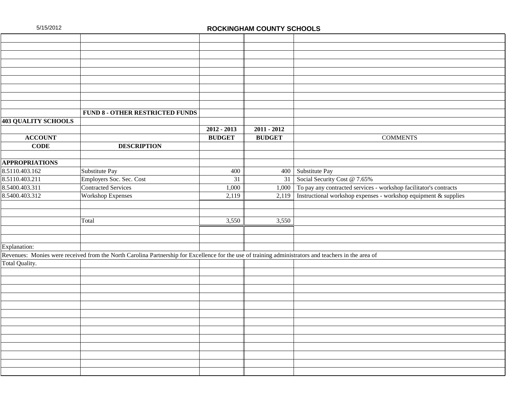|                            | <b>FUND 8 - OTHER RESTRICTED FUNDS</b>                                                                                                               |                 |               |                                                                   |
|----------------------------|------------------------------------------------------------------------------------------------------------------------------------------------------|-----------------|---------------|-------------------------------------------------------------------|
| <b>403 QUALITY SCHOOLS</b> |                                                                                                                                                      |                 |               |                                                                   |
|                            |                                                                                                                                                      | $2012 - 2013$   | $2011 - 2012$ |                                                                   |
| <b>ACCOUNT</b>             |                                                                                                                                                      | <b>BUDGET</b>   | <b>BUDGET</b> | <b>COMMENTS</b>                                                   |
| <b>CODE</b>                | <b>DESCRIPTION</b>                                                                                                                                   |                 |               |                                                                   |
|                            |                                                                                                                                                      |                 |               |                                                                   |
| <b>APPROPRIATIONS</b>      |                                                                                                                                                      |                 |               |                                                                   |
| 8.5110.403.162             | Substitute Pay                                                                                                                                       | 400             |               | 400 Substitute Pay                                                |
| 8.5110.403.211             | Employers Soc. Sec. Cost                                                                                                                             | $\overline{31}$ | 31            | Social Security Cost @ 7.65%                                      |
| 8.5400.403.311             | <b>Contracted Services</b>                                                                                                                           | 1,000           | 1,000         | To pay any contracted services - workshop facilitator's contracts |
| 8.5400.403.312             | Workshop Expenses                                                                                                                                    | 2,119           | 2,119         | Instructional workshop expenses - workshop equipment & supplies   |
|                            |                                                                                                                                                      |                 |               |                                                                   |
|                            |                                                                                                                                                      |                 |               |                                                                   |
|                            | Total                                                                                                                                                | 3,550           | 3,550         |                                                                   |
|                            |                                                                                                                                                      |                 |               |                                                                   |
|                            |                                                                                                                                                      |                 |               |                                                                   |
| Explanation:               |                                                                                                                                                      |                 |               |                                                                   |
|                            | Revenues: Monies were received from the North Carolina Partnership for Excellence for the use of training administrators and teachers in the area of |                 |               |                                                                   |
| Total Quality.             |                                                                                                                                                      |                 |               |                                                                   |
|                            |                                                                                                                                                      |                 |               |                                                                   |
|                            |                                                                                                                                                      |                 |               |                                                                   |
|                            |                                                                                                                                                      |                 |               |                                                                   |
|                            |                                                                                                                                                      |                 |               |                                                                   |
|                            |                                                                                                                                                      |                 |               |                                                                   |
|                            |                                                                                                                                                      |                 |               |                                                                   |
|                            |                                                                                                                                                      |                 |               |                                                                   |
|                            |                                                                                                                                                      |                 |               |                                                                   |
|                            |                                                                                                                                                      |                 |               |                                                                   |
|                            |                                                                                                                                                      |                 |               |                                                                   |
|                            |                                                                                                                                                      |                 |               |                                                                   |
|                            |                                                                                                                                                      |                 |               |                                                                   |
|                            |                                                                                                                                                      |                 |               |                                                                   |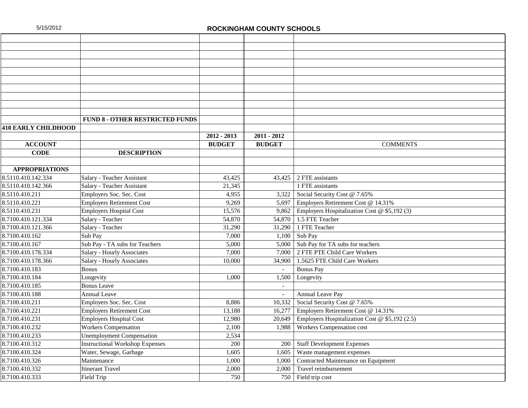|                            | <b>FUND 8 - OTHER RESTRICTED FUNDS</b> |               |               |                                                |
|----------------------------|----------------------------------------|---------------|---------------|------------------------------------------------|
| <b>410 EARLY CHILDHOOD</b> |                                        |               |               |                                                |
|                            |                                        | $2012 - 2013$ | 2011 - 2012   |                                                |
| <b>ACCOUNT</b>             |                                        | <b>BUDGET</b> | <b>BUDGET</b> | <b>COMMENTS</b>                                |
| <b>CODE</b>                | <b>DESCRIPTION</b>                     |               |               |                                                |
|                            |                                        |               |               |                                                |
| <b>APPROPRIATIONS</b>      |                                        |               |               |                                                |
| 8.5110.410.142.334         | Salary - Teacher Assistant             | 43,425        |               | $43,425$ 2 FTE assistants                      |
| 8.5110.410.142.366         | Salary - Teacher Assistant             | 21,345        |               | 1 FTE assistants                               |
| 8.5110.410.211             | Employers Soc. Sec. Cost               | 4,955         | 3,322         | Social Security Cost @ 7.65%                   |
| 8.5110.410.221             | <b>Employers Retirement Cost</b>       | 9,269         | 5,697         | Employers Retirement Cost @ 14.31%             |
| 8.5110.410.231             | <b>Employers Hospital Cost</b>         | 15,576        | 9,862         | Employers Hospitalization Cost @ \$5,192 (3)   |
| 8.7100.410.121.334         | Salary - Teacher                       | 54,870        |               | 54,870 1.5 FTE Teacher                         |
| 8.7100.410.121.366         | Salary - Teacher                       | 31,290        | 31,290        | 1 FTE Teacher                                  |
| 8.7100.410.162             | Sub Pay                                | 7,000         | 1,100         | Sub Pay                                        |
| 8.7100.410.167             | Sub Pay - TA subs for Teachers         | 5,000         | 5,000         | Sub Pay for TA subs for teachers               |
| 8.7100.410.178.334         | Salary - Hourly Associates             | 7,000         |               | 7,000 2 FTE PTE Child Care Workers             |
| 8.7100.410.178.366         | Salary - Hourly Associates             | 10,000        | 34,900        | 1.5625 FTE Child Care Workers                  |
| 8.7100.410.183             | <b>Bonus</b>                           |               | $\mathbf{r}$  | <b>Bonus Pay</b>                               |
| 8.7100.410.184             | Longevity                              | 1,000         | 1,500         | Longevity                                      |
| 8.7100.410.185             | <b>Bonus</b> Leave                     |               |               |                                                |
| 8.7100.410.188             | <b>Annual Leave</b>                    |               |               | Annual Leave Pay                               |
| 8.7100.410.211             | Employers Soc. Sec. Cost               | 8,886         | 10,332        | Social Security Cost @ 7.65%                   |
| 8.7100.410.221             | <b>Employers Retirement Cost</b>       | 13,188        | 16,277        | Employers Retirement Cost @ 14.31%             |
| 8.7100.410.231             | <b>Employers Hospital Cost</b>         | 12,980        | 20,649        | Employers Hospitalization Cost @ \$5,192 (2.5) |
| 8.7100.410.232             | <b>Workers Compensation</b>            | 2,100         | 1,988         | Workers Compensation cost                      |
| 8.7100.410.233             | <b>Unemployment Compensation</b>       | 2,534         |               |                                                |
| 8.7100.410.312             | <b>Instructional Workshop Expenses</b> | 200           | 200           | <b>Staff Development Expenses</b>              |
| 8.7100.410.324             | Water, Sewage, Garbage                 | 1,605         | 1,605         | Waste management expenses                      |
| 8.7100.410.326             | Maintenance                            | 1,000         | 1,000         | Contracted Maintenance on Equipment            |
| 8.7100.410.332             | <b>Itinerant Travel</b>                | 2,000         | 2,000         | Travel reimbursement                           |
| 8.7100.410.333             | Field Trip                             | 750           |               | 750 Field trip cost                            |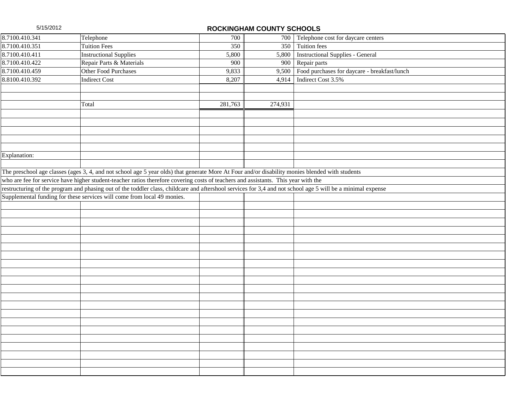5/15/2012 **ROCKINGHAM COUNTY SCHOOLS** Telephone 700 Telephone 700 Telephone cost for daycare centers 8.7100.410.341 Telephone 700 700 Telephone contract 10.351 Tuition Fees 350 350 350 Tuition fees 37100.410.411 Instructional Supplies 5,800 5,800 Instructional 8.7100.410.411 Instructional Supplies 5,800 5,800 Instructional Supplies - General<br>8.7100.410.422 Repair Parts & Materials 900 800 Fepair parts Repair Parts & Materials 900 900 Repair parts 8.7100.410.459 Other Food Purchases 9,833 9,500 Food purchases for daycare - breakfast/lunch<br>8.8100.410.392 Indirect Cost 6 Cost 6 and Foreign 1,914 Indirect Cost 3.5% **Indirect Cost** 8,207 4,914 Indirect Cost 3.5% Total 281,763  $281,763$  274,931 Explanation: The preschool age classes (ages 3, 4, and not school age 5 year olds) that generate More At Four and/or disability monies blended with students who are fee for service have higher student-teacher ratios therefore covering costs of teachers and assistants. This year with the restructuring of the program and phasing out of the toddler class, childcare and aftershool services for 3,4 and not school age 5 will be a minimal expense Supplemental funding for these services will come from local 49 monies.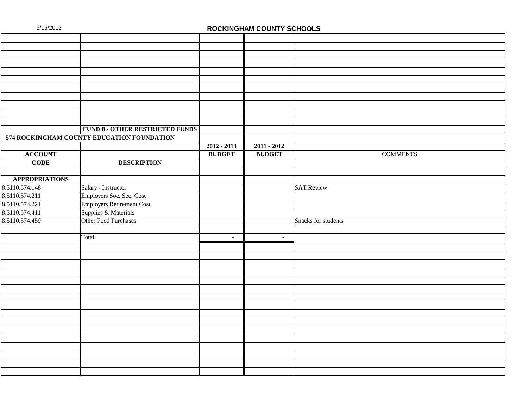|                       | <b>FUND 8 - OTHER RESTRICTED FUNDS</b>     |               |               |                     |                 |  |
|-----------------------|--------------------------------------------|---------------|---------------|---------------------|-----------------|--|
|                       | 574 ROCKINGHAM COUNTY EDUCATION FOUNDATION |               |               |                     |                 |  |
|                       |                                            | $2012 - 2013$ | $2011 - 2012$ |                     |                 |  |
| <b>ACCOUNT</b>        |                                            | <b>BUDGET</b> | <b>BUDGET</b> |                     | <b>COMMENTS</b> |  |
| <b>CODE</b>           | <b>DESCRIPTION</b>                         |               |               |                     |                 |  |
|                       |                                            |               |               |                     |                 |  |
| <b>APPROPRIATIONS</b> |                                            |               |               |                     |                 |  |
| 8.5110.574.148        | Salary - Instructor                        |               |               | <b>SAT Review</b>   |                 |  |
| 8.5110.574.211        | Employers Soc. Sec. Cost                   |               |               |                     |                 |  |
| 8.5110.574.221        | Employers Retirement Cost                  |               |               |                     |                 |  |
| 8.5110.574.411        | Supplies & Materials                       |               |               |                     |                 |  |
| 8.5110.574.459        | Other Food Purchases                       |               |               | Snacks for students |                 |  |
|                       |                                            |               |               |                     |                 |  |
|                       | Total                                      | $\sim$        | $\sim$        |                     |                 |  |
|                       |                                            |               |               |                     |                 |  |
|                       |                                            |               |               |                     |                 |  |
|                       |                                            |               |               |                     |                 |  |
|                       |                                            |               |               |                     |                 |  |
|                       |                                            |               |               |                     |                 |  |
|                       |                                            |               |               |                     |                 |  |
|                       |                                            |               |               |                     |                 |  |
|                       |                                            |               |               |                     |                 |  |
|                       |                                            |               |               |                     |                 |  |
|                       |                                            |               |               |                     |                 |  |
|                       |                                            |               |               |                     |                 |  |
|                       |                                            |               |               |                     |                 |  |
|                       |                                            |               |               |                     |                 |  |
|                       |                                            |               |               |                     |                 |  |
|                       |                                            |               |               |                     |                 |  |
|                       |                                            |               |               |                     |                 |  |
|                       |                                            |               |               |                     |                 |  |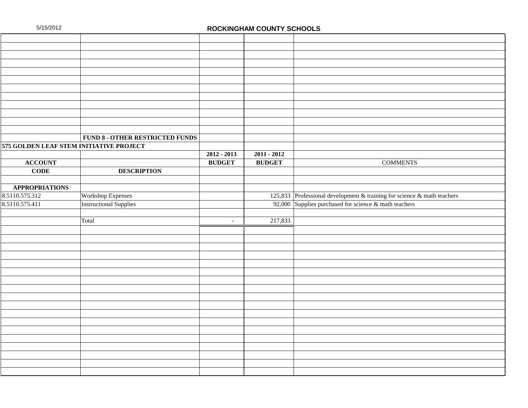|                                         | <b>FUND 8 - OTHER RESTRICTED FUNDS</b> |                          |               |                                                                         |
|-----------------------------------------|----------------------------------------|--------------------------|---------------|-------------------------------------------------------------------------|
| 575 GOLDEN LEAF STEM INITIATIVE PROJECT |                                        |                          |               |                                                                         |
|                                         |                                        | $2012 - 2013$            | $2011 - 2012$ |                                                                         |
| <b>ACCOUNT</b>                          |                                        | <b>BUDGET</b>            | <b>BUDGET</b> | <b>COMMENTS</b>                                                         |
| <b>CODE</b>                             | <b>DESCRIPTION</b>                     |                          |               |                                                                         |
|                                         |                                        |                          |               |                                                                         |
| <b>APPROPRIATIONS</b>                   |                                        |                          |               |                                                                         |
| 8.5110.575.312                          | <b>Workshop Expenses</b>               |                          |               | 125,833 Professional development & training for science & math teachers |
| 8.5110.575.411                          | <b>Instructional Supplies</b>          |                          |               | 92,000 Supplies purchased for science & math teachers                   |
|                                         |                                        |                          |               |                                                                         |
|                                         | Total                                  | $\overline{\phantom{a}}$ | 217,833       |                                                                         |
|                                         |                                        |                          |               |                                                                         |
|                                         |                                        |                          |               |                                                                         |
|                                         |                                        |                          |               |                                                                         |
|                                         |                                        |                          |               |                                                                         |
|                                         |                                        |                          |               |                                                                         |
|                                         |                                        |                          |               |                                                                         |
|                                         |                                        |                          |               |                                                                         |
|                                         |                                        |                          |               |                                                                         |
|                                         |                                        |                          |               |                                                                         |
|                                         |                                        |                          |               |                                                                         |
|                                         |                                        |                          |               |                                                                         |
|                                         |                                        |                          |               |                                                                         |
|                                         |                                        |                          |               |                                                                         |
|                                         |                                        |                          |               |                                                                         |
|                                         |                                        |                          |               |                                                                         |
|                                         |                                        |                          |               |                                                                         |
|                                         |                                        |                          |               |                                                                         |
|                                         |                                        |                          |               |                                                                         |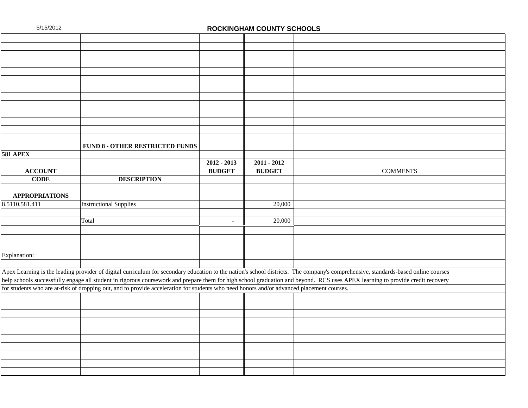|                       | <b>FUND 8 - OTHER RESTRICTED FUNDS</b>                                                                                                    |                          |               |                                                                                                                                                                                   |
|-----------------------|-------------------------------------------------------------------------------------------------------------------------------------------|--------------------------|---------------|-----------------------------------------------------------------------------------------------------------------------------------------------------------------------------------|
| <b>581 APEX</b>       |                                                                                                                                           |                          |               |                                                                                                                                                                                   |
|                       |                                                                                                                                           | $2012 - 2013$            | $2011 - 2012$ |                                                                                                                                                                                   |
| <b>ACCOUNT</b>        |                                                                                                                                           | <b>BUDGET</b>            | <b>BUDGET</b> | <b>COMMENTS</b>                                                                                                                                                                   |
| <b>CODE</b>           | <b>DESCRIPTION</b>                                                                                                                        |                          |               |                                                                                                                                                                                   |
|                       |                                                                                                                                           |                          |               |                                                                                                                                                                                   |
| <b>APPROPRIATIONS</b> |                                                                                                                                           |                          |               |                                                                                                                                                                                   |
| 8.5110.581.411        | <b>Instructional Supplies</b>                                                                                                             |                          | 20,000        |                                                                                                                                                                                   |
|                       |                                                                                                                                           |                          |               |                                                                                                                                                                                   |
|                       | Total                                                                                                                                     | $\overline{\phantom{a}}$ | 20,000        |                                                                                                                                                                                   |
|                       |                                                                                                                                           |                          |               |                                                                                                                                                                                   |
|                       |                                                                                                                                           |                          |               |                                                                                                                                                                                   |
|                       |                                                                                                                                           |                          |               |                                                                                                                                                                                   |
| Explanation:          |                                                                                                                                           |                          |               |                                                                                                                                                                                   |
|                       |                                                                                                                                           |                          |               |                                                                                                                                                                                   |
|                       |                                                                                                                                           |                          |               | Apex Learning is the leading provider of digital curriculum for secondary education to the nation's school districts. The company's comprehensive, standards-based online courses |
|                       |                                                                                                                                           |                          |               | help schools successfully engage all student in rigorous coursework and prepare them for high school graduation and beyond. RCS uses APEX learning to provide credit recovery     |
|                       | for students who are at-risk of dropping out, and to provide acceleration for students who need honors and/or advanced placement courses. |                          |               |                                                                                                                                                                                   |
|                       |                                                                                                                                           |                          |               |                                                                                                                                                                                   |
|                       |                                                                                                                                           |                          |               |                                                                                                                                                                                   |
|                       |                                                                                                                                           |                          |               |                                                                                                                                                                                   |
|                       |                                                                                                                                           |                          |               |                                                                                                                                                                                   |
|                       |                                                                                                                                           |                          |               |                                                                                                                                                                                   |
|                       |                                                                                                                                           |                          |               |                                                                                                                                                                                   |
|                       |                                                                                                                                           |                          |               |                                                                                                                                                                                   |
|                       |                                                                                                                                           |                          |               |                                                                                                                                                                                   |
|                       |                                                                                                                                           |                          |               |                                                                                                                                                                                   |
|                       |                                                                                                                                           |                          |               |                                                                                                                                                                                   |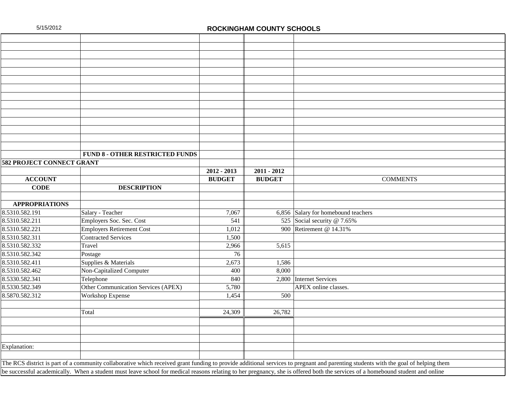|                                                                                                                                                                                    | <b>FUND 8 - OTHER RESTRICTED FUNDS</b> |               |               |                                     |  |  |  |
|------------------------------------------------------------------------------------------------------------------------------------------------------------------------------------|----------------------------------------|---------------|---------------|-------------------------------------|--|--|--|
| 582 PROJECT CONNECT GRANT                                                                                                                                                          |                                        |               |               |                                     |  |  |  |
|                                                                                                                                                                                    |                                        | $2012 - 2013$ | $2011 - 2012$ |                                     |  |  |  |
| <b>ACCOUNT</b>                                                                                                                                                                     |                                        | <b>BUDGET</b> | <b>BUDGET</b> | <b>COMMENTS</b>                     |  |  |  |
| <b>CODE</b>                                                                                                                                                                        | <b>DESCRIPTION</b>                     |               |               |                                     |  |  |  |
|                                                                                                                                                                                    |                                        |               |               |                                     |  |  |  |
| <b>APPROPRIATIONS</b>                                                                                                                                                              |                                        |               |               |                                     |  |  |  |
| 8.5310.582.191                                                                                                                                                                     | Salary - Teacher                       | 7,067         |               | 6,856 Salary for homebound teachers |  |  |  |
| 8.5310.582.211                                                                                                                                                                     | Employers Soc. Sec. Cost               | 541           |               | 525 Social security @ 7.65%         |  |  |  |
| 8.5310.582.221                                                                                                                                                                     | <b>Employers Retirement Cost</b>       | 1,012         | 900           | Retirement @ 14.31%                 |  |  |  |
| 8.5310.582.311                                                                                                                                                                     | <b>Contracted Services</b>             | 1,500         |               |                                     |  |  |  |
| 8.5310.582.332                                                                                                                                                                     | Travel                                 | 2,966         | 5,615         |                                     |  |  |  |
| 8.5310.582.342                                                                                                                                                                     | Postage                                | 76            |               |                                     |  |  |  |
| 8.5310.582.411                                                                                                                                                                     | Supplies & Materials                   | 2,673         | 1,586         |                                     |  |  |  |
| 8.5310.582.462                                                                                                                                                                     | Non-Capitalized Computer               | 400           | 8,000         |                                     |  |  |  |
| 8.5330.582.341                                                                                                                                                                     | Telephone                              | 840           | 2,800         | Internet Services                   |  |  |  |
| 8.5330.582.349                                                                                                                                                                     | Other Communication Services (APEX)    | 5,780         |               | APEX online classes.                |  |  |  |
| 8.5870.582.312                                                                                                                                                                     | <b>Workshop Expense</b>                | 1,454         | 500           |                                     |  |  |  |
|                                                                                                                                                                                    |                                        |               |               |                                     |  |  |  |
|                                                                                                                                                                                    | Total                                  | 24,309        | 26,782        |                                     |  |  |  |
|                                                                                                                                                                                    |                                        |               |               |                                     |  |  |  |
|                                                                                                                                                                                    |                                        |               |               |                                     |  |  |  |
|                                                                                                                                                                                    |                                        |               |               |                                     |  |  |  |
| Explanation:                                                                                                                                                                       |                                        |               |               |                                     |  |  |  |
|                                                                                                                                                                                    |                                        |               |               |                                     |  |  |  |
| The RCS district is part of a community collaborative which received grant funding to provide additional services to pregnant and parenting students with the goal of helping them |                                        |               |               |                                     |  |  |  |
| be successful academically. When a student must leave school for medical reasons relating to her pregnancy, she is offered both the services of a homebound student and online     |                                        |               |               |                                     |  |  |  |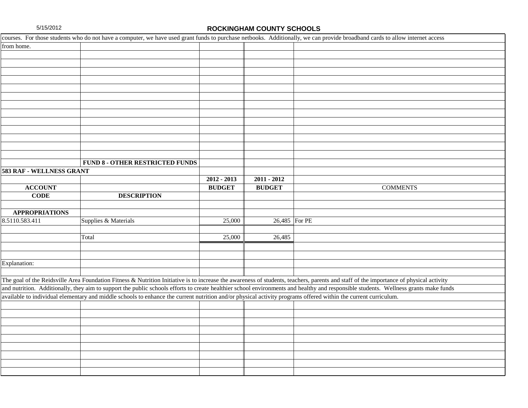|                          | courses. For those students who do not have a computer, we have used grant funds to purchase netbooks. Additionally, we can provide broadband cards to allow internet access           |               |                                   |                                                                                                                                                                                      |
|--------------------------|----------------------------------------------------------------------------------------------------------------------------------------------------------------------------------------|---------------|-----------------------------------|--------------------------------------------------------------------------------------------------------------------------------------------------------------------------------------|
| from home.               |                                                                                                                                                                                        |               |                                   |                                                                                                                                                                                      |
|                          |                                                                                                                                                                                        |               |                                   |                                                                                                                                                                                      |
|                          |                                                                                                                                                                                        |               |                                   |                                                                                                                                                                                      |
|                          |                                                                                                                                                                                        |               |                                   |                                                                                                                                                                                      |
|                          |                                                                                                                                                                                        |               |                                   |                                                                                                                                                                                      |
|                          |                                                                                                                                                                                        |               |                                   |                                                                                                                                                                                      |
|                          |                                                                                                                                                                                        |               |                                   |                                                                                                                                                                                      |
|                          |                                                                                                                                                                                        |               |                                   |                                                                                                                                                                                      |
|                          |                                                                                                                                                                                        |               |                                   |                                                                                                                                                                                      |
|                          |                                                                                                                                                                                        |               |                                   |                                                                                                                                                                                      |
|                          |                                                                                                                                                                                        |               |                                   |                                                                                                                                                                                      |
|                          |                                                                                                                                                                                        |               |                                   |                                                                                                                                                                                      |
|                          |                                                                                                                                                                                        |               |                                   |                                                                                                                                                                                      |
|                          |                                                                                                                                                                                        |               |                                   |                                                                                                                                                                                      |
|                          | <b>FUND 8 - OTHER RESTRICTED FUNDS</b>                                                                                                                                                 |               |                                   |                                                                                                                                                                                      |
| 583 RAF - WELLNESS GRANT |                                                                                                                                                                                        |               |                                   |                                                                                                                                                                                      |
|                          |                                                                                                                                                                                        | $2012 - 2013$ | $2011 - 2012$                     |                                                                                                                                                                                      |
| <b>ACCOUNT</b>           |                                                                                                                                                                                        | <b>BUDGET</b> | <b>BUDGET</b>                     | <b>COMMENTS</b>                                                                                                                                                                      |
| $CODE$                   | <b>DESCRIPTION</b>                                                                                                                                                                     |               |                                   |                                                                                                                                                                                      |
|                          |                                                                                                                                                                                        |               |                                   |                                                                                                                                                                                      |
| <b>APPROPRIATIONS</b>    |                                                                                                                                                                                        |               |                                   |                                                                                                                                                                                      |
| 8.5110.583.411           | Supplies & Materials                                                                                                                                                                   | 25,000        | 26,485 $\overline{\text{For PE}}$ |                                                                                                                                                                                      |
|                          |                                                                                                                                                                                        |               |                                   |                                                                                                                                                                                      |
|                          | Total                                                                                                                                                                                  | 25,000        | 26,485                            |                                                                                                                                                                                      |
|                          |                                                                                                                                                                                        |               |                                   |                                                                                                                                                                                      |
|                          |                                                                                                                                                                                        |               |                                   |                                                                                                                                                                                      |
| Explanation:             |                                                                                                                                                                                        |               |                                   |                                                                                                                                                                                      |
|                          |                                                                                                                                                                                        |               |                                   |                                                                                                                                                                                      |
|                          | The goal of the Reidsville Area Foundation Fitness & Nutrition Initiative is to increase the awareness of students, teachers, parents and staff of the importance of physical activity |               |                                   |                                                                                                                                                                                      |
|                          |                                                                                                                                                                                        |               |                                   | and nutrition. Additionally, they aim to support the public schools efforts to create healthier school environments and healthy and responsible students. Wellness grants make funds |
|                          | available to individual elementary and middle schools to enhance the current nutrition and/or physical activity programs offered within the current curriculum.                        |               |                                   |                                                                                                                                                                                      |
|                          |                                                                                                                                                                                        |               |                                   |                                                                                                                                                                                      |
|                          |                                                                                                                                                                                        |               |                                   |                                                                                                                                                                                      |
|                          |                                                                                                                                                                                        |               |                                   |                                                                                                                                                                                      |
|                          |                                                                                                                                                                                        |               |                                   |                                                                                                                                                                                      |
|                          |                                                                                                                                                                                        |               |                                   |                                                                                                                                                                                      |
|                          |                                                                                                                                                                                        |               |                                   |                                                                                                                                                                                      |
|                          |                                                                                                                                                                                        |               |                                   |                                                                                                                                                                                      |
|                          |                                                                                                                                                                                        |               |                                   |                                                                                                                                                                                      |
|                          |                                                                                                                                                                                        |               |                                   |                                                                                                                                                                                      |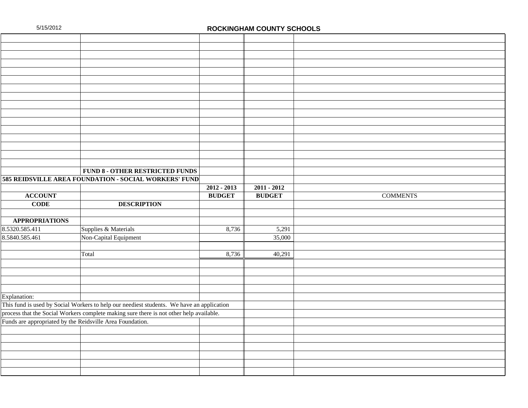|                                                           | FUND 8 - OTHER RESTRICTED FUNDS                                                           |               |               |                 |
|-----------------------------------------------------------|-------------------------------------------------------------------------------------------|---------------|---------------|-----------------|
|                                                           | 585 REIDSVILLE AREA FOUNDATION - SOCIAL WORKERS' FUND                                     |               |               |                 |
|                                                           |                                                                                           | $2012 - 2013$ | $2011 - 2012$ |                 |
| <b>ACCOUNT</b>                                            |                                                                                           | <b>BUDGET</b> | <b>BUDGET</b> | <b>COMMENTS</b> |
| <b>CODE</b>                                               | <b>DESCRIPTION</b>                                                                        |               |               |                 |
|                                                           |                                                                                           |               |               |                 |
| <b>APPROPRIATIONS</b>                                     |                                                                                           |               |               |                 |
| 8.5320.585.411                                            | Supplies & Materials                                                                      | 8,736         | 5,291         |                 |
| 8.5840.585.461                                            | Non-Capital Equipment                                                                     |               | 35,000        |                 |
|                                                           |                                                                                           |               |               |                 |
|                                                           | Total                                                                                     | 8,736         | 40,291        |                 |
|                                                           |                                                                                           |               |               |                 |
|                                                           |                                                                                           |               |               |                 |
|                                                           |                                                                                           |               |               |                 |
|                                                           |                                                                                           |               |               |                 |
| Explanation:                                              |                                                                                           |               |               |                 |
|                                                           | This fund is used by Social Workers to help our neediest students. We have an application |               |               |                 |
|                                                           | process that the Social Workers complete making sure there is not other help available.   |               |               |                 |
| Funds are appropriated by the Reidsville Area Foundation. |                                                                                           |               |               |                 |
|                                                           |                                                                                           |               |               |                 |
|                                                           |                                                                                           |               |               |                 |
|                                                           |                                                                                           |               |               |                 |
|                                                           |                                                                                           |               |               |                 |
|                                                           |                                                                                           |               |               |                 |
|                                                           |                                                                                           |               |               |                 |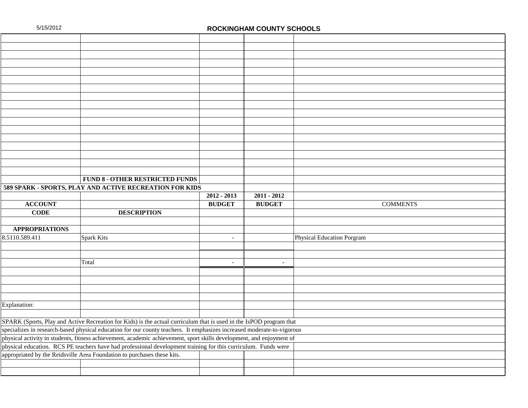|                       | <b>FUND 8 - OTHER RESTRICTED FUNDS</b>                                                                                 |                          |               |                            |  |  |
|-----------------------|------------------------------------------------------------------------------------------------------------------------|--------------------------|---------------|----------------------------|--|--|
|                       | 589 SPARK - SPORTS, PLAY AND ACTIVE RECREATION FOR KIDS                                                                |                          |               |                            |  |  |
|                       |                                                                                                                        | $\overline{2012 - 2013}$ | $2011 - 2012$ |                            |  |  |
| <b>ACCOUNT</b>        |                                                                                                                        | <b>BUDGET</b>            | <b>BUDGET</b> | <b>COMMENTS</b>            |  |  |
| <b>CODE</b>           | <b>DESCRIPTION</b>                                                                                                     |                          |               |                            |  |  |
|                       |                                                                                                                        |                          |               |                            |  |  |
| <b>APPROPRIATIONS</b> |                                                                                                                        |                          |               |                            |  |  |
| 8.5110.589.411        | Spark Kits                                                                                                             | $\sim$                   |               | Physical Education Porgram |  |  |
|                       |                                                                                                                        |                          |               |                            |  |  |
|                       |                                                                                                                        |                          |               |                            |  |  |
|                       | Total                                                                                                                  | $\overline{a}$           | $\sim$        |                            |  |  |
|                       |                                                                                                                        |                          |               |                            |  |  |
|                       |                                                                                                                        |                          |               |                            |  |  |
|                       |                                                                                                                        |                          |               |                            |  |  |
|                       |                                                                                                                        |                          |               |                            |  |  |
| Explanation:          |                                                                                                                        |                          |               |                            |  |  |
|                       |                                                                                                                        |                          |               |                            |  |  |
|                       | SPARK (Sports, Play and Active Recreation for Kids) is the actual curriculum that is used in the IsPOD program that    |                          |               |                            |  |  |
|                       | specializes in research-based physical education for our county teachers. It emphasizes increased moderate-to-vigorous |                          |               |                            |  |  |
|                       | physical activity in students, fitness achievement, academic achievement, sport skills development, and enjoyment of   |                          |               |                            |  |  |
|                       | physical education. RCS PE teachers have had professional development training for this curriculum. Funds were         |                          |               |                            |  |  |
|                       | appropriated by the Reidsville Area Foundation to purchases these kits.                                                |                          |               |                            |  |  |
|                       |                                                                                                                        |                          |               |                            |  |  |
|                       |                                                                                                                        |                          |               |                            |  |  |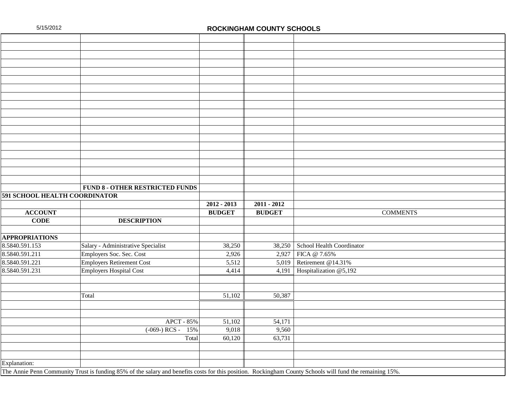|                               | <b>FUND 8 - OTHER RESTRICTED FUNDS</b>                                                                                                                   |               |               |                           |                 |
|-------------------------------|----------------------------------------------------------------------------------------------------------------------------------------------------------|---------------|---------------|---------------------------|-----------------|
| 591 SCHOOL HEALTH COORDINATOR |                                                                                                                                                          |               |               |                           |                 |
|                               |                                                                                                                                                          | $2012 - 2013$ | $2011 - 2012$ |                           |                 |
| <b>ACCOUNT</b>                |                                                                                                                                                          | <b>BUDGET</b> | <b>BUDGET</b> |                           | <b>COMMENTS</b> |
| <b>CODE</b>                   | <b>DESCRIPTION</b>                                                                                                                                       |               |               |                           |                 |
|                               |                                                                                                                                                          |               |               |                           |                 |
| <b>APPROPRIATIONS</b>         |                                                                                                                                                          |               |               |                           |                 |
| 8.5840.591.153                | Salary - Administrative Specialist                                                                                                                       | 38,250        | 38,250        | School Health Coordinator |                 |
| 8.5840.591.211                | Employers Soc. Sec. Cost                                                                                                                                 | 2,926         | 2,927         | FICA @ 7.65%              |                 |
| 8.5840.591.221                | <b>Employers Retirement Cost</b>                                                                                                                         | 5,512         | 5,019         | Retirement @14.31%        |                 |
| 8.5840.591.231                | <b>Employers Hospital Cost</b>                                                                                                                           | 4,414         | 4,191         | Hospitalization @5,192    |                 |
|                               |                                                                                                                                                          |               |               |                           |                 |
|                               |                                                                                                                                                          |               |               |                           |                 |
|                               | Total                                                                                                                                                    | 51,102        | 50,387        |                           |                 |
|                               |                                                                                                                                                          |               |               |                           |                 |
|                               |                                                                                                                                                          |               |               |                           |                 |
|                               | APCT - 85%                                                                                                                                               | 51,102        | 54,171        |                           |                 |
|                               | $(-069)$ RCS -<br>15%                                                                                                                                    | 9,018         | 9,560         |                           |                 |
|                               | Total                                                                                                                                                    | 60,120        | 63,731        |                           |                 |
|                               |                                                                                                                                                          |               |               |                           |                 |
|                               |                                                                                                                                                          |               |               |                           |                 |
| Explanation:                  |                                                                                                                                                          |               |               |                           |                 |
|                               | The Annie Penn Community Trust is funding 85% of the salary and benefits costs for this position. Rockingham County Schools will fund the remaining 15%. |               |               |                           |                 |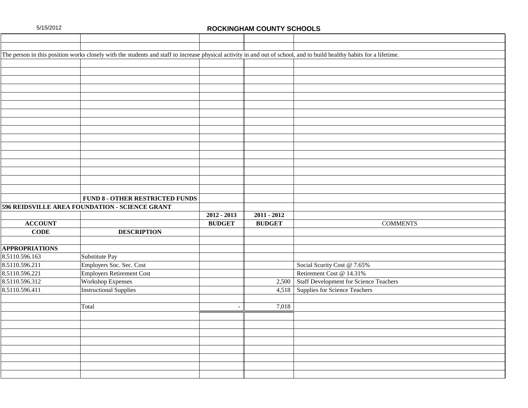|                       | The person in this position works closely with the students and staff to increase physical activity in and out of school, and to build healthy habits for a lifetime. |               |               |                                              |
|-----------------------|-----------------------------------------------------------------------------------------------------------------------------------------------------------------------|---------------|---------------|----------------------------------------------|
|                       |                                                                                                                                                                       |               |               |                                              |
|                       |                                                                                                                                                                       |               |               |                                              |
|                       |                                                                                                                                                                       |               |               |                                              |
|                       |                                                                                                                                                                       |               |               |                                              |
|                       |                                                                                                                                                                       |               |               |                                              |
|                       |                                                                                                                                                                       |               |               |                                              |
|                       |                                                                                                                                                                       |               |               |                                              |
|                       |                                                                                                                                                                       |               |               |                                              |
|                       |                                                                                                                                                                       |               |               |                                              |
|                       |                                                                                                                                                                       |               |               |                                              |
|                       |                                                                                                                                                                       |               |               |                                              |
|                       |                                                                                                                                                                       |               |               |                                              |
|                       |                                                                                                                                                                       |               |               |                                              |
|                       |                                                                                                                                                                       |               |               |                                              |
|                       |                                                                                                                                                                       |               |               |                                              |
|                       |                                                                                                                                                                       |               |               |                                              |
|                       | <b>FUND 8 - OTHER RESTRICTED FUNDS</b>                                                                                                                                |               |               |                                              |
|                       | <b>596 REIDSVILLE AREA FOUNDATION - SCIENCE GRANT</b>                                                                                                                 |               |               |                                              |
|                       |                                                                                                                                                                       | $2012 - 2013$ | $2011 - 2012$ |                                              |
| <b>ACCOUNT</b>        |                                                                                                                                                                       | <b>BUDGET</b> | <b>BUDGET</b> | <b>COMMENTS</b>                              |
| <b>CODE</b>           | <b>DESCRIPTION</b>                                                                                                                                                    |               |               |                                              |
|                       |                                                                                                                                                                       |               |               |                                              |
| <b>APPROPRIATIONS</b> |                                                                                                                                                                       |               |               |                                              |
| 8.5110.596.163        | Substitute Pay                                                                                                                                                        |               |               |                                              |
| 8.5110.596.211        | Employers Soc. Sec. Cost                                                                                                                                              |               |               | Social Scurity Cost @ 7.65%                  |
| 8.5110.596.221        | <b>Employers Retirement Cost</b>                                                                                                                                      |               |               | Retirement Cost @ 14.31%                     |
| 8.5110.596.312        | <b>Workshop Expenses</b>                                                                                                                                              |               |               | 2,500 Staff Development for Science Teachers |
| 8.5110.596.411        | <b>Instructional Supplies</b>                                                                                                                                         |               | 4,518         | Supplies for Science Teachers                |
|                       |                                                                                                                                                                       |               |               |                                              |
|                       | Total                                                                                                                                                                 |               | 7,018         |                                              |
|                       |                                                                                                                                                                       |               |               |                                              |
|                       |                                                                                                                                                                       |               |               |                                              |
|                       |                                                                                                                                                                       |               |               |                                              |
|                       |                                                                                                                                                                       |               |               |                                              |
|                       |                                                                                                                                                                       |               |               |                                              |
|                       |                                                                                                                                                                       |               |               |                                              |
|                       |                                                                                                                                                                       |               |               |                                              |
|                       |                                                                                                                                                                       |               |               |                                              |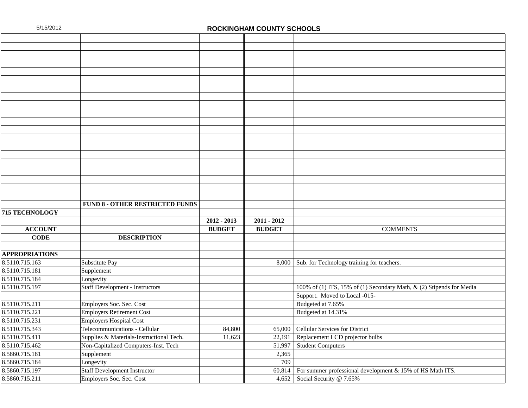|                       | <b>FUND 8 - OTHER RESTRICTED FUNDS</b>   |               |               |                                                                      |
|-----------------------|------------------------------------------|---------------|---------------|----------------------------------------------------------------------|
| 715 TECHNOLOGY        |                                          |               |               |                                                                      |
|                       |                                          | $2012 - 2013$ | $2011 - 2012$ |                                                                      |
| <b>ACCOUNT</b>        |                                          | <b>BUDGET</b> | <b>BUDGET</b> | <b>COMMENTS</b>                                                      |
| <b>CODE</b>           | <b>DESCRIPTION</b>                       |               |               |                                                                      |
|                       |                                          |               |               |                                                                      |
| <b>APPROPRIATIONS</b> |                                          |               |               |                                                                      |
| 8.5110.715.163        | Substitute Pay                           |               | 8,000         | Sub. for Technology training for teachers.                           |
| 8.5110.715.181        | Supplement                               |               |               |                                                                      |
| 8.5110.715.184        | Longevity                                |               |               |                                                                      |
| 8.5110.715.197        | <b>Staff Development - Instructors</b>   |               |               | 100% of (1) ITS, 15% of (1) Secondary Math, & (2) Stipends for Media |
|                       |                                          |               |               | Support. Moved to Local -015-                                        |
| 8.5110.715.211        | Employers Soc. Sec. Cost                 |               |               | Budgeted at 7.65%                                                    |
| 8.5110.715.221        | <b>Employers Retirement Cost</b>         |               |               | Budgeted at 14.31%                                                   |
| 8.5110.715.231        | <b>Employers Hospital Cost</b>           |               |               |                                                                      |
| 8.5110.715.343        | Telecommunications - Cellular            | 84,800        | 65,000        | Cellular Services for District                                       |
| 8.5110.715.411        | Supplies & Materials-Instructional Tech. | 11,623        | 22,191        | Replacement LCD projector bulbs                                      |
| 8.5110.715.462        | Non-Capitalized Computers-Inst. Tech     |               | 51,997        | <b>Student Computers</b>                                             |
| 8.5860.715.181        | Supplement                               |               | 2,365         |                                                                      |
| 8.5860.715.184        | Longevity                                |               | 709           |                                                                      |
| 8.5860.715.197        | <b>Staff Development Instructor</b>      |               | 60,814        | For summer professional development & 15% of HS Math ITS.            |
| 8.5860.715.211        | Employers Soc. Sec. Cost                 |               | 4,652         | Social Security @ 7.65%                                              |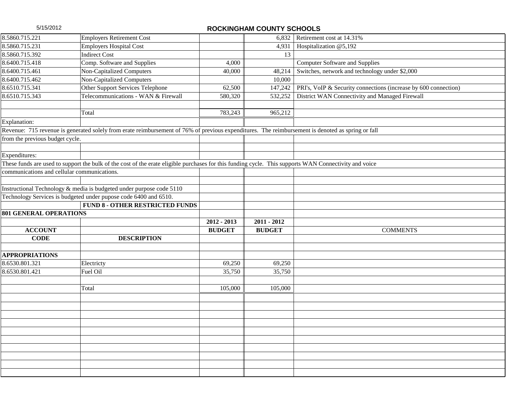| <b>Employers Retirement Cost</b><br>6,832 Retirement cost at $14.31\%$<br><b>Employers Hospital Cost</b><br>4,931<br>Hospitalization @5,192<br><b>Indirect Cost</b><br>13<br>Comp. Software and Supplies<br>4,000<br><b>Computer Software and Supplies</b><br>Non-Capitalized Computers<br>Switches, network and technology under \$2,000<br>40,000<br>48,214<br>Non-Capitalized Computers<br>10,000<br>Other Support Services Telephone<br>PRI's, VoIP & Security connections (increase by 600 connection)<br>147,242<br>62,500<br>Telecommunications - WAN & Firewall<br>District WAN Connectivity and Managed Firewall<br>580,320<br>532,252<br>Total<br>783,243<br>965,212<br>Revenue: 715 revenue is generated solely from erate reimbursement of 76% of previous expenditures. The reimbursement is denoted as spring or fall<br>from the previous budget cycle.<br>These funds are used to support the bulk of the cost of the erate eligible purchases for this funding cycle. This supports WAN Connectivity and voice<br>communications and cellular communications.<br>Instructional Technology & media is budgeted under purpose code 5110<br>Technology Services is budgeted under pupose code 6400 and 6510.<br><b>FUND 8 - OTHER RESTRICTED FUNDS</b><br><b>801 GENERAL OPERATIONS</b><br>$2012 - 2013$<br>$2011 - 2012$<br><b>BUDGET</b><br><b>COMMENTS</b><br><b>ACCOUNT</b><br><b>BUDGET</b><br><b>CODE</b><br><b>DESCRIPTION</b><br>Electricty<br>69,250<br>69,250<br>Fuel Oil<br>35,750<br>35,750<br>Total<br>105,000<br>105,000 |                       |  |  |
|------------------------------------------------------------------------------------------------------------------------------------------------------------------------------------------------------------------------------------------------------------------------------------------------------------------------------------------------------------------------------------------------------------------------------------------------------------------------------------------------------------------------------------------------------------------------------------------------------------------------------------------------------------------------------------------------------------------------------------------------------------------------------------------------------------------------------------------------------------------------------------------------------------------------------------------------------------------------------------------------------------------------------------------------------------------------------------------------------------------------------------------------------------------------------------------------------------------------------------------------------------------------------------------------------------------------------------------------------------------------------------------------------------------------------------------------------------------------------------------------------------------------------------------------------|-----------------------|--|--|
|                                                                                                                                                                                                                                                                                                                                                                                                                                                                                                                                                                                                                                                                                                                                                                                                                                                                                                                                                                                                                                                                                                                                                                                                                                                                                                                                                                                                                                                                                                                                                      | 8.5860.715.221        |  |  |
|                                                                                                                                                                                                                                                                                                                                                                                                                                                                                                                                                                                                                                                                                                                                                                                                                                                                                                                                                                                                                                                                                                                                                                                                                                                                                                                                                                                                                                                                                                                                                      | 8.5860.715.231        |  |  |
|                                                                                                                                                                                                                                                                                                                                                                                                                                                                                                                                                                                                                                                                                                                                                                                                                                                                                                                                                                                                                                                                                                                                                                                                                                                                                                                                                                                                                                                                                                                                                      | 8.5860.715.392        |  |  |
|                                                                                                                                                                                                                                                                                                                                                                                                                                                                                                                                                                                                                                                                                                                                                                                                                                                                                                                                                                                                                                                                                                                                                                                                                                                                                                                                                                                                                                                                                                                                                      | 8.6400.715.418        |  |  |
|                                                                                                                                                                                                                                                                                                                                                                                                                                                                                                                                                                                                                                                                                                                                                                                                                                                                                                                                                                                                                                                                                                                                                                                                                                                                                                                                                                                                                                                                                                                                                      | 8.6400.715.461        |  |  |
|                                                                                                                                                                                                                                                                                                                                                                                                                                                                                                                                                                                                                                                                                                                                                                                                                                                                                                                                                                                                                                                                                                                                                                                                                                                                                                                                                                                                                                                                                                                                                      | 8.6400.715.462        |  |  |
|                                                                                                                                                                                                                                                                                                                                                                                                                                                                                                                                                                                                                                                                                                                                                                                                                                                                                                                                                                                                                                                                                                                                                                                                                                                                                                                                                                                                                                                                                                                                                      | 8.6510.715.341        |  |  |
|                                                                                                                                                                                                                                                                                                                                                                                                                                                                                                                                                                                                                                                                                                                                                                                                                                                                                                                                                                                                                                                                                                                                                                                                                                                                                                                                                                                                                                                                                                                                                      | 8.6510.715.343        |  |  |
|                                                                                                                                                                                                                                                                                                                                                                                                                                                                                                                                                                                                                                                                                                                                                                                                                                                                                                                                                                                                                                                                                                                                                                                                                                                                                                                                                                                                                                                                                                                                                      |                       |  |  |
|                                                                                                                                                                                                                                                                                                                                                                                                                                                                                                                                                                                                                                                                                                                                                                                                                                                                                                                                                                                                                                                                                                                                                                                                                                                                                                                                                                                                                                                                                                                                                      |                       |  |  |
|                                                                                                                                                                                                                                                                                                                                                                                                                                                                                                                                                                                                                                                                                                                                                                                                                                                                                                                                                                                                                                                                                                                                                                                                                                                                                                                                                                                                                                                                                                                                                      | Explanation:          |  |  |
|                                                                                                                                                                                                                                                                                                                                                                                                                                                                                                                                                                                                                                                                                                                                                                                                                                                                                                                                                                                                                                                                                                                                                                                                                                                                                                                                                                                                                                                                                                                                                      |                       |  |  |
|                                                                                                                                                                                                                                                                                                                                                                                                                                                                                                                                                                                                                                                                                                                                                                                                                                                                                                                                                                                                                                                                                                                                                                                                                                                                                                                                                                                                                                                                                                                                                      |                       |  |  |
|                                                                                                                                                                                                                                                                                                                                                                                                                                                                                                                                                                                                                                                                                                                                                                                                                                                                                                                                                                                                                                                                                                                                                                                                                                                                                                                                                                                                                                                                                                                                                      |                       |  |  |
|                                                                                                                                                                                                                                                                                                                                                                                                                                                                                                                                                                                                                                                                                                                                                                                                                                                                                                                                                                                                                                                                                                                                                                                                                                                                                                                                                                                                                                                                                                                                                      | Expenditures:         |  |  |
|                                                                                                                                                                                                                                                                                                                                                                                                                                                                                                                                                                                                                                                                                                                                                                                                                                                                                                                                                                                                                                                                                                                                                                                                                                                                                                                                                                                                                                                                                                                                                      |                       |  |  |
|                                                                                                                                                                                                                                                                                                                                                                                                                                                                                                                                                                                                                                                                                                                                                                                                                                                                                                                                                                                                                                                                                                                                                                                                                                                                                                                                                                                                                                                                                                                                                      |                       |  |  |
|                                                                                                                                                                                                                                                                                                                                                                                                                                                                                                                                                                                                                                                                                                                                                                                                                                                                                                                                                                                                                                                                                                                                                                                                                                                                                                                                                                                                                                                                                                                                                      |                       |  |  |
|                                                                                                                                                                                                                                                                                                                                                                                                                                                                                                                                                                                                                                                                                                                                                                                                                                                                                                                                                                                                                                                                                                                                                                                                                                                                                                                                                                                                                                                                                                                                                      |                       |  |  |
|                                                                                                                                                                                                                                                                                                                                                                                                                                                                                                                                                                                                                                                                                                                                                                                                                                                                                                                                                                                                                                                                                                                                                                                                                                                                                                                                                                                                                                                                                                                                                      |                       |  |  |
|                                                                                                                                                                                                                                                                                                                                                                                                                                                                                                                                                                                                                                                                                                                                                                                                                                                                                                                                                                                                                                                                                                                                                                                                                                                                                                                                                                                                                                                                                                                                                      |                       |  |  |
|                                                                                                                                                                                                                                                                                                                                                                                                                                                                                                                                                                                                                                                                                                                                                                                                                                                                                                                                                                                                                                                                                                                                                                                                                                                                                                                                                                                                                                                                                                                                                      |                       |  |  |
|                                                                                                                                                                                                                                                                                                                                                                                                                                                                                                                                                                                                                                                                                                                                                                                                                                                                                                                                                                                                                                                                                                                                                                                                                                                                                                                                                                                                                                                                                                                                                      |                       |  |  |
|                                                                                                                                                                                                                                                                                                                                                                                                                                                                                                                                                                                                                                                                                                                                                                                                                                                                                                                                                                                                                                                                                                                                                                                                                                                                                                                                                                                                                                                                                                                                                      |                       |  |  |
|                                                                                                                                                                                                                                                                                                                                                                                                                                                                                                                                                                                                                                                                                                                                                                                                                                                                                                                                                                                                                                                                                                                                                                                                                                                                                                                                                                                                                                                                                                                                                      |                       |  |  |
|                                                                                                                                                                                                                                                                                                                                                                                                                                                                                                                                                                                                                                                                                                                                                                                                                                                                                                                                                                                                                                                                                                                                                                                                                                                                                                                                                                                                                                                                                                                                                      |                       |  |  |
|                                                                                                                                                                                                                                                                                                                                                                                                                                                                                                                                                                                                                                                                                                                                                                                                                                                                                                                                                                                                                                                                                                                                                                                                                                                                                                                                                                                                                                                                                                                                                      | <b>APPROPRIATIONS</b> |  |  |
|                                                                                                                                                                                                                                                                                                                                                                                                                                                                                                                                                                                                                                                                                                                                                                                                                                                                                                                                                                                                                                                                                                                                                                                                                                                                                                                                                                                                                                                                                                                                                      | 8.6530.801.321        |  |  |
|                                                                                                                                                                                                                                                                                                                                                                                                                                                                                                                                                                                                                                                                                                                                                                                                                                                                                                                                                                                                                                                                                                                                                                                                                                                                                                                                                                                                                                                                                                                                                      | 8.6530.801.421        |  |  |
|                                                                                                                                                                                                                                                                                                                                                                                                                                                                                                                                                                                                                                                                                                                                                                                                                                                                                                                                                                                                                                                                                                                                                                                                                                                                                                                                                                                                                                                                                                                                                      |                       |  |  |
|                                                                                                                                                                                                                                                                                                                                                                                                                                                                                                                                                                                                                                                                                                                                                                                                                                                                                                                                                                                                                                                                                                                                                                                                                                                                                                                                                                                                                                                                                                                                                      |                       |  |  |
|                                                                                                                                                                                                                                                                                                                                                                                                                                                                                                                                                                                                                                                                                                                                                                                                                                                                                                                                                                                                                                                                                                                                                                                                                                                                                                                                                                                                                                                                                                                                                      |                       |  |  |
|                                                                                                                                                                                                                                                                                                                                                                                                                                                                                                                                                                                                                                                                                                                                                                                                                                                                                                                                                                                                                                                                                                                                                                                                                                                                                                                                                                                                                                                                                                                                                      |                       |  |  |
|                                                                                                                                                                                                                                                                                                                                                                                                                                                                                                                                                                                                                                                                                                                                                                                                                                                                                                                                                                                                                                                                                                                                                                                                                                                                                                                                                                                                                                                                                                                                                      |                       |  |  |
|                                                                                                                                                                                                                                                                                                                                                                                                                                                                                                                                                                                                                                                                                                                                                                                                                                                                                                                                                                                                                                                                                                                                                                                                                                                                                                                                                                                                                                                                                                                                                      |                       |  |  |
|                                                                                                                                                                                                                                                                                                                                                                                                                                                                                                                                                                                                                                                                                                                                                                                                                                                                                                                                                                                                                                                                                                                                                                                                                                                                                                                                                                                                                                                                                                                                                      |                       |  |  |
|                                                                                                                                                                                                                                                                                                                                                                                                                                                                                                                                                                                                                                                                                                                                                                                                                                                                                                                                                                                                                                                                                                                                                                                                                                                                                                                                                                                                                                                                                                                                                      |                       |  |  |
|                                                                                                                                                                                                                                                                                                                                                                                                                                                                                                                                                                                                                                                                                                                                                                                                                                                                                                                                                                                                                                                                                                                                                                                                                                                                                                                                                                                                                                                                                                                                                      |                       |  |  |
|                                                                                                                                                                                                                                                                                                                                                                                                                                                                                                                                                                                                                                                                                                                                                                                                                                                                                                                                                                                                                                                                                                                                                                                                                                                                                                                                                                                                                                                                                                                                                      |                       |  |  |
|                                                                                                                                                                                                                                                                                                                                                                                                                                                                                                                                                                                                                                                                                                                                                                                                                                                                                                                                                                                                                                                                                                                                                                                                                                                                                                                                                                                                                                                                                                                                                      |                       |  |  |
|                                                                                                                                                                                                                                                                                                                                                                                                                                                                                                                                                                                                                                                                                                                                                                                                                                                                                                                                                                                                                                                                                                                                                                                                                                                                                                                                                                                                                                                                                                                                                      |                       |  |  |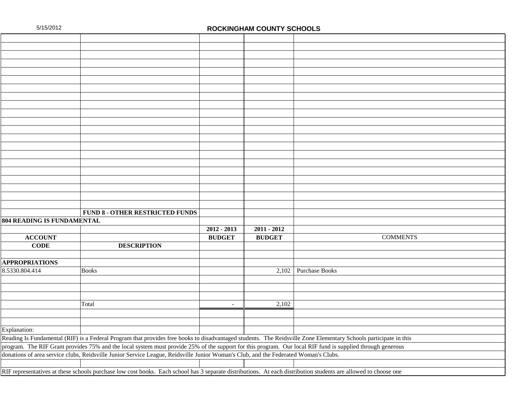|                                                                                                                                                                  | <b>FUND 8 - OTHER RESTRICTED FUNDS</b>                                                                                                                          |                          |               |                        |  |  |
|------------------------------------------------------------------------------------------------------------------------------------------------------------------|-----------------------------------------------------------------------------------------------------------------------------------------------------------------|--------------------------|---------------|------------------------|--|--|
| 804 READING IS FUNDAMENTAL                                                                                                                                       |                                                                                                                                                                 |                          |               |                        |  |  |
|                                                                                                                                                                  |                                                                                                                                                                 | $2012 - 2013$            | $2011 - 2012$ |                        |  |  |
| <b>ACCOUNT</b>                                                                                                                                                   |                                                                                                                                                                 | <b>BUDGET</b>            | <b>BUDGET</b> | <b>COMMENTS</b>        |  |  |
| <b>CODE</b>                                                                                                                                                      | <b>DESCRIPTION</b>                                                                                                                                              |                          |               |                        |  |  |
|                                                                                                                                                                  |                                                                                                                                                                 |                          |               |                        |  |  |
| <b>APPROPRIATIONS</b>                                                                                                                                            |                                                                                                                                                                 |                          |               |                        |  |  |
| 8.5330.804.414                                                                                                                                                   | <b>Books</b>                                                                                                                                                    |                          |               | $2,102$ Purchase Books |  |  |
|                                                                                                                                                                  |                                                                                                                                                                 |                          |               |                        |  |  |
|                                                                                                                                                                  |                                                                                                                                                                 |                          |               |                        |  |  |
|                                                                                                                                                                  |                                                                                                                                                                 |                          |               |                        |  |  |
|                                                                                                                                                                  | Total                                                                                                                                                           | $\overline{\phantom{a}}$ | 2,102         |                        |  |  |
|                                                                                                                                                                  |                                                                                                                                                                 |                          |               |                        |  |  |
|                                                                                                                                                                  |                                                                                                                                                                 |                          |               |                        |  |  |
| Explanation:                                                                                                                                                     |                                                                                                                                                                 |                          |               |                        |  |  |
| Reading Is Fundamental (RIF) is a Federal Program that provides free books to disadvantaged students. The Reidsville Zone Elementary Schools participate in this |                                                                                                                                                                 |                          |               |                        |  |  |
|                                                                                                                                                                  | program. The RIF Grant provides 75% and the local system must provide 25% of the support for this program. Our local RIF fund is supplied through generous      |                          |               |                        |  |  |
|                                                                                                                                                                  | donations of area service clubs, Reidsville Junior Service League, Reidsville Junior Woman's Club, and the Federated Woman's Clubs.                             |                          |               |                        |  |  |
|                                                                                                                                                                  |                                                                                                                                                                 |                          |               |                        |  |  |
|                                                                                                                                                                  | RIF representatives at these schools purchase low cost books. Each school has 3 separate distributions. At each distribution students are allowed to choose one |                          |               |                        |  |  |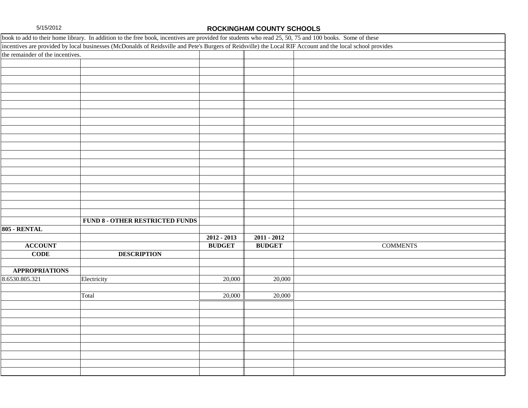|                                  | book to add to their home library. In addition to the free book, incentives are provided for students who read 25, 50, 75 and 100 books. Some of these     |               |               |                 |
|----------------------------------|------------------------------------------------------------------------------------------------------------------------------------------------------------|---------------|---------------|-----------------|
|                                  | incentives are provided by local businesses (McDonalds of Reidsville and Pete's Burgers of Reidsville) the Local RIF Account and the local school provides |               |               |                 |
| the remainder of the incentives. |                                                                                                                                                            |               |               |                 |
|                                  |                                                                                                                                                            |               |               |                 |
|                                  |                                                                                                                                                            |               |               |                 |
|                                  |                                                                                                                                                            |               |               |                 |
|                                  |                                                                                                                                                            |               |               |                 |
|                                  |                                                                                                                                                            |               |               |                 |
|                                  |                                                                                                                                                            |               |               |                 |
|                                  |                                                                                                                                                            |               |               |                 |
|                                  |                                                                                                                                                            |               |               |                 |
|                                  |                                                                                                                                                            |               |               |                 |
|                                  |                                                                                                                                                            |               |               |                 |
|                                  |                                                                                                                                                            |               |               |                 |
|                                  |                                                                                                                                                            |               |               |                 |
|                                  |                                                                                                                                                            |               |               |                 |
|                                  |                                                                                                                                                            |               |               |                 |
|                                  |                                                                                                                                                            |               |               |                 |
|                                  |                                                                                                                                                            |               |               |                 |
|                                  |                                                                                                                                                            |               |               |                 |
|                                  |                                                                                                                                                            |               |               |                 |
|                                  |                                                                                                                                                            |               |               |                 |
|                                  | FUND 8 - OTHER RESTRICTED FUNDS                                                                                                                            |               |               |                 |
| 805 - RENTAL                     |                                                                                                                                                            |               |               |                 |
|                                  |                                                                                                                                                            | $2012 - 2013$ | $2011 - 2012$ |                 |
| <b>ACCOUNT</b>                   |                                                                                                                                                            | <b>BUDGET</b> | <b>BUDGET</b> | <b>COMMENTS</b> |
| <b>CODE</b>                      | <b>DESCRIPTION</b>                                                                                                                                         |               |               |                 |
|                                  |                                                                                                                                                            |               |               |                 |
| <b>APPROPRIATIONS</b>            |                                                                                                                                                            |               |               |                 |
| 8.6530.805.321                   | Electricity                                                                                                                                                | 20,000        | 20,000        |                 |
|                                  |                                                                                                                                                            |               |               |                 |
|                                  | Total                                                                                                                                                      | 20,000        | 20,000        |                 |
|                                  |                                                                                                                                                            |               |               |                 |
|                                  |                                                                                                                                                            |               |               |                 |
|                                  |                                                                                                                                                            |               |               |                 |
|                                  |                                                                                                                                                            |               |               |                 |
|                                  |                                                                                                                                                            |               |               |                 |
|                                  |                                                                                                                                                            |               |               |                 |
|                                  |                                                                                                                                                            |               |               |                 |
|                                  |                                                                                                                                                            |               |               |                 |
|                                  |                                                                                                                                                            |               |               |                 |
|                                  |                                                                                                                                                            |               |               |                 |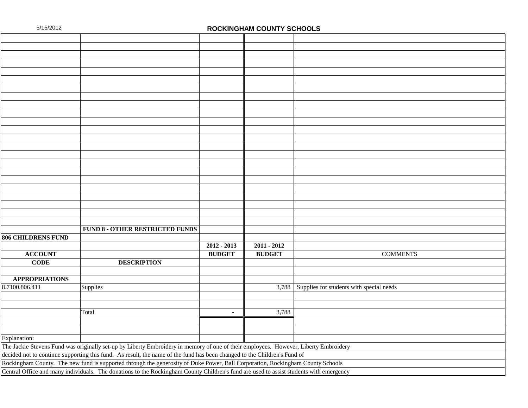| <b>FUND 8 - OTHER RESTRICTED FUNDS</b>                                                                                                 |                                                                                                                                      |               |                                                |  |  |  |  |
|----------------------------------------------------------------------------------------------------------------------------------------|--------------------------------------------------------------------------------------------------------------------------------------|---------------|------------------------------------------------|--|--|--|--|
| <b>806 CHILDRENS FUND</b>                                                                                                              |                                                                                                                                      |               |                                                |  |  |  |  |
|                                                                                                                                        | $2012 - 2013$                                                                                                                        | $2011 - 2012$ |                                                |  |  |  |  |
| <b>ACCOUNT</b>                                                                                                                         | <b>BUDGET</b>                                                                                                                        | <b>BUDGET</b> | <b>COMMENTS</b>                                |  |  |  |  |
| $CODE$<br><b>DESCRIPTION</b>                                                                                                           |                                                                                                                                      |               |                                                |  |  |  |  |
|                                                                                                                                        |                                                                                                                                      |               |                                                |  |  |  |  |
| <b>APPROPRIATIONS</b>                                                                                                                  |                                                                                                                                      |               |                                                |  |  |  |  |
| 8.7100.806.411<br>Supplies                                                                                                             |                                                                                                                                      |               | 3,788 Supplies for students with special needs |  |  |  |  |
|                                                                                                                                        |                                                                                                                                      |               |                                                |  |  |  |  |
|                                                                                                                                        |                                                                                                                                      |               |                                                |  |  |  |  |
| Total                                                                                                                                  | $\overline{a}$                                                                                                                       | 3,788         |                                                |  |  |  |  |
|                                                                                                                                        |                                                                                                                                      |               |                                                |  |  |  |  |
|                                                                                                                                        |                                                                                                                                      |               |                                                |  |  |  |  |
| Explanation:                                                                                                                           |                                                                                                                                      |               |                                                |  |  |  |  |
|                                                                                                                                        | The Jackie Stevens Fund was originally set-up by Liberty Embroidery in memory of one of their employees. However, Liberty Embroidery |               |                                                |  |  |  |  |
| decided not to continue supporting this fund. As result, the name of the fund has been changed to the Children's Fund of               |                                                                                                                                      |               |                                                |  |  |  |  |
| Rockingham County. The new fund is supported through the generosity of Duke Power, Ball Corporation, Rockingham County Schools         |                                                                                                                                      |               |                                                |  |  |  |  |
| Central Office and many individuals. The donations to the Rockingham County Children's fund are used to assist students with emergency |                                                                                                                                      |               |                                                |  |  |  |  |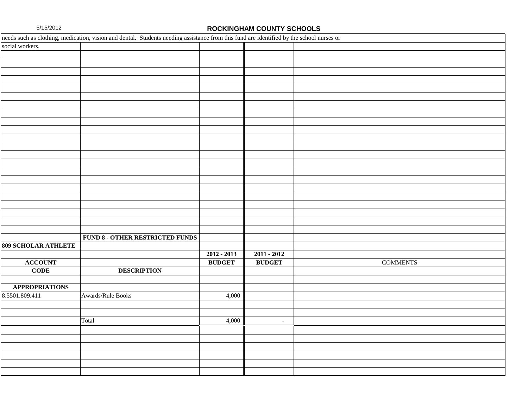|                            | needs such as clothing, medication, vision and dental. Students needing assistance from this fund are identified by the school nurses or |               |                          |                 |
|----------------------------|------------------------------------------------------------------------------------------------------------------------------------------|---------------|--------------------------|-----------------|
| social workers.            |                                                                                                                                          |               |                          |                 |
|                            |                                                                                                                                          |               |                          |                 |
|                            |                                                                                                                                          |               |                          |                 |
|                            |                                                                                                                                          |               |                          |                 |
|                            |                                                                                                                                          |               |                          |                 |
|                            |                                                                                                                                          |               |                          |                 |
|                            |                                                                                                                                          |               |                          |                 |
|                            |                                                                                                                                          |               |                          |                 |
|                            |                                                                                                                                          |               |                          |                 |
|                            |                                                                                                                                          |               |                          |                 |
|                            |                                                                                                                                          |               |                          |                 |
|                            |                                                                                                                                          |               |                          |                 |
|                            |                                                                                                                                          |               |                          |                 |
|                            |                                                                                                                                          |               |                          |                 |
|                            |                                                                                                                                          |               |                          |                 |
|                            |                                                                                                                                          |               |                          |                 |
|                            |                                                                                                                                          |               |                          |                 |
|                            |                                                                                                                                          |               |                          |                 |
|                            |                                                                                                                                          |               |                          |                 |
|                            |                                                                                                                                          |               |                          |                 |
|                            |                                                                                                                                          |               |                          |                 |
|                            |                                                                                                                                          |               |                          |                 |
|                            |                                                                                                                                          |               |                          |                 |
|                            | <b>FUND 8 - OTHER RESTRICTED FUNDS</b>                                                                                                   |               |                          |                 |
| <b>809 SCHOLAR ATHLETE</b> |                                                                                                                                          |               |                          |                 |
|                            |                                                                                                                                          | $2012 - 2013$ | $2011 - 2012$            |                 |
| <b>ACCOUNT</b>             |                                                                                                                                          | <b>BUDGET</b> | <b>BUDGET</b>            | <b>COMMENTS</b> |
| <b>CODE</b>                | <b>DESCRIPTION</b>                                                                                                                       |               |                          |                 |
|                            |                                                                                                                                          |               |                          |                 |
| <b>APPROPRIATIONS</b>      |                                                                                                                                          |               |                          |                 |
| 8.5501.809.411             | Awards/Rule Books                                                                                                                        | 4,000         |                          |                 |
|                            |                                                                                                                                          |               |                          |                 |
|                            |                                                                                                                                          |               |                          |                 |
|                            | Total                                                                                                                                    | 4,000         | $\overline{\phantom{a}}$ |                 |
|                            |                                                                                                                                          |               |                          |                 |
|                            |                                                                                                                                          |               |                          |                 |
|                            |                                                                                                                                          |               |                          |                 |
|                            |                                                                                                                                          |               |                          |                 |
|                            |                                                                                                                                          |               |                          |                 |
|                            |                                                                                                                                          |               |                          |                 |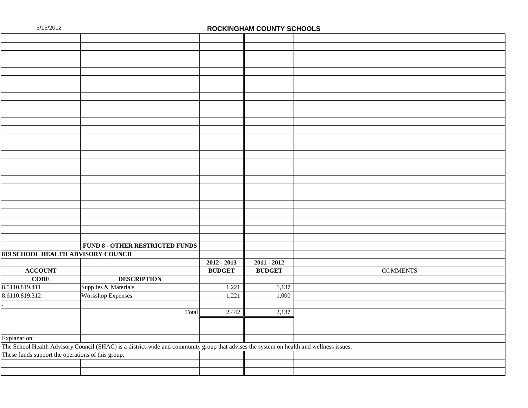|                                                   | <b>FUND 8 - OTHER RESTRICTED FUNDS</b>                                                                                                  |               |               |                 |
|---------------------------------------------------|-----------------------------------------------------------------------------------------------------------------------------------------|---------------|---------------|-----------------|
| 819 SCHOOL HEALTH ADVISORY COUNCIL                |                                                                                                                                         |               |               |                 |
|                                                   |                                                                                                                                         | $2012 - 2013$ | $2011 - 2012$ |                 |
| <b>ACCOUNT</b>                                    |                                                                                                                                         | <b>BUDGET</b> | <b>BUDGET</b> | <b>COMMENTS</b> |
| <b>CODE</b>                                       | <b>DESCRIPTION</b>                                                                                                                      |               |               |                 |
| 8.5110.819.411                                    | Supplies & Materials                                                                                                                    | 1,221         | 1,137         |                 |
| 8.6110.819.312                                    | <b>Workshop Expenses</b>                                                                                                                | 1,221         | 1,000         |                 |
|                                                   |                                                                                                                                         |               |               |                 |
|                                                   | Total                                                                                                                                   | 2,442         | 2,137         |                 |
|                                                   |                                                                                                                                         |               |               |                 |
|                                                   |                                                                                                                                         |               |               |                 |
| Explanation:                                      |                                                                                                                                         |               |               |                 |
|                                                   | The School Health Advisory Council (SHAC) is a district-wide and community group that advises the system on health and wellness issues. |               |               |                 |
| These funds support the operations of this group. |                                                                                                                                         |               |               |                 |
|                                                   |                                                                                                                                         |               |               |                 |
|                                                   |                                                                                                                                         |               |               |                 |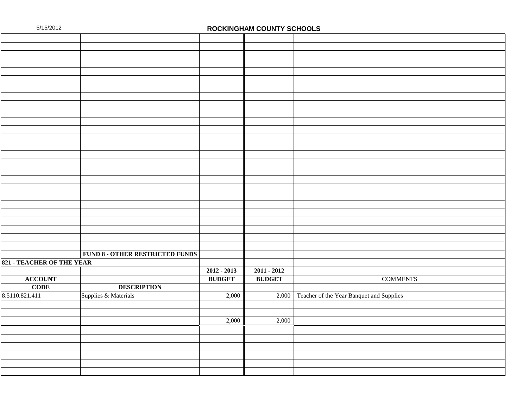|                                  | <b>FUND 8 - OTHER RESTRICTED FUNDS</b> |               |               |                                                |
|----------------------------------|----------------------------------------|---------------|---------------|------------------------------------------------|
| <b>821 - TEACHER OF THE YEAR</b> |                                        |               |               |                                                |
|                                  |                                        | $2012 - 2013$ | $2011 - 2012$ |                                                |
| <b>ACCOUNT</b>                   |                                        | <b>BUDGET</b> | <b>BUDGET</b> | <b>COMMENTS</b>                                |
| <b>CODE</b>                      | <b>DESCRIPTION</b>                     |               |               |                                                |
| 8.5110.821.411                   | Supplies & Materials                   | 2,000         |               | 2,000 Teacher of the Year Banquet and Supplies |
|                                  |                                        |               |               |                                                |
|                                  |                                        |               |               |                                                |
|                                  |                                        | 2,000         | 2,000         |                                                |
|                                  |                                        |               |               |                                                |
|                                  |                                        |               |               |                                                |
|                                  |                                        |               |               |                                                |
|                                  |                                        |               |               |                                                |
|                                  |                                        |               |               |                                                |
|                                  |                                        |               |               |                                                |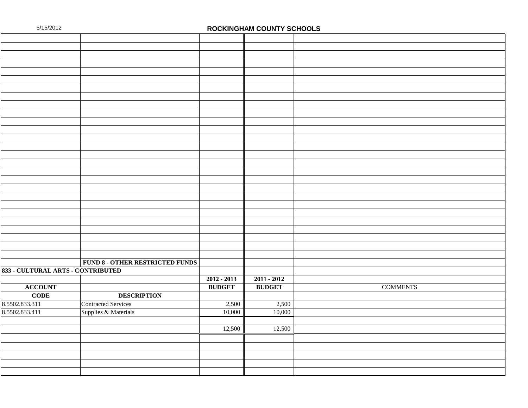|                                   | FUND 8 - OTHER RESTRICTED FUNDS |               |               |                 |
|-----------------------------------|---------------------------------|---------------|---------------|-----------------|
| 833 - CULTURAL ARTS - CONTRIBUTED |                                 |               |               |                 |
|                                   |                                 | $2012 - 2013$ | $2011 - 2012$ |                 |
| <b>ACCOUNT</b>                    |                                 | <b>BUDGET</b> | <b>BUDGET</b> | <b>COMMENTS</b> |
| <b>CODE</b>                       | <b>DESCRIPTION</b>              |               |               |                 |
| 8.5502.833.311                    | <b>Contracted Services</b>      | 2,500         | 2,500         |                 |
| 8.5502.833.411                    | Supplies & Materials            | 10,000        | 10,000        |                 |
|                                   |                                 |               |               |                 |
|                                   |                                 | 12,500        | 12,500        |                 |
|                                   |                                 |               |               |                 |
|                                   |                                 |               |               |                 |
|                                   |                                 |               |               |                 |
|                                   |                                 |               |               |                 |
|                                   |                                 |               |               |                 |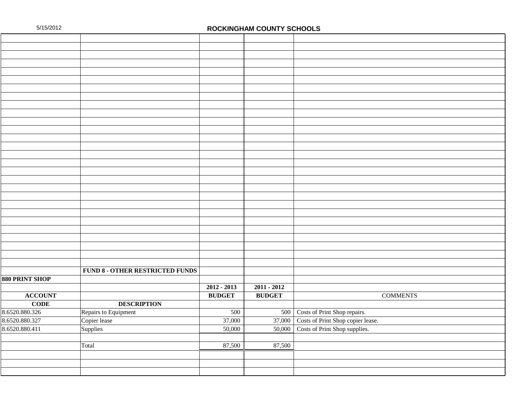|                       | FUND 8 - OTHER RESTRICTED FUNDS |               |               |                                   |
|-----------------------|---------------------------------|---------------|---------------|-----------------------------------|
| <b>880 PRINT SHOP</b> |                                 |               |               |                                   |
|                       |                                 | $2012 - 2013$ | $2011 - 2012$ |                                   |
| <b>ACCOUNT</b>        |                                 | <b>BUDGET</b> | <b>BUDGET</b> | <b>COMMENTS</b>                   |
| <b>CODE</b>           | <b>DESCRIPTION</b>              |               |               |                                   |
| 8.6520.880.326        | Repairs to Equipment            | 500           | 500           | Costs of Print Shop repairs.      |
| 8.6520.880.327        | Copier lease                    | 37,000        | 37,000        | Costs of Print Shop copier lease. |
| 8.6520.880.411        | Supplies                        | 50,000        | 50,000        | Costs of Print Shop supplies.     |
|                       |                                 |               |               |                                   |
|                       | Total                           | 87,500        | 87,500        |                                   |
|                       |                                 |               |               |                                   |
|                       |                                 |               |               |                                   |
|                       |                                 |               |               |                                   |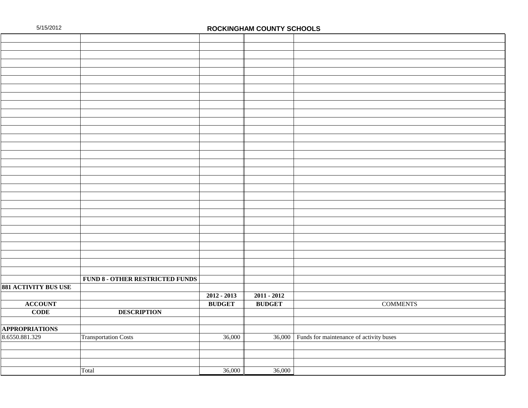|                             | <b>FUND 8 - OTHER RESTRICTED FUNDS</b> |               |               |                                                |
|-----------------------------|----------------------------------------|---------------|---------------|------------------------------------------------|
| <b>881 ACTIVITY BUS USE</b> |                                        |               |               |                                                |
|                             |                                        | $2012 - 2013$ | $2011 - 2012$ |                                                |
| <b>ACCOUNT</b>              |                                        | <b>BUDGET</b> | <b>BUDGET</b> | <b>COMMENTS</b>                                |
| <b>CODE</b>                 | <b>DESCRIPTION</b>                     |               |               |                                                |
|                             |                                        |               |               |                                                |
| <b>APPROPRIATIONS</b>       |                                        |               |               |                                                |
| 8.6550.881.329              | <b>Transportation Costs</b>            | 36,000        |               | 36,000 Funds for maintenance of activity buses |
|                             |                                        |               |               |                                                |
|                             |                                        |               |               |                                                |
|                             |                                        |               |               |                                                |
|                             | Total                                  | 36,000        | 36,000        |                                                |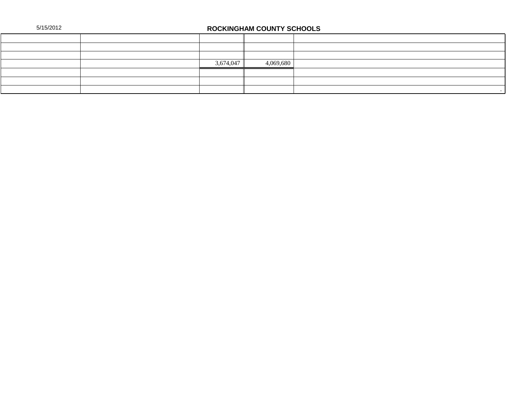|  | 5/15/2012 |  |
|--|-----------|--|
|  |           |  |

## **ROCKINGHAM COUNTY SCHOOLS**

|  | 3,674,047 | 4,069,680 |  |
|--|-----------|-----------|--|
|  |           |           |  |
|  |           |           |  |
|  |           |           |  |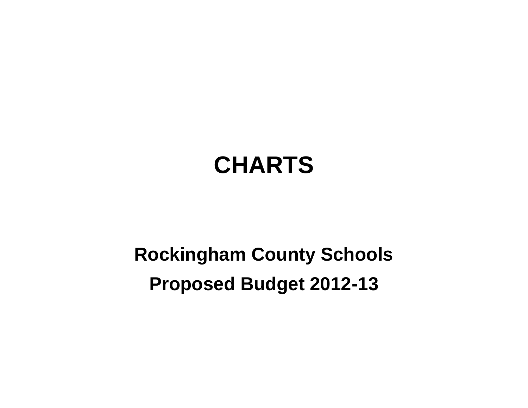# **CHARTS**

## **Rockingham County Schools Proposed Budget 2012-13**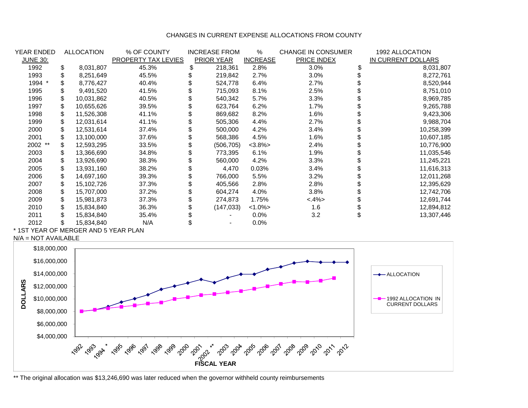#### CHANGES IN CURRENT EXPENSE ALLOCATIONS FROM COUNTY

| YEAR ENDED      | <b>ALLOCATION</b> | % OF COUNTY         | <b>INCREASE FROM</b> | %               | <b>CHANGE IN CONSUMER</b> | 1992 ALLOCATION    |
|-----------------|-------------------|---------------------|----------------------|-----------------|---------------------------|--------------------|
| <b>JUNE 30:</b> |                   | PROPERTY TAX LEVIES | PRIOR YEAR           | <b>INCREASE</b> | PRICE INDEX               | IN CURRENT DOLLARS |
| 1992            | \$<br>8,031,807   | 45.3%               | 218,361              | 2.8%            | 3.0%                      | 8,031,807          |
| 1993            | 8,251,649         | 45.5%               | 219,842              | 2.7%            | 3.0%                      | 8,272,761          |
| 1994 *          | 8,776,427         | 40.4%               | 524,778              | 6.4%            | 2.7%                      | 8,520,944          |
| 1995            | 9,491,520         | 41.5%               | 715,093              | 8.1%            | 2.5%                      | 8,751,010          |
| 1996            | \$<br>10,031,862  | 40.5%               | 540,342              | 5.7%            | 3.3%                      | 8,969,785          |
| 1997            | \$<br>10,655,626  | 39.5%               | 623,764              | 6.2%            | $1.7\%$                   | 9,265,788          |
| 1998            | \$<br>11,526,308  | 41.1%               | 869,682              | 8.2%            | $1.6\%$                   | 9,423,306          |
| 1999            | \$<br>12,031,614  | 41.1%               | 505,306              | 4.4%            | 2.7%                      | 9,988,704          |
| 2000            | \$<br>12,531,614  | 37.4%               | 500,000              | 4.2%            | 3.4%                      | 10,258,399         |
| 2001            | 13,100,000        | 37.6%               | 568,386              | 4.5%            | 1.6%                      | 10,607,185         |
| 2002 **         | \$<br>12,593,295  | 33.5%               | (506, 705)           | $<3.8\%>$       | 2.4%                      | 10,776,900         |
| 2003            | \$<br>13,366,690  | 34.8%               | 773,395              | 6.1%            | 1.9%                      | 11,035,546         |
| 2004            | \$<br>13,926,690  | 38.3%               | 560,000              | 4.2%            | 3.3%                      | 11,245,221         |
| 2005            | \$<br>13,931,160  | 38.2%               | 4,470                | 0.03%           | 3.4%                      | 11,616,313         |
| 2006            | 14,697,160        | 39.3%               | 766,000              | 5.5%            | 3.2%                      | 12,011,268         |
| 2007            | \$<br>15,102,726  | 37.3%               | 405,566              | 2.8%            | 2.8%                      | 12,395,629         |
| 2008            | \$<br>15,707,000  | 37.2%               | 604,274              | 4.0%            | $3.8\%$                   | 12,742,706         |
| 2009            | \$<br>15,981,873  | 37.3%               | 274,873              | 1.75%           | $< .4\%>$                 | 12,691,744         |
| 2010            | \$<br>15,834,840  | 36.3%               | (147, 033)           | $<1.0\%$        | 1.6                       | 12,894,812         |
| 2011            | \$<br>15,834,840  | 35.4%               |                      | $0.0\%$         | 3.2                       | 13,307,446         |
| 2012            | 15,834,840        | N/A                 |                      | $0.0\%$         |                           |                    |

\* 1ST YEAR OF MERGER AND 5 YEAR PLAN

N/A = NOT AVAILABLE



\*\* The original allocation was \$13,246,690 was later reduced when the governor withheld county reimbursements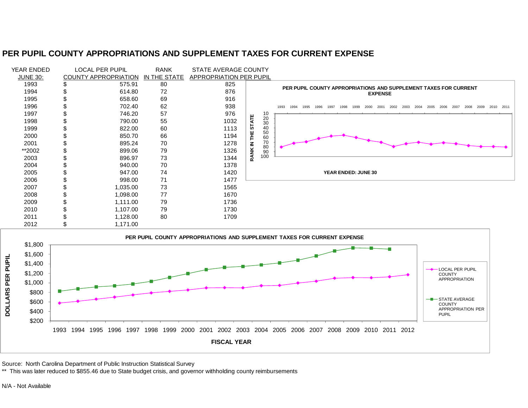### **PER PUPIL COUNTY APPROPRIATIONS AND SUPPLEMENT TAXES FOR CURRENT EXPENSE**





Source: North Carolina Department of Public Instruction Statistical Survey

\*\* This was later reduced to \$855.46 due to State budget crisis, and governor withholding county reimbursements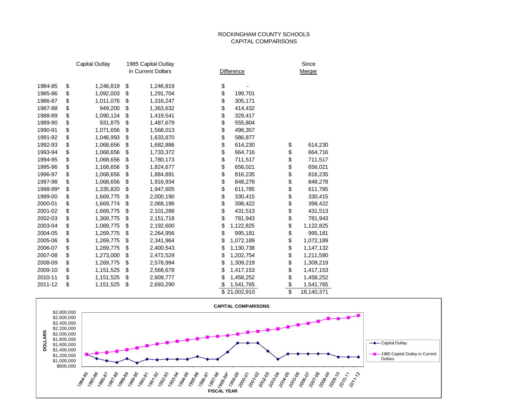#### ROCKINGHAM COUNTY SCHOOLS CAPITAL COMPARISONS

|          | <b>Capital Outlay</b> | 1985 Capital Outlay |                   |                 | Since      |
|----------|-----------------------|---------------------|-------------------|-----------------|------------|
|          |                       | in Current Dollars  | <b>Difference</b> |                 | Merger     |
| 1984-85  | \$<br>1,246,819       | \$<br>1,246,819     | \$                |                 |            |
| 1985-86  | \$<br>1,092,003       | \$<br>1,291,704     | \$<br>199,701     |                 |            |
| 1986-87  | \$<br>1,011,076       | \$<br>1,316,247     | \$<br>305,171     |                 |            |
| 1987-88  | \$                    |                     | \$                |                 |            |
|          | 949,200               | \$<br>1,363,632     | \$<br>414,432     |                 |            |
| 1988-89  | \$<br>1,090,124       | \$<br>1,419,541     | 329,417           |                 |            |
| 1989-90  | \$<br>931,875         | \$<br>1,487,679     | \$<br>555,804     |                 |            |
| 1990-91  | \$<br>1,071,656       | \$<br>1,568,013     | \$<br>496,357     |                 |            |
| 1991-92  | \$<br>1,046,993       | \$<br>1,633,870     | \$<br>586,877     |                 |            |
| 1992-93  | \$<br>1,068,656       | \$<br>1,682,886     | \$<br>614,230     | \$              | 614,230    |
| 1993-94  | \$<br>1,068,656       | \$<br>1,733,372     | \$<br>664,716     | \$              | 664,716    |
| 1994-95  | \$<br>1,068,656       | \$<br>1,780,173     | \$<br>711,517     | \$              | 711,517    |
| 1995-96  | \$<br>1,168,656       | \$<br>1,824,677     | \$<br>656,021     | \$              | 656,021    |
| 1996-97  | \$<br>1,068,656       | \$<br>1,884,891     | \$<br>816,235     | \$              | 816,235    |
| 1997-98  | \$<br>1,068,656       | \$<br>1,916,934     | \$<br>848,278     | \$              | 848,278    |
| 1998-99* | \$<br>1,335,820       | \$<br>1,947,605     | \$<br>611,785     | \$              | 611,785    |
| 1999-00  | \$<br>1,669,775       | \$<br>2,000,190     | \$<br>330,415     | \$              | 330,415    |
| 2000-01  | \$<br>1,669,774       | \$<br>2,068,196     | \$<br>398,422     | \$              | 398,422    |
| 2001-02  | \$<br>1,669,775       | \$<br>2,101,288     | \$<br>431,513     | \$              | 431,513    |
| 2002-03  | \$<br>1,369,775       | \$<br>2,151,718     | \$<br>781,943     | \$              | 781,943    |
| 2003-04  | \$<br>1,069,775       | \$<br>2,192,600     | \$<br>1,122,825   | \$              | 1,122,825  |
| 2004-05  | \$<br>1,269,775       | \$<br>2,264,956     | \$<br>995,181     | \$              | 995,181    |
| 2005-06  | \$<br>1,269,775       | \$<br>2,341,964     | \$<br>1,072,189   | \$              | 1,072,189  |
| 2006-07  | \$<br>1,269,775       | \$<br>2,400,543     | \$<br>1,130,738   | \$              | 1,147,132  |
| 2007-08  | \$<br>1,273,000       | \$<br>2,472,529     | \$<br>1,202,754   | \$              | 1,211,580  |
| 2008-09  | \$<br>1,269,775       | \$<br>2,578,994     | \$<br>1,309,219   | \$              | 1,309,219  |
| 2009-10  | \$<br>1,151,525       | \$<br>2,568,678     | \$<br>1,417,153   | \$              | 1,417,153  |
| 2010-11  | \$<br>1,151,525       | \$<br>2,609,777     | \$<br>1,458,252   | \$              | 1,458,252  |
| 2011-12  | \$<br>1,151,525       | \$<br>2,693,290     | \$<br>1,541,765   | \$              | 1,541,765  |
|          |                       |                     | \$<br>21,002,910  | $\overline{\$}$ | 18,140,371 |

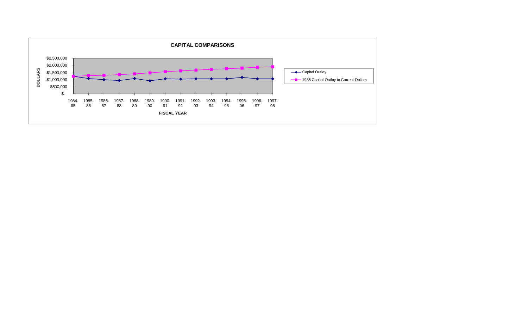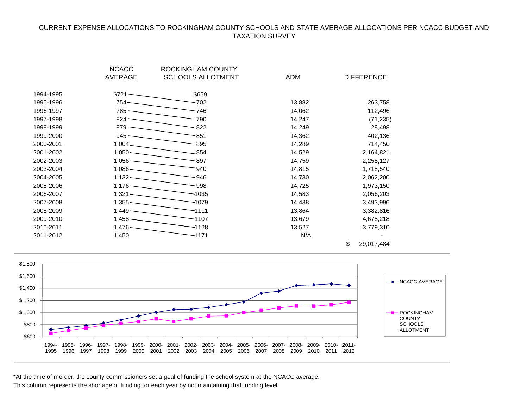#### CURRENT EXPENSE ALLOCATIONS TO ROCKINGHAM COUNTY SCHOOLS AND STATE AVERAGE ALLOCATIONS PER NCACC BUDGET AND TAXATION SURVEY

|           | <b>NCACC</b>     | ROCKINGHAM COUNTY        |            |                   |
|-----------|------------------|--------------------------|------------|-------------------|
|           | <b>AVERAGE</b>   | <b>SCHOOLS ALLOTMENT</b> | <b>ADM</b> | <b>DIFFERENCE</b> |
|           |                  |                          |            |                   |
| 1994-1995 | $$721 -$         | \$659                    |            |                   |
| 1995-1996 | $754 -$          | $-702$                   | 13,882     | 263,758           |
| 1996-1997 | 785 -            | -746                     | 14,062     | 112,496           |
| 1997-1998 | $824 -$          | 790                      | 14,247     | (71, 235)         |
| 1998-1999 | $879 -$          | 822                      | 14,249     | 28,498            |
| 1999-2000 | $945 -$          | $-851$                   | 14,362     | 402,136           |
| 2000-2001 | $1,004$ —        | 895                      | 14,289     | 714,450           |
| 2001-2002 | $1,050-$         | $-854$                   | 14,529     | 2,164,821         |
| 2002-2003 | $1,056-$         | - 897                    | 14,759     | 2,258,127         |
| 2003-2004 | $1,086$ —        | 940                      | 14,815     | 1,718,540         |
| 2004-2005 | $1,132$ —        | -946                     | 14,730     | 2,062,200         |
| 2005-2006 | $1,176$ —        | -998                     | 14,725     | 1,973,150         |
| 2006-2007 | $1,321$ —        | -1035                    | 14,583     | 2,056,203         |
| 2007-2008 | $1,355$ —        | $-1079$                  | 14,438     | 3,493,996         |
| 2008-2009 | $1,449$ —        | $-1111$                  | 13,864     | 3,382,816         |
| 2009-2010 | $1,458$ $\qquad$ | -1107                    | 13,679     | 4,678,218         |
| 2010-2011 | $1,476-$         | -1128                    | 13,527     | 3,779,310         |
| 2011-2012 | 1,450            | -1171                    | N/A        |                   |
|           |                  |                          |            |                   |

\$ 29,017,484 NCACC AVERAGE **-B** ROCKINGHAM **COUNTY SCHOOLS** ALLOTMENT

\*At the time of merger, the county commissioners set a goal of funding the school system at the NCACC average.

1994- 1995- 1996- 1997- 1998- 1999- 2000- 2001- 2002- 2003- 2004- 2005- 2006- 2007- 2008- 2009- 2010- 2011-

1997 1998 1999 2000 2001 2002 2003 2004 2005 2006 2007 2008 2009 2010 2011 2012

This column represents the shortage of funding for each year by not maintaining that funding level

\$600 \$800 \$1,000 \$1,200 \$1,400 \$1,600 \$1,800

1995

1996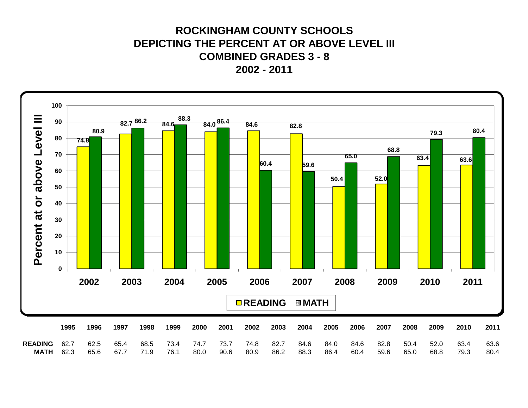### **ROCKINGHAM COUNTY SCHOOLS DEPICTING THE PERCENT AT OR ABOVE LEVEL III COMBINED GRADES 3 - 8 2002 - 2011**

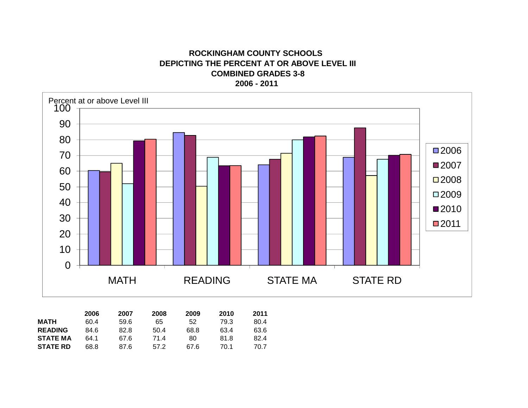**ROCKINGHAM COUNTY SCHOOLS DEPICTING THE PERCENT AT OR ABOVE LEVEL III COMBINED GRADES 3-8 2006 - 2011** 



|                 | 2006 | 2007 | 2008 | 2009 | 2010 | 2011 |
|-----------------|------|------|------|------|------|------|
| <b>MATH</b>     | 60.4 | 59.6 | 65   | 52   | 79.3 | 80.4 |
| <b>READING</b>  | 84.6 | 82.8 | 50.4 | 68.8 | 63.4 | 63.6 |
| <b>STATE MA</b> | 64.1 | 67.6 | 71.4 | 80   | 81.8 | 82.4 |
| <b>STATE RD</b> | 68.8 | 87.6 | 57.2 | 67 6 | 70.1 | 70.7 |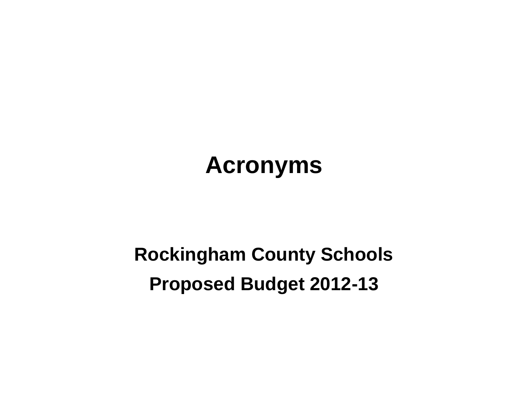# **Acronyms**

## **Rockingham County Schools Proposed Budget 2012-13**